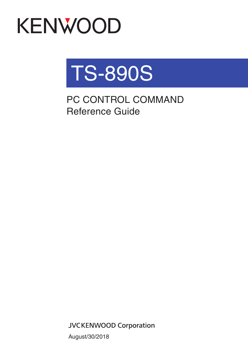# KENWOOD



PC CONTROL COMMAND Reference Guide

**JVCKENWOOD Corporation** 

August/30/2018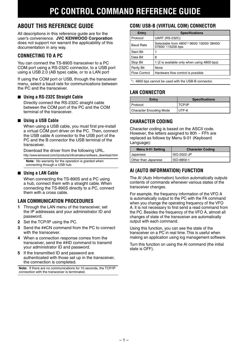# **ABOUT THIS REFERENCE GUIDE**

All descriptions in this reference guide are for the user's convenience. **JVC KENWOOD Corporation** does not support nor warrant the applicability of this documentation in any way.

## **CONNECTING TO A PC**

You can connect the TS-890S transceiver to a PC COM port using a RS-232C connector, to a USB port using a USB 2.0 (AB type) cable, or to a LAN port

If using the COM port or USB, through the transceiver menu, select a baud rate for communications between the PC and the transceiver.

#### ■ **Using a RS-232C Straight Cable**

Directly connect the RS-232C straight cable between the COM port of the PC and the COM terminal of the transceiver.

#### ■ **Using a USB Cable**

When using a USB cable, you must first pre-install a virtual COM port driver on the PC. Then, connect the USB cable A connector to the USB port of the PC and the B connector the USB terminal of the transceiver.

Download the driver from the following URL. http://www.kenwood.com/i/products/info/amateur/software\_download.html

**Note:** No warranty for the operation is granted when connecting through a USB hub.

#### ■ **Using a LAN Cable**

When connecting the TS-890S and a PC using a hub, connect them with a straight cable. When connecting the TS-890S directly to a PC, connect them with a cross cable.

#### **LAN COMMUNICATION PROCEDURES**

- **1** Through the LAN menu of the transceiver, set the IP addresses and your administrator ID and password.
- **2** Set the TCP/IP using the PC.
- **3** Send the ##CN command from the PC to connect with the transceiver.
- **4** When a connection response comes from the transceiver, send the ##ID command to transmit your administrator ID and password.
- **5** If the transmitted ID and password are authenticated with those set up in the transceiver, the connection is completed.

**Note:** If there are no communications for 10 seconds, the TCP/IP connection with the transceiver is terminated.

## **COM/ USB-B (VIRTUAL COM) CONNECTOR**

| Entry           | <b>Specifications</b>                                       |
|-----------------|-------------------------------------------------------------|
| <b>Protocol</b> | <b>UART (RS-232C)</b>                                       |
| Baud Rate       | Selectable from 4800*/9600/19200/38400/<br>57600/115200 bps |
| l Start Bit     |                                                             |
| l Data Bit      | 8                                                           |
| Stop Bit        | 1 (2 is available only when using 4800 bps)                 |
| Parity Bit      | None                                                        |
| Flow Control    | Hardware flow control is possible                           |

\***:** 4800 bps cannot be used with the USB-B connector.

#### **LAN CONNECTOR**

| Entry                   | <b>Specifications</b> |
|-------------------------|-----------------------|
| I Protocol              | <b>TCP/IP</b>         |
| Character Encoding Mode | UTF-8                 |

#### **CHARACTER CODING**

Character coding is based on the ASCII code. However, the letters assigned to 80h  $\sim$  FFh are replaced as follows by Menu 9-01 (Keyboard Language):

| Menu 9-01 Setting   | <b>Character Coding</b> |
|---------------------|-------------------------|
| <b>Japanese</b>     | ISO-2022-JP             |
| Other than Japanese | ISO-8859-1              |

## **AI (AUTO INFORMATION) FUNCTION**

The AI (Auto Information) function automatically outputs contents of commands whenever various states of the transceiver changes.

For example, the frequency information of the VFO A is automatically output to the PC with the FA command when you change the operating frequency of the VFO A. It is not necessary to first send a read command from the PC. Besides the frequency of the VFO A, almost all changes of state of the transceiver are automatically output with each command.

Using this function, you can see the state of the transceiver on a PC in real time. This is useful when making an application using log management software.

Turn this function on using the AI command (the initial state is OFF).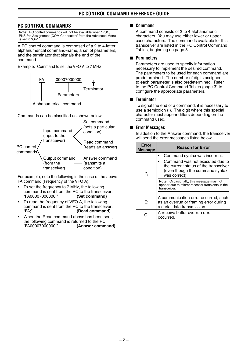#### **PC CONTROL COMMANDS**

**Note:** PC control commands will not be available when "PSQ/ PKS Pin Assignment (COM Connector)" from the Advanced Menu is set to "On".

A PC control command is composed of a 2 to 4-letter alphanumerical command-name, a set of parameters, and the terminator that signals the end of the command.

Example: Command to set the VFO A to 7 MHz



Commands can be classified as shown below:



For example, note the following in the case of the above FA command (Frequency of the VFO A):

- To set the frequency to 7 MHz, the following command is sent from the PC to the transceiver:<br>"FA000070000000:" (Set command) "FA00007000000;" **(Set command)**
- To read the frequency of VFO A, the following command is sent from the PC to the transceiver: "FA;" **(Read command)**
- When the Read command above has been sent. the following command is returned to the PC:<br>"FA00007000000:" (Answer comma (Answer command)

#### ■ **Command**

A command consists of 2 to 4 alphanumeric characters. You may use either lower or upper case characters. The commands available for this transceiver are listed in the PC Control Command Tables, beginning on page 3.

#### ■ **Parameters**

Parameters are used to specify information necessary to implement the desired command. The parameters to be used for each command are predetermined. The number of digits assigned to each parameter is also predetermined. Refer to the PC Control Command Tables {page 3} to configure the appropriate parameters.

#### ■ **Terminator**

To signal the end of a command, it is necessary to use a semicolon (;). The digit where this special character must appear differs depending on the command used.

#### ■ **Error Messages**

In addition to the Answer command, the transceiver will send the error messages listed below.

| Error<br><b>Message</b> | <b>Reason for Error</b>                                                                                                                                                                                                                                     |
|-------------------------|-------------------------------------------------------------------------------------------------------------------------------------------------------------------------------------------------------------------------------------------------------------|
| ?;                      | Command syntax was incorrect.<br>Command was not executed due to<br>the current status of the transceiver<br>(even though the command syntax<br>was correct).<br>Note: Occasionally, this message may not<br>appear due to microprocessor transients in the |
|                         | transceiver.                                                                                                                                                                                                                                                |
| E:                      | A communication error occurred, such<br>as an overrun or framing error during<br>a serial data transmission.                                                                                                                                                |
|                         | A receive buffer overrun error<br>occurred.                                                                                                                                                                                                                 |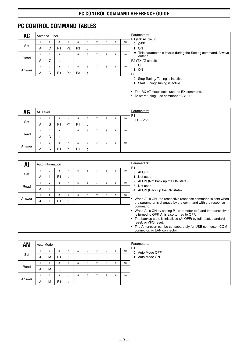# **PC CONTROL COMMAND TABLES**

| <b>AC</b> |   | Antenna Tuner  |                    |                |                |                                       |                |   | Parameters: |                 |                                                                            |
|-----------|---|----------------|--------------------|----------------|----------------|---------------------------------------|----------------|---|-------------|-----------------|----------------------------------------------------------------------------|
|           |   | $\overline{2}$ | 3                  | 4              | 5              | 6                                     | 7              | 8 | 9           | 10 <sup>1</sup> | P1 (RX AT circuit)<br>$0:$ OFF                                             |
| Set       | A | C              | P <sub>1</sub>     | P <sub>2</sub> | P <sub>3</sub> | $\bullet$<br>$\overline{\phantom{a}}$ |                |   |             |                 | 1:ON                                                                       |
|           |   | $\overline{2}$ | 3                  | 4              | 5              | 6                                     | $\overline{7}$ | 8 | 9           | 10 <sup>1</sup> | • This parameter is invalid during the Setting command. Always<br>enter 1. |
| Read      | A | C              | $\cdot$<br>$\cdot$ |                |                |                                       |                |   |             |                 | P2 (TX AT circuit)                                                         |
|           |   | $\overline{2}$ | 3                  | 4              | 5              | 6                                     | $\overline{7}$ | 8 | 9           | 10              | $0:$ OFF                                                                   |
| Answer    | A | C              | P <sub>1</sub>     | P <sub>2</sub> | P <sub>3</sub> | $\bullet$<br>$\overline{\phantom{a}}$ |                |   |             |                 | 1:ON<br>P <sub>3</sub>                                                     |
|           |   |                |                    |                |                |                                       |                |   |             |                 | 0: Stop Tuning/Tuning is inactive                                          |
|           |   |                |                    |                |                |                                       |                |   |             |                 | 1: Start Tuning/Tuning is active                                           |
|           |   |                |                    |                |                |                                       |                |   |             |                 | • The RX AT circuit sets, use the EX command.                              |
|           |   |                |                    |                |                |                                       |                |   |             |                 | • To start tuning, use command "AC111;".                                   |
|           |   |                |                    |                |                |                                       |                |   |             |                 |                                                                            |
|           |   |                |                    |                |                |                                       |                |   |             |                 |                                                                            |

| <b>AG</b> | AF Level |             |                |                |                |           |                          |   | Parameters:<br>P <sub>1</sub> |    |             |
|-----------|----------|-------------|----------------|----------------|----------------|-----------|--------------------------|---|-------------------------------|----|-------------|
|           |          | 2           | 3              | 4              | b              | 6         | -                        | 8 | 9                             | 10 | $000 - 255$ |
| Set       | A        | G           | P <sub>1</sub> | P <sub>1</sub> | P <sub>1</sub> |           |                          |   |                               |    |             |
|           |          | $\sim$      | 3              | 4              | h              | 6         | $\overline{\phantom{a}}$ | 8 | 9                             | 10 |             |
| Read      | A        | G           | ٠              |                |                |           |                          |   |                               |    |             |
|           |          | $\sim$<br>۷ | 3              | 4              | h              | 6         | $\rightarrow$            | 8 | 9                             | 10 |             |
| Answer    | A        | G           | P <sub>1</sub> | P <sub>1</sub> | P <sub>1</sub> | $\bullet$ |                          |   |                               |    |             |

| Al     |   | Auto Information |                |                                       |   |   |                |   |   |                 | Parameters:                                                                                                                                                                                                                                                                                               |
|--------|---|------------------|----------------|---------------------------------------|---|---|----------------|---|---|-----------------|-----------------------------------------------------------------------------------------------------------------------------------------------------------------------------------------------------------------------------------------------------------------------------------------------------------|
|        |   | $\overline{2}$   | 3              | 4                                     | 5 | 6 |                | 8 | 9 | 10              | P <sub>1</sub><br>$0:$ AI OFF                                                                                                                                                                                                                                                                             |
| Set    | A |                  | P <sub>1</sub> | $\bullet$<br>$\overline{\phantom{a}}$ |   |   |                |   |   |                 | 1: Not used                                                                                                                                                                                                                                                                                               |
|        |   | $\overline{2}$   | 3              | 4                                     | 5 | 6 | 7              | 8 | 9 | 10 <sup>1</sup> | 2: AI ON (Not back up the ON state)                                                                                                                                                                                                                                                                       |
| Read   | A |                  | $\cdot$        |                                       |   |   |                |   |   |                 | 3: Not used<br>4: AI ON (Back up the ON state)                                                                                                                                                                                                                                                            |
|        |   | $\overline{2}$   | 3              | 4                                     | 5 | 6 | $\overline{7}$ | 8 | 9 | 10              |                                                                                                                                                                                                                                                                                                           |
| Answer | A |                  | P <sub>1</sub> | $\bullet$<br>$\overline{ }$           |   |   |                |   |   |                 | When AI is ON, the respective response command is sent when<br>the parameter is changed by the command with the response<br>command.                                                                                                                                                                      |
|        |   |                  |                |                                       |   |   |                |   |   |                 | When AI is ON by setting P1 parameter to 2 and the transceiver<br>is turned to OFF, AI is also turned to OFF.<br>The backup state is initialized (AI OFF) by full reset, standard<br>reset, or VFO reset.<br>The AI function can be set separately for USB connector, COM<br>connector, or LAN connector. |

| <b>AM</b> | Auto Mode |                     |                     |         |   |   |   |   | Parameters:<br>P <sub>1</sub> |                                     |
|-----------|-----------|---------------------|---------------------|---------|---|---|---|---|-------------------------------|-------------------------------------|
| Set       | A         | $\overline{2}$<br>М | 3<br>P <sub>1</sub> | 4       | 5 | 6 | 8 | 9 | 10                            | 0: Auto Mode OFF<br>1: Auto Mode ON |
|           |           | $\overline{2}$      | 3                   | 4       | 5 | 6 | 8 | 9 | 10                            |                                     |
| Read      | A         | М                   | $\cdot$<br>$\cdot$  |         |   |   |   |   |                               |                                     |
|           |           | $\overline{2}$      | 3                   | 4       | 5 | 6 | 8 | 9 | 10                            |                                     |
| Answer    | A         | М                   | P <sub>1</sub>      | $\cdot$ |   |   |   |   |                               |                                     |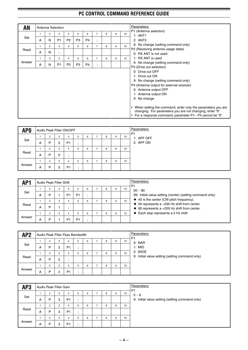| <b>AN</b> |    | Antenna Selection |                   |                |                |                |                               |   |   |    | Parameters:                                                                                                                                                                                                                                                                                                                                                                                  |
|-----------|----|-------------------|-------------------|----------------|----------------|----------------|-------------------------------|---|---|----|----------------------------------------------------------------------------------------------------------------------------------------------------------------------------------------------------------------------------------------------------------------------------------------------------------------------------------------------------------------------------------------------|
|           |    | 2                 | 3                 | 4              | 5              | 6              | 7                             | 8 | 9 | 10 | P1 (Antenna selection)<br>1: ANT1                                                                                                                                                                                                                                                                                                                                                            |
| Set       | A  | N                 | P <sub>1</sub>    | P <sub>2</sub> | P <sub>3</sub> | P <sub>4</sub> | ٠<br>$\cdot$                  |   |   |    | 2: ANT2                                                                                                                                                                                                                                                                                                                                                                                      |
|           | 1  | $\overline{2}$    | 3                 | 4              | 5              | 6              | $\overline{7}$                | 8 | 9 | 10 | 9: No change (setting command only)                                                                                                                                                                                                                                                                                                                                                          |
| Read      | A  | N                 | ٠<br>$\mathbf{r}$ |                |                |                |                               |   |   |    | P2 (Receiving antenna usage state)<br>0: RX ANT is not used                                                                                                                                                                                                                                                                                                                                  |
|           | 1. | 2                 | 3                 | 4              | 5              | 6              | $\overline{7}$                | 8 | 9 | 10 | 1: RX ANT is used                                                                                                                                                                                                                                                                                                                                                                            |
| Answer    | A  | N                 | P <sub>1</sub>    | P <sub>2</sub> | P <sub>3</sub> | P <sub>4</sub> | ٠<br>$\overline{\phantom{a}}$ |   |   |    | 9: No change (setting command only)<br>P3 (Drive out selection)                                                                                                                                                                                                                                                                                                                              |
|           |    |                   |                   |                |                |                |                               |   |   |    | 0: Drive out OFF<br>1: Drive out ON<br>9: No change (setting command only)<br>P4 (Antenna output for external receiver)<br>0: Antenna output OFF<br>1: Antenna output ON<br>9: No change<br>When setting the command, enter only the parameters you are<br>$\bullet$<br>changing. For parameters you are not changing, enter "9".<br>For a response command, parameter P1~ P4 cannot be "9". |

| AP <sub>0</sub> |   | Audio Peak Filter ON/OFF |   |                |   |   |   |   | Parameters:<br>P <sub>1</sub> |            |
|-----------------|---|--------------------------|---|----------------|---|---|---|---|-------------------------------|------------|
|                 |   |                          | 3 | 4              | 5 | 6 | 8 | 9 | 10                            | 1: APF OFF |
| Set             | A | P                        | 0 | P <sub>1</sub> |   |   |   |   |                               | 2: APF ON  |
|                 |   | $\Omega$                 | 3 | 4              | 5 | 6 | 8 | 9 | 10                            |            |
| Read            | A | P                        | 0 | $\cdot$        |   |   |   |   |                               |            |
|                 |   | $\sim$<br>∠              | 3 | 4              | 5 | 6 | 8 | 9 | 10                            |            |
| Answer          | A | P                        | 0 | P <sub>1</sub> |   |   |   |   |                               |            |

| AP <sub>1</sub> |   | Audio Peak Filter Shift |   |                |                |   |   |   | Parameters:<br>P <sub>1</sub> |                                                                                                                |
|-----------------|---|-------------------------|---|----------------|----------------|---|---|---|-------------------------------|----------------------------------------------------------------------------------------------------------------|
|                 |   |                         | 3 | 4              |                | 6 | 8 | 9 | 10                            | $00 \sim 80$                                                                                                   |
| Set             | A | D                       |   | P1             | P <sub>1</sub> |   |   |   |                               | 99: Initial value setting (center) (setting command only)                                                      |
|                 |   |                         | 3 | 4              |                | 6 | 8 | 9 | 10                            | $\triangleq$ 40 is the center (CW pitch frequency).                                                            |
| Read            | А | D                       |   |                |                |   |   |   |                               | $\bullet$ 00 represents a -200 Hz shift from center.<br>$\triangle$ 80 represents a +200 Hz shift from center. |
|                 |   |                         | 3 | 4              |                | 6 |   | 9 | 10                            | $\blacklozenge$ Each step represents a 5 Hz shift.                                                             |
| Answer          | A |                         |   | P <sub>1</sub> | P <sub>1</sub> |   |   |   |                               |                                                                                                                |

| AP <sub>2</sub> |   | Audio Peak Filter Pass Bandwidth |                |                |   |   |   |   | Parameters:<br>P <sub>1</sub> |                                                 |
|-----------------|---|----------------------------------|----------------|----------------|---|---|---|---|-------------------------------|-------------------------------------------------|
|                 |   | 2                                | 3              | 4              | 5 | 6 | 8 | 9 | 10                            | 0: NAR                                          |
| Set             | A | P                                | 2              | P <sub>1</sub> |   |   |   |   |                               | 1: MID                                          |
|                 |   | っ                                | 3              | 4              | 5 | 6 | 8 | 9 | 10                            | 2: WIDE                                         |
| Read            | A | P                                | $\overline{2}$ |                |   |   |   |   |                               | 9: Initial value setting (setting command only) |
|                 |   | 2                                | 3              | 4              | 5 | 6 | 8 | 9 | 10                            |                                                 |
| Answer          | A | D                                | 2              | P <sub>1</sub> |   |   |   |   |                               |                                                 |

| AP3    |   | Audio Peak Filter Gain |   |                |    |   |   |   |    | <b>Parameters:</b><br>P <sub>1</sub>            |
|--------|---|------------------------|---|----------------|----|---|---|---|----|-------------------------------------------------|
|        |   | $\overline{2}$         | 3 |                | 5  | 6 | 8 | 9 | 10 | $0 - 6$                                         |
| Set    | A | P                      | 3 | P <sub>1</sub> | ٠. |   |   |   |    | 9: Initial value setting (setting command only) |
|        |   | $\overline{2}$         | 3 |                | 5  | 6 | 8 | 9 | 10 |                                                 |
| Read   | A | P                      | 3 | P <sub>1</sub> |    |   |   |   |    |                                                 |
|        |   | $\overline{2}$         | 3 |                | 5  | 6 | 8 | 9 | 10 |                                                 |
| Answer | A | P                      | 3 | P <sub>1</sub> |    |   |   |   |    |                                                 |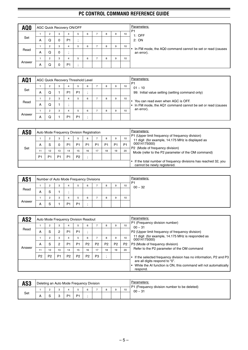| AQ <sub>0</sub> |   |                |   | AGC Quick Recovery ON/OFF |   |   |   |   |    | Parameters:<br>P <sub>1</sub>                                           |
|-----------------|---|----------------|---|---------------------------|---|---|---|---|----|-------------------------------------------------------------------------|
|                 |   | 2              | 3 | 4                         | 5 | 6 | 8 | 9 | 10 | $1:$ OFF                                                                |
| Set             | A | Q              | 0 | P <sub>1</sub>            |   |   |   |   |    | 2:ON                                                                    |
|                 |   | 2              | 3 | 4                         | 5 | 6 | 8 | 9 | 10 |                                                                         |
| Read            | A | Q              | 0 | $\cdot$                   |   |   |   |   |    | In FM mode, the AQ0 command cannot be set or read (causes<br>an error). |
|                 |   | $\overline{2}$ | 3 | 4                         | 5 | 6 | 8 | 9 | 10 |                                                                         |
| Answer          | A | Q              | 0 | P <sub>1</sub>            |   |   |   |   |    |                                                                         |

| AQ <sup>1</sup> |   |                |   |                | <b>AGC Quick Recovery Threshold Level</b> |   |   |   |    | Parameters:<br>P <sub>1</sub>                                          |
|-----------------|---|----------------|---|----------------|-------------------------------------------|---|---|---|----|------------------------------------------------------------------------|
|                 |   | $\overline{2}$ | 3 | 4              | 5                                         | 6 | 8 | 9 | 10 | $01 - 10$                                                              |
| Set             | A | Q              |   | P <sub>1</sub> | P <sub>1</sub>                            |   |   |   |    | 99: Initial value setting (setting command only)                       |
|                 |   | $\overline{2}$ | 3 | 4              | 5                                         | 6 | 8 | 9 | 10 | You can read even when AGC is OFF.                                     |
| Read            | А | Q              |   | $\cdot$        |                                           |   |   |   |    | In FM mode, the AQ1 command cannot be set or read (causes<br>$\bullet$ |
|                 |   | $\overline{2}$ | 3 |                | 5                                         | 6 | 8 | 9 | 10 | an error).                                                             |
| Answer          | А | Q              |   | P <sub>1</sub> | P <sub>1</sub>                            |   |   |   |    |                                                                        |

| AS <sub>0</sub> |                |    |                |                | Auto Mode Frequency Division Registration |    |                |    |                |                | Parameters:                                                                                           |
|-----------------|----------------|----|----------------|----------------|-------------------------------------------|----|----------------|----|----------------|----------------|-------------------------------------------------------------------------------------------------------|
|                 |                |    | 3              | 4              |                                           | 6  |                | 8  | 9              | 10             | P1 (Upper limit frequency of frequency division)<br>11 digit (for example, 14.175 MHz is displayed as |
|                 | А              |    |                | P <sub>1</sub> | P1                                        | P  | P <sub>1</sub> | P1 | P <sub>1</sub> | P <sub>1</sub> | 00014175000)                                                                                          |
| Set             |                | 12 | 13             | 14             | 15                                        | 16 | 17             | 18 | 19             | 20             | P2 (Mode of frequency division)<br>Mode (refer to the P2 parameter of the OM command)                 |
|                 | P <sub>1</sub> | P1 | P <sub>1</sub> | P <sub>1</sub> | P <sub>2</sub>                            |    |                |    |                |                |                                                                                                       |
|                 |                |    |                |                |                                           |    |                |    |                |                | If the total number of frequency divisions has reached 32, you<br>cannot be newly registered.         |

| AS <sub>1</sub> |   | Number of Auto Mode Frequency Divisions |    |    |                |   |   |   |    | Parameters:<br>P1 |
|-----------------|---|-----------------------------------------|----|----|----------------|---|---|---|----|-------------------|
|                 |   |                                         | -3 |    |                | 6 | 8 | 9 | 10 | $00 - 32$         |
| Read            | А |                                         |    |    |                |   |   |   |    |                   |
|                 |   |                                         | 3  |    |                | 6 | 8 | 9 | 10 |                   |
| Answer          | А |                                         |    | P1 | P <sub>1</sub> |   |   |   |    |                   |

| AS <sub>2</sub> |                |                     |                | Auto Mode Frequency Division Readout |                     |                |                |                |                |                 | Parameters:                                                                                                    |
|-----------------|----------------|---------------------|----------------|--------------------------------------|---------------------|----------------|----------------|----------------|----------------|-----------------|----------------------------------------------------------------------------------------------------------------|
| Read            | A              | $\overline{2}$<br>S | 3<br>2         | 4<br>P <sub>1</sub>                  | 5<br>P <sub>1</sub> | 6              |                | 8              | 9              | 10 <sup>1</sup> | P1 (Frequency division number)<br>$00 \sim 31$<br>P2 (Upper limit frequency of frequency division)             |
|                 |                | 2                   | 3              | 4                                    | 5                   | 6              |                | 8              | 9              | 10              | 11 digit (for example, 14.175 MHz is responded as<br>00014175000)                                              |
|                 | A              | S                   | 2              | P <sub>1</sub>                       | P <sub>1</sub>      | P <sub>2</sub> | P <sub>2</sub> | P <sub>2</sub> | P <sub>2</sub> | P <sub>2</sub>  | P3 (Mode of frequency division)                                                                                |
| Answer          | 11             | 12                  | 13             | 14                                   | 15                  | 16             | 17             | 18             | 19             | 20              | Refer to the P2 parameter of the OM command                                                                    |
|                 | P <sub>2</sub> | P <sub>2</sub>      | P <sub>1</sub> | P <sub>2</sub>                       | P <sub>2</sub>      | P <sub>2</sub> | P <sub>3</sub> | $\cdot$        |                |                 | If the selected frequency division has no information, P2 and P3                                               |
|                 |                |                     |                |                                      |                     |                |                |                |                |                 | are all digits respond to "0".<br>While the AI function is ON, this command will not automatically<br>respond. |

| AS3 |    |  |     | Deleting an Auto Mode Frequency Division |  |  |    | Parameters:<br>P1 (Frequency division number to be deleted) |
|-----|----|--|-----|------------------------------------------|--|--|----|-------------------------------------------------------------|
|     |    |  |     |                                          |  |  | 10 | $00 - 31$                                                   |
| Set | n. |  | D-1 |                                          |  |  |    |                                                             |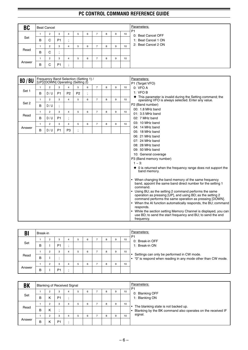| <b>BC</b> |   | <b>Beat Cancel</b> |                      |         |   |   |   |   |    | Parameters:<br>P <sub>1</sub> |
|-----------|---|--------------------|----------------------|---------|---|---|---|---|----|-------------------------------|
|           |   | $\overline{2}$     | 3                    |         | 5 | 6 | 8 | 9 | 10 | 0: Beat Cancel OFF            |
| Set       | B | C                  | P <sub>1</sub>       | $\cdot$ |   |   |   |   |    | 1: Beat Cancel 1 ON           |
|           |   | $\overline{2}$     | 3                    | 4       | 5 | 6 | 8 | 9 | 10 | 2: Beat Cancel 2 ON           |
| Read      | B | C                  | $\bullet$<br>$\cdot$ |         |   |   |   |   |    |                               |
|           |   | $\overline{2}$     | 3                    |         | 5 | 6 | 8 | 9 | 10 |                               |
| Answer    | B | C                  | P <sub>1</sub>       | $\cdot$ |   |   |   |   |    |                               |

| <b>BD/BU</b> |              |                |                | Frequency Band Selection (Setting 1) /<br>[UP]/[DOWN] Operating (Setting 2) |                |   |                |   |   |    | Parameters:                                                                                                                                                                                                                                                                                                                                                                                                                                                                                                                                         |
|--------------|--------------|----------------|----------------|-----------------------------------------------------------------------------|----------------|---|----------------|---|---|----|-----------------------------------------------------------------------------------------------------------------------------------------------------------------------------------------------------------------------------------------------------------------------------------------------------------------------------------------------------------------------------------------------------------------------------------------------------------------------------------------------------------------------------------------------------|
|              | $\mathbf{1}$ | $\overline{c}$ | 3              | $\overline{4}$                                                              | 5              | 6 | $\overline{7}$ | 8 | 9 | 10 | P1 (Target VFO)<br>0: VFOA                                                                                                                                                                                                                                                                                                                                                                                                                                                                                                                          |
| Set 1        | в            | D/U            | P <sub>1</sub> | P <sub>2</sub>                                                              | P <sub>2</sub> |   |                |   |   |    | 1: VFOB                                                                                                                                                                                                                                                                                                                                                                                                                                                                                                                                             |
|              |              |                |                |                                                                             |                |   |                |   |   |    | • This parameter is invalid during the Setting command; the                                                                                                                                                                                                                                                                                                                                                                                                                                                                                         |
| Set 2        | $\mathbf{1}$ | $\overline{2}$ | 3              | $\overline{4}$                                                              | 5              | 6 | $\overline{7}$ | 8 | 9 | 10 | operating VFO is always selected. Enter any value.                                                                                                                                                                                                                                                                                                                                                                                                                                                                                                  |
|              | B            | D/U            |                |                                                                             |                |   |                |   |   |    | P2 (Band number)<br>00: 1.8 MHz band                                                                                                                                                                                                                                                                                                                                                                                                                                                                                                                |
|              | $\mathbf{1}$ | $\overline{2}$ | 3              | $\overline{4}$                                                              | 5              | 6 | $\overline{7}$ | 8 | 9 | 10 | 01: 3.5 MHz band                                                                                                                                                                                                                                                                                                                                                                                                                                                                                                                                    |
| Read         | B            | D/U            | P <sub>1</sub> | $\ddot{\phantom{0}}$                                                        |                |   |                |   |   |    | 02: 7 MHz band                                                                                                                                                                                                                                                                                                                                                                                                                                                                                                                                      |
|              | $\mathbf{1}$ | $\overline{2}$ | 3              | $\overline{4}$                                                              | 5              | 6 | $\overline{7}$ | 8 | 9 | 10 | 03: 10 MHz band                                                                                                                                                                                                                                                                                                                                                                                                                                                                                                                                     |
| Answer       |              |                |                |                                                                             |                |   |                |   |   |    | 04: 14 MHz band                                                                                                                                                                                                                                                                                                                                                                                                                                                                                                                                     |
|              | в            | D/U            | P <sub>1</sub> | P <sub>3</sub>                                                              |                |   |                |   |   |    | 05: 18 MHz band                                                                                                                                                                                                                                                                                                                                                                                                                                                                                                                                     |
|              |              |                |                |                                                                             |                |   |                |   |   |    | 06: 21 MHz band                                                                                                                                                                                                                                                                                                                                                                                                                                                                                                                                     |
|              |              |                |                |                                                                             |                |   |                |   |   |    | 07: 24 MHz band<br>08: 28 MHz band                                                                                                                                                                                                                                                                                                                                                                                                                                                                                                                  |
|              |              |                |                |                                                                             |                |   |                |   |   |    | 09: 50 MHz band                                                                                                                                                                                                                                                                                                                                                                                                                                                                                                                                     |
|              |              |                |                |                                                                             |                |   |                |   |   |    | 10: General coverage                                                                                                                                                                                                                                                                                                                                                                                                                                                                                                                                |
|              |              |                |                |                                                                             |                |   |                |   |   |    | P3 (Band memory number)                                                                                                                                                                                                                                                                                                                                                                                                                                                                                                                             |
|              |              |                |                |                                                                             |                |   |                |   |   |    | $1 \sim 3$ :                                                                                                                                                                                                                                                                                                                                                                                                                                                                                                                                        |
|              |              |                |                |                                                                             |                |   |                |   |   |    | $\bullet$ 0 is returned when the frequency range does not support the<br>band memory.                                                                                                                                                                                                                                                                                                                                                                                                                                                               |
|              |              |                |                |                                                                             |                |   |                |   |   |    | • When changing the band memory of the same frequency<br>band, appoint the same band direct number for the setting 1<br>command.<br>• Using BU; as the setting 2 command performs the same<br>operation as pressing [UP], and using BD; as the setting 2<br>command performs the same operation as pressing [DOWN].<br>• When the AI function automatically responds, the BU; command<br>responds.<br>• While the section setting Memory Channel is displayed, you can<br>use BD; to send the start frequency and BU; to send the end<br>frequency. |

| B      | Break-in |          |                |   |   |   |   |   |    | Parameters:<br>P <sub>1</sub>                                                                                     |
|--------|----------|----------|----------------|---|---|---|---|---|----|-------------------------------------------------------------------------------------------------------------------|
|        |          | ∩        | 3              |   | b | 6 | 8 | 9 | 10 | 0: Break-in OFF                                                                                                   |
| Set    | в        |          | P <sub>1</sub> |   |   |   |   |   |    | 1: Break-in ON                                                                                                    |
|        |          | ∩        | 3              |   | 5 | 6 | 8 | 9 | 10 |                                                                                                                   |
| Read   | в        |          |                |   |   |   |   |   |    | Settings can only be performed in CW mode.<br>$\cdot$ "0" is respond when reading in any mode other than CW mode. |
|        |          | $\Omega$ | 3              | 4 | h | 6 | 8 | 9 | 10 |                                                                                                                   |
| Answer | В        |          | P <sub>1</sub> |   |   |   |   |   |    |                                                                                                                   |

| BK     |   |   | <b>Blanking of Received Signal</b> |   |   |   |   |    | Parameters:<br>P <sub>1</sub>                                                                       |
|--------|---|---|------------------------------------|---|---|---|---|----|-----------------------------------------------------------------------------------------------------|
|        |   | 2 | 3                                  | b | 6 | 8 | 9 | 10 | 0: Blanking OFF                                                                                     |
| Set    | В |   | P <sub>1</sub>                     |   |   |   |   |    | 1: Blanking ON                                                                                      |
|        |   | 2 | 3                                  | 5 | 6 | 8 | 9 | 10 |                                                                                                     |
| Read   | в | κ |                                    |   |   |   |   |    | The blanking state is not backed up.<br>Blanking by the BK command also operates on the received IF |
|        |   | 2 | 3                                  | b | 6 | 8 | 9 | 10 | signal.                                                                                             |
| Answer | В | к | P <sub>1</sub>                     |   |   |   |   |    |                                                                                                     |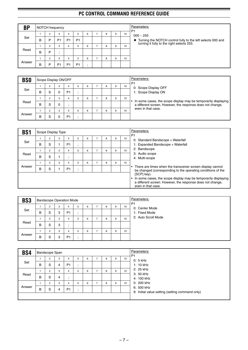| <b>BP</b> | NOTCH frequency |   |                |                |                |   |   |   |   |    | Parameters:<br>P <sub>1</sub>                                                                             |
|-----------|-----------------|---|----------------|----------------|----------------|---|---|---|---|----|-----------------------------------------------------------------------------------------------------------|
|           |                 | 2 | 3              | 4              | 5              | 6 |   | 8 | 9 | 10 | $000 - 255$                                                                                               |
| Set       | В               | P | P <sub>1</sub> | P <sub>1</sub> | P <sub>1</sub> |   |   |   |   |    | Turning the NOTCH control fully to the left selects 000 and<br>turning it fully to the right selects 255. |
|           |                 | 2 | 3              | 4              |                | 6 | - | 8 | 9 | 10 |                                                                                                           |
| Read      | В               | P |                |                |                |   |   |   |   |    |                                                                                                           |
|           |                 | 2 | 3              | 4              |                | 6 |   | 8 | 9 | 10 |                                                                                                           |
| Answer    | В               | D | P <sub>1</sub> | P <sub>1</sub> | P <sub>1</sub> |   |   |   |   |    |                                                                                                           |

| <b>BSO</b> |   | Scope Display ON/OFF |   |                |   |   |   |   |    | Parameters:<br>P <sub>1</sub>                                                                                                |
|------------|---|----------------------|---|----------------|---|---|---|---|----|------------------------------------------------------------------------------------------------------------------------------|
|            |   | 2                    | 3 | 4              | 5 | 6 |   | 9 | 10 | 0: Scope Display OFF                                                                                                         |
| Set        | B | S                    |   | P <sub>1</sub> |   |   |   |   |    | 1: Scope Display ON                                                                                                          |
|            |   | $\overline{2}$       | 3 | 4              | 5 | 6 | 8 | 9 | 10 |                                                                                                                              |
| Read       | B | S                    |   |                |   |   |   |   |    | In some cases, the scope display may be temporarily displaying<br>a different screen. However, the response does not change, |
|            |   | $\overline{2}$       | З | 4              | 5 | 6 |   | 9 | 10 | even in that case.                                                                                                           |
| Answer     | в | S                    |   | P <sub>1</sub> |   |   |   |   |    |                                                                                                                              |

| <b>BS1</b> |   | Scope Display Type |   |                |         |   |   |   |    | Parameters:<br>P <sub>1</sub>                                                                                                                                     |
|------------|---|--------------------|---|----------------|---------|---|---|---|----|-------------------------------------------------------------------------------------------------------------------------------------------------------------------|
|            |   | 2                  | 3 | 4              | b.      | 6 | 8 | 9 | 10 | 0: Standard Bandscope + Waterfall                                                                                                                                 |
| Set        | B | S                  |   | P <sub>1</sub> | $\cdot$ |   |   |   |    | 1: Expanded Bandscope + Waterfall                                                                                                                                 |
|            |   | $\overline{2}$     | 3 | 4              | b.      | 6 | 8 | 9 | 10 | 2: Bandscope                                                                                                                                                      |
| Read       | B | S                  |   |                |         |   |   |   |    | 3: Audio scope<br>4: Multi-scope                                                                                                                                  |
|            |   | $\overline{2}$     | 3 | 4              | 5       | 6 | 8 | 9 | 10 |                                                                                                                                                                   |
| Answer     | B | S                  |   | P <sub>1</sub> | $\cdot$ |   |   |   |    | There are times when the transceiver screen display cannot<br>be changed (corresponding to the operating conditions of the                                        |
|            |   |                    |   |                |         |   |   |   |    | [SCP] key).<br>In some cases, the scope display may be temporarily displaying<br>a different screen. However, the response does not change,<br>even in that case. |

| BS <sub>3</sub> |   | Bandscope Operation Mode |   |                |   |   |   |   |    | Parameters:<br>P <sub>1</sub> |
|-----------------|---|--------------------------|---|----------------|---|---|---|---|----|-------------------------------|
|                 |   | 2                        | 3 | 4              | 5 | 6 | 8 | 9 | 10 | 0: Center Mode                |
| Set             | в | S                        | 3 | P <sub>1</sub> |   |   |   |   |    | 1: Fixed Mode                 |
|                 |   | 2                        | 3 |                | 5 | 6 | 8 | 9 | 10 | 2: Auto Scroll Mode           |
| Read            | в | S                        | 3 |                |   |   |   |   |    |                               |
|                 |   | $\overline{2}$           | 3 | 4              | 5 | 6 | 8 | 9 | 10 |                               |
| Answer          | в | S                        | 3 | P <sub>1</sub> |   |   |   |   |    |                               |

| <b>BS4</b> |   | Bandscope Span |   |                |         |   |                |   |   |    |
|------------|---|----------------|---|----------------|---------|---|----------------|---|---|----|
|            |   | $\overline{2}$ | 3 | 4              | 5       | 6 |                | 8 | 9 | 10 |
| Set        | B | S              | 4 | P <sub>1</sub> |         |   |                |   |   |    |
|            |   | 2              | 3 | 4              | 5       | 6 | ⇁              | 8 | 9 | 10 |
| Read       | B | S              | 4 | $\cdot$        |         |   |                |   |   |    |
|            |   | $\overline{2}$ | 3 | 4              | 5       | 6 | $\overline{ }$ | 8 | 9 | 10 |
| Answer     | B | S              | 4 | P <sub>1</sub> | $\cdot$ |   |                |   |   |    |
|            |   |                |   |                |         |   |                |   |   |    |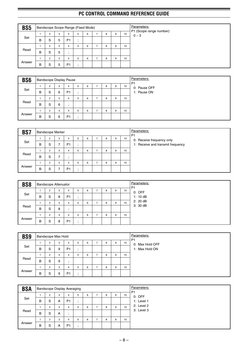| BS <sub>5</sub> |   |                |   | Bandscope Scope Range (Fixed Mode) |    |   |   |   |    |
|-----------------|---|----------------|---|------------------------------------|----|---|---|---|----|
|                 |   | $\overline{2}$ | 3 | 4                                  | 5  | 6 | 8 | 9 | 10 |
| Set             | B | S              | 5 | P <sub>1</sub>                     | ٠. |   |   |   |    |
|                 |   | $\overline{2}$ | 3 | 4                                  | 5  | 6 | 8 | 9 | 10 |
| Read            | в | S              | 5 | $\cdot$                            |    |   |   |   |    |
|                 |   | $\overline{2}$ | 3 | 4                                  | 5  | 6 | 8 | 9 | 10 |
| Answer          | В | S              | 5 | P <sub>1</sub>                     |    |   |   |   |    |

| BS <sub>6</sub> |   |                     |        | <b>Bandscope Display Pause</b> |              |   |                |   |   |    | Parameters:<br>P <sub>1</sub> |
|-----------------|---|---------------------|--------|--------------------------------|--------------|---|----------------|---|---|----|-------------------------------|
| Set             | B | $\overline{2}$<br>S | 3<br>6 | 4<br>P <sub>1</sub>            | 5<br>$\cdot$ | 6 | -              | 8 | 9 | 10 | 0: Pause OFF<br>1: Pause ON   |
|                 |   | 2                   | 3      | 4                              | 5            | 6 | $\overline{ }$ | 8 | 9 | 10 |                               |
| Read            | B | S                   | 6      | $\cdot$                        |              |   |                |   |   |    |                               |
|                 |   | 2                   | 3      | 4                              | 5            | 6 | $\overline{ }$ | 8 | 9 | 10 |                               |
| Answer          | B | S                   | 6      | P <sub>1</sub>                 |              |   |                |   |   |    |                               |

| BS7    |   | <b>Bandscope Marker</b> |   |                     |   |   |   |   |    | Parameters:<br>P <sub>1</sub>                                  |
|--------|---|-------------------------|---|---------------------|---|---|---|---|----|----------------------------------------------------------------|
| Set    | в | $\overline{2}$<br>S     | 3 | 4<br>P <sub>1</sub> | 5 | 6 | 8 | 9 | 10 | 0: Receive frequency only<br>1: Receive and transmit frequency |
|        |   | $\overline{2}$          | 3 | 4                   | 5 | 6 | 8 | 9 | 10 |                                                                |
| Read   | в | S                       | ⇁ |                     |   |   |   |   |    |                                                                |
|        |   | 2                       | 3 |                     | 5 | 6 | 8 | 9 | 10 |                                                                |
| Answer | в | S                       |   | P <sub>1</sub>      |   |   |   |   |    |                                                                |

| BS8    |   | <b>Bandscope Attenuator</b> |   |                |   |   |   |   |   |    |
|--------|---|-----------------------------|---|----------------|---|---|---|---|---|----|
|        |   | 2                           | 3 | 4              | 5 | 6 | - | 8 | 9 | 10 |
| Set    | B | S                           | 8 | P <sub>1</sub> |   |   |   |   |   |    |
|        |   |                             | 3 | 4              | 5 | 6 |   | 8 | 9 | 10 |
| Read   | B | -S                          | 8 |                |   |   |   |   |   |    |
|        |   | $\sim$                      | 3 | 4              | 5 | 6 |   | 8 | 9 | 10 |
| Answer | B | S                           | 8 | P <sub>1</sub> |   |   |   |   |   |    |

| BS9    |   | <b>Bandscope Max Hold</b> |   |                |    |   |    |   |   |    | Parameters:<br>P <sub>1</sub> |
|--------|---|---------------------------|---|----------------|----|---|----|---|---|----|-------------------------------|
|        |   | 2                         | 3 | 4              | 5  | 6 |    | 8 | 9 | 10 | 0: Max Hold OFF               |
| Set    | B | S                         | 9 | P <sub>1</sub> |    |   |    |   |   |    | 1: Max Hold ON                |
|        |   | 2                         | 3 | 4              | b. | 6 | ۰. | 8 | 9 | 10 |                               |
| Read   | B | S                         | 9 | $\cdot$        |    |   |    |   |   |    |                               |
|        |   | 2                         | 3 | 4              | 5  | 6 |    | 8 | 9 | 10 |                               |
| Answer | в | S                         | 9 | P <sub>1</sub> |    |   |    |   |   |    |                               |

| <b>BSA</b> |   |                |   | <b>Bandscope Display Averaging</b> |   |   |   |   |    |
|------------|---|----------------|---|------------------------------------|---|---|---|---|----|
|            |   | $\overline{2}$ | 3 |                                    | 5 | 6 | 8 | 9 | 10 |
| Set        | в | S              | A | P <sub>1</sub>                     |   |   |   |   |    |
|            |   | $\overline{2}$ | 3 | 4                                  | 5 | 6 | 8 | 9 | 10 |
| Read       | B | S              | A |                                    |   |   |   |   |    |
|            |   | $\overline{2}$ | 3 |                                    | 5 | 6 | 8 | 9 | 10 |
| Answer     | B | S              | A | P <sub>1</sub>                     |   |   |   |   |    |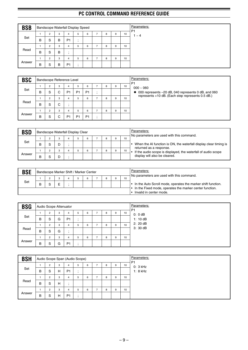| <b>BSB</b> |   |                |   | <b>Bandscope Waterfall Display Speed</b> |   |   |   |   |   |    |
|------------|---|----------------|---|------------------------------------------|---|---|---|---|---|----|
|            |   | $\overline{2}$ | 3 | 4                                        | b | 6 | - | 8 | 9 | 10 |
| Set        | B | -S             | B | P <sub>1</sub>                           | ٠ |   |   |   |   |    |
|            |   | $\overline{2}$ | 3 | 4                                        |   | 6 | - | 8 | 9 | 10 |
| Read       | B | S              | B |                                          |   |   |   |   |   |    |
|            |   | $\overline{2}$ | 3 | 4                                        | h | 6 | ⇁ | 8 | 9 | 10 |
| Answer     | B | S              | B | P <sub>1</sub>                           |   |   |   |   |   |    |

| <b>BSC</b> |   |                |   | Bandscope Reference Level |                |                |   |   |    | Parameters:<br>P <sub>1</sub>                                 |
|------------|---|----------------|---|---------------------------|----------------|----------------|---|---|----|---------------------------------------------------------------|
|            |   | 2              | 3 | 4                         | 5              | 6              |   | 9 | 10 | $000 - 060$                                                   |
| Set        | B | S              | C | P <sub>1</sub>            | P <sub>1</sub> | P <sub>1</sub> |   |   |    | $\bullet$ 000 represents -20 dB, 040 represents 0 dB, and 060 |
|            |   | $\overline{2}$ | 3 | 4                         | 5              | 6              | 8 | 9 | 10 | represents +10 dB. (Each step represents 0.5 dB.)             |
| Read       | B | S              | C |                           |                |                |   |   |    |                                                               |
|            |   | $\overline{2}$ | 3 | 4                         | 5              | 6              | 8 | 9 | 10 |                                                               |
| Answer     | B | S              | ⌒ | P <sub>1</sub>            | P <sub>1</sub> | P <sub>1</sub> |   |   |    |                                                               |

| <b>BSD</b> |   |   | Bandscope Waterfall Display Clear |   |   |   |    | Parameters:<br>No parameters are used with this command.                                     |
|------------|---|---|-----------------------------------|---|---|---|----|----------------------------------------------------------------------------------------------|
|            |   | 3 |                                   | 6 | 8 | 9 | 10 |                                                                                              |
| Set        | в |   |                                   |   |   |   |    | When the AI function is ON, the waterfall display clear timing is<br>returned as a response. |
|            |   | 3 |                                   | 6 |   | 9 | 10 | If the audio scope is displayed, the waterfall of audio scope                                |
| Answer     | в |   |                                   |   |   |   |    | display will also be cleared.                                                                |

| <b>BSE</b> |   |  | Bandscope Marker Shift / Marker Center |  |  |   |    | Parameters:<br>No parameters are used with this command.                           |
|------------|---|--|----------------------------------------|--|--|---|----|------------------------------------------------------------------------------------|
| Set        | B |  |                                        |  |  | 9 | 10 | $\cdot$ In the Auto Scroll mode, operates the marker shift function.               |
|            |   |  |                                        |  |  |   |    | In the Fixed mode, operates the marker center function.<br>Invalid in center mode. |

| <b>BSG</b> |   | Audio Scope Attenuator |   |                |    |   |   |   |   |    | Parameters:<br>P <sub>1</sub> |
|------------|---|------------------------|---|----------------|----|---|---|---|---|----|-------------------------------|
|            |   | $\overline{2}$         | 3 | 4              | 5  | 6 |   | 8 | 9 | 10 | 0:0dB                         |
| Set        | в | S                      | G | P <sub>1</sub> |    |   |   |   |   |    | 1:10dB                        |
|            |   | 2                      | 3 | 4              | 5  | 6 | - | 8 | 9 | 10 | 2: 20 dB                      |
| Read       | в | -S                     | G | $\cdot$        |    |   |   |   |   |    | 3:30dB                        |
|            |   | $\overline{2}$         | 3 | 4              | 5  | 6 | - | 8 | 9 | 10 |                               |
| Answer     | В | S                      | G | P <sub>1</sub> | ٠. |   |   |   |   |    |                               |

| <b>BSH</b> |   |                |   |                | Audio Scope Span (Audio Scope) |   |   |   |   |    | Parameters:<br>P <sub>1</sub> |
|------------|---|----------------|---|----------------|--------------------------------|---|---|---|---|----|-------------------------------|
|            |   | $\overline{2}$ | 3 | 4              | b.                             | 6 | - | 8 | 9 | 10 | $0:3$ kHz                     |
| Set        | B | -S             | H | P <sub>1</sub> | $\cdot$                        |   |   |   |   |    | $1:8$ kHz                     |
|            |   | $\overline{2}$ | 3 | 4              | 5                              | 6 | - | 8 | 9 | 10 |                               |
| Read       | B | S              | H |                |                                |   |   |   |   |    |                               |
|            |   | $\overline{2}$ | 3 | 4              |                                | 6 |   | 8 | 9 | 10 |                               |
| Answer     | B | S              | H | P <sub>1</sub> |                                |   |   |   |   |    |                               |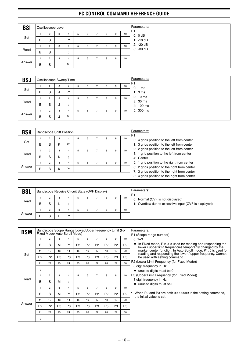| <b>BSI</b> |   | Oscilloscope Level |   |                |    |   |   |   |    |
|------------|---|--------------------|---|----------------|----|---|---|---|----|
|            |   | 2                  | 3 | 4              | b. | 6 | 8 | 9 | 10 |
| Set        | в | S                  |   | P <sub>1</sub> |    |   |   |   |    |
|            |   | 2                  | 3 | 4              | 5  | 6 | 8 | 9 | 10 |
| Read       | B | S                  |   | ٠              |    |   |   |   |    |
|            |   | 2                  | 3 | 4              | 5  | 6 | 8 | 9 | 10 |
| Answer     | B | S                  |   | P <sub>1</sub> |    |   |   |   |    |

| <b>BSJ</b> |   |   |   | <b>Oscilloscope Sweep Time</b> |         |   |                |   |   |    | Parameters:<br>P <sub>1</sub>  |
|------------|---|---|---|--------------------------------|---------|---|----------------|---|---|----|--------------------------------|
|            |   | 2 | 3 | 4                              | 5       | 6 | -              | 8 | 9 | 10 | 0:1ms                          |
| Set        | B | S | J | P <sub>1</sub>                 |         |   |                |   |   |    | 1:3ms                          |
|            |   | 2 | 3 | 4                              | 5       | 6 | ⇁              | 8 | 9 | 10 | $2:10 \text{ ms}$              |
| Read       | В | S | J |                                |         |   |                |   |   |    | $3:30 \text{ ms}$<br>4: 100 ms |
|            |   | 2 | 3 | 4                              | 5       | 6 | $\overline{ }$ | 8 | 9 | 10 | 5: 300 ms                      |
| Answer     | В | S | J | P <sub>1</sub>                 | $\cdot$ |   |                |   |   |    |                                |

| <b>BSK</b> |   |                |   | <b>Bandscope Shift Position</b> |   |   |   |   |    | Parameters:<br>P <sub>1</sub>                                                                |
|------------|---|----------------|---|---------------------------------|---|---|---|---|----|----------------------------------------------------------------------------------------------|
|            |   | $\overline{2}$ | 3 | 4                               | 5 | 6 | 8 | 9 | 10 | 0: 4 grids position to the left from center                                                  |
| Set        | В | S              | К | P <sub>1</sub>                  |   |   |   |   |    | 1: 3 grids position to the left from center                                                  |
|            |   | $\overline{2}$ | 3 | 4                               | 5 | 6 | 8 | 9 | 10 | 2: 2 grids position to the left from center                                                  |
| Read       | В | S              | К |                                 |   |   |   |   |    | 3: 1 grid position to the left from center<br>4: Center                                      |
|            |   | $\overline{2}$ | 3 | 4                               | 5 | 6 | 8 | 9 | 10 | 5: 1 grid position to the right from center                                                  |
| Answer     | в | S              | Κ | P <sub>1</sub>                  |   |   |   |   |    | 6: 2 grids position to the right from center<br>7: 3 grids position to the right from center |
|            |   |                |   |                                 |   |   |   |   |    | 8: 4 grids position to the right from center                                                 |

| <b>BSL</b> |   |   |                | Bandscope Receive Circuit State (OVF Display) |   |   |   |    | Parameters:<br>P1                                     |
|------------|---|---|----------------|-----------------------------------------------|---|---|---|----|-------------------------------------------------------|
|            |   | 3 |                |                                               | 6 | 8 | 9 | 10 | 0: Normal (OVF is not displayed)                      |
| Read       | B | - |                |                                               |   |   |   |    | 1: Overflow due to excessive input (OVF is displayed) |
|            |   | 3 |                |                                               | 6 | 8 | 9 | 10 |                                                       |
| Answer     | в |   | D <sub>1</sub> |                                               |   |   |   |    |                                                       |

| <b>BSM</b> |                      |                |                |                | Bandscope Scope Range Lower/Upper Frequency Limit (For<br>Fixed Mode/ Auto Scroll Mode) |                |                |                |                |                | Parameters:                                                                                                                         |
|------------|----------------------|----------------|----------------|----------------|-----------------------------------------------------------------------------------------|----------------|----------------|----------------|----------------|----------------|-------------------------------------------------------------------------------------------------------------------------------------|
|            |                      | $\overline{2}$ | 3              | 4              | 5                                                                                       | 6              | $\overline{7}$ | 8              | 9              | 10             | P1 (Scope range number)<br>$0, 1 - 3$                                                                                               |
|            | B                    | S              | M              | P <sub>1</sub> | P <sub>2</sub>                                                                          | P <sub>2</sub> | P <sub>2</sub> | P <sub>2</sub> | P <sub>2</sub> | P <sub>2</sub> | $\bullet$ In Fixed mode, P1: 0 is used for reading and responding the<br>lower / upper limit frequencies temporarily changed by the |
|            | 11                   | 12             | 13             | 14             | 15                                                                                      | 16             | 17             | 18             | 19             | 20             | marker center function. In Auto Scroll mode, P1: 0 is used for                                                                      |
| Set        | P <sub>2</sub>       | P <sub>2</sub> | P <sub>3</sub> | P <sub>3</sub> | P <sub>3</sub>                                                                          | P <sub>3</sub> | P <sub>3</sub> | P <sub>3</sub> | P <sub>3</sub> | P <sub>3</sub> | reading and responding the lower / upper frequency. Cannot<br>be used with setting command.                                         |
|            | 21                   | 22             | 23             | 24             | 25                                                                                      | 26             | 27             | 28             | 29             | 30             | P2 (Lower Limit Frequency (for Fixed Mode))                                                                                         |
|            | $\bullet$            |                |                |                |                                                                                         |                |                |                |                |                | 8 digit frequency in Hz                                                                                                             |
|            | $\cdot$              |                |                |                |                                                                                         |                |                |                |                |                | $\bullet$ unused digits must be 0                                                                                                   |
|            |                      | 2              | 3              | 4              | 5                                                                                       | 6              | $\overline{7}$ | 8              | 9              | 10             | P3 (Upper Limit Frequency (for Fixed Mode))                                                                                         |
| Read       | в                    | S              | M              | $\overline{1}$ |                                                                                         |                |                |                |                |                | 8 digit frequency in Hz<br>$\bullet$ unused digits must be 0                                                                        |
|            |                      | $\overline{2}$ | 3              | 4              | 5                                                                                       | 6              | $\overline{7}$ | 8              | 9              | 10             |                                                                                                                                     |
|            | B                    | S              | M              | P <sub>1</sub> | P <sub>2</sub>                                                                          | P <sub>2</sub> | P <sub>2</sub> | P <sub>2</sub> | P <sub>2</sub> | P <sub>2</sub> | When P2 and P3 are both 99999999 in the setting command,<br>$\bullet$<br>the initial value is set.                                  |
|            | 11                   | 12             | 13             | 14             | 15                                                                                      | 16             | 17             | 18             | 19             | 20             |                                                                                                                                     |
| Answer     | P <sub>2</sub>       | P <sub>2</sub> | P <sub>3</sub> | P <sub>3</sub> | P <sub>3</sub>                                                                          | P <sub>3</sub> | P <sub>3</sub> | P <sub>3</sub> | P <sub>3</sub> | P <sub>3</sub> |                                                                                                                                     |
|            | 21                   | 22             | 23             | 24             | 25                                                                                      | 26             | 27             | 28             | 29             | 30             |                                                                                                                                     |
|            | $\bullet$<br>$\cdot$ |                |                |                |                                                                                         |                |                |                |                |                |                                                                                                                                     |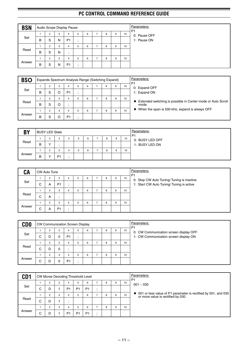| <b>BSN</b> |   |   |   | Audio Scope Display Pause |   |   |    |   |   |    |
|------------|---|---|---|---------------------------|---|---|----|---|---|----|
| Set        |   | 2 | 3 | 4                         | 5 | 6 |    | 8 | 9 | 10 |
|            | B | S | N | P <sub>1</sub>            |   |   |    |   |   |    |
|            |   | 2 | 3 | 4                         | 5 | 6 |    | 8 | 9 | 10 |
| Read       | в | S | N | $\cdot$                   |   |   |    |   |   |    |
|            |   | 2 | 3 | 4                         | 5 | 6 | ۰. | 8 | 9 | 10 |
| Answer     | В | S | N | P <sub>1</sub>            |   |   |    |   |   |    |

| <b>BSO</b> |   |                |   | Expands Spectrum Analysis Range (Switching Expand) |   |   |   |   |   |    | Parameters:<br>P <sub>1</sub>                                         |
|------------|---|----------------|---|----------------------------------------------------|---|---|---|---|---|----|-----------------------------------------------------------------------|
|            |   | $\overline{2}$ | 3 | 4                                                  | 5 | 6 |   | 8 | 9 | 10 | 0: Expand OFF                                                         |
| Set        | B | S              | O | P <sub>1</sub>                                     |   |   |   |   |   |    | 1: Expand ON                                                          |
|            |   | $\overline{2}$ | 3 | 4                                                  | 5 | 6 |   | 8 | 9 | 10 |                                                                       |
| Read       | в | S              | O |                                                    |   |   |   |   |   |    | Extended switching is possible in Center mode or Auto Scroll<br>mode. |
|            |   | $\overline{2}$ | 3 | 4                                                  | 5 | 6 | - | 8 | 9 | 10 | When the span is 500 kHz, expand is always OFF.                       |
| Answer     | B | S              |   | P <sub>1</sub>                                     | ٠ |   |   |   |   |    |                                                                       |

| <b>BY</b> |   | <b>BUSY LED State</b> |                |   |   |   |   |    | Parameters:<br>P <sub>1</sub> |
|-----------|---|-----------------------|----------------|---|---|---|---|----|-------------------------------|
|           |   | c                     | 3              |   | 6 | 8 | 9 | 10 | 0: BUSY LED OFF               |
| Read      | B |                       |                |   |   |   |   |    | 1: BUSY LED ON                |
|           |   |                       | 3              | Б | 6 | 8 | 9 | 10 |                               |
| Answer    | В |                       | P <sub>1</sub> |   |   |   |   |    |                               |

| CA     |        | CW Auto Tune        |                     |              |   |   |   |   |   |    | Parameters:<br>P <sub>1</sub>                                                           |
|--------|--------|---------------------|---------------------|--------------|---|---|---|---|---|----|-----------------------------------------------------------------------------------------|
| Set    | С      | 2<br>A              | 3<br>P <sub>1</sub> | 4<br>$\cdot$ | 5 | 6 |   | 8 | 9 | 10 | 0: Stop CW Auto Tuning/ Tuning is inactive<br>1: Start CW Auto Tuning/ Tuning is active |
| Read   | $\sim$ | $\overline{2}$      | 3                   | 4            | h | 6 | - | 8 | 9 | 10 |                                                                                         |
|        | ◡      | A                   | ٠.                  |              |   |   | - |   |   |    |                                                                                         |
| Answer | ⌒<br>◡ | $\overline{c}$<br>A | 3<br>P <sub>1</sub> | 4<br>$\cdot$ | 5 | 6 |   | 8 | 9 | 10 |                                                                                         |

| <b>CDO</b> |        |                |          |                | <b>CW Communication Screen Display</b> |   |   |   |    | Parameters:<br>P <sub>1</sub>          |
|------------|--------|----------------|----------|----------------|----------------------------------------|---|---|---|----|----------------------------------------|
|            |        | $\overline{2}$ | 3        | 4              | b                                      | 6 | 8 | 9 | 10 | 0: CW Communication screen display OFF |
| Set        | ⌒<br>◡ |                | 0        | P <sub>1</sub> |                                        |   |   |   |    | 1: CW Communication screen display ON  |
|            |        |                | 3        | 4              | b                                      | 6 | 8 | 9 | 10 |                                        |
| Read       | ⌒<br>Ü |                | $\Omega$ |                |                                        |   |   |   |    |                                        |
|            |        | ◠              | 3        | 4              | h                                      | 6 | 8 | 9 | 10 |                                        |
| Answer     | ⌒<br>◡ |                | 0        | P <sub>1</sub> |                                        |   |   |   |    |                                        |

| CD <sub>1</sub> |        | CW Morse Decoding Threshold Level |   |                |                |                |   |   |   |    | Parameters:<br>P <sub>1</sub>                                                                       |
|-----------------|--------|-----------------------------------|---|----------------|----------------|----------------|---|---|---|----|-----------------------------------------------------------------------------------------------------|
|                 |        | $\overline{2}$                    | 3 | 4              |                | 6              |   | 8 | 9 | 10 | $001 - 030$                                                                                         |
| Set             | С      | D                                 |   | P <sub>1</sub> | P1             | P <sub>1</sub> |   |   |   |    |                                                                                                     |
|                 |        | $\overline{2}$                    | 3 | 4              |                | 6              |   | 8 | 9 | 10 | ♦ 001 or less value of P1 parameter is rectified by 001, and 030 or more value is rectified by 030. |
| Read            | ⌒<br>U | D                                 |   |                |                |                |   |   |   |    |                                                                                                     |
|                 |        | $\overline{2}$                    | 3 | 4              |                | 6              | - | 8 | 9 | 10 |                                                                                                     |
| Answer          | ⌒<br>◡ | D                                 |   | P <sub>1</sub> | P <sub>1</sub> | P <sub>1</sub> |   |   |   |    |                                                                                                     |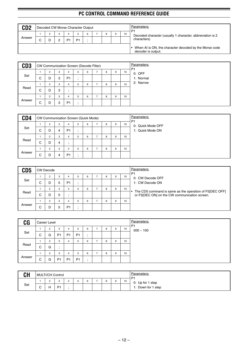| CD <sub>2</sub> | Decoded CW Morse Character Output |   |                |    |   |  |   |    | Parameters:<br>P <sub>1</sub>                                                |
|-----------------|-----------------------------------|---|----------------|----|---|--|---|----|------------------------------------------------------------------------------|
|                 | ◠                                 | 3 |                |    | 6 |  | 9 | 10 | Decoded character (usually 1 character, abbreviation is 2                    |
| Answer          |                                   |   | P <sub>1</sub> | P1 |   |  |   |    | characters)                                                                  |
|                 |                                   |   |                |    |   |  |   |    | When AI is ON, the character decoded by the Morse code<br>decoder is output. |

| CD <sub>3</sub> |   |                |   | CW Communication Screen (Decode Filter) |    |   |   |   |    |
|-----------------|---|----------------|---|-----------------------------------------|----|---|---|---|----|
|                 |   | $\overline{2}$ | 3 | 4                                       | 5  | 6 | 8 | 9 | 10 |
| Set             | С | D              | 3 | P <sub>1</sub>                          | ٠. |   |   |   |    |
|                 |   | 2              | 3 | 4                                       | 5  | 6 | 8 | 9 | 10 |
| Read            | С | D              | 3 |                                         |    |   |   |   |    |
|                 |   | $\overline{2}$ | 3 | 4                                       | 5  | 6 | 8 | 9 | 10 |
| Answer          | С | D              | 3 | P <sub>1</sub>                          | ٠  |   |   |   |    |

| CD4    |        |                |   |                | CW Communication Screen (Quick Mode) |   |   |   |   |    | Parameters:<br>P <sub>1</sub> |
|--------|--------|----------------|---|----------------|--------------------------------------|---|---|---|---|----|-------------------------------|
|        |        | n<br>ے         | 3 | 4              | h                                    | 6 | - | 8 | 9 | 10 | 0: Quick Mode OFF             |
| Set    | ⌒<br>◡ | D              | 4 | P <sub>1</sub> |                                      |   |   |   |   |    | 1: Quick Mode ON              |
|        |        | $\overline{2}$ | 3 | 4              |                                      | 6 | ⇁ | 8 | 9 | 10 |                               |
| Read   | С      | D              | 4 |                |                                      |   |   |   |   |    |                               |
|        |        | $\overline{2}$ | 3 | 4              |                                      | 6 | ⇁ | 8 | 9 | 10 |                               |
| Answer | ⌒<br>◡ | D              | 4 | P <sub>1</sub> |                                      |   |   |   |   |    |                               |

| CD5    |        | <b>CW Decode</b> |   |    |   |   |   |   |    | Parameters:<br>P <sub>1</sub>                                                                            |
|--------|--------|------------------|---|----|---|---|---|---|----|----------------------------------------------------------------------------------------------------------|
|        |        |                  | 3 |    | 5 | 6 | 8 | 9 | 10 | 0: CW Decode OFF                                                                                         |
| Set    | С      |                  | 5 | P1 |   |   |   |   |    | 1: CW Decode ON                                                                                          |
|        |        |                  | 3 | 4  |   | 6 | 8 | 9 | 10 |                                                                                                          |
| Read   | ⌒<br>U |                  | 5 |    |   |   |   |   |    | The CD5 command is same as the operation of F5[DEC OFF]<br>or F5[DEC ON] on the CW communication screen. |
|        |        |                  | 3 | 4  | 5 | 6 | 8 | 9 | 10 |                                                                                                          |
| Answer | ⌒<br>U |                  | 5 | P1 |   |   |   |   |    |                                                                                                          |

| C <sub>G</sub> |   | Career Level |                |                |                |                                       |   |   |   |    | Parameters:<br>P <sub>1</sub> |
|----------------|---|--------------|----------------|----------------|----------------|---------------------------------------|---|---|---|----|-------------------------------|
|                |   | $\Omega$     | 3              | 4              | 5              | 6                                     | - | 8 | 9 | 10 | $000 - 100$                   |
| Set            | C | G            | P <sub>1</sub> | P <sub>1</sub> | P <sub>1</sub> | $\bullet$<br>$\cdot$                  |   |   |   |    |                               |
|                |   | $\sim$       | 3              | 4              | 5              | 6                                     | - | 8 | 9 | 10 |                               |
| Read           | C | G            |                |                |                |                                       |   |   |   |    |                               |
|                |   | $\sim$<br>∠  | 3              | 4              | 5              | 6                                     | - | 8 | 9 | 10 |                               |
| Answer         | C | G            | P <sub>1</sub> | P <sub>1</sub> | P <sub>1</sub> | $\bullet$<br>$\overline{\phantom{a}}$ |   |   |   |    |                               |

| <b>CH</b> |        | MULTI/CH Control |  |   |    |    | Parameters:<br>P <sub>1</sub> |
|-----------|--------|------------------|--|---|----|----|-------------------------------|
|           |        | ◠<br>P           |  | O | ., | 10 | 0: Up for 1 step              |
| Set       | ⌒<br>ັ | P <sub>1</sub>   |  |   |    |    | Down for 1 step<br>. .        |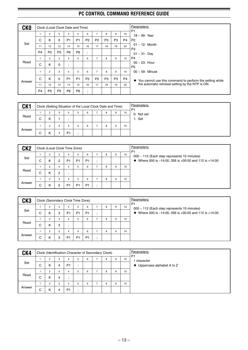| <b>CKO</b> |                |                |                | Clock (Local Clock Date and Time)     |                |                           |                |                |                |                | Parameters:                                                |
|------------|----------------|----------------|----------------|---------------------------------------|----------------|---------------------------|----------------|----------------|----------------|----------------|------------------------------------------------------------|
|            |                | $\overline{2}$ | 3              | 4                                     | 5              | 6                         | 7              | 8              | 9              | 10             | P <sub>1</sub><br>18 ~ 99: Year                            |
|            | С              | K              | 0              | P <sub>1</sub>                        | P <sub>1</sub> | P <sub>2</sub>            | P <sub>2</sub> | P <sub>3</sub> | P <sub>3</sub> | P <sub>4</sub> | P <sub>2</sub>                                             |
| Set        | 11             | 12             | 13             | 14                                    | 15             | 16                        | 17             | 18             | 19             | 20             | $01 \sim 12$ : Month                                       |
|            | P <sub>4</sub> | P <sub>5</sub> | P <sub>5</sub> | P <sub>6</sub>                        | P <sub>6</sub> | $\cdot$<br>$\overline{ }$ |                |                |                |                | P <sub>3</sub><br>01 ~ 31: Day                             |
|            |                | $\overline{2}$ | 3              | 4                                     | 5              | 6                         | 7              | 8              | 9              | 10             | P <sub>4</sub>                                             |
| Read       | C              | Κ              | 0              | $\bullet$<br>$\overline{\phantom{a}}$ |                |                           |                |                |                |                | $00 \sim 23$ : Hour<br>P <sub>5</sub>                      |
|            |                | $\overline{2}$ | 3              | 4                                     | 5              | 6                         | 7              | 8              | 9              | 10             | $00 \sim 59$ : Minute                                      |
| Answer     | С              | K              | 0              | P <sub>1</sub>                        | P <sub>1</sub> | P <sub>2</sub>            | P <sub>2</sub> | P <sub>3</sub> | P <sub>3</sub> | P <sub>4</sub> | • You cannot use this command to perform the setting while |
|            | 11             | 12             | 13             | 14                                    | 15             | 16                        | 17             | 18             | 19             | 20             | the automatic retrieval setting by the NTP is ON.          |
|            | P <sub>4</sub> | P <sub>5</sub> | P <sub>5</sub> | P <sub>6</sub>                        | P <sub>6</sub> | $\cdot$<br>$\cdot$        |                |                |                |                |                                                            |

| CK <sub>1</sub> |        | Clock (Setting Situation of the Local Clock Date and Time) |   |                |   |   |   |   |    | Parameters:<br>P <sub>1</sub> |
|-----------------|--------|------------------------------------------------------------|---|----------------|---|---|---|---|----|-------------------------------|
| Read            | ⌒<br>U | ◠<br>ĸ                                                     | 3 |                | n | 6 | 8 | 9 | 10 | 0: Not set<br>1: Set          |
|                 |        | ◠                                                          | 3 | 4              | b | 6 | 8 | 9 | 10 |                               |
| Answer          | C      | κ                                                          |   | P <sub>1</sub> |   |   |   |   |    |                               |

| CK <sub>2</sub> |        | Clock (Local Clock Time Zone) |        |         |                     |                     |   |   |   |    | Parameters:<br>P <sub>1</sub>                                                                                |
|-----------------|--------|-------------------------------|--------|---------|---------------------|---------------------|---|---|---|----|--------------------------------------------------------------------------------------------------------------|
| Set             | ⌒<br>◡ | $\overline{2}$<br>κ           | 3<br>2 | 4<br>P1 | b<br>P <sub>1</sub> | 6<br>P <sub>1</sub> | - | 8 | 9 | 10 | 000 ~ 112 (Each step represents 15 minutes)<br>♦ Where 000 is $-14:00$ , 056 is $+00:00$ and 112 is $+14:00$ |
|                 |        |                               | 3      | 4       | 5                   | 6                   |   | 8 | 9 | 10 |                                                                                                              |
| Read            | ⌒<br>Ü | Κ                             | 2      |         |                     |                     |   |   |   |    |                                                                                                              |
|                 |        | $\overline{2}$                | 3      | 4       | h                   | 6                   | - | 8 | 9 | 10 |                                                                                                              |
| Answer          | ⌒<br>◡ | κ                             | 2      | P1      | P <sub>1</sub>      | P <sub>1</sub>      |   |   |   |    |                                                                                                              |

| CK <sub>3</sub> |        | Clock (Secondary Clock Time Zone) |   |                |                |                |         |   |   |    | Parameters:<br>P <sub>1</sub>                             |
|-----------------|--------|-----------------------------------|---|----------------|----------------|----------------|---------|---|---|----|-----------------------------------------------------------|
|                 |        | 2                                 | 3 | 4              | b.             | 6              |         | 8 | 9 | 10 | $000 \sim 112$ (Each step represents 15 minutes)          |
| Set             | С      | κ                                 | 3 | P <sub>1</sub> | P1             | P <sub>1</sub> | $\cdot$ |   |   |    | Where 000 is -14:00, 056 is +00:00 and 112 is +14:00<br>٠ |
|                 |        | 2                                 | 3 | 4              | b.             | 6              |         | 8 | 9 | 10 |                                                           |
| Read            | С      | κ                                 | 3 |                |                |                |         |   |   |    |                                                           |
|                 |        | $\overline{2}$                    | 3 | 4              | 5              | 6              |         | 8 | 9 | 10 |                                                           |
| Answer          | ⌒<br>U | κ                                 | 3 | P <sub>1</sub> | P <sub>1</sub> | P <sub>1</sub> |         |   |   |    |                                                           |

| CK4    |        |                     |        | Clock (Identification Character of Secondary Clock) |   |   |   |   |    | Parameters:<br>P <sub>1</sub>                          |
|--------|--------|---------------------|--------|-----------------------------------------------------|---|---|---|---|----|--------------------------------------------------------|
| Set    | С      | $\overline{2}$<br>κ | 3<br>4 | 4<br>P <sub>1</sub>                                 | 5 | 6 | 8 | 9 | 10 | character<br>$\blacklozenge$ Uppercase alphabet A to Z |
|        |        | $\overline{2}$      | 3      | 4                                                   | 5 | 6 | 8 | 9 | 10 |                                                        |
| Read   | ⌒<br>◡ | κ                   | 4      |                                                     |   |   |   |   |    |                                                        |
|        |        | $\overline{2}$      | 3      | 4                                                   | 5 | 6 | 8 | 9 | 10 |                                                        |
| Answer | ⌒<br>◡ | κ                   | 4      | P <sub>1</sub>                                      |   |   |   |   |    |                                                        |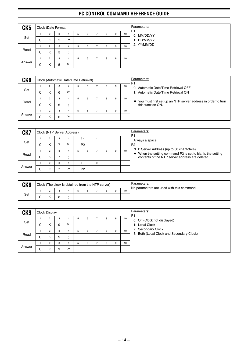| CK <sub>5</sub> |   | Clock (Date Format) |   |                |   |   |   |   |    |
|-----------------|---|---------------------|---|----------------|---|---|---|---|----|
| Set             |   | $\overline{2}$      | 3 | 4              |   | 6 | 8 | 9 | 10 |
|                 | С | Κ                   | 5 | P <sub>1</sub> |   |   |   |   |    |
|                 |   | 2                   | 3 | 4              | 5 | 6 | 8 | 9 | 10 |
| Read            | С | Κ                   | 5 | $\cdot$        |   |   |   |   |    |
|                 |   | 2                   | 3 |                | 5 | 6 | 8 | 9 | 10 |
| Answer          | С | K                   | 5 | P <sub>1</sub> |   |   |   |   |    |

| CK <sub>6</sub> |        |                |   | Clock (Automatic Date/Time Retrieval) |   |   |   |   |    | Parameters:<br>P <sub>1</sub>                                                       |
|-----------------|--------|----------------|---|---------------------------------------|---|---|---|---|----|-------------------------------------------------------------------------------------|
|                 |        | 2              | 3 |                                       | 5 | 6 | 8 | 9 | 10 | 0: Automatic Date/Time Retrieval OFF                                                |
| Set             | С      | κ              | 6 | P <sub>1</sub>                        | ٠ |   |   |   |    | 1: Automatic Date/Time Retrieval ON                                                 |
|                 |        | 2              | 3 | 4                                     | 5 | 6 | 8 | 9 | 10 |                                                                                     |
| Read            | С      | κ              | 6 | $\cdot$                               |   |   |   |   |    | ◆ You must first set up an NTP server address in order to turn<br>this function ON. |
|                 |        | $\overline{2}$ | 3 |                                       | 5 | 6 | 8 | 9 | 10 |                                                                                     |
| Answer          | ⌒<br>◡ | κ              | 6 | P <sub>1</sub>                        |   |   |   |   |    |                                                                                     |

| CK7    |        | Clock (NTP Server Address) |   |                |                |   |   |   |    | Parameters:<br>P <sub>1</sub>                                                                               |
|--------|--------|----------------------------|---|----------------|----------------|---|---|---|----|-------------------------------------------------------------------------------------------------------------|
|        |        | 2                          | 3 | 4              | $5 -$          | x |   |   |    | Always a space                                                                                              |
| Set    | ⌒<br>U | ĸ                          |   | P <sub>1</sub> | P <sub>2</sub> |   |   |   |    | P <sub>2</sub>                                                                                              |
|        |        | 2                          | 3 |                | 6<br>5         |   | 8 | 9 | 10 | NTP Server Address (up to 50 characters)                                                                    |
| Read   | ⌒<br>U | κ                          | ⇁ |                |                |   |   |   |    | When the setting command P2 is set to blank, the setting<br>contents of the NTP server address are deleted. |
|        |        | 2                          | 3 | 4              | $5 -$          | x |   |   |    |                                                                                                             |
| Answer | ⌒<br>U | κ                          |   | P <sub>1</sub> | P <sub>2</sub> |   |   |   |    |                                                                                                             |

| CK <sub>8</sub> |  |  |  | Clock (The clock is obtained from the NTP server) |   |    | Parameters:<br>No parameters are used with this command. |
|-----------------|--|--|--|---------------------------------------------------|---|----|----------------------------------------------------------|
|                 |  |  |  |                                                   | 9 | 10 |                                                          |
| Set             |  |  |  |                                                   |   |    |                                                          |

| CK9    |   | Clock Display       |        |                     |   |   |   |   |    | Parameters:<br>P <sub>1</sub>                  |
|--------|---|---------------------|--------|---------------------|---|---|---|---|----|------------------------------------------------|
| Set    | С | $\overline{2}$<br>Κ | з<br>9 | 4<br>P <sub>1</sub> | 5 | 6 | 8 | 9 | 10 | 0: Off (Clock not displayed)<br>1: Local Clock |
|        |   | $\overline{2}$      | з      | $\overline{4}$      | 5 | 6 | 8 | 9 | 10 | 2: Secondary Clock                             |
| Read   | C | Κ                   | 9      | $\cdot$             |   |   |   |   |    | 3: Both (Local Clock and Secondary Clock)      |
|        |   | $\overline{2}$      | з      | 4                   | 5 | 6 | 8 | 9 | 10 |                                                |
| Answer | C | ĸ                   | 9      | P <sub>1</sub>      |   |   |   |   |    |                                                |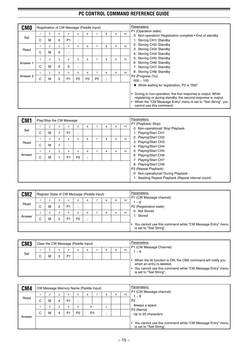| <b>CMO</b> |   |                | Registration of CW Message (Paddle Input)<br>$\overline{7}$<br>3<br>5<br>6<br>8<br>4<br>P <sub>1</sub><br>0<br>٠<br>7<br>3<br>$\overline{4}$<br>5<br>6<br>8<br>0<br>٠<br>$\overline{\phantom{a}}$<br>$\overline{7}$<br>5<br>3<br>$\overline{4}$<br>6<br>8<br>м<br>0<br>0<br>٠<br>$\cdot$<br>$\overline{7}$<br>3<br>5<br>6<br>8<br>4<br>P <sub>2</sub><br>P <sub>2</sub><br>P <sub>1</sub><br>P <sub>2</sub><br>0<br>$\bullet$<br>$\cdot$ |  |  |  |  |  |   |    |  |  |  |
|------------|---|----------------|------------------------------------------------------------------------------------------------------------------------------------------------------------------------------------------------------------------------------------------------------------------------------------------------------------------------------------------------------------------------------------------------------------------------------------------|--|--|--|--|--|---|----|--|--|--|
| Set        |   | 2              |                                                                                                                                                                                                                                                                                                                                                                                                                                          |  |  |  |  |  | 9 | 10 |  |  |  |
|            | C | M<br>2         |                                                                                                                                                                                                                                                                                                                                                                                                                                          |  |  |  |  |  | 9 | 10 |  |  |  |
| Read       | C | м              |                                                                                                                                                                                                                                                                                                                                                                                                                                          |  |  |  |  |  |   |    |  |  |  |
| Answer 1   | C | $\overline{2}$ |                                                                                                                                                                                                                                                                                                                                                                                                                                          |  |  |  |  |  | 9 | 10 |  |  |  |
|            |   | 2              |                                                                                                                                                                                                                                                                                                                                                                                                                                          |  |  |  |  |  | 9 | 10 |  |  |  |
| Answer 2   | C | м              |                                                                                                                                                                                                                                                                                                                                                                                                                                          |  |  |  |  |  |   |    |  |  |  |
|            |   |                |                                                                                                                                                                                                                                                                                                                                                                                                                                          |  |  |  |  |  |   |    |  |  |  |
|            |   |                |                                                                                                                                                                                                                                                                                                                                                                                                                                          |  |  |  |  |  |   |    |  |  |  |

| CM <sub>1</sub> |   | Play/Stop the CW Message |   |                           |                     |                                            |   |   |    | Parameters:                                                                                                                                |
|-----------------|---|--------------------------|---|---------------------------|---------------------|--------------------------------------------|---|---|----|--------------------------------------------------------------------------------------------------------------------------------------------|
| Set             | C | $\overline{2}$<br>M      | 3 | 4<br>P <sub>1</sub>       | 5<br>٠<br>$\bullet$ | 6                                          | 8 | 9 | 10 | P1 (Playback/Stop)<br>0: Non-operational/ Stop Playback<br>1: Playing/Start CH1                                                            |
| Read            | C | 2<br>M                   | 3 | 4<br>$\bullet$<br>$\cdot$ | 5                   | 6                                          | 8 | 9 | 10 | 2: Playing/Start CH2<br>3: Playing/Start CH3<br>4: Playing/Start CH4                                                                       |
| Answer          | С | $\overline{2}$<br>M      | 3 | 4<br>P <sub>1</sub>       | 5<br>P <sub>2</sub> | 6<br>$\bullet$<br>$\overline{\phantom{a}}$ | 8 | 9 | 10 | 5: Playing/Start CH5<br>6: Playing/Start CH6<br>7: Playing/Start CH7                                                                       |
|                 |   |                          |   |                           |                     |                                            |   |   |    | 8: Playing/Start CH8<br>P2 (Repeat Playback)<br>0: Non-operational/ During Playback<br>1: Awaiting Repeat Playback (Repeat interval count) |

| CM2    |                     |   |   |                | Register State of CW Message (Paddle Input) |   |   |   |    | Parameters:<br>P1 (CW Message channel)                                                             |
|--------|---------------------|---|---|----------------|---------------------------------------------|---|---|---|----|----------------------------------------------------------------------------------------------------|
|        |                     | 2 | 3 |                | 5                                           | 6 | 8 | 9 | 10 | $1 - 8$                                                                                            |
| Read   | С                   | м | 2 | P <sub>1</sub> |                                             |   |   |   |    | P2 (Registration state)                                                                            |
|        |                     | 2 | 3 |                | 5                                           | 6 | 8 | 9 | 10 | 0: Not Stored                                                                                      |
| Answer | ⌒<br>$\overline{ }$ | м | 2 | P <sub>1</sub> | P <sub>2</sub>                              |   |   |   |    | 1: Stored                                                                                          |
|        |                     |   |   |                |                                             |   |   |   |    | You cannot use this command while "CW Message Entry" menu<br>$\bullet$<br>is set to "Text String". |

| CM3 |   |                |   |                | Clear the CW Message (Paddle Input) |   |   |   |    | Parameters:<br>P1 (CW Message Channel)                                                                                                                                            |
|-----|---|----------------|---|----------------|-------------------------------------|---|---|---|----|-----------------------------------------------------------------------------------------------------------------------------------------------------------------------------------|
|     |   | $\overline{2}$ | 3 |                | 5                                   | 6 | 8 | 9 | 10 | l ~ 8                                                                                                                                                                             |
| Set | ⌒ | м              | 3 | P <sub>1</sub> |                                     |   |   |   |    |                                                                                                                                                                                   |
|     |   |                |   |                |                                     |   |   |   |    | When the AI function is ON, the CM2 command will notify you<br>when an entry is deleted.<br>You cannot use this command while "CW Message Entry" menu<br>is set to "Text String". |

| CM4    |   | CW Message Memory Name (Paddle Input) |   |                |                |       |                |   |   |    | Parameters:<br>P1 (CW Message channel)                                                  |
|--------|---|---------------------------------------|---|----------------|----------------|-------|----------------|---|---|----|-----------------------------------------------------------------------------------------|
|        |   | ◠                                     | 3 | 4              | b              | 6     |                | 8 | 9 | 10 | 1 ~ 8                                                                                   |
| Read   | С | м                                     | 4 | P <sub>1</sub> |                |       |                |   |   |    | P <sub>2</sub>                                                                          |
|        |   | $\overline{2}$                        | 3 | 4              | 5              | $6 -$ |                | X |   |    | Always a space                                                                          |
|        | С | м                                     | 4 | P <sub>1</sub> | P <sub>2</sub> |       | P <sub>3</sub> |   |   |    | P3 (Name)<br>Up to 20 characters                                                        |
| Answer |   |                                       |   |                |                |       |                |   |   |    | • You cannot use this command while "CW Message Entry" menu<br>is set to "Text String". |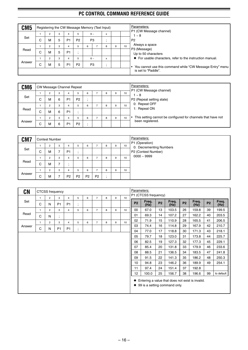| CM <sub>5</sub> |   |                |   |                | Registering the CW Message Memory (Text Input) |   |                |   |   |    |
|-----------------|---|----------------|---|----------------|------------------------------------------------|---|----------------|---|---|----|
|                 |   |                | 3 | 4              | 5                                              |   | $6 -$          | X |   |    |
| Set             |   |                |   |                |                                                |   |                |   |   |    |
|                 | C | M              | 5 | P <sub>1</sub> | P <sub>2</sub>                                 |   | P <sub>3</sub> |   |   |    |
|                 |   | $\overline{2}$ | 3 | 4              | 5                                              | 6 |                | 8 | 9 | 10 |
| Read            | C | М              | 5 | P <sub>1</sub> |                                                |   |                |   |   |    |
|                 |   |                |   |                |                                                |   |                |   |   |    |
|                 |   | 2              | 3 | 4              | 5                                              |   | $6 \sim$       | X |   |    |
| Answer          | ⌒ | M              | 5 | P <sub>1</sub> | P <sub>2</sub>                                 |   | P <sub>3</sub> | ٠ |   |    |
|                 | Ü |                |   |                |                                                |   |                |   |   |    |
|                 |   |                |   |                |                                                |   |                |   |   |    |

| CM <sub>6</sub> |        |   |   |                | CW Message Channel Repeat |   |   |   |   |    | Parameters:                                                  |
|-----------------|--------|---|---|----------------|---------------------------|---|---|---|---|----|--------------------------------------------------------------|
|                 |        | 2 | 3 | 4              | 5                         | 6 | ⇁ | 8 | 9 | 10 | P1 (CW Message channel)<br>- 8                               |
| Set             | ⌒<br>U | м | 6 | P <sub>1</sub> | P <sub>2</sub>            |   |   |   |   |    | P2 (Repeat setting state)                                    |
|                 |        | 2 | 3 | 4              |                           | 6 |   | 8 | 9 | 10 | 0: Repeat OFF                                                |
| Read            | ⌒<br>◡ | м | 6 | P <sub>1</sub> |                           |   |   |   |   |    | 1: Repeat ON                                                 |
|                 |        |   | 3 | 4              |                           | 6 | ⇁ | 8 | 9 | 10 | This setting cannot be configured for channels that have not |
| Answer          | ⌒<br>◡ | м | 6 | P <sub>1</sub> | P <sub>2</sub>            |   |   |   |   |    | been registered.                                             |

| CM7    |             | <b>Contest Number</b> |   |                |                |                |                |   |   |    | Parameters:<br>P1 (Operation) |
|--------|-------------|-----------------------|---|----------------|----------------|----------------|----------------|---|---|----|-------------------------------|
|        |             | $\overline{2}$        | 3 | 4              |                | 6              | -              | 8 | 9 | 10 | 0: Decrementing Numbers       |
| Set    | С           | M                     |   | P <sub>1</sub> |                |                |                |   |   |    | P2 (Contest Number)           |
|        |             | $\overline{2}$        | 3 | 4              |                | 6              | ⇁              | 8 | 9 | 10 | $0000 - 9999$                 |
| Read   | С           | M                     | ⇁ |                |                |                |                |   |   |    |                               |
|        |             | $\overline{2}$        | 3 | 4              | 5              | 6              | ⇁              | 8 | 9 | 10 |                               |
| Answer | $\sim$<br>◡ | M                     |   | P <sub>2</sub> | P <sub>2</sub> | P <sub>2</sub> | P <sub>2</sub> |   |   |    |                               |

| <b>CN</b> |              |                | CTCSS frequency |                |                               |   |                |   | Parameters: |                  |                 |                                               |                |               |           |                                                                  |           |               |
|-----------|--------------|----------------|-----------------|----------------|-------------------------------|---|----------------|---|-------------|------------------|-----------------|-----------------------------------------------|----------------|---------------|-----------|------------------------------------------------------------------|-----------|---------------|
|           | $\mathbf{1}$ | $\overline{2}$ | 3               | $\overline{4}$ | 5                             | 6 | $\overline{7}$ | 8 | 9           | 10 <sup>10</sup> |                 | P1 (CTCSS frequency)                          |                |               |           |                                                                  |           |               |
| Set       | C            | N              | P <sub>1</sub>  | P <sub>1</sub> | ٠<br>$\overline{\phantom{a}}$ |   |                |   |             |                  | <b>P2</b>       | Freq.<br>(Hz)                                 | P <sub>2</sub> | Freq.<br>(Hz) | <b>P2</b> | Freq.<br>(Hz)                                                    | <b>P2</b> | Freq.<br>(Hz) |
|           | $\mathbf{1}$ | $\overline{2}$ | 3               | $\overline{4}$ | 5                             | 6 | $\overline{7}$ | 8 | 9           | 10               | $00\,$          | 67.0                                          | 13             | 103.5         | 26        | 159.8                                                            | 39        | 199.5         |
| Read      | C            | N              | ٠<br>$\cdot$    |                |                               |   |                |   |             |                  | 01              | 69.3                                          | 14             | 107.2         | 27        | 162.2                                                            | 40        | 203.5         |
|           | $\mathbf{1}$ | $\overline{2}$ | 3               | $\overline{4}$ | 5                             | 6 | $\overline{7}$ | 8 | 9           | 10               | 02              | 71.9                                          | 15             | 110.9         | 28        | 165.5                                                            | 41        | 206.5         |
| Answer    | C            | N              | P <sub>1</sub>  | P <sub>1</sub> | ٠                             |   |                |   |             |                  | 03              | 74.4                                          | 16             | 114.8         | 29        | 167.9                                                            | 42        | 210.7         |
|           |              |                |                 |                | $\cdot$                       |   |                |   |             |                  | 04              | 77.0                                          | 17             | 118.8         | 30        | 171.3                                                            | 43        | 218.1         |
|           |              |                |                 |                |                               |   |                |   |             |                  | 05              | 79.7                                          | 18             | 123.0         | 31        | 173.8                                                            | 44        | 225.7         |
|           |              |                |                 |                |                               |   |                |   |             |                  | 06              | 82.5                                          | 19             | 127.3         | 32        | 177.3                                                            | 45        | 229.1         |
|           |              |                |                 |                |                               |   |                |   |             |                  | 07              | 85.4                                          | 20             | 131.8         | 33        | 179.9                                                            | 46        | 233.6         |
|           |              |                |                 |                |                               |   |                |   |             |                  | 08              | 88.5                                          | 21             | 136.5         | 34        | 183.5                                                            | 47        | 241.8         |
|           |              |                |                 |                |                               |   |                |   |             |                  | 09              | 91.5                                          | 22             | 141.3         | 35        | 186.2                                                            | 48        | 250.3         |
|           |              |                |                 |                |                               |   |                |   |             |                  | 10              | 94.8                                          | 23             | 146.2         | 36        | 189.9                                                            | 49        | 254.1         |
|           |              |                |                 |                |                               |   |                |   |             |                  | 11              | 97.4                                          | 24             | 151.4         | 37        | 192.8                                                            |           |               |
|           |              |                |                 |                |                               |   |                |   |             |                  | 12 <sup>2</sup> | 100.0                                         | 25             | 156.7         | 38        | 196.6                                                            | 99        | to default    |
|           |              |                |                 |                |                               |   |                |   |             |                  |                 | $\blacklozenge$ 99 is a setting command only. |                |               |           | $\blacklozenge$ Entering a value that does not exist is invalid. |           |               |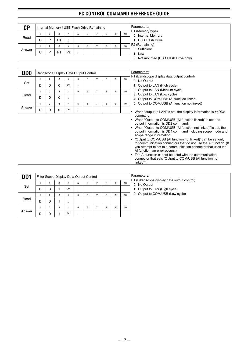| <b>CP</b> |   |   |                |                |    | Internal Memory / USB Flash Drive Remaining |   |   |    | Parameters:<br>P1 (Memory type)       |
|-----------|---|---|----------------|----------------|----|---------------------------------------------|---|---|----|---------------------------------------|
|           |   |   | 3              |                | b. | 6                                           | 8 | 9 | 10 | 0: Internal Memory                    |
| Read      | С | P | P <sub>1</sub> |                |    |                                             |   |   |    | 1: USB Flash Drive                    |
|           |   |   | 3              |                | b. | 6                                           | 8 | 9 | 10 | P2 (Remaining)                        |
| Answer    | С | D | P <sub>1</sub> | P <sub>2</sub> |    |                                             |   |   |    | 0: Sufficient<br>1: Low               |
|           |   |   |                |                |    |                                             |   |   |    | 3: Not mounted (USB Flash Drive only) |

| <b>DDO</b> |   |                |   |                          | Bandscope Display Data Output Control |   |                |   |   |    | Parameters:                                                                                                                                                                                                                                                                                                                                                                                                                                                                                                                                                                                                                                                  |
|------------|---|----------------|---|--------------------------|---------------------------------------|---|----------------|---|---|----|--------------------------------------------------------------------------------------------------------------------------------------------------------------------------------------------------------------------------------------------------------------------------------------------------------------------------------------------------------------------------------------------------------------------------------------------------------------------------------------------------------------------------------------------------------------------------------------------------------------------------------------------------------------|
|            | 1 | $\overline{2}$ | 3 | 4                        | 5                                     | 6 | 7              | 8 | 9 | 10 | P1 (Bandscope display data output control)<br>0: No Output                                                                                                                                                                                                                                                                                                                                                                                                                                                                                                                                                                                                   |
| Set        | D | D              | 0 | P <sub>1</sub>           | $\cdot$                               |   |                |   |   |    | 1: Output to LAN (High cycle)                                                                                                                                                                                                                                                                                                                                                                                                                                                                                                                                                                                                                                |
|            | 1 | $\overline{2}$ | 3 | 4                        | 5                                     | 6 | $\overline{7}$ | 8 | 9 | 10 | 2: Output to LAN (Medium cycle)                                                                                                                                                                                                                                                                                                                                                                                                                                                                                                                                                                                                                              |
| Read       | D | D              | 0 | $\bullet$                |                                       |   |                |   |   |    | 3: Output to LAN (Low cycle)                                                                                                                                                                                                                                                                                                                                                                                                                                                                                                                                                                                                                                 |
|            |   |                |   | $\overline{\phantom{a}}$ |                                       |   |                |   |   |    | 4: Output to COM/USB (AI function linked)                                                                                                                                                                                                                                                                                                                                                                                                                                                                                                                                                                                                                    |
|            | 1 | $\overline{2}$ | 3 | 4                        | 5                                     | 6 | $\overline{7}$ | 8 | 9 | 10 | 5: Output to COM/USB (AI function not linked)                                                                                                                                                                                                                                                                                                                                                                                                                                                                                                                                                                                                                |
| Answer     | D | D              | 0 | P <sub>1</sub>           |                                       |   |                |   |   |    | When "output to LAN" is set, the display information is ##DD2<br>$\bullet$                                                                                                                                                                                                                                                                                                                                                                                                                                                                                                                                                                                   |
|            |   |                |   |                          |                                       |   |                |   |   |    | command.<br>When "Output to COM/USB (AI function linked)" is set, the<br>output information is DD2 command.<br>When "Output to COM/USB (AI function not linked)" is set, the<br>output information is DD4 command including scope mode and<br>scope range information.<br>"Output to COM/USB (AI function not linked)" can be set only<br>for communication connectors that do not use the AI function. (If<br>you attempt to set to a communication connector that uses the<br>Al function, an error occurs.)<br>The AI function cannot be used with the communication<br>$\bullet$<br>connector that sets "Output to COM/USB (AI function not<br>linked)". |

| DD <sub>1</sub> |   |                |   | Filter Scope Display Data Output Control |    |   |   |   |    | Parameters:                                                   |
|-----------------|---|----------------|---|------------------------------------------|----|---|---|---|----|---------------------------------------------------------------|
|                 |   | $\overline{2}$ | 3 | 4                                        | b. | 6 | 8 | 9 | 10 | P1 (Filter scope display data output control)<br>0: No Output |
| Set             | D | D              |   | P <sub>1</sub>                           |    |   |   |   |    | 1: Output to LAN (High cycle)                                 |
|                 |   | $\overline{2}$ | 3 | 4                                        | b. | 6 | 8 | 9 | 10 | 2: Output to COM/USB (Low cycle)                              |
| Read            | D | D              |   |                                          |    |   |   |   |    |                                                               |
|                 |   | $\overline{c}$ | 3 | 4                                        | b. | 6 | 8 | 9 | 10 |                                                               |
| Answer          | D | D              |   | P <sub>1</sub>                           |    |   |   |   |    |                                                               |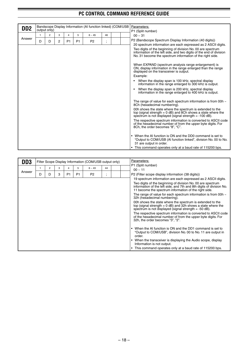| D <sub>D</sub> <sub>2</sub> |              | output only)   |   |                |                | Bandscope Display Information (AI function linked) (COM/USB |    |  | Parameters:<br>P1 (Split number)                                                                                                                                                                |
|-----------------------------|--------------|----------------|---|----------------|----------------|-------------------------------------------------------------|----|--|-------------------------------------------------------------------------------------------------------------------------------------------------------------------------------------------------|
|                             | $\mathbf{1}$ | $\overline{2}$ | 3 | 4              | 5              | $6 - 45$                                                    | 46 |  | $00 \sim 31$                                                                                                                                                                                    |
| Answer                      | D            | D              | 2 | P <sub>1</sub> | P <sub>1</sub> | P <sub>2</sub>                                              |    |  | P2 (Bandscope Spectrum Display Information (40 digits))                                                                                                                                         |
|                             |              |                |   |                |                |                                                             |    |  | 20 spectrum information are each expressed as 2 ASCII digits.                                                                                                                                   |
|                             |              |                |   |                |                |                                                             |    |  | Two digits of the beginning of division No. 00 are spectrum<br>information of the left side, and two digits of the end of division<br>No. 31 become the spectrum information of the right side. |
|                             |              |                |   |                |                |                                                             |    |  | When EXPAND (spectrum analysis range enlargement) is<br>ON, display information in the range enlarged than the range<br>displayed on the transceiver is output.                                 |
|                             |              |                |   |                |                |                                                             |    |  | Example:                                                                                                                                                                                        |
|                             |              |                |   |                |                |                                                             |    |  | When the display span is 100 kHz, spectral display<br>٠<br>information in the range enlarged to 300 kHz is output.                                                                              |
|                             |              |                |   |                |                |                                                             |    |  | When the display span is 200 kHz, spectral display<br>information in the range enlarged to 400 kHz is output.                                                                                   |
|                             |              |                |   |                |                |                                                             |    |  | The range of value for each spectrum information is from 00h $\sim$<br>8Ch (hexadecimal numbering).                                                                                             |
|                             |              |                |   |                |                |                                                             |    |  | 00h shows the state where the spectrum is extended to the<br>top (signal strength $= 0$ dB) and 8Ch shows a state where the<br>spectrum is not displayed (signal strength $= -100$ dB).         |
|                             |              |                |   |                |                |                                                             |    |  | The respective spectrum information is converted to ASCII code<br>of the hexadecimal number of from the upper byte digits. For<br>8Ch, the order becomes "8", "C".                              |
|                             |              |                |   |                |                |                                                             |    |  | • When the AI function is ON and the DD0 command is set to<br>"Output to COM/USB (AI function linked", division No. 00 to No.<br>31 are output in order.                                        |
|                             |              |                |   |                |                |                                                             |    |  | This command operates only at a baud rate of 115200 bps.<br>$\bullet$                                                                                                                           |

| DD <sub>3</sub> |   |   |   |                |                | Filter Scope Display Information (COM/USB output only) |    |  | Parameters:                                                                                                                                                                                  |
|-----------------|---|---|---|----------------|----------------|--------------------------------------------------------|----|--|----------------------------------------------------------------------------------------------------------------------------------------------------------------------------------------------|
|                 |   | 2 | 3 | 4              | 5              | $6 - 43$                                               | 44 |  | P1 (Split number)<br>$00 - 11$                                                                                                                                                               |
| Answer          | D | D | 3 | P <sub>1</sub> | P <sub>1</sub> | P <sub>2</sub>                                         |    |  | P2 (Filter scope display information (38 digits))                                                                                                                                            |
|                 |   |   |   |                |                |                                                        |    |  | 19 spectrum information are each expressed as 2 ASCII digits.                                                                                                                                |
|                 |   |   |   |                |                |                                                        |    |  | Two digits of the beginning of division No. 00 are spectrum<br>information of the left side, and 7th and 8th digits of division No.<br>11 become the spectrum information of the right side. |
|                 |   |   |   |                |                |                                                        |    |  | The range of value for each spectrum information is from 00h $\sim$<br>32h (hexadecimal numbering).                                                                                          |
|                 |   |   |   |                |                |                                                        |    |  | 00h shows the state where the spectrum is extended to the<br>top (signal strength $= 0$ dB) and 32h shows a state where the<br>spectrum is not displayed (signal strength $= -50$ dB).       |
|                 |   |   |   |                |                |                                                        |    |  | The respective spectrum information is converted to ASCII code<br>of the hexadecimal number of from the upper byte digits. For<br>32h, the order becomes "3", "2".                           |
|                 |   |   |   |                |                |                                                        |    |  | When the AI function is ON and the DD1 command is set to<br>"Output to COM/USB", division No. 00 to No. 11 are output in<br>order.                                                           |
|                 |   |   |   |                |                |                                                        |    |  | When the transceiver is displaying the Audio scope, display<br>$\bullet$<br>Information is not output.                                                                                       |
|                 |   |   |   |                |                |                                                        |    |  | This command operates only at a baud rate of 115200 bps.                                                                                                                                     |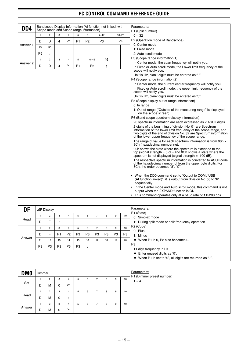| DD <sub>4</sub> |                | Scope mode and Scope range information) |   |                |    |                |                |          | Bandscope Display Information (AI function not linked, with |                | Parameters:                                                                                                                                                                                                                                            |
|-----------------|----------------|-----------------------------------------|---|----------------|----|----------------|----------------|----------|-------------------------------------------------------------|----------------|--------------------------------------------------------------------------------------------------------------------------------------------------------------------------------------------------------------------------------------------------------|
|                 |                |                                         |   |                |    |                |                |          |                                                             |                | P1 (Split number)                                                                                                                                                                                                                                      |
|                 | $\mathbf{1}$   | $\overline{2}$                          | 3 |                | 5  | 6              |                | $7 - 17$ | $18 - 28$                                                   |                | $0 - 32$                                                                                                                                                                                                                                               |
|                 | D              | D                                       | 4 | P <sub>1</sub> | P1 | P <sub>2</sub> |                | P3       |                                                             | P <sub>4</sub> | P2 (Operation mode of Bandscope)                                                                                                                                                                                                                       |
| Answer 1        | 29             | 30                                      |   |                |    |                |                |          |                                                             |                | 0: Center mode                                                                                                                                                                                                                                         |
|                 |                |                                         |   |                |    |                |                |          |                                                             |                | 1: Fixed mode                                                                                                                                                                                                                                          |
|                 | P <sub>5</sub> |                                         |   |                |    |                |                |          |                                                             |                | 2: Auto scroll mode                                                                                                                                                                                                                                    |
|                 | $\mathbf{1}$   | $\overline{2}$                          | 3 | $\overline{4}$ | 5  |                | $6 - 45$       | 46       |                                                             |                | P3 (Scope range information 1)                                                                                                                                                                                                                         |
| Answer 2        | D              | D                                       | 4 | P <sub>1</sub> | P1 |                | P <sub>6</sub> |          |                                                             |                | In Center mode, the span frequency will notify you.                                                                                                                                                                                                    |
|                 |                |                                         |   |                |    |                |                |          |                                                             |                | In Fixed or Auto scroll mode, the Lower limit frequency of the<br>scope will notify you.                                                                                                                                                               |
|                 |                |                                         |   |                |    |                |                |          |                                                             |                | Unit is Hz, blank digits must be entered as "0".                                                                                                                                                                                                       |
|                 |                |                                         |   |                |    |                |                |          |                                                             |                | P4 (Scope range information 2)                                                                                                                                                                                                                         |
|                 |                |                                         |   |                |    |                |                |          |                                                             |                | In Center mode, the current center frequency will notify you.                                                                                                                                                                                          |
|                 |                |                                         |   |                |    |                |                |          |                                                             |                | In Fixed or Auto scroll mode, the upper limit frequency of the<br>scope will notify you.                                                                                                                                                               |
|                 |                |                                         |   |                |    |                |                |          |                                                             |                | Unit is Hz, blank digits must be entered as "0".                                                                                                                                                                                                       |
|                 |                |                                         |   |                |    |                |                |          |                                                             |                | P5 (Scope display out of range information)                                                                                                                                                                                                            |
|                 |                |                                         |   |                |    |                |                |          |                                                             |                | 0: In range                                                                                                                                                                                                                                            |
|                 |                |                                         |   |                |    |                |                |          |                                                             |                | 1: Out of range ("Outside of the measuring range" is displayed<br>on the scope screen)                                                                                                                                                                 |
|                 |                |                                         |   |                |    |                |                |          |                                                             |                | P6 (Band scope spectrum display information)                                                                                                                                                                                                           |
|                 |                |                                         |   |                |    |                |                |          |                                                             |                | 20 spectrum information are each expressed as 2 ASCII digits.                                                                                                                                                                                          |
|                 |                |                                         |   |                |    |                |                |          |                                                             |                | 2 digits of the beginning of division No. 01 are Spectrum<br>information of the lower limit frequency of the scope range, and<br>two digits of the end of division No. 32 are Spectrum information<br>of the lower upper frequency of the scope range. |
|                 |                |                                         |   |                |    |                |                |          |                                                             |                | The range of value for each spectrum information is from 00h $\sim$<br>8Ch (hexadecimal numbering).                                                                                                                                                    |
|                 |                |                                         |   |                |    |                |                |          |                                                             |                | 00h shows the state where the spectrum is extended to the<br>top (signal strength = $0$ dB) and 8Ch shows a state where the<br>spectrum is not displayed (signal strength $= -100$ dB).                                                                |
|                 |                |                                         |   |                |    |                |                |          |                                                             |                | The respective spectrum information is converted to ASCII code<br>of the hexadecimal number of from the upper byte digits. For<br>8Ch, the order becomes "8", "C".                                                                                     |
|                 |                |                                         |   |                |    |                |                |          |                                                             |                | • When the DD0 command set to "Output to COM / USB<br>(AI function linked)", it is output from division No. 00 to 32<br>sequentially.                                                                                                                  |
|                 |                |                                         |   |                |    |                |                |          |                                                             |                | • In the Center mode and Auto scroll mode, this command is not<br>output when the EXPAND function is ON.                                                                                                                                               |
|                 |                |                                         |   |                |    |                |                |          |                                                             |                | • This command operates only at a baud rate of 115200 bps.                                                                                                                                                                                             |

| DF     |                | $\Delta$ F Display |                |                |                |                      |                |                |                |                | Parameters:                                                             |
|--------|----------------|--------------------|----------------|----------------|----------------|----------------------|----------------|----------------|----------------|----------------|-------------------------------------------------------------------------|
|        |                | 2                  | 3              | 4              | b.             | 6                    |                | 8              | 9              | 10             | P1 (State)<br>0: Simplex mode                                           |
| Read   | D              | F                  | ٠,             |                |                |                      |                |                |                |                | 1: During split mode or split frequency operation                       |
|        |                | $\overline{2}$     | 3              | 4              | 5              | 6                    |                | 8              | 9              | 10             | P2 (Code)                                                               |
|        | D              | F                  | P <sub>1</sub> | P <sub>2</sub> | P <sub>3</sub> | P <sub>3</sub>       | P <sub>3</sub> | P <sub>3</sub> | P <sub>3</sub> | P <sub>3</sub> | 0: Plus<br>1: Minus                                                     |
| Answer | 11             | 12                 | 13             | 14             | 15             | 16                   | 17             | 18             | 19             | 20             | $\blacklozenge$ When P1 is 0, P2 also becomes 0.                        |
|        | P <sub>3</sub> | P <sub>3</sub>     | P <sub>3</sub> | P <sub>3</sub> | P <sub>3</sub> | $\bullet$<br>$\cdot$ |                |                |                |                | P <sub>3</sub>                                                          |
|        |                |                    |                |                |                |                      |                |                |                |                | 11 digit frequency in Hz<br>$\blacklozenge$ Enter unused digits as "0". |
|        |                |                    |                |                |                |                      |                |                |                |                | When P1 is set to "0", all digits are returned as "0".                  |

| <b>DMO</b> | Dimmer |             |   |                |   |   |   |   |   |    | Parameters:                          |
|------------|--------|-------------|---|----------------|---|---|---|---|---|----|--------------------------------------|
|            |        | $\sim$<br>۷ | 3 | 4              | 5 | 6 | - | 8 | 9 | 10 | P1 (Dimmer preset number)<br>$1 - 4$ |
| Set        | D      | м           | 0 | P <sub>1</sub> |   |   |   |   |   |    |                                      |
|            |        | $\Omega$    | 3 | 4              | 5 | 6 | - | 8 | 9 | 10 |                                      |
| Read       | D      | M           | 0 |                |   |   |   |   |   |    |                                      |
|            |        | $\sim$<br>∠ | 3 | 4              | 5 | 6 | - | 8 | 9 | 10 |                                      |
| Answer     | D      | M           | 0 | P <sub>1</sub> | ٠ |   |   |   |   |    |                                      |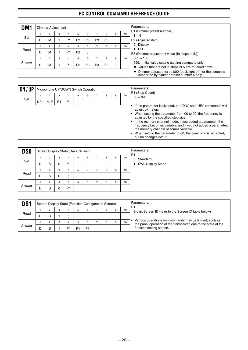| DM1    |   | Dimmer Adjustment |   |                |                |                |                |                |     |    | Parameters:                                                                                               |
|--------|---|-------------------|---|----------------|----------------|----------------|----------------|----------------|-----|----|-----------------------------------------------------------------------------------------------------------|
|        |   |                   |   |                |                |                |                |                |     |    | P1 (Dimmer preset number)                                                                                 |
|        |   | $\overline{2}$    | 3 | 4              | 5              | 6              |                | 8              | 9   | 10 | $\sim 4$                                                                                                  |
| Set    | D | M                 |   | P <sub>1</sub> | P <sub>2</sub> | P <sub>3</sub> | P <sub>3</sub> | P <sub>3</sub> | ٠.  |    | P2 (Adjusted item)                                                                                        |
|        |   | $\overline{2}$    | 3 | 4              | b.             | 6              | ⇁              | 8              | 9   | 10 | 0: Display                                                                                                |
| Read   |   |                   |   |                |                |                |                |                |     |    | 1: LED                                                                                                    |
|        | D | M                 |   | P <sub>1</sub> | P <sub>2</sub> |                |                |                |     |    | P3 (Dimmer adjustment value (In steps of 5.))                                                             |
|        |   | 2                 | 3 | 4              | 5              | 6              | 7              | 8              | 9   | 10 | $005 - 100$                                                                                               |
| Answer |   |                   |   |                |                |                |                |                |     |    | 999: Initial value setting (setting command only)                                                         |
|        | D | M                 |   | P <sub>1</sub> | P2             | P <sub>3</sub> | P <sub>3</sub> | P <sub>3</sub> | . . |    | $\blacklozenge$ Values that are not in steps of 5 are rounded down.                                       |
|        |   |                   |   |                |                |                |                |                |     |    | Dimmer adjusted value 000 (back light off) for the screen is<br>supported by dimmer preset number 4 only. |

| DN/UP |     |     |                |                | Microphone UP/DOWN Switch Operation |   |   |   |    | Parameters:<br>P1 (Step Count)                                                                                                                                                                                                                                                                                                                                                                                                                         |
|-------|-----|-----|----------------|----------------|-------------------------------------|---|---|---|----|--------------------------------------------------------------------------------------------------------------------------------------------------------------------------------------------------------------------------------------------------------------------------------------------------------------------------------------------------------------------------------------------------------------------------------------------------------|
|       |     | 2   |                |                | 5                                   | 6 | 8 | 9 | 10 | $00 \sim 99$                                                                                                                                                                                                                                                                                                                                                                                                                                           |
| Set   | D/U | N/P | P <sub>1</sub> | P <sub>1</sub> |                                     |   |   |   |    |                                                                                                                                                                                                                                                                                                                                                                                                                                                        |
|       |     |     |                |                |                                     |   |   |   |    | If the parameter is skipped, the "DN;" and "UP;" commands will<br>adjust by 1 step.<br>When setting the parameter from 00 to 99, the frequency is<br>adjusted by the specified step size.<br>In the memory channel mode, if you added a parameter, the<br>frequency becomes variable, and if you not added a parameter,<br>the memory channel becomes variable.<br>When setting the parameter to 00, the command is accepted,<br>but no changes occur. |

| <b>DSO</b> |   |                     |          | Screen Display State (Basic Screen) |         |   |   |   |   |    | Parameters:<br>P <sub>1</sub>      |
|------------|---|---------------------|----------|-------------------------------------|---------|---|---|---|---|----|------------------------------------|
| Set        | D | $\overline{2}$<br>S | 3<br>0   | 4<br>P <sub>1</sub>                 | 5       | 6 | - | 8 | 9 | 10 | 0: Standard<br>1: SWL Display Mode |
|            |   | $\overline{2}$      | 3        | 4                                   | 5       | 6 | - | 8 | 9 | 10 |                                    |
| Read       | D | S                   | 0        | $\cdot$                             |         |   |   |   |   |    |                                    |
|            |   | $\overline{2}$      | 3        | 4                                   | 5       | 6 | - | 8 | 9 | 10 |                                    |
| Answer     | D | S                   | $\Omega$ | P <sub>1</sub>                      | $\cdot$ |   |   |   |   |    |                                    |

| DS <sub>1</sub> |   |   |    | Screen Display State (Function Configuration Screen) |                |   |   |    | Parameters:<br>P                                                                                                           |
|-----------------|---|---|----|------------------------------------------------------|----------------|---|---|----|----------------------------------------------------------------------------------------------------------------------------|
|                 |   | 3 |    |                                                      | 6              | 8 | 9 | 10 | 3-digit Screen ID (refer to the Screen ID table below)                                                                     |
| Read            | D |   |    |                                                      |                |   |   |    |                                                                                                                            |
|                 |   | 3 |    |                                                      | 6              |   |   | 10 | Various operations via commands may be limited, such as<br>the panel operation of the transceiver, due to the state of the |
| Answer          |   |   | D٠ |                                                      | P <sub>1</sub> |   |   |    | function setting screen.                                                                                                   |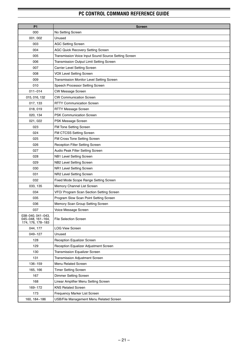| <b>P1</b>                                                   | <b>Screen</b>                                        |
|-------------------------------------------------------------|------------------------------------------------------|
| 000                                                         | No Setting Screen                                    |
| 001, 002                                                    | Unused                                               |
| 003                                                         | <b>AGC Setting Screen</b>                            |
| 004                                                         | <b>AGC Quick Recovery Setting Screen</b>             |
| 005                                                         | Transmission Voice Input Sound Source Setting Screen |
| 006                                                         | Transmission Output Limit Setting Screen             |
| 007                                                         | Carrier Level Setting Screen                         |
| 008                                                         | <b>VOX Level Setting Screen</b>                      |
| 009                                                         | Transmission Monitor Level Setting Screen            |
| 010                                                         | Speech Processor Setting Screen                      |
| $011 - 014$                                                 | CW Message Screen                                    |
| 015, 016, 132                                               | <b>CW Communication Screen</b>                       |
| 017, 133                                                    | <b>RTTY Communication Screen</b>                     |
| 018, 019                                                    | RTTY Message Screen                                  |
| 020, 134                                                    | <b>PSK Communication Screen</b>                      |
| 021, 022                                                    | PSK Message Screen                                   |
| 023                                                         | FM Tone Setting Screen                               |
| 024                                                         | FM CTCSS Setting Screen                              |
| 025                                                         | FM Cross Tone Setting Screen                         |
| 026                                                         | Reception Filter Setting Screen                      |
| 027                                                         | Audio Peak Filter Setting Screen                     |
| 028                                                         | NB1 Level Setting Screen                             |
| 029                                                         | NB2 Level Setting Screen                             |
| 030                                                         | NR1 Level Setting Screen                             |
| 031                                                         | NR2 Level Setting Screen                             |
| 032                                                         | Fixed Mode Scope Range Setting Screen                |
| 033, 135                                                    | Memory Channel List Screen                           |
| 034                                                         | VFO/ Program Scan Section Setting Screen             |
| 035                                                         | Program Slow Scan Point Setting Screen               |
| 036                                                         | Memory Scan Group Setting Screen                     |
| 037                                                         | Voice Message Screen                                 |
| 038~040, 041~043,<br>045~048, 161~164,<br>174, 176, 178~183 | <b>File Selection Screen</b>                         |
| 044, 177                                                    | <b>LOG View Screen</b>                               |
| 049~127                                                     | Unused                                               |
| 128                                                         | Reception Equalizer Screen                           |
| 129                                                         | Reception Equalizer Adjustment Screen                |
| 130                                                         | Transmission Equalizer Screen                        |
| 131                                                         | Transmission Adjustment Screen                       |
| 136~159                                                     | <b>Menu Related Screen</b>                           |
| 165, 166                                                    | <b>Timer Setting Screen</b>                          |
| 167                                                         | <b>Dimmer Setting Screen</b>                         |
| 168                                                         | Linear Amplifier Menu Setting Screen                 |
| 169~172                                                     | <b>KNS Related Screen</b>                            |
| 173                                                         | Frequency Marker List Screen                         |
| 160, 184~186                                                | USB/File Management Menu Related Screen              |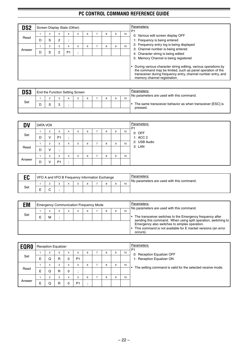| DS2    |   |                     |        | Screen Display State (Other) |                     |   |   |   |    | Parameters:<br>P <sub>1</sub>                                                                                                                                                                                                                                          |
|--------|---|---------------------|--------|------------------------------|---------------------|---|---|---|----|------------------------------------------------------------------------------------------------------------------------------------------------------------------------------------------------------------------------------------------------------------------------|
| Read   | D | $\overline{2}$<br>S | 3<br>2 | 4                            | 5                   | 6 | 8 | 9 | 10 | 0: Various edit screen display OFF<br>1: Frequency is being entered                                                                                                                                                                                                    |
| Answer | D | $\overline{2}$<br>S | 3<br>2 | 4<br>P <sub>1</sub>          | 5<br>$\blacksquare$ | 6 | 8 | 9 | 10 | 2: Frequency entry log is being displayed<br>3: Channel number is being entered<br>4: Character string is being edited                                                                                                                                                 |
|        |   |                     |        |                              |                     |   |   |   |    | 5: Memory Channel is being registered<br>During various character string editing, various operations by<br>the command may be limited, such as panel operation of the<br>transceiver during frequency entry, channel number entry, and<br>memory channel registration. |

| DS3 |  |   | <b>End the Function Setting Screen</b> |  |  |    | Parameters:<br>No parameters are used with this command.                 |
|-----|--|---|----------------------------------------|--|--|----|--------------------------------------------------------------------------|
|     |  |   |                                        |  |  | 10 |                                                                          |
| Set |  | ◠ |                                        |  |  |    | • The same transceiver behavior as when transceiver [ESC] is<br>pressed. |
|     |  |   |                                        |  |  |    |                                                                          |

| <b>DV</b> | <b>DATA VOX</b> |                |                |           |   |   |               |   |   |    | Parameters:<br>P <sub>1</sub> |
|-----------|-----------------|----------------|----------------|-----------|---|---|---------------|---|---|----|-------------------------------|
|           |                 | $\overline{2}$ | 3              | 4         | 5 | 6 |               | 8 | 9 | 10 | 0: OFF                        |
| Set       | D               | v              | P <sub>1</sub> | $\bullet$ |   |   |               |   |   |    | 1: ACC 2                      |
|           |                 | $\overline{2}$ | 3              | 4         | 5 | 6 | -             | 8 | 9 | 10 | 2: USB Audio                  |
| Read      | D               | v              |                |           |   |   |               |   |   |    | 3: LAN                        |
|           |                 | $\overline{2}$ | 3              | 4         | 5 | 6 | $\rightarrow$ | 8 | 9 | 10 |                               |
| Answer    | D               | v              | P <sub>1</sub> | $\cdot$   |   |   |               |   |   |    |                               |

| <b>EC</b><br>cu | VFO A and VFO B Frequency Information Exchange |  |  |  |    | Parameters:<br>No parameters are used with this command. |
|-----------------|------------------------------------------------|--|--|--|----|----------------------------------------------------------|
|                 |                                                |  |  |  | 10 |                                                          |
| Set             |                                                |  |  |  |    |                                                          |

| <b>EM</b> |   |   | <b>Emergency Communication Frequency Mode</b> |   |   |   |    | Parameters:<br>No parameters are used with this command.                                                                           |
|-----------|---|---|-----------------------------------------------|---|---|---|----|------------------------------------------------------------------------------------------------------------------------------------|
|           |   | 3 |                                               | 6 | 8 | 9 | 10 |                                                                                                                                    |
| Set       | м |   |                                               |   |   |   |    | • The transceiver switches to the Emergency frequency after<br>sending this command. When using split operation, switching to      |
|           |   |   |                                               |   |   |   |    | Emergency also switches to simplex operation.<br>$\cdot$ This command is not available for E market versions (an error<br>occurs). |

| <b>EQRO</b> |   | <b>Reception Equalizer</b> |                   |   |                     |   |   |   |    | Parameters:<br>P <sub>1</sub>                               |
|-------------|---|----------------------------|-------------------|---|---------------------|---|---|---|----|-------------------------------------------------------------|
| Set         | E | $\overline{2}$<br>Q        | 3<br>$\mathsf{R}$ | 4 | 5<br>P <sub>1</sub> | 6 | 8 | 9 | 10 | 0: Reception Equalizer OFF<br>1: Reception Equalizer ON     |
| Read        |   | $\overline{2}$             | 3                 |   | 5                   | 6 | 8 | 9 | 10 | The setting command is valid for the selected receive mode. |
|             | Е | Q                          | $\mathsf{R}$      | 0 |                     |   |   |   |    |                                                             |
| Answer      |   | 2                          | 3                 | 4 | 5                   | 6 | 8 | 9 | 10 |                                                             |
|             | E | Q                          | $\mathsf{R}$      |   | P <sub>1</sub>      |   |   |   |    |                                                             |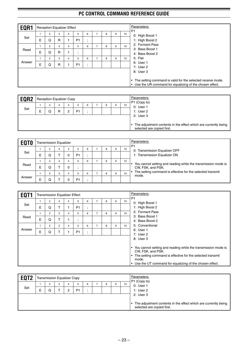| EQR1   |   | <b>Reception Equalizer Effect</b> |                   |   |                     |                                          |                |   |   |    | Parameters:<br>P <sub>1</sub>                                                                                                                      |
|--------|---|-----------------------------------|-------------------|---|---------------------|------------------------------------------|----------------|---|---|----|----------------------------------------------------------------------------------------------------------------------------------------------------|
| Set    | E | 2<br>Q                            | 3<br>$\mathsf{R}$ | 4 | 5<br>P <sub>1</sub> | 6<br>$\bullet$<br>$\cdot$                | $\overline{ }$ | 8 | 9 | 10 | 0: High Boost 1<br>1: High Boost 2                                                                                                                 |
| Read   | E | $\overline{2}$<br>Q               | 3<br>$\mathsf{R}$ | 4 | 5<br>٠              | 6                                        | $\overline{ }$ | 8 | 9 | 10 | 2: Formant Pass<br>3: Bass Boost 1<br>4: Bass Boost 2                                                                                              |
| Answer | E | 2<br>Q                            | 3<br>$\mathsf{R}$ | 4 | 5<br>P <sub>1</sub> | 6<br>$\cdot$<br>$\overline{\phantom{a}}$ | 7              | 8 | 9 | 10 | 5: Flat<br>6: User 1<br>7: User 2                                                                                                                  |
|        |   |                                   |                   |   |                     |                                          |                |   |   |    | 8: User 3<br>The setting command is valid for the selected receive mode.<br>$\bullet$<br>• Use the UR command for equalizing of the chosen effect. |

| 10<br>3<br>6<br>9<br>8<br>4<br>0: User 1<br>Set<br>1: User 2<br>E<br>P <sub>1</sub><br>R<br>ົ<br>2: User 3 | EQR2 | <b>Reception Equalizer Copy</b> |  |  |  |  | Parameters:<br>P1 (Copy to)                                     |
|------------------------------------------------------------------------------------------------------------|------|---------------------------------|--|--|--|--|-----------------------------------------------------------------|
|                                                                                                            |      |                                 |  |  |  |  |                                                                 |
| selected are copied first.                                                                                 |      |                                 |  |  |  |  | The adjustment contents in the effect which are currently being |

| <b>EQTO</b> |   | <b>Transmission Equalizer</b> |   |   |    |   |   |   |    | Parameters:<br>P <sub>1</sub>                                                      |
|-------------|---|-------------------------------|---|---|----|---|---|---|----|------------------------------------------------------------------------------------|
|             |   | 2                             | 3 |   | b  | 6 | 8 | 9 | 10 | 0: Transmission Equalizer OFF                                                      |
| Set         | E |                               |   |   | P1 |   |   |   |    | 1: Transmission Equalizer ON                                                       |
|             |   | 2                             | 3 | 4 | b. | 6 | 8 | 9 | 10 |                                                                                    |
| Read        | E |                               |   |   |    |   |   |   |    | You cannot setting and reading while the transmission mode is<br>CW, FSK, and PSK. |
|             |   | 2                             | 3 |   | 5  | 6 | 8 | 9 | 10 | The setting command is effective for the selected transmit<br>mode.                |
| Answer      | Е |                               |   |   | P1 |   |   |   |    |                                                                                    |

| <b>EQT1</b> |   | <b>Transmission Equalizer Effect</b> |                     |   |                     |                           |                |   |   |                 | Parameters:<br>P <sub>1</sub>                                                                                                                                                                                        |
|-------------|---|--------------------------------------|---------------------|---|---------------------|---------------------------|----------------|---|---|-----------------|----------------------------------------------------------------------------------------------------------------------------------------------------------------------------------------------------------------------|
| Set         | E | $\overline{2}$<br>Q                  | 3                   | 4 | 5<br>P <sub>1</sub> | 6<br>$\bullet$<br>$\cdot$ | 7              | 8 | 9 | 10 <sup>1</sup> | 0: High Boost 1<br>1: High Boost 2                                                                                                                                                                                   |
| Read        | E | $\overline{2}$<br>Q                  | 3<br>$\mathbf \tau$ | 4 | 5<br>٠<br>л.        | 6                         | 7              | 8 | 9 | 10              | 2: Formant Pass<br>3: Bass Boost 1<br>4: Bass Boost 2                                                                                                                                                                |
| Answer      | E | $\overline{2}$<br>Q                  | 3                   | 4 | 5<br>P <sub>1</sub> | 6<br>$\overline{ }$       | $\overline{7}$ | 8 | 9 | 10 <sup>1</sup> | 5: Conventional<br>6: User 1<br>7: User 2<br>8: User 3                                                                                                                                                               |
|             |   |                                      |                     |   |                     |                           |                |   |   |                 | You cannot setting and reading while the transmission mode is<br>CW, FSK, and PSK.<br>The setting command is effective for the selected transmit<br>mode.<br>Use the UT command for equalizing of the chosen effect. |

| EQT <sub>2</sub> |   |   | <b>Transmission Equalizer Copy</b> |        |                     |   |   |   |    | Parameters:                                                                                   |
|------------------|---|---|------------------------------------|--------|---------------------|---|---|---|----|-----------------------------------------------------------------------------------------------|
| Set              | E | ◠ | 3                                  | 4<br>ົ | 5<br>P <sub>1</sub> | 6 | 8 | 9 | 10 | P1 (Copy to)<br>0: User 1<br>1: User $2$                                                      |
|                  |   |   |                                    |        |                     |   |   |   |    | 2: User 3                                                                                     |
|                  |   |   |                                    |        |                     |   |   |   |    | The adjustment contents in the effect which are currently being<br>selected are copied first. |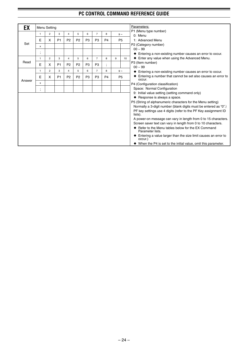۰

| EX     |              | Menu Setting   |                |                |                |                |                |                          |   |                | Parameters:                                                                    |
|--------|--------------|----------------|----------------|----------------|----------------|----------------|----------------|--------------------------|---|----------------|--------------------------------------------------------------------------------|
|        | 1            | $\overline{2}$ | 3              | $\overline{4}$ | 5              | 6              | $\overline{7}$ | 8                        |   | $9 -$          | P1 (Menu type number)<br>0: Menu                                               |
|        | Е            | х              | P <sub>1</sub> | P <sub>2</sub> | P <sub>2</sub> | P <sub>3</sub> | P <sub>3</sub> | P <sub>4</sub>           |   | P <sub>5</sub> | 1: Advanced Menu                                                               |
| Set    | x            |                |                |                |                |                |                |                          |   |                | P2 (Category number)                                                           |
|        |              |                |                |                |                |                |                |                          |   |                | $00 \sim 99$                                                                   |
|        | $\cdot$      |                |                |                |                |                |                |                          |   |                | ♦ Entering a non-existing number causes an error to occur.                     |
|        | $\mathbf{1}$ | $\overline{2}$ | 3              | 4              | 5              | 6              | $\overline{7}$ | 8                        | 9 | 10             | Enter any value when using the Advanced Menu.                                  |
| Read   | E            | X              | P <sub>1</sub> | P <sub>2</sub> | P <sub>2</sub> | P <sub>3</sub> | P <sub>3</sub> | $\overline{\phantom{a}}$ |   |                | P3 (Item number)                                                               |
|        | $\mathbf{1}$ | $\overline{2}$ | 3              | $\overline{4}$ | 5              | 6              | $\overline{7}$ | 8                        |   |                | $00 - 99$                                                                      |
|        |              |                |                |                |                |                |                |                          |   | $9 -$          | ♦ Entering a non-existing number causes an error to occur.                     |
| Answer | E            | x              | P <sub>1</sub> | P <sub>2</sub> | P <sub>2</sub> | P <sub>3</sub> | P <sub>3</sub> | P <sub>4</sub>           |   | P <sub>5</sub> | Entering a number that cannot be set also causes an error to<br>occur.         |
|        | x            |                |                |                |                |                |                |                          |   |                | P4 (Configuration classification)                                              |
|        | $\,$         |                |                |                |                |                |                |                          |   |                | Space: Normal Configuration                                                    |
|        |              |                |                |                |                |                |                |                          |   |                | 9: Initial value setting (setting command only)                                |
|        |              |                |                |                |                |                |                |                          |   |                | ◆ Response is always a space.                                                  |
|        |              |                |                |                |                |                |                |                          |   |                | P5 (String of alphanumeric characters for the Menu setting)                    |
|        |              |                |                |                |                |                |                |                          |   |                | Normally a 3-digit number (blank digits must be entered as "0".)               |
|        |              |                |                |                |                |                |                |                          |   |                | PF key settings use 4 digits (refer to the PF Key assignment ID<br>lists).     |
|        |              |                |                |                |                |                |                |                          |   |                | A power-on message can vary in length from 0 to 15 characters.                 |
|        |              |                |                |                |                |                |                |                          |   |                | Screen saver text can vary in length from 0 to 10 characters.                  |
|        |              |                |                |                |                |                |                |                          |   |                | Refer to the Menu tables below for the EX Command<br>Parameter lists.          |
|        |              |                |                |                |                |                |                |                          |   |                | Entering a value larger than the size limit causes an error to<br>٠<br>occur.) |
|        |              |                |                |                |                |                |                |                          |   |                | $\blacklozenge$ When the P4 is set to the initial value, omit this parameter.  |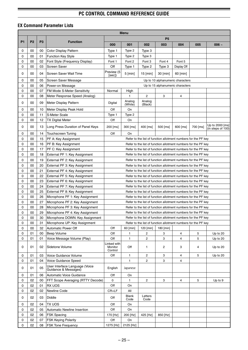-

#### **EX Command Parameter Lists**

|             |                |                |                                                        |                                   | <b>Menu</b>       |                   |                                                                |             |          |                                      |
|-------------|----------------|----------------|--------------------------------------------------------|-----------------------------------|-------------------|-------------------|----------------------------------------------------------------|-------------|----------|--------------------------------------|
|             |                |                |                                                        |                                   |                   |                   | P <sub>5</sub>                                                 |             |          |                                      |
| <b>P1</b>   | P <sub>2</sub> | P <sub>3</sub> | <b>Function</b>                                        | 000                               | 001               | 002               | 003                                                            | 004         | 005      | $006 -$                              |
| 0           | 00             | 00             | Color Display Pattern                                  | Type 1                            | Type 2            | Type 3            |                                                                |             |          |                                      |
| 0           | 00             | 01             | <b>Function Key Style</b>                              | Type 1                            | Type 2            | Type 3            |                                                                |             |          |                                      |
| 0           | 00             | 02             | Font Style (Frequency Display)                         | Font 1                            | Font 2            | Font 3            | Font 4                                                         | Font 5      |          |                                      |
| 0           | 00             | 03             | <b>Screen Saver</b>                                    | Off                               | Type 1            | Type 2            | Type 3                                                         | Display Off |          |                                      |
| 0           | 00             | 04             | Screen Saver Wait Time                                 | Preview (5<br>[sec]               | 5 [min]           | $15$ [min]        | 30 [min]                                                       | $60$ [min]  |          |                                      |
| 0           | 00             | 05             | Screen Saver Message                                   |                                   |                   |                   | Up to 10 alphanumeric characters                               |             |          |                                      |
| 0           | 00             | 06             | Power-on Message                                       |                                   |                   |                   | Up to 15 alphanumeric characters                               |             |          |                                      |
| 0           | 00             | 07             | FM Mode S-Meter Sensitivity                            | Normal                            | High              |                   |                                                                |             |          |                                      |
| $\mathbf 0$ | 00             | 08             | Meter Response Speed (Analog)                          |                                   | 1                 | $\overline{c}$    | 3                                                              | 4           |          |                                      |
| 0           | 00             | 09             | Meter Display Pattern                                  | Digital                           | Analog<br>(White) | Analog<br>(Black) |                                                                |             |          |                                      |
| 0           | 00             | 10             | Meter Display Peak Hold                                | Off                               | On                |                   |                                                                |             |          |                                      |
| 0           | 00             | 11             | S-Meter Scale                                          | Type 1                            | Type 2            |                   |                                                                |             |          |                                      |
| 0           | 00             | 12             | <b>TX Digital Meter</b>                                | Off                               | On                |                   |                                                                |             |          |                                      |
| 0           | 00             | 13             | Long Press Duration of Panel Keys                      | 200 [ms]                          | 300 [ms]          | $400$ [ms]        | 500 [ms]                                                       | 600 [ms]    | 700 [ms] | Up to 2000 [ms]<br>(in steps of 100) |
| 0           | 00             | 14             | <b>Touchscreen Tuning</b>                              | Off                               | On                |                   |                                                                |             |          |                                      |
| 0           | 00             | 15             | PF A: Key Assignment                                   |                                   |                   |                   | Refer to the list of function allotment numbers for the PF key |             |          |                                      |
| 0           | 00             | 16             | PF B: Key Assignment                                   |                                   |                   |                   | Refer to the list of function allotment numbers for the PF key |             |          |                                      |
| 0           | 00             | 17             | PF C: Key Assignment                                   |                                   |                   |                   | Refer to the list of function allotment numbers for the PF key |             |          |                                      |
| 0           | 00             | 18             | External PF 1: Key Assignment                          |                                   |                   |                   | Refer to the list of function allotment numbers for the PF key |             |          |                                      |
| 0           | 00             | 19             | External PF 2: Key Assignment                          |                                   |                   |                   | Refer to the list of function allotment numbers for the PF key |             |          |                                      |
| 0           | 00             | 20             | External PF 3: Key Assignment                          |                                   |                   |                   | Refer to the list of function allotment numbers for the PF key |             |          |                                      |
| 0           | 00             | 21             | External PF 4: Key Assignment                          |                                   |                   |                   | Refer to the list of function allotment numbers for the PF key |             |          |                                      |
| 0           | 00             | 22             | External PF 5: Key Assignment                          |                                   |                   |                   | Refer to the list of function allotment numbers for the PF key |             |          |                                      |
| 0           | 00             | 23             | External PF 6: Key Assignment                          |                                   |                   |                   | Refer to the list of function allotment numbers for the PF key |             |          |                                      |
| 0           | 00             | 24             | External PF 7: Key Assignment                          |                                   |                   |                   | Refer to the list of function allotment numbers for the PF key |             |          |                                      |
| 0           | 00             | 25             | External PF 8: Key Assignment                          |                                   |                   |                   | Refer to the list of function allotment numbers for the PF key |             |          |                                      |
| 0           | 00             | 26             | Microphone PF 1: Key Assignment                        |                                   |                   |                   | Refer to the list of function allotment numbers for the PF key |             |          |                                      |
| 0           | 00             | 27             | Microphone PF 2: Key Assignment                        |                                   |                   |                   | Refer to the list of function allotment numbers for the PF key |             |          |                                      |
| $\mathbf 0$ | 00             | 28             | Microphone PF 3: Key Assignment                        |                                   |                   |                   | Refer to the list of function allotment numbers for the PF key |             |          |                                      |
| 0           | 00             | 29             | Microphone PF 4: Key Assignment                        |                                   |                   |                   | Refer to the list of function allotment numbers for the PF key |             |          |                                      |
| 0           | 00             |                | 30 Microphone DOWN: Key Assignment                     |                                   |                   |                   | Refer to the list of function allotment numbers for the PF key |             |          |                                      |
| 0           | 00             | 31             | Microphone UP: Key Assignment                          |                                   |                   |                   | Refer to the list of function allotment numbers for the PF key |             |          |                                      |
| 0           | 00             | 32             | Automatic Power Off                                    | Off                               | 60 [min]          | 120 [min]         | 180 [min]                                                      |             |          |                                      |
| 0           | 01             | 00             | Beep Volume                                            | Off                               | 1                 | 2                 | 3                                                              | 4           | 5        | Up to 20                             |
| 0           | 01             | 01             | Voice Message Volume (Play)                            | Off                               | 1                 | 2                 | 3                                                              | 4           | 5        | Up to 20                             |
| 0           | 01             | 02             | Sidetone Volume                                        | Linked with<br>Monitor<br>Control | Off               | 1                 | 2                                                              | 3           | 4        | Up to 20                             |
| 0           | 01             | 03             | Voice Guidance Volume                                  | Off                               | 1                 | $\overline{c}$    | 3                                                              | 4           | 5        | Up to 20                             |
| 0           | 01             | 04             | <b>Voice Guidance Speed</b>                            |                                   | 1                 | $\overline{2}$    | 3                                                              | 4           |          |                                      |
| 0           | 01             | 05             | User Interface Language (Voice<br>Guidance & Messages) | English                           | Japanese          |                   |                                                                |             |          |                                      |
| 0           | 01             | 06             | Automatic Voice Guidance                               | Off                               | On                |                   |                                                                |             |          |                                      |
| 0           | 02             | 00             | FFT Scope Averaging (RTTY Decode)                      | 0                                 | 1                 | 2                 | 3                                                              | 4           | 5        | Up to 9                              |
| 0           | 02             | 01             | RX UOS                                                 | Off                               | On                |                   |                                                                |             |          |                                      |
| 0           | 02             | 02             | Newline Code                                           | CR+LF                             | All               |                   |                                                                |             |          |                                      |
| 0           | 02             | 03             | Diddle                                                 | Off                               | Blank<br>Code     | Letters<br>Code   |                                                                |             |          |                                      |
| 0           | 02             | 04             | <b>TX UOS</b>                                          | Off                               | On                |                   |                                                                |             |          |                                      |
| 0           | 02             | 05             | Automatic Newline Insertion                            | Off                               | On                |                   |                                                                |             |          |                                      |
| 0           | 02             | 06             | <b>FSK Spacing</b>                                     | 170 [Hz]                          | 200 [Hz]          | 425 [Hz]          | 850 [Hz]                                                       |             |          |                                      |
| 0           | 02             | 07             | <b>FSK Keying Polarity</b>                             | Off                               | On                |                   |                                                                |             |          |                                      |
| 0           | 02             | 08             | FSK Tone Frequency                                     | 1275 [Hz]                         | 2125 [Hz]         |                   |                                                                |             |          |                                      |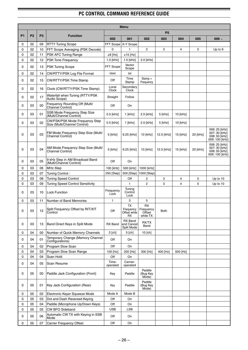|           |                |                |                                                                |                   | Menu                                  |                                       |                |                |          |                                                                   |
|-----------|----------------|----------------|----------------------------------------------------------------|-------------------|---------------------------------------|---------------------------------------|----------------|----------------|----------|-------------------------------------------------------------------|
|           |                |                |                                                                |                   |                                       |                                       | P <sub>5</sub> |                |          |                                                                   |
| <b>P1</b> | P <sub>2</sub> | P <sub>3</sub> | <b>Function</b>                                                | 000               | 001                                   | 002                                   | 003            | 004            | 005      | $006 -$                                                           |
| 0         | 02             | 09             | <b>RTTY Tuning Scope</b>                                       | FFT Scope         | X-Y Scope                             |                                       |                |                |          |                                                                   |
| 0         | 02             | 10             | <b>FFT Scope Averaging (PSK Decode)</b>                        | $\mathbf 0$       | $\mathbf{1}$                          | $\overline{2}$                        | 3              | 4              | 5        | Up to 9                                                           |
| 0         | 02             | 11             | <b>PSK AFC Tuning Range</b>                                    | $±8$ [Hz]         | $±15$ [Hz]                            |                                       |                |                |          |                                                                   |
| 0         | 02             | 12             | <b>PSK Tone Frequency</b>                                      | 1.0 [kHz]         | $1.5$ [kHz]                           | 2.0 [kHz]                             |                |                |          |                                                                   |
| 0         | 02             | 13             | <b>PSK Tuning Scope</b>                                        | FFT Scope         | Vector<br>Scope                       |                                       |                |                |          |                                                                   |
| 0         | 02             | 14             | CW/RTTY/PSK Log File Format                                    | html              | txt                                   |                                       |                |                |          |                                                                   |
| 0         | 02             | 15             | CW/RTTY/PSK Time Stamp                                         | Off               | Time<br>Stamp                         | Stamp +<br>Frequency                  |                |                |          |                                                                   |
| 0         | 02             | 16             | Clock (CW/RTTY/PSK Time Stamp)                                 | Local<br>Clock    | Secondary<br><b>Clock</b>             |                                       |                |                |          |                                                                   |
| 0         | 02             | 17             | Waterfall when Tuning (RTTY/PSK)<br>Audio Scope)               | Straight          | Follow                                |                                       |                |                |          |                                                                   |
| 0         | 03             | 00             | Frequency Rounding Off (Multi/<br>Channel Control)             | Off               | On                                    |                                       |                |                |          |                                                                   |
| 0         | 03             | 01             | SSB Mode Frequency Step Size<br>(Multi/Channel Control)        | $0.5$ [kHz]       | $1$ [kHz]                             | 2.5 [kHz]                             | 5 [kHz]        | 10 [kHz]       |          |                                                                   |
| 0         | 03             | 02             | CW/FSK/PSK Mode Frequency Step<br>Size (Multi/Channel Control) | 0.5 [kHz]         | $1$ [kHz]                             | 2.5 [kHz]                             | 5 [kHz]        | 10 [kHz]       |          |                                                                   |
| 0         | 03             | 03             | FM Mode Frequency Step Size (Multi/<br><b>Channel Control)</b> | 5 [kHz]           | 6.25 [kHz]                            | 10 [kHz]                              | 12.5 [kHz]     | 15 [kHz]       | 20 [kHz] | 006: 25 [kHz]<br>007: 30 [kHz]<br>008: 50 [kHz]<br>009: 100 [kHz] |
| 0         | 03             | 04             | AM Mode Frequency Step Size (Multi/<br>Channel Control)        | 5 [kHz]           | 6.25 [kHz]                            | 10 [kHz]                              | 12.5 [kHz]     | 15 [kHz]       | 20 [kHz] | 006: 25 [kHz]<br>007: 30 [kHz]<br>008: 50 [kHz]<br>009: 100 [kHz] |
| 0         | 03             | 05             | 9 kHz Step in AM Broadcast Band<br>(Multi/Channel Control)     | Off               | On                                    |                                       |                |                |          |                                                                   |
| 0         | 03             | 06             | MHz Step                                                       | 100 [kHz]         | 500 [kHz]                             | 1000 [kHz]                            |                |                |          |                                                                   |
| 0         | 03             | 07             | Tuning Control:                                                | 250 [Step]        | 500 [Step]                            | 1000 [Step]                           |                |                |          |                                                                   |
| 0         | 03             | 08             | <b>Tuning Speed Control</b>                                    |                   | Off                                   | 2                                     | 3              | 4              | 5        | Up to 10                                                          |
| 0         | 03             | 09             | <b>Tuning Speed Control Sensitivity</b>                        |                   | $\mathbf{1}$                          | $\overline{2}$                        | 3              | $\overline{4}$ | 5        | Up to 10                                                          |
| 0         | 03             | 10             | Lock Function                                                  | Frequency<br>Lock | Tuning<br>Control<br>Lock             |                                       |                |                |          |                                                                   |
| 0         | 03             | 11             | Number of Band Memories                                        | 1                 | 3                                     | 5                                     |                |                |          |                                                                   |
| 0         | 03             | 12             | Split Frequency Offset by RIT/XIT<br>Control                   | Off               | ТX<br>Frequency<br>Offset while<br>RX | RX<br>Frequency<br>Offset<br>while TX | Both           |                |          |                                                                   |
| 0         | 03             | 13             | Band Direct Keys in Split Mode                                 | RX Band           | RX Band<br>and Cancel<br>Split Mode   | RX/TX<br>Band                         |                |                |          |                                                                   |
| 0         | 04             | 00             | Number of Quick Memory Channels                                | 3 [ch]            | 5 [ch]                                | 10 [ch]                               |                |                |          |                                                                   |
| 0         | 04             | 01             | Temporary Change (Memory Channel<br>Configurations)            | Off               | On                                    |                                       |                |                |          |                                                                   |
| 0         | 04             | 02             | Program Slow Scan                                              | Off               | On                                    |                                       |                |                |          |                                                                   |
| 0         | 04             | 03             | Program Slow Scan Range                                        | 100 [Hz]          | 200 [Hz]                              | 300 [Hz]                              | 400 [Hz]       | 500 [Hz]       |          |                                                                   |
| 0         | 04             | 04             | Scan Hold                                                      | Off               | On                                    |                                       |                |                |          |                                                                   |
| 0         | 04             | 05             | Scan Resume                                                    | Time-<br>operated | Carrier-<br>operated                  |                                       |                |                |          |                                                                   |
| 0         | 05             | 00             | Paddle Jack Configuration (Front)                              | Key               | Paddle                                | Paddle<br>(Bug Key<br>Mode)           |                |                |          |                                                                   |
| 0         | 05             | 01             | Key Jack Configuration (Rear)                                  | Key               | Paddle                                | Paddle<br>(Bug Key<br>Mode)           |                |                |          |                                                                   |
| 0         | 05             | 02             | Electronic Keyer Squeeze Mode                                  | Mode A            | Mode B                                |                                       |                |                |          |                                                                   |
| 0         | 05             | 03             | Dot and Dash Reversed Keying                                   | Off               | On                                    |                                       |                |                |          |                                                                   |
| 0         | 05             | 04             | Paddle (Microphone Up/Down Keys)                               | Off               | On                                    |                                       |                |                |          |                                                                   |
| 0         | 05             | 05             | CW BFO Sideband                                                | <b>USB</b>        | LSB                                   |                                       |                |                |          |                                                                   |
| 0         | 05             | 06             | Automatic CW TX with Keying in SSB<br>Mode                     | Off               | On                                    |                                       |                |                |          |                                                                   |
| 0         | 05             | 07             | <b>Carrier Frequency Offset</b>                                | Off               | On                                    |                                       |                |                |          |                                                                   |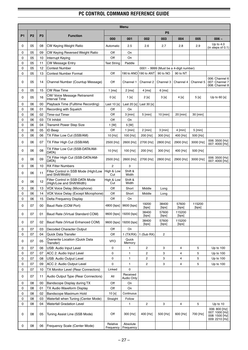|           |                |                |                                                                   |                       | <b>Menu</b>           |                |                |                                             |                 |                                                               |
|-----------|----------------|----------------|-------------------------------------------------------------------|-----------------------|-----------------------|----------------|----------------|---------------------------------------------|-----------------|---------------------------------------------------------------|
|           |                |                |                                                                   |                       |                       |                | P <sub>5</sub> |                                             |                 |                                                               |
| <b>P1</b> | P <sub>2</sub> | P <sub>3</sub> | <b>Function</b>                                                   | 000                   | 001                   | 002            | 003            | 004                                         | 005             | $006 -$                                                       |
| 0         | 05             | 08             | <b>CW Keying Weight Ratio</b>                                     | Automatic             | 2.5                   | 2.6            | 2.7            | 2.8                                         | 2.9             | Up to $4.0$<br>(in steps of $0.1$ )                           |
| 0         | 05             | 09             | <b>CW Keying Reversed Weight Ratio</b>                            | Off                   | On                    |                |                |                                             |                 |                                                               |
| 0         | 05             | 10             | Interrupt Keying                                                  | Off                   | On                    |                |                |                                             |                 |                                                               |
| 0         | 05             | 11             | <b>CW Message Entry</b>                                           | <b>Text String</b>    | Paddle                |                |                |                                             |                 |                                                               |
| 0         | 05             | 12             | <b>Contest Number</b>                                             |                       |                       |                |                | $0001 \sim 9999$ (Must be a 4-digit number) |                 |                                                               |
| 0         | 05             | 13             | <b>Contest Number Format</b>                                      | Off                   | 190 to ANO            | 190 to ANT     | 90 to NO       | 90 to NT                                    |                 |                                                               |
| 0         | 05             | 14             | Channel Number (Countup Message)                                  | Off                   | Channel 1             | Channel 2      | Channel 3      | Channel 4                                   | Channel 5       | 006: Channel 6<br>007: Channel 7<br>008: Channel 8            |
| 0         | 05             | 15             | <b>CW Rise Time</b>                                               | $1$ [ms]              | $2$ [ms]              | $4$ [ms]       | $6$ [ms]       |                                             |                 |                                                               |
| 0         | 05             | 16             | CW/ Voice Message Retransmit<br><b>Interval Time</b>              | 0 <sub>[s]</sub>      | 1 <sub>[s]</sub>      | 2[s]           | 3[s]           | 4 [s]                                       | 5[s]            | Up to $60$ [s]                                                |
| 0         | 06             | 00             | Playback Time (Fulltime Recording)                                | Last $10$ [s]         | Last $20$ [s]         | Last $30$ [s]  |                |                                             |                 |                                                               |
| 0         | 06             | 01             | Recording with Squelch                                            | Off                   | On                    |                |                |                                             |                 |                                                               |
| 0         | 06             | 02             | <b>Time-out Timer</b>                                             | Off                   | $3$ [min]             | $5$ [min]      | $10$ [min]     | 20 [min]                                    | 30 [min]        |                                                               |
| 0         | 06             | 03             | <b>TX Inhibit</b>                                                 | Off                   | On                    |                |                |                                             |                 |                                                               |
| 0         | 06             | 04             | <b>Transmit Power Step Size</b>                                   | $1$ [W]               | 5 [W]                 |                |                |                                             |                 |                                                               |
| 0         | 06             | 05             | <b>ID Beep</b>                                                    | Off                   | $1$ [min]             | $2$ [min]      | $3$ [min]      | $4$ [min]                                   | $5$ [min]       |                                                               |
| 0         | 06             | 06             | TX Filter Low Cut (SSB/AM)                                        | 10 [Hz]               | 100 [Hz]              | 200 [Hz]       | 300 [Hz]       | 400 [Hz]                                    | 500 [Hz]        |                                                               |
| 0         | 06             | 07             | TX Filter High Cut (SSB/AM)                                       | 2500 [Hz]             | 2600 [Hz]             | 2700 [Hz]      | 2800 [Hz]      | 2900 [Hz]                                   | 3000 [Hz]       | 006: 3500 [Hz]<br>007: 4000 [Hz]                              |
| 0         | 06             | 08             | TX Filter Low Cut (SSB-DATA/AM-<br>DATA)                          | 10 [Hz]               | 100 [Hz]              | 200 [Hz]       | 300 [Hz]       | 400 [Hz]                                    | 500 [Hz]        |                                                               |
| 0         | 06             | 09             | TX Filter High Cut (SSB-DATA/AM-<br>DATA)                         | 2500 [Hz]             | 2600 [Hz]             | 2700 [Hz]      | 2800 [Hz]      | 2900 [Hz]                                   | 3000 [Hz]       | 006: 3500 [Hz]<br>007: 4000 [Hz]                              |
| 0         | 06             | 10             | <b>RX Filter Numbers</b>                                          | $\overline{c}$        | 3                     |                |                |                                             |                 |                                                               |
| 0         | 06             | 11             | Filter Control in SSB Mode (High/Low<br>and Shift/Width)          | High & Low<br>Cut     | Shift &<br>Width      |                |                |                                             |                 |                                                               |
| 0         | 06             | 12             | Filter Control in SSB-DATA Mode<br>(High/Low and Shift/Width)     | High & Low<br>Cut     | Shift &<br>Width      |                |                |                                             |                 |                                                               |
| 0         | 06             | 13             | VOX Voice Delay (Microphone)                                      | Off                   | Short                 | Middle         | Long           |                                             |                 |                                                               |
| 0         | 06             | 14             | VOX Voice Delay (Except Microphone)                               | Off                   | Short                 | Middle         | Long           |                                             |                 |                                                               |
| 0         | 06             | 15             | Delta Frequency Display                                           | Off                   | On                    |                |                |                                             |                 |                                                               |
| 0         | 07             | 00             | Baud Rate (COM Port)                                              | 4800 [bps]            | 9600 [bps]            | 19200<br>[bps] | 38400<br>[bps] | 57600<br>[bps]                              | 115200<br>[bps] |                                                               |
| 0         | 07             | 01             | Baud Rate (Virtual Standard COM)                                  | 9600 [bps]            | 19200 [bps]           | 38400<br>[bps] | 57600<br>[bps] | 115200<br>[bps]                             |                 |                                                               |
| 0         | 07             | 02             | Baud Rate (Virtual Enhanced COM)                                  | 9600 [bps]            | 19200 [bps]           | 38400<br>[bps] | 57600<br>[bps] | 115200<br>[bps]                             |                 |                                                               |
| 0         | 07             | 03             | Decoded Character Output                                          | Off                   | On                    |                |                |                                             |                 |                                                               |
| 0         | 07             | 04             | Quick Data Transfer                                               | Off                   | 1(TX/RX)              | $1$ (Sub RX)   | $\mathbf{2}$   |                                             |                 |                                                               |
| 0         | 07             | 05             | Overwrite Location (Quick Data<br>Transfer)                       | <b>VFO</b>            | Quick<br>Memory       |                |                |                                             |                 |                                                               |
| 0         | 07             | 06             | USB: Audio Input Level                                            | 0                     | 1                     | $\overline{c}$ | 3              | 4                                           | 5               | Up to $100$                                                   |
| 0         | 07             | 07             | ACC 2: Audio Input Level                                          | 0                     | 1                     | 2              | 3              | 4                                           | 5               | Up to $100$                                                   |
| 0         | 07             | 08             | USB: Audio Output Level                                           | 0                     | 1                     | 2              | 3              | 4                                           | 5               | Up to $100$                                                   |
| 0         | 07             | 09             | ACC 2: Audio Output Level                                         | 0                     | 1                     | $\overline{2}$ | 3              | $\overline{\mathbf{4}}$                     | 5               | Up to 100                                                     |
| 0         | 07             | 10             | TX Monitor Level (Rear Connectors)                                | Linked                | 0<br>Received         |                |                |                                             |                 |                                                               |
| 0         | 07             | 11             | Audio Output Type (Rear Connectors)                               | All                   | Audio Only            |                |                |                                             |                 |                                                               |
| 0         | 08             | 00             | Bandscope Display during TX                                       | Off                   | On                    |                |                |                                             |                 |                                                               |
| 0         | 08             | 01             | TX Audio Waveform Display                                         | Off                   | On                    |                |                |                                             |                 |                                                               |
| 0         | 08             | 02             | Bandscope Maximum Hold                                            | 10 [s]                | Continuous            |                |                |                                             |                 |                                                               |
| 0         | 08             | 03             | Waterfall when Tuning (Center Mode)                               | Straight              | Follow                |                |                |                                             |                 |                                                               |
| 0<br>0    | 08<br>08       | 04<br>05       | <b>Waterfall Gradation Level</b><br>Tuning Assist Line (SSB Mode) | Off                   | 1<br>300 [Hz]         | 2<br>400 [Hz]  | 3<br>500 [Hz]  | 4<br>600 [Hz]                               | 5<br>700 [Hz]   | Up to 10<br>006: 800 [Hz]<br>007: 1000 [Hz]<br>008: 1500 [Hz] |
| 0         | 08             | 06             | Frequency Scale (Center Mode)                                     | Relative<br>Frequency | Absolute<br>Frequency |                |                |                                             |                 | 009: 2210 [Hz]                                                |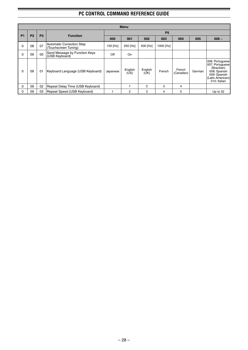|              |                |                |                                                   |          | <b>Menu</b>     |                 |           |                      |        |                                                                                                                       |
|--------------|----------------|----------------|---------------------------------------------------|----------|-----------------|-----------------|-----------|----------------------|--------|-----------------------------------------------------------------------------------------------------------------------|
|              |                | P <sub>3</sub> |                                                   |          |                 |                 | <b>P5</b> |                      |        |                                                                                                                       |
| <b>P1</b>    | P <sub>2</sub> |                | <b>Function</b>                                   | 000      | 001             | 002             | 003       | 004                  | 005    | $006 -$                                                                                                               |
| 0            | 08             | 07             | Automatic Correction Step<br>(Touchscreen Tuning) | 100 [Hz] | 250 [Hz]        | 500 [Hz]        | 1000 [Hz] |                      |        |                                                                                                                       |
| 0            | 09             | 00             | Send Message by Function Keys<br>(USB Keyboard)   | Off      | On              |                 |           |                      |        |                                                                                                                       |
| 0            | 09             | 01             | Keyboard Language (USB Keyboard)                  | Japanese | English<br>(US) | English<br>(UK) | French    | French<br>(Canadian) | German | 006: Portuguese<br>007: Portuguese<br>(Brazilian)<br>008: Spanish<br>009: Spanish<br>(Latin American)<br>010: Italian |
| $\mathbf{0}$ | 09             | 02             | Repeat Delay Time (USB Keyboard)                  |          |                 | $\overline{2}$  | 3         | 4                    |        |                                                                                                                       |
| $\Omega$     | 09             | 03             | Repeat Speed (USB Keyboard)                       |          | 2               | 3               | 4         | 5                    |        | Up to 32                                                                                                              |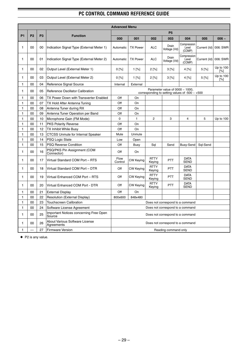.

|              |                |                |                                                     | <b>Advanced Menu</b>                                                                                                                                                                            |                  |                       |                                                                                              |                                |              |                  |  |  |  |  |
|--------------|----------------|----------------|-----------------------------------------------------|-------------------------------------------------------------------------------------------------------------------------------------------------------------------------------------------------|------------------|-----------------------|----------------------------------------------------------------------------------------------|--------------------------------|--------------|------------------|--|--|--|--|
|              |                |                |                                                     |                                                                                                                                                                                                 |                  |                       | P <sub>5</sub>                                                                               |                                |              |                  |  |  |  |  |
| <b>P1</b>    | P <sub>2</sub> | P <sub>3</sub> | <b>Function</b>                                     | 000                                                                                                                                                                                             | 001              | 002                   | 003                                                                                          | 004                            | 005          | $006 -$          |  |  |  |  |
| 1            | 00             | 00             | Indication Signal Type (External Meter 1)           | Automatic                                                                                                                                                                                       | <b>TX Power</b>  | <b>ALC</b>            | Drain<br>Voltage (Vd)                                                                        | Compression<br>Level<br>(COMP) | Current (Id) | 006: SWR         |  |  |  |  |
| 1            | 00             | 01             | Indication Signal Type (External Meter 2)           | Compression<br>Drain<br><b>TX Power</b><br><b>ALC</b><br>006: SWR<br>Automatic<br>Level<br>Current (Id)<br>Voltage (Vd)<br>(COMP)<br>0 [%]<br>1 [%]<br>2 [%]<br>$3^{[%]}$<br>4 [%]<br>$5^{[%]}$ |                  |                       |                                                                                              |                                |              |                  |  |  |  |  |
| $\mathbf{1}$ | 00             | 02             | Output Level (External Meter 1)                     | Up to 100<br>[%]<br>2 [%]<br>$5^{96}$<br>0 [%]<br>$1^{96}$<br>$3^{96}$<br>4 [%]                                                                                                                 |                  |                       |                                                                                              |                                |              |                  |  |  |  |  |
| 1            | 00             | 03             | Output Level (External Meter 2)                     |                                                                                                                                                                                                 |                  |                       |                                                                                              |                                |              | Up to 100<br>[%] |  |  |  |  |
| 1.           | 00             | 04             | Reference Signal Source                             | Internal                                                                                                                                                                                        | External         |                       |                                                                                              |                                |              |                  |  |  |  |  |
| 1            | 00             | 05             | <b>Reference Oscillator Calibration</b>             |                                                                                                                                                                                                 |                  |                       | Parameter value of $0000 \sim 1000$ ,<br>corresponding to setting values of -500 $\sim$ +500 |                                |              |                  |  |  |  |  |
| 1            | 00             | 06             | TX Power Down with Transverter Enabled              | Off                                                                                                                                                                                             | On               |                       |                                                                                              |                                |              |                  |  |  |  |  |
| $\mathbf{1}$ | 00             | 07             | TX Hold After Antenna Tuning                        | Off                                                                                                                                                                                             | On               |                       |                                                                                              |                                |              |                  |  |  |  |  |
| 1.           | 00             | 08             | Antenna Tuner during RX                             | Off                                                                                                                                                                                             | On               |                       |                                                                                              |                                |              |                  |  |  |  |  |
| 1            | 00             | 09             | Antenna Tuner Operation per Band                    | Off                                                                                                                                                                                             | On               |                       |                                                                                              |                                |              |                  |  |  |  |  |
| 1            | 00             | 10             | Microphone Gain (FM Mode)                           | $\Omega$                                                                                                                                                                                        | $\mathbf{1}$     | $\overline{2}$        | 3                                                                                            | 4                              | 5            | Up to 100        |  |  |  |  |
| 1            | 00             | 11             | <b>PKS Polarity Reverse</b>                         | Off<br>On                                                                                                                                                                                       |                  |                       |                                                                                              |                                |              |                  |  |  |  |  |
| 1            | 00             | 12             | TX Inhibit While Busy                               | Off<br>On                                                                                                                                                                                       |                  |                       |                                                                                              |                                |              |                  |  |  |  |  |
| $\mathbf{1}$ | 00             | 13             | <b>CTCSS Unmute for Internal Speaker</b>            | Mute<br>Unmute                                                                                                                                                                                  |                  |                       |                                                                                              |                                |              |                  |  |  |  |  |
| $\mathbf{1}$ | 00             | 14             | <b>PSQ Logic State</b>                              | Low<br>Open                                                                                                                                                                                     |                  |                       |                                                                                              |                                |              |                  |  |  |  |  |
| 1            | 00             | 15             | <b>PSQ Reverse Condition</b>                        | Off<br>Send<br>Busy-Send<br>Sql-Send<br>Busy<br>Sql                                                                                                                                             |                  |                       |                                                                                              |                                |              |                  |  |  |  |  |
| 1            | 00             | 16             | PSQ/PKS Pin Assignment (COM<br>Connector)           | Off<br>On                                                                                                                                                                                       |                  |                       |                                                                                              |                                |              |                  |  |  |  |  |
| 1            | 00             | 17             | Virtual Standard COM Port - RTS                     | Flow<br><b>RTTY</b><br><b>DATA</b><br><b>CW Keying</b><br><b>PTT</b><br><b>SEND</b><br>Control<br>Keying                                                                                        |                  |                       |                                                                                              |                                |              |                  |  |  |  |  |
| 1            | 00             | 18             | Virtual Standard COM Port - DTR                     | Off                                                                                                                                                                                             | <b>CW Keying</b> | <b>RTTY</b><br>Keying | <b>PTT</b>                                                                                   | <b>DATA</b><br><b>SEND</b>     |              |                  |  |  |  |  |
| 1            | 00             | 19             | Virtual Enhanced COM Port - RTS                     | <b>RTTY</b><br><b>DATA</b><br>Off<br><b>PTT</b><br><b>CW Keying</b><br><b>SEND</b><br>Keying                                                                                                    |                  |                       |                                                                                              |                                |              |                  |  |  |  |  |
| 1            | 00             | 20             | Virtual Enhanced COM Port - DTR                     | <b>RTTY</b><br><b>DATA</b><br>Off<br>CW Keying<br><b>PTT</b><br><b>SEND</b><br>Keying                                                                                                           |                  |                       |                                                                                              |                                |              |                  |  |  |  |  |
| 1            | 00             | 21             | <b>External Display</b>                             | Off                                                                                                                                                                                             | On               |                       |                                                                                              |                                |              |                  |  |  |  |  |
| 1            | 00             | 22             | <b>Resolution (External Display)</b>                | 800x600                                                                                                                                                                                         | 848x480          |                       |                                                                                              |                                |              |                  |  |  |  |  |
| 1            | 00             | 23             | <b>Touchscreen Calibration</b>                      |                                                                                                                                                                                                 |                  |                       | Does not correspond to a command                                                             |                                |              |                  |  |  |  |  |
| $\mathbf{1}$ | 00             | 24             | Software License Agreement                          |                                                                                                                                                                                                 |                  |                       | Does not correspond to a command                                                             |                                |              |                  |  |  |  |  |
| 1            | 00             | 25             | Important Notices concerning Free Open<br>Source    |                                                                                                                                                                                                 |                  |                       | Does not correspond to a command                                                             |                                |              |                  |  |  |  |  |
| 1            | 00             | 26             | <b>About Various Software License</b><br>Agreements |                                                                                                                                                                                                 |                  |                       | Does not correspond to a command                                                             |                                |              |                  |  |  |  |  |
| 1            |                | 27             | <b>Firmware Version</b>                             | Reading command only                                                                                                                                                                            |                  |                       |                                                                                              |                                |              |                  |  |  |  |  |

◆ P2 is any value.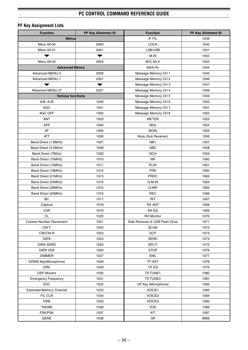.

## **PF Key Assignment Lists**

| <b>Function</b>                          | PF Key Allotment ID  | <b>Function</b>                 | PF Key Allotment ID |  |  |
|------------------------------------------|----------------------|---------------------------------|---------------------|--|--|
| <b>Menus</b>                             |                      | IF FIL                          | 1039                |  |  |
| Menu 00-00                               | 0000                 | <b>LOCK</b>                     | 1040                |  |  |
| Menu 00-01                               | 0001                 | LSB/USB                         | 1041                |  |  |
| ▼                                        | $\blacktriangledown$ | M.IN                            | 1042                |  |  |
| Menu 09-03                               | 0903                 | M/V, M>V                        | 1043                |  |  |
| <b>Advanced Menus</b>                    |                      | MAX-Po                          | 1044                |  |  |
| Advanced MENU 0                          | 2000                 | Message Memory CH 1             | 1045                |  |  |
| <b>Advanced MENU 1</b>                   | 2001                 | Message Memory CH 2             | 1046                |  |  |
|                                          |                      | Message Memory CH 3             | 1047                |  |  |
| Advanced MENU 27                         | 2027                 | Message Memory CH 4             | 1048                |  |  |
| <b>Various functions</b>                 |                      | Message Memory CH 5             | 1049                |  |  |
| $A/B, A=B$                               | 1000                 | Message Memory CH 6             | 1050                |  |  |
| <b>AGC</b>                               | 1001                 | Message Memory CH 7             | 1051                |  |  |
| AGC OFF                                  | 1002                 | Message Memory CH 8             | 1052                |  |  |
| ANT                                      | 1003                 | <b>METER</b>                    | 1053                |  |  |
| <b>APF</b>                               | 1004                 | MHz                             | 1054                |  |  |
| AT                                       | 1005                 | <b>MONI</b>                     | 1055                |  |  |
| <b>ATT</b>                               | 1006                 | Mute (Sub Receiver)             | 1056                |  |  |
| Band Direct (1.8MHz)                     | 1007                 | NB1                             | 1057                |  |  |
| Band Direct (3.5MHz)                     | 1008                 | NB <sub>2</sub>                 | 1058                |  |  |
| Band Direct (7MHz)                       | 1009                 | <b>NCH</b>                      | 1059                |  |  |
| Band Direct (10MHz)                      | 1010                 | <b>NR</b>                       | 1060                |  |  |
| Band Direct (14MHz)                      | 1011                 | <b>PLAY</b>                     | 1061                |  |  |
|                                          | 1012                 | PRE                             | 1062                |  |  |
| Band Direct (18MHz)                      | 1013                 | <b>PROC</b>                     | 1063                |  |  |
| Band Direct (21MHz)                      |                      |                                 |                     |  |  |
| Band Direct (24MHz)                      | 1014<br>1015         | Q-M.IN<br>Q-MR                  | 1064<br>1065        |  |  |
| Band Direct (28MHz)                      | 1016                 | <b>REC</b>                      | 1066                |  |  |
| Band Direct (50MHz)<br>BC                | 1017                 | <b>RIT</b>                      | 1067                |  |  |
|                                          | 1018                 | <b>RX ANT</b>                   | 1068                |  |  |
| Capture<br>CAR                           | 1019                 | RX EQ                           | 1069                |  |  |
| CL                                       | 1020                 | <b>RX Monitor</b>               | 1070                |  |  |
| <b>Contest Number Decrement</b>          | 1021                 | Safe Removal of USB Flash Drive | 1071                |  |  |
| CWT.                                     | 1022                 | <b>SCAN</b>                     | 1072                |  |  |
| CW/CW-R                                  | 1023                 | <b>SCP</b>                      | 1073                |  |  |
| <b>DATA</b>                              | 1024                 | <b>SEND</b>                     | 1074                |  |  |
| <b>DATA SEND</b>                         | 1025                 | <b>SPLIT</b>                    | 1075                |  |  |
| DATA VOX                                 | 1026                 | <b>STOP</b>                     | 1076                |  |  |
| <b>DIMMER</b>                            | 1027                 | SWL                             | 1077                |  |  |
| DOWN Key(Microphone)                     | 1028                 | TF-SET                          | 1078                |  |  |
| <b>DRV</b>                               | 1029                 | TX EQ                           | 1079                |  |  |
| <b>DSP Monitor</b>                       | 1030                 | TX TUNE1                        | 1080                |  |  |
|                                          | 1031                 | TX TUNE2                        | 1081                |  |  |
| <b>Emergency Frequency</b><br><b>ESC</b> | 1032                 | UP Key (Microphone)             | 1082                |  |  |
|                                          |                      |                                 |                     |  |  |
| <b>Extended Memory Channel</b>           | 1033                 | VOICE1                          | 1083<br>1084        |  |  |
| FIL CLR                                  | 1034                 | VOICE2                          | 1085                |  |  |
| <b>FINE</b>                              | 1035                 | VOICE3                          |                     |  |  |
| FM/AM                                    | 1036                 | <b>VOX</b>                      | 1086                |  |  |
| FSK/PSK                                  | 1037                 | XIT                             | 1087                |  |  |
| <b>GENE</b>                              | 1038                 | Off                             | 9999                |  |  |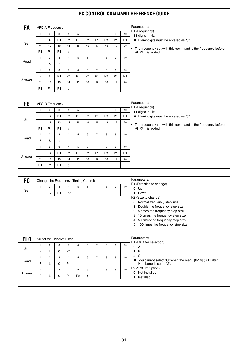| FA     |                | VFO A Frequency |                      |                                       |                |                |                |                |                |           | Parameters:                                                                      |
|--------|----------------|-----------------|----------------------|---------------------------------------|----------------|----------------|----------------|----------------|----------------|-----------|----------------------------------------------------------------------------------|
|        |                | 2               | 3                    | 4                                     | 5              | 6              | $\overline{7}$ | 8              | 9              | 10        | P1 (Frequency)<br>11 digits in Hz                                                |
|        | F              | A               | P <sub>1</sub>       | P <sub>1</sub>                        | P <sub>1</sub> | P <sub>1</sub> | P <sub>1</sub> | P <sub>1</sub> | P <sub>1</sub> | <b>P1</b> | ◆ Blank digits must be entered as "0".                                           |
| Set    | 11             | 12              | 13                   | 14                                    | 15             | 16             | 17             | 18             | 19             | 20        |                                                                                  |
|        | P <sub>1</sub> | P <sub>1</sub>  | P <sub>1</sub>       | $\bullet$<br>$\overline{\phantom{a}}$ |                |                |                |                |                |           | The frequency set with this command is the frequency before<br>RIT/XIT is added. |
|        |                | $\overline{2}$  | 3                    | 4                                     | 5              | 6              | 7              | 8              | 9              | 10        |                                                                                  |
| Read   | F              | A               | $\bullet$<br>$\cdot$ |                                       |                |                |                |                |                |           |                                                                                  |
|        |                | $\overline{2}$  | 3                    | 4                                     | 5              | 6              | 7              | 8              | 9              | 10        |                                                                                  |
|        | F              | A               | P <sub>1</sub>       | P <sub>1</sub>                        | P <sub>1</sub> | P <sub>1</sub> | P <sub>1</sub> | P <sub>1</sub> | P <sub>1</sub> | <b>P1</b> |                                                                                  |
| Answer | 11             | 12              | 13                   | 14                                    | 15             | 16             | 17             | 18             | 19             | 20        |                                                                                  |
|        | P <sub>1</sub> | P <sub>1</sub>  | P <sub>1</sub>       | $\bullet$<br>$\overline{\phantom{a}}$ |                |                |                |                |                |           |                                                                                  |

| FB     |                | <b>VFO B Frequency</b> |                      |                      |                |                |                |                |                |                | Parameters:                                                      |
|--------|----------------|------------------------|----------------------|----------------------|----------------|----------------|----------------|----------------|----------------|----------------|------------------------------------------------------------------|
|        |                | $\overline{2}$         | 3                    | $\overline{4}$       | 5              | 6              | 7              | 8              | 9              | 10             | P1 (Frequency)<br>11 digits in Hz                                |
|        | F              | B                      | P <sub>1</sub>       | P <sub>1</sub>       | P <sub>1</sub> | P <sub>1</sub> | P <sub>1</sub> | P <sub>1</sub> | P <sub>1</sub> | <b>P1</b>      | ♦ Blank digits must be entered as "0".                           |
| Set    | 11             | 12                     | 13                   | 14                   | 15             | 16             | 17             | 18             | 19             | 20             | The frequency set with this command is the frequency before<br>٠ |
|        | P <sub>1</sub> | P <sub>1</sub>         | P <sub>1</sub>       | $\ddot{\phantom{0}}$ |                |                |                |                |                |                | RIT/XIT is added.                                                |
|        |                | $\overline{2}$         | 3                    | $\overline{4}$       | 5              | 6              | $\overline{7}$ | 8              | 9              | 10             |                                                                  |
| Read   | F              | B                      | $\bullet$<br>$\cdot$ |                      |                |                |                |                |                |                |                                                                  |
|        |                | $\overline{2}$         | 3                    | 4                    | 5              | 6              | $\overline{7}$ | 8              | 9              | 10             |                                                                  |
|        | F              | B                      | P <sub>1</sub>       | P <sub>1</sub>       | P <sub>1</sub> | P <sub>1</sub> | P <sub>1</sub> | P <sub>1</sub> | P <sub>1</sub> | P <sub>1</sub> |                                                                  |
| Answer | 11             | 12                     | 13                   | 14                   | 15             | 16             | 17             | 18             | 19             | 20             |                                                                  |
|        | P <sub>1</sub> | P <sub>1</sub>         | P <sub>1</sub>       | $\cdot$<br>$\cdot$   |                |                |                |                |                |                |                                                                  |

| FC  |   |                |                | Change the Frequency (Tuning Control) |   |   |   |                               |                                   | Parameters:                          |
|-----|---|----------------|----------------|---------------------------------------|---|---|---|-------------------------------|-----------------------------------|--------------------------------------|
|     |   | $\overline{2}$ | 3              |                                       | 5 | 6 | 8 | 10                            | P1 (Direction to change)<br>0:Up  |                                      |
| Set | F | C              | P <sub>1</sub> | P <sub>2</sub>                        |   |   |   |                               | 1: Down                           |                                      |
|     |   |                |                |                                       |   |   |   |                               |                                   | P2 (Size to change)                  |
|     |   |                |                |                                       |   |   |   | 0: Normal frequency step size |                                   |                                      |
|     |   |                |                |                                       |   |   |   |                               | 1: Double the frequency step size |                                      |
|     |   |                |                |                                       |   |   |   |                               |                                   | 2: 5 times the frequency step size   |
|     |   |                |                |                                       |   |   |   |                               |                                   | 3: 10 times the frequency step size  |
|     |   |                |                |                                       |   |   |   |                               |                                   | 4: 50 times the frequency step size  |
|     |   |                |                |                                       |   |   |   |                               |                                   | 5: 100 times the frequency step size |

| <b>FLO</b> |   | Select the Receive Filter |   |                |                |                                       |   |   |    | Parameters:                                                                        |
|------------|---|---------------------------|---|----------------|----------------|---------------------------------------|---|---|----|------------------------------------------------------------------------------------|
|            |   |                           | 3 | 4              | 5              | 6                                     | 8 | 9 | 10 | P1 (RX filter selection)<br>0: A                                                   |
| Set        | F |                           | 0 | P <sub>1</sub> | $\cdot$        |                                       |   |   |    | 1: B                                                                               |
|            |   | $\overline{2}$            | 3 | 4              | 5              | 6                                     | 8 | 9 | 10 | 2: C                                                                               |
| Read       | F |                           | 0 | P <sub>1</sub> | $\cdot$        |                                       |   |   |    | ◆ You cannot select "C" when the menu [6-10] (RX Filter<br>Numbers) is set to "2". |
|            |   | $\overline{2}$            | 3 | 4              | 5              | 6                                     | 8 | 9 | 10 | P2 (270 Hz Option)                                                                 |
| Answer     | F |                           | 0 | P <sub>1</sub> | P <sub>2</sub> | $\bullet$<br>$\overline{\phantom{a}}$ |   |   |    | 0: Not installed<br>1: Installed                                                   |
|            |   |                           |   |                |                |                                       |   |   |    |                                                                                    |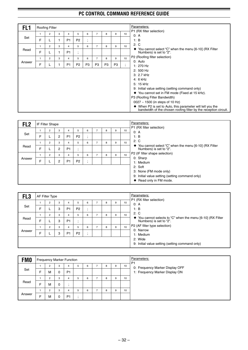| FL1    |   | <b>Roofing Filter</b> |   |                |                |                      |                |    |                |                               | Parameters:                                                                                                                       |
|--------|---|-----------------------|---|----------------|----------------|----------------------|----------------|----|----------------|-------------------------------|-----------------------------------------------------------------------------------------------------------------------------------|
|        |   | 2                     | 3 | 4              | 5              | 6                    | $\overline{ }$ | 8  | 9              | 10                            | P1 (RX filter selection)<br>0: A                                                                                                  |
| Set    | F |                       | 1 | P <sub>1</sub> | P <sub>2</sub> | $\bullet$<br>$\cdot$ |                |    |                |                               | 1: B                                                                                                                              |
|        |   | 2                     | 3 | 4              | 5              | 6                    | $\overline{7}$ | 8  | 9              | 10                            | 2: C                                                                                                                              |
| Read   | F |                       |   | P <sub>1</sub> | $\cdot$        |                      |                |    |                |                               | $\blacklozenge$ You cannot select "C" when the menu [6-10] (RX Filter<br>Numbers) is set to "2".                                  |
|        |   | 2                     | 3 | 4              | 5              | 6                    | 7              | 8  | 9              | 10                            | P2 (Roofing filter selection)                                                                                                     |
| Answer | F |                       |   | P <sub>1</sub> | P <sub>2</sub> | P <sub>3</sub>       | P <sub>3</sub> | P3 | P <sub>3</sub> | ٠<br>$\overline{\phantom{a}}$ | 0: Auto<br>1: $270$ Hz                                                                                                            |
|        |   |                       |   |                |                |                      |                |    |                |                               | 2: 500 Hz                                                                                                                         |
|        |   |                       |   |                |                |                      |                |    |                |                               | 3: 2.7 kHz                                                                                                                        |
|        |   |                       |   |                |                |                      |                |    |                |                               | 4: $6$ kHz                                                                                                                        |
|        |   |                       |   |                |                |                      |                |    |                |                               | 5: 15 kHz                                                                                                                         |
|        |   |                       |   |                |                |                      |                |    |                |                               | 9: Initial value setting (setting command only)                                                                                   |
|        |   |                       |   |                |                |                      |                |    |                |                               | ◆ You cannot set in FM mode (Fixed at 15 kHz).                                                                                    |
|        |   |                       |   |                |                |                      |                |    |                |                               | P3 (Roofing Filter Bandwidth)                                                                                                     |
|        |   |                       |   |                |                |                      |                |    |                |                               | 0027 ~ 1500 (in steps of 10 Hz)                                                                                                   |
|        |   |                       |   |                |                |                      |                |    |                |                               | When P2 is set to Auto, this parameter will tell you the<br>٠<br>bandwidth of the chosen roofing filter by the reception circuit. |

| FL <sub>2</sub> |   | IF Filter Shape |   |                |                      |                                       |   |   |    | Parameters:                                                                      |
|-----------------|---|-----------------|---|----------------|----------------------|---------------------------------------|---|---|----|----------------------------------------------------------------------------------|
|                 |   | $\overline{2}$  | 3 | 4              | 5                    | 6                                     | 8 | 9 | 10 | P1 (RX filter selection)<br>0: A                                                 |
| Set             | F |                 | 2 | P <sub>1</sub> | P <sub>2</sub>       | $\bullet$<br>$\overline{\phantom{a}}$ |   |   |    | 1: B                                                                             |
|                 |   | 2               | 3 | 4              | 5                    | 6                                     | 8 | 9 | 10 | 2: C                                                                             |
| Read            | F |                 | 2 | P <sub>1</sub> | $\bullet$<br>$\cdot$ |                                       |   |   |    | You cannot select "C" when the menu [6-10] (RX Filter<br>Numbers) is set to "2". |
|                 |   | $\overline{2}$  | 3 | 4              | 5                    | 6                                     | 8 | 9 | 10 | P2 (IF filter shape selection)                                                   |
| Answer          | F |                 | 2 | P <sub>1</sub> | P <sub>2</sub>       | $\bullet$<br>$\overline{ }$           |   |   |    | 0: Sharp<br>1: Medium                                                            |
|                 |   |                 |   |                |                      |                                       |   |   |    | 2: Soft                                                                          |
|                 |   |                 |   |                |                      |                                       |   |   |    | 3: None (FM mode only)                                                           |
|                 |   |                 |   |                |                      |                                       |   |   |    | 9: Initial value setting (setting command only)                                  |
|                 |   |                 |   |                |                      |                                       |   |   |    | Read only in FM mode.<br>٠                                                       |

| FL <sub>3</sub> |   | AF Filter Type |   |                |                |           |   |   |                                                            |    | Parameters:                                                       |
|-----------------|---|----------------|---|----------------|----------------|-----------|---|---|------------------------------------------------------------|----|-------------------------------------------------------------------|
|                 |   | $\overline{2}$ | 3 | 4              | 5              | 6         |   | 8 | 9                                                          | 10 | P1 (RX filter selection)<br>0. A                                  |
| Set             | F |                | 3 | P <sub>1</sub> | P <sub>2</sub> | $\bullet$ |   |   |                                                            |    | 1: B                                                              |
|                 |   | $\overline{2}$ | 3 | 4              | 5              | 6         | ⇁ | 8 | 9                                                          | 10 | 2: C<br>You cannot selects to "C" when the menu [6-10] (RX Filter |
| Read            | F |                | 3 | P <sub>1</sub> | $\blacksquare$ |           |   |   |                                                            |    | Numbers) is set to "2".                                           |
|                 |   | $\overline{2}$ | 3 | 4              | 5              | 6         | 7 | 8 | 9                                                          | 10 | P2 (AF filter type selection)                                     |
| Answer          | F |                | 3 | P <sub>1</sub> | P <sub>2</sub> |           |   |   |                                                            |    | 0: Narrow<br>1: Medium                                            |
|                 |   |                |   |                |                |           |   |   | 2: Wide<br>9: Initial value setting (setting command only) |    |                                                                   |

| <b>FMO</b> |   | Frequency Marker Function |        |                     |   |   |   |   |    | Parameters:<br>P <sub>1</sub>                                     |
|------------|---|---------------------------|--------|---------------------|---|---|---|---|----|-------------------------------------------------------------------|
| Set        | E | 2<br>M                    | 3<br>0 | 4<br>P <sub>1</sub> | 5 | 6 | 8 | 9 | 10 | 0: Frequency Marker Display OFF<br>1: Frequency Marker Display ON |
| Read       |   | 2                         | 3      | 4                   | 5 | 6 | 8 | 9 | 10 |                                                                   |
|            | E | M<br>2                    | 0<br>3 | 4                   | 5 | 6 | 8 | 9 | 10 |                                                                   |
| Answer     | E | М                         | 0      | P <sub>1</sub>      |   |   |   |   |    |                                                                   |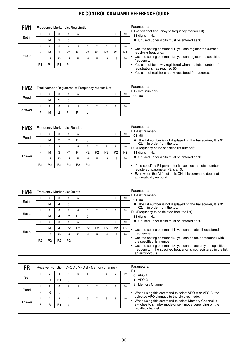| FM1   |                |                |                |                | <b>Frequency Marker List Registration</b> |                |                |                |                |                                                                       | Parameters:                                                                          |
|-------|----------------|----------------|----------------|----------------|-------------------------------------------|----------------|----------------|----------------|----------------|-----------------------------------------------------------------------|--------------------------------------------------------------------------------------|
|       |                | 2              | 3              | 4              | 5                                         | 6              |                | 8              | 10             | P1 (Additional frequency to frequency marker list)<br>11 digits in Hz |                                                                                      |
| Set 1 | F              | М              |                | $\cdot$        |                                           |                |                |                |                |                                                                       | ◆ Unused upper digits must be entered as "0".                                        |
|       |                | $\overline{2}$ | 3              | 4              | 5                                         | 6              | ⇁              | R              | 9              | 10                                                                    | Use the setting command 1, you can register the current                              |
|       | F              | м              |                | P <sub>1</sub> | P <sub>1</sub>                            | P <sub>1</sub> | P <sub>1</sub> | P <sub>1</sub> | P <sub>1</sub> | P <sub>1</sub>                                                        | receiving frequency.                                                                 |
| Set 2 | 11             | 12             | 13             | 14             | 15                                        | 16             | 17             | 18             | 19             | 20                                                                    | Use the setting command 2, you can register the specified<br>frequency.              |
|       | P <sub>1</sub> | P <sub>1</sub> | P <sub>1</sub> | P <sub>1</sub> | ٠.                                        |                |                |                |                |                                                                       | You cannot be newly registered when the total number of                              |
|       |                |                |                |                |                                           |                |                |                |                |                                                                       | registrations has reached 50.<br>You cannot register already registered frequencies. |

| FM <sub>2</sub> |                                       | Total Number Registered of Frequency Marker List |   |                |                |   |  |   |   |    | Parameters:<br>P1 (Total number) |
|-----------------|---------------------------------------|--------------------------------------------------|---|----------------|----------------|---|--|---|---|----|----------------------------------|
|                 | 10<br>ົ<br>3<br>6<br>9<br>8<br>4<br>▱ |                                                  |   |                |                |   |  |   |   |    | $00 - 50$                        |
| Read            | -                                     | M                                                | 2 |                |                |   |  |   |   |    |                                  |
|                 |                                       | ◠<br>▱                                           | 3 | 4              |                | 6 |  | 8 | 9 | 10 |                                  |
| Answer          | −                                     | м                                                | ົ | P <sub>1</sub> | P <sub>1</sub> |   |  |   |   |    |                                  |

| FM <sub>3</sub> |                | Frequency Marker List Readout |                |                |                |                |                |                |                                                                                                                        |                                                                                               | Parameters:                                                 |
|-----------------|----------------|-------------------------------|----------------|----------------|----------------|----------------|----------------|----------------|------------------------------------------------------------------------------------------------------------------------|-----------------------------------------------------------------------------------------------|-------------------------------------------------------------|
|                 |                | 2                             | 3              | 4              | 5              | 6              |                | 8              | 9                                                                                                                      | 10                                                                                            | P1 (List number)<br>$01 - 50$                               |
| Read            | F              | M                             | 3              | P <sub>1</sub> | P <sub>1</sub> |                |                |                |                                                                                                                        | The list number is not displayed on the transceiver, It is 01,<br>02,  in order from the top. |                                                             |
|                 |                | 2                             | 3              | 4              | 5              | 6              | ⇁              | 8              | 9                                                                                                                      | 10                                                                                            | P2 (Frequency of the specified list number)                 |
|                 | E              | M                             | 3              | P <sub>1</sub> | P <sub>1</sub> | P <sub>2</sub> | P <sub>2</sub> | P <sub>2</sub> | P <sub>2</sub>                                                                                                         | P <sub>2</sub>                                                                                | 11 digits in Hz                                             |
| Answer          | 11             | 12                            | 13             | 14             | 15             | 16             | 17             | 18             | 19                                                                                                                     | 20                                                                                            | $\blacklozenge$ Unused upper digits must be entered as "0". |
|                 | P <sub>2</sub> | P <sub>2</sub>                | P <sub>2</sub> | P <sub>2</sub> | P <sub>2</sub> | P <sub>2</sub> |                |                |                                                                                                                        |                                                                                               | If the specified P1 parameter is exceeds the total number   |
|                 |                |                               |                |                |                |                |                |                | registered, parameter P2 is all 0.<br>Even when the AI function is ON, this command does not<br>automatically respond. |                                                                                               |                                                             |

| FM4   |                |                |                | <b>Frequency Marker List Delete</b> |                |                |                |                |                |                | Parameters:                                                                                                                                              |
|-------|----------------|----------------|----------------|-------------------------------------|----------------|----------------|----------------|----------------|----------------|----------------|----------------------------------------------------------------------------------------------------------------------------------------------------------|
|       |                | 2              | 3              | 4                                   | 5              | 6              |                | 8              | 9              | 10             | P1 (List number)<br>$01 - 50$                                                                                                                            |
| Set 1 | F              | M              | 4              | $\cdot$                             |                |                |                |                |                |                | The list number is not displayed on the transceiver, It is 01,<br>$\bullet$                                                                              |
|       |                | 2              | 3              | 4                                   | 5              | 6              | $\overline{ }$ | 8              | 9              | 10             | 02,  in order from the top.                                                                                                                              |
| Set 2 |                |                |                |                                     |                |                |                |                |                |                | P2 (Frequency to be deleted from the list)                                                                                                               |
|       | F              | М              | 4              | P <sub>1</sub>                      | P <sub>1</sub> | $\overline{ }$ |                |                |                |                | 11 digits in Hz                                                                                                                                          |
|       |                | $\overline{2}$ | 3              | 4                                   | 5              | 6              | $\overline{ }$ | 8              | 9              | 10             | Unused upper digits must be entered as "0".<br>٠                                                                                                         |
| Set 3 | F              | М              | 4              | P <sub>2</sub>                      | P <sub>2</sub> | P <sub>2</sub> | P <sub>2</sub> | P <sub>2</sub> | P <sub>2</sub> | P <sub>2</sub> | Use the setting command 1, you can delete all registered                                                                                                 |
|       | 11             | 12             | 13             | 14                                  | 15             | 16             | 17             | 18             | 19             | 20             | frequencies.                                                                                                                                             |
|       | P <sub>2</sub> | P <sub>2</sub> | P <sub>2</sub> | P <sub>2</sub>                      |                |                |                |                |                |                | Use the setting command 2, you can delete a frequency with<br>the specified list number.                                                                 |
|       |                |                |                |                                     |                |                |                |                |                |                | Use the setting command 3, you can delete only the specified<br>frequency. If the specified frequency is not registered in the list,<br>an error occurs. |

| FR     |   |                |                | Receiver Function (VFO A / VFO B / Memory channel) |   |   |         |    | Parameters:<br>P <sub>1</sub>                                                                     |
|--------|---|----------------|----------------|----------------------------------------------------|---|---|---------|----|---------------------------------------------------------------------------------------------------|
|        |   | 2              | 3              | 5                                                  | 6 | 8 | 9       | 10 | 0: VFO A                                                                                          |
| Set    | F | R              | P <sub>1</sub> |                                                    |   |   | 1: VFOB |    |                                                                                                   |
|        |   |                | 3              | 5                                                  | 6 | 8 | 9       | 10 | 3: Memory Channel                                                                                 |
| Read   | F | R              |                |                                                    |   |   |         |    | • When using this command to select VFO A or VFO B, the                                           |
|        |   | $\overline{2}$ | 3              | 5                                                  | 6 | 8 | 9       | 10 | selected VFO changes to the simplex mode.<br>When using this command to select Memory Channel, it |
| Answer | F | R              | P <sub>1</sub> |                                                    |   |   |         |    | switches to simplex mode or split mode depending on the                                           |
|        |   |                |                |                                                    |   |   |         |    | recalled channel.                                                                                 |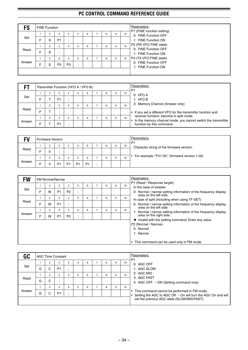| FS     |   | <b>FINE Function</b> |                |                |         |   |   |   |   | Parameters: |                                                    |
|--------|---|----------------------|----------------|----------------|---------|---|---|---|---|-------------|----------------------------------------------------|
|        |   | 2                    | 3              | 4              | b.      | 6 |   | 8 | 9 | 10          | P1 (FINE function setting)<br>0: FINE Function OFF |
| Set    | F | S                    | P <sub>1</sub> | $\bullet$      |         |   |   |   |   |             | 1: FINE Function ON                                |
|        |   | $\overline{2}$       | 3              | 4              | 5       | 6 |   | 8 | 9 | 10          | P2 (RX VFO FINE state)<br>0: FINE Function OFF     |
| Read   | Ë | S                    | ٠.             |                |         |   |   |   |   |             | 1: FINE Function ON                                |
|        |   | $\overline{2}$       | 3              | 4              | 5       | 6 | ⇁ | 8 | 9 | 10          | P3 (TX VFO FINE state)                             |
| Answer | F | S                    | P <sub>2</sub> | P <sub>3</sub> | $\cdot$ |   |   |   |   |             | 0: FINE Function OFF<br>1: FINE Function ON        |
|        |   |                      |                |                |         |   |   |   |   |             |                                                    |

|        |   |                | Transmitter Function (VFO A / VFO B) |   |   |   |   | Parameters:<br>P <sub>1</sub> |                                                                                                           |
|--------|---|----------------|--------------------------------------|---|---|---|---|-------------------------------|-----------------------------------------------------------------------------------------------------------|
|        |   |                | 3                                    |   | 6 | 8 | 9 | 10                            | 0: VFO A                                                                                                  |
| Set    | ⊏ |                | P <sub>1</sub>                       |   |   |   |   |                               | 1: VFOB                                                                                                   |
|        |   |                | 3                                    |   | 6 | 8 | 9 | 10                            | 3: Memory Channel (Answer only)                                                                           |
| Read   | E |                |                                      |   |   |   |   |                               | If you set a different VFO for the transmitter function and                                               |
|        |   | $\overline{2}$ | 3                                    | 4 | 6 | 8 | 9 | 10                            | receiver function, become in split mode.<br>In the memory channel mode, you cannot switch the transmitter |
| Answer | ⊏ |                | P <sub>1</sub>                       |   |   |   |   |                               | function by this command.                                                                                 |

| <b>FV</b> |  | <sup>1</sup> Firmware Version |                |                |                |    |   |   | Parameters:<br>P <sub>1</sub> |                                                |
|-----------|--|-------------------------------|----------------|----------------|----------------|----|---|---|-------------------------------|------------------------------------------------|
|           |  |                               |                |                | 6              |    | 8 | 9 | 10                            | Character string of the firmware version.      |
| Read      |  |                               |                |                |                |    |   |   |                               |                                                |
|           |  |                               |                |                | 6              |    |   |   | 10                            | For example: "FV1.00;" (firmware version 1.00) |
| Answer    |  | D <sub>1</sub>                | P <sub>1</sub> | P <sub>1</sub> | P <sub>1</sub> | ۰. |   |   |                               |                                                |

| <b>FW</b> |   |   | <b>FM Normal/Narrow</b> |                      |         |   |                |   |   |    | Parameters:                                                                               |
|-----------|---|---|-------------------------|----------------------|---------|---|----------------|---|---|----|-------------------------------------------------------------------------------------------|
| Set       |   | 2 | 3                       | 4                    | 5       | 6 |                | 8 | 9 | 10 | P1 (Read / Response target)<br>In the case of simplex                                     |
|           | F | w | P <sub>1</sub>          | P <sub>2</sub>       | $\cdot$ |   |                |   |   |    | 0: Normal / narrow setting information of the frequency display<br>area on the left side. |
| Read      |   | 2 | 3                       | $\overline{4}$       | 5       | 6 | -              | 8 | 9 | 10 | In case of split (including when using TF-SET)                                            |
|           | F | w | P <sub>1</sub>          | $\bullet$<br>$\cdot$ |         |   |                |   |   |    | 0: Normal / narrow setting information of the frequency display<br>area on the left side. |
|           |   | 2 | 3                       | 4                    | 5       | 6 | $\overline{ }$ | 8 | 9 | 10 | 1: Normal / narrow setting information of the frequency display                           |
| Answer    | F | w | P <sub>1</sub>          | P <sub>2</sub>       | $\cdot$ |   |                |   |   |    | area on the right side.                                                                   |
|           |   |   |                         |                      |         |   |                |   |   |    | Invalid with the setting command. Enter any value.                                        |
|           |   |   |                         |                      |         |   |                |   |   |    | P2 (Normal / Narrow)                                                                      |
|           |   |   |                         |                      |         |   |                |   |   |    | 0: Normal                                                                                 |
|           |   |   |                         |                      |         |   |                |   |   |    | 1: Narrow                                                                                 |
|           |   |   |                         |                      |         |   |                |   |   |    | • This command can be used only in FM mode.                                               |

| GC     |   |                | <b>AGC Time Constant</b> |              |    |   |   |   | Parameters: |                                                                                                                             |
|--------|---|----------------|--------------------------|--------------|----|---|---|---|-------------|-----------------------------------------------------------------------------------------------------------------------------|
| Set    | G | 2<br>C         | 3<br>P <sub>1</sub>      | 4<br>$\cdot$ |    | 6 | 8 | 9 | 10          | P <sub>1</sub><br>0: AGC OFF<br>1: AGC SLOW                                                                                 |
| Read   |   | $\overline{2}$ | 3                        | 4            | h  | 6 | 8 | 9 | 10          | 2: AGC MID<br>3: AGC FAST                                                                                                   |
|        | G | C              | ٠.                       |              |    |   |   |   |             | 4: AGC OFF $\rightarrow$ ON (Setting command only)                                                                          |
| Answer |   | $\overline{2}$ | 3                        | 4            | b. | 6 | 8 | 9 | 10          |                                                                                                                             |
|        | G | C              | P <sub>1</sub>           | $\cdot$      |    |   |   |   |             | • This command cannot be performed in FM mode.<br>Setting the AGC to AGC Off $\rightarrow$ On will turn the AGC On and will |
|        |   |                |                          |              |    |   |   |   |             | set the previous AGC state (SLOW/MID/FAST).                                                                                 |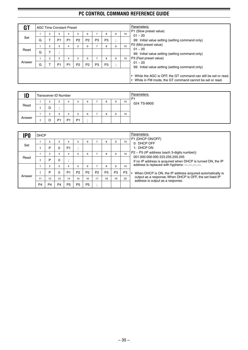| G1     |   |                | <b>AGC Time Constant Preset</b> |                |                |                |                |                |                      | Parameters:     |                                                                                                                             |
|--------|---|----------------|---------------------------------|----------------|----------------|----------------|----------------|----------------|----------------------|-----------------|-----------------------------------------------------------------------------------------------------------------------------|
|        |   | $\overline{2}$ | 3                               |                | 5              | 6              |                | 8              | 9                    | 10              | P1 (Slow preset value)<br>$01 - 20$                                                                                         |
| Set    | G |                | P <sub>1</sub>                  | P <sub>1</sub> | P <sub>2</sub> | P <sub>2</sub> | P <sub>3</sub> | P <sub>3</sub> | $\bullet$<br>$\cdot$ |                 | 99: Initial value setting (setting command only)                                                                            |
|        |   | $\overline{2}$ | 3                               | 4              | 5              | 6              |                | 8              | 9                    | 10 <sup>1</sup> | P2 (Mid preset value)<br>$01 - 20$                                                                                          |
| Read   | G |                | ٠.<br>$\cdot$                   |                |                |                |                |                |                      |                 | 99: Initial value setting (setting command only)                                                                            |
|        |   | $\overline{2}$ | 3                               | 4              | 5              | 6              |                | 8              | 9                    | 10              | P3 (Fast preset value)                                                                                                      |
| Answer | G |                | P <sub>1</sub>                  | P <sub>1</sub> | P <sub>2</sub> | P <sub>2</sub> | P <sub>3</sub> | P <sub>3</sub> | $\bullet$<br>$\cdot$ |                 | $01 - 20$<br>99: Initial value setting (setting command only)                                                               |
|        |   |                |                                 |                |                |                |                |                |                      |                 | • While the AGC is OFF, the GT command can still be set or read.<br>While in FM mode, the GT command cannot be set or read. |

| ID     | Transceiver ID Number |                |                |                |   |   |   | Parameters:<br>P <sub>1</sub> |              |
|--------|-----------------------|----------------|----------------|----------------|---|---|---|-------------------------------|--------------|
| Read   |                       | -3             |                |                | 6 | 8 | 9 | 10                            | 024: TS-890S |
|        | D                     |                |                |                |   |   |   |                               |              |
|        |                       | -3             |                |                | 6 | 8 | 9 | 10                            |              |
| Answer | D                     | P <sub>1</sub> | P <sub>1</sub> | P <sub>1</sub> |   |   |   |                               |              |

| <b>PO</b> | <b>DHCP</b>    |                |                |                |                |                |                |    |                | Parameters:    |                                                                                                |
|-----------|----------------|----------------|----------------|----------------|----------------|----------------|----------------|----|----------------|----------------|------------------------------------------------------------------------------------------------|
|           |                | $\overline{2}$ | 3              | 4              |                | 6              |                | 8  | 9              | 10             | P1 (DHCP ON/OFF)<br>0: DHCP OFF                                                                |
| Set       |                | P              | 0              | P <sub>1</sub> |                |                |                |    |                |                | 1: DHCP ON                                                                                     |
|           |                | $\overline{2}$ | 3              | 4              |                | 6              |                | 8  | 9              | 10             | $P2 \sim P5$ (IP address (each 3-digits number))                                               |
| Read      |                | P              | 0              |                |                |                |                |    |                |                | 001.000.000.000 223.255.255.255<br>If no IP address is acquired when DHCP is turned ON, the IP |
|           |                | 2              | 3              | 4              |                | 6              | ⇁              | 8  | 9              | 10             | address is replaced with hyphens: ---.---.---.---                                              |
|           |                | P              | $\Omega$       | P <sub>1</sub> | P <sub>2</sub> | P <sub>2</sub> | P <sub>2</sub> | P3 | P <sub>3</sub> | P <sub>3</sub> | When DHCP is ON, the IP address acquired automatically is                                      |
| Answer    | 11             | 12             | 13             | 14             | 15             | 16             | 17             | 18 | 19             | 20             | output as a response. When DHCP is OFF, the set fixed IP<br>address is output as a response.   |
|           | P <sub>4</sub> | P <sub>4</sub> | P <sub>4</sub> | P <sub>5</sub> | P <sub>5</sub> | P <sub>5</sub> |                |    |                |                |                                                                                                |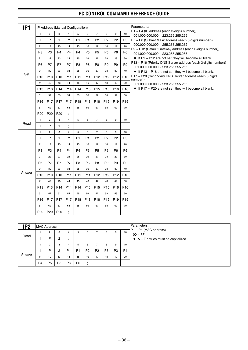| IP <sub>1</sub> |                 | IP Address (Manual Configuration) |                       |                         |                 |                       |                       |                       |                  |                       | Parameters:                                                                                                       |
|-----------------|-----------------|-----------------------------------|-----------------------|-------------------------|-----------------|-----------------------|-----------------------|-----------------------|------------------|-----------------------|-------------------------------------------------------------------------------------------------------------------|
|                 | $\mathbf{1}$    | $\overline{2}$                    | 3                     | $\overline{4}$          | 5               | 6                     | $\overline{7}$        | 8                     | 9                | 10                    | P1 ~ P4 (IP address (each 3-digits number))                                                                       |
|                 | $\mathsf{I}$    | P                                 | $\mathbf{1}$          | P <sub>1</sub>          | P <sub>1</sub>  | P <sub>1</sub>        | P <sub>2</sub>        | P <sub>2</sub>        | P <sub>2</sub>   | P <sub>3</sub>        | 001.000.000.000 ~ 223.255.255.255<br>P5 ~ P8 (Subnet Mask address (each 3-digits number))                         |
|                 | 11              | 12                                | 13                    | 14                      | 15              | 16                    | 17                    | 18                    | 19               | 20                    | 000.000.000.000 ~ 255.255.255.252                                                                                 |
|                 | P <sub>3</sub>  | P <sub>3</sub>                    | P <sub>4</sub>        | P <sub>4</sub>          | P <sub>4</sub>  | P <sub>5</sub>        | P <sub>5</sub>        | P <sub>5</sub>        | P <sub>6</sub>   | P6                    | P9 ~ P12 (Default Gateway address (each 3-digits number))                                                         |
|                 | 21              | 22                                | 23                    | 24                      | 25              | 26                    | 27                    | 28                    | 29               | 30                    | 001.000.000.000 ~ 223.255.255.255<br>♦ If P9 ~ P12 are not set, they will become all blank.                       |
|                 | P <sub>6</sub>  | P7                                | P7                    | P7                      | P <sub>8</sub>  | P <sub>8</sub>        | P <sub>8</sub>        | P <sub>9</sub>        | P <sub>9</sub>   | P.9                   | P13 ~ P16 (Priority DNS Server address (each 3-digits number))                                                    |
|                 | 31              | 32                                | 33                    | 34                      | 35              | 36                    | 37                    | 38                    | 39               | 40                    | 001.000.000.000 ~ 223.255.255.255                                                                                 |
| Set             | P <sub>10</sub> | P <sub>10</sub>                   | P <sub>10</sub>       | P11                     | P11             | P11                   | P <sub>12</sub>       | P <sub>12</sub>       | P <sub>12</sub>  | P <sub>13</sub>       | ♦ If P13 ~ P16 are not set, they will become all blank.<br>P17 ~ P20 (Secondary DNS Server address (each 3-digits |
|                 | 41              | 42                                | 43                    | 44                      | 45              | 46                    | 47                    | 48                    | 49               | 50                    | number))                                                                                                          |
|                 | P <sub>13</sub> | P <sub>13</sub>                   | P <sub>14</sub>       | P <sub>14</sub>         | P <sub>14</sub> | P <sub>15</sub>       | P <sub>15</sub>       | P <sub>15</sub>       | P <sub>16</sub>  | P <sub>16</sub>       | 001.000.000.000 ~ 223.255.255.255<br>$\blacklozenge$ If P17 ~ P20 are not set, they will become all blank.        |
|                 | 51              | 52                                | 53                    | 54                      | 55              | 56                    | 57                    | 58                    | 59               | 60                    |                                                                                                                   |
|                 |                 |                                   |                       |                         |                 |                       |                       |                       | P <sub>19</sub>  |                       |                                                                                                                   |
|                 | P <sub>16</sub> | P17<br>62                         | P <sub>17</sub><br>63 | P <sub>17</sub><br>64   | P <sub>18</sub> | P <sub>18</sub><br>66 | P <sub>18</sub><br>67 | P <sub>19</sub><br>68 | 69               | P <sub>19</sub><br>70 |                                                                                                                   |
|                 | 61              |                                   |                       |                         | 65              |                       |                       |                       |                  |                       |                                                                                                                   |
|                 | P <sub>20</sub> | P <sub>20</sub>                   | P <sub>20</sub>       | $\frac{1}{2}$           |                 |                       |                       |                       |                  |                       |                                                                                                                   |
| Read            | $\mathbf{1}$    | $\overline{2}$                    | 3                     | $\overline{4}$          | 5               | 6                     | $\overline{7}$        | 8                     | 9                | 10                    |                                                                                                                   |
|                 | ı               | P                                 | 1                     | $\frac{1}{2}$           |                 |                       |                       |                       |                  |                       |                                                                                                                   |
|                 | $\mathbf{1}$    | $\overline{2}$                    | 3                     | $\overline{\mathbf{4}}$ | 5               | 6                     | $\overline{7}$        | 8                     | $\boldsymbol{9}$ | 10                    |                                                                                                                   |
|                 | $\mathbf{I}$    | P                                 | 1                     | P <sub>1</sub>          | P <sub>1</sub>  | P <sub>1</sub>        | P <sub>2</sub>        | P <sub>2</sub>        | P <sub>2</sub>   | P3                    |                                                                                                                   |
|                 | 11              | 12                                | 13                    | 14                      | 15              | 16                    | 17                    | 18                    | 19               | 20                    |                                                                                                                   |
|                 | P <sub>3</sub>  | P <sub>3</sub>                    | P <sub>4</sub>        | P <sub>4</sub>          | P <sub>4</sub>  | P <sub>5</sub>        | P <sub>5</sub>        | P <sub>5</sub>        | P <sub>6</sub>   | P <sub>6</sub>        |                                                                                                                   |
|                 | 21              | 22                                | 23                    | 24                      | 25              | 26                    | 27                    | 28                    | 29               | 30                    |                                                                                                                   |
|                 | P <sub>6</sub>  | P7                                | P7                    | P7                      | P <sub>8</sub>  | P <sub>8</sub>        | P <sub>8</sub>        | P <sub>9</sub>        | P <sub>9</sub>   | P <sub>9</sub>        |                                                                                                                   |
| Answer          | 31              | 32                                | 33                    | 34                      | 35              | 36                    | 37                    | 38                    | 39               | 40                    |                                                                                                                   |
|                 | P <sub>10</sub> | P <sub>10</sub>                   | P <sub>10</sub>       | P <sub>11</sub>         | P <sub>11</sub> | P11                   | P <sub>12</sub>       | P <sub>12</sub>       | P <sub>12</sub>  | P <sub>13</sub>       |                                                                                                                   |
|                 | 41              | 42                                | 43                    | 44                      | 45              | 46                    | 47                    | 48                    | 49               | 50                    |                                                                                                                   |
|                 | P <sub>13</sub> | P <sub>13</sub>                   | P <sub>14</sub>       | P <sub>14</sub>         | P <sub>14</sub> | P <sub>15</sub>       | P <sub>15</sub>       | P <sub>15</sub>       | P <sub>16</sub>  | P <sub>16</sub>       |                                                                                                                   |
|                 | 51              | 52                                | 53                    | 54                      | 55              | 56                    | 57                    | 58                    | 59               | 60                    |                                                                                                                   |
|                 | P <sub>16</sub> | P <sub>17</sub>                   | P <sub>17</sub>       | P <sub>17</sub>         | P <sub>18</sub> | P <sub>18</sub>       | P <sub>18</sub>       | P <sub>19</sub>       | P <sub>19</sub>  | P <sub>19</sub>       |                                                                                                                   |
|                 | 61              | 62                                | 63                    | 64                      | 65              | 66                    | 67                    | 68                    | 69               | 70                    |                                                                                                                   |
|                 | P <sub>20</sub> | P <sub>20</sub>                   | P <sub>20</sub>       |                         |                 |                       |                       |                       |                  |                       |                                                                                                                   |

| IP2    | MAC Address    |                |                |                |                |                |                |                |                |                | Parameters:                                        |
|--------|----------------|----------------|----------------|----------------|----------------|----------------|----------------|----------------|----------------|----------------|----------------------------------------------------|
|        |                |                | 3              | 4              | 5              | 6              |                | 8              | 9              | 10             | $ P1 - P6$ (MAC address)<br>$00 \sim FF$           |
| Read   |                | P              | 2              |                |                |                |                |                |                |                | $\blacklozenge$ A ~ F entries must be capitalized. |
|        |                | $\sim$         | 3              | 4              | 5              | 6              |                | 8              | 9              | 10             |                                                    |
|        |                | P              | 2              | P <sub>1</sub> | P1             | P <sub>2</sub> | P <sub>2</sub> | P <sub>3</sub> | P <sub>3</sub> | P <sub>4</sub> |                                                    |
| Answer | 11             | 12             | 13             | 14             | 15             | 16             | 17             | 18             | 19             | 20             |                                                    |
|        | P <sub>4</sub> | P <sub>5</sub> | P <sub>5</sub> | P <sub>6</sub> | P <sub>6</sub> | $\mathbf{r}$   |                |                |                |                |                                                    |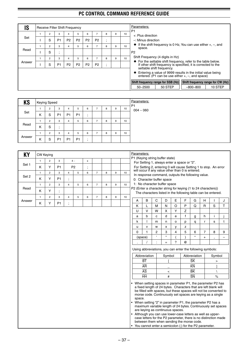| IS     |                |                | Receive Filter Shift Frequency |                |                |                |         |   |    | Parameters:<br>P <sub>1</sub>                                                                                                                               |
|--------|----------------|----------------|--------------------------------|----------------|----------------|----------------|---------|---|----|-------------------------------------------------------------------------------------------------------------------------------------------------------------|
| Set    | 2              | 3              | 4                              | 5              | 6              |                | 8       | 9 | 10 | +: Plus direction                                                                                                                                           |
|        | S              | P <sub>1</sub> | P <sub>2</sub>                 | P <sub>2</sub> | P <sub>2</sub> | P <sub>2</sub> | $\cdot$ |   |    | -: Minus direction                                                                                                                                          |
|        | $\overline{2}$ | 3              | 4                              | 5              | 6              |                | 8       | 9 | 10 | $\bullet$ If the shift frequency is 0 Hz, You can use either $+$ , $-$ , and<br>space.                                                                      |
| Read   | S              | ٠<br>$\cdot$   |                                |                |                |                |         |   |    | P <sub>2</sub>                                                                                                                                              |
|        | 2              | 3              | 4                              | 5              | 6              |                | 8       | 9 | 10 | Shift Frequency (4 digits in Hz)                                                                                                                            |
| Answer | S              | P <sub>1</sub> | P <sub>2</sub>                 | P <sub>2</sub> | P <sub>2</sub> | P <sub>2</sub> |         |   |    | ◆ For the settable shift frequency, refer to the table below.<br>If other shift frequency is specified, it is corrected to the<br>settable shift frequency. |
|        |                |                |                                |                |                |                |         |   |    | Entering a value of 9999 results in the initial value being<br>entered. (P1 can be use either $+$ , $-$ , and space)                                        |
|        |                |                |                                |                |                |                |         |   |    | Shift frequency range for SSB (Hz)<br>Shift frequency range for CW (Hz)                                                                                     |
|        |                |                |                                |                |                |                |         |   |    | 50 STEP<br>10 STEP<br>$50 - 2500$<br>$-800 - 800$                                                                                                           |
|        |                |                |                                |                |                |                |         |   |    |                                                                                                                                                             |

| <b>KS</b> |                     | <b>Keying Speed</b> |                |                |                |           |   |   |   |    | <b>Parameters:</b><br>P <sub>1</sub> |
|-----------|---------------------|---------------------|----------------|----------------|----------------|-----------|---|---|---|----|--------------------------------------|
|           |                     | $\overline{2}$      | 3              | 4              | h              | 6         | - | 8 | 9 | 10 | $004 - 060$                          |
| Set       | Κ                   | S                   | P <sub>1</sub> | P <sub>1</sub> | P <sub>1</sub> | $\cdot$   |   |   |   |    |                                      |
|           |                     | $\overline{2}$      | 3              | 4              | h              | 6         | - | 8 | 9 | 10 |                                      |
| Read      | $\overline{ }$<br>ĸ | S                   | ٠.             |                |                |           |   |   |   |    |                                      |
|           |                     | 2                   | 3              | 4              | 5              | 6         | ⇁ | 8 | 9 | 10 |                                      |
| Answer    | v<br>ĸ              | S                   | P <sub>1</sub> | P <sub>1</sub> | P <sub>1</sub> | $\bullet$ |   |   |   |    |                                      |

| KY     | <b>CW Keying</b> |                |                |                |                |                |                |   |   |    | Parameters:                                                                                                                                                                                                                                                    |                                                                                                                                                                                                                                                                                                                                                                                                                       |                |              |          |              |                          |              |             |                          |
|--------|------------------|----------------|----------------|----------------|----------------|----------------|----------------|---|---|----|----------------------------------------------------------------------------------------------------------------------------------------------------------------------------------------------------------------------------------------------------------------|-----------------------------------------------------------------------------------------------------------------------------------------------------------------------------------------------------------------------------------------------------------------------------------------------------------------------------------------------------------------------------------------------------------------------|----------------|--------------|----------|--------------|--------------------------|--------------|-------------|--------------------------|
|        | $\mathbf{1}$     | $\overline{2}$ | 3              |                | $4\sim$        | $\pmb{\times}$ |                |   |   |    | P1 (Keying string buffer state)                                                                                                                                                                                                                                |                                                                                                                                                                                                                                                                                                                                                                                                                       |                |              |          |              |                          |              |             |                          |
| Set 1  |                  |                | P <sub>1</sub> |                | P <sub>2</sub> |                |                |   |   |    |                                                                                                                                                                                                                                                                | For Setting 1, always enter a space or "2".                                                                                                                                                                                                                                                                                                                                                                           |                |              |          |              |                          |              |             |                          |
|        | Κ                | Υ              |                |                |                | ;              |                |   |   |    |                                                                                                                                                                                                                                                                | For Setting 2, entering 0 will cause Setting 1 to stop. An error will occur if any value other than 0 is entered.                                                                                                                                                                                                                                                                                                     |                |              |          |              |                          |              |             |                          |
| Set 2  | $\mathbf{1}$     | $\overline{c}$ | 3              | $\overline{4}$ | 5              | 6              | $\overline{7}$ | 8 | 9 | 10 |                                                                                                                                                                                                                                                                | In response command, outputs the following value.                                                                                                                                                                                                                                                                                                                                                                     |                |              |          |              |                          |              |             |                          |
|        | Κ                | Y              | P <sub>1</sub> | $\cdot$        |                |                |                |   |   |    |                                                                                                                                                                                                                                                                | 0: Character buffer space                                                                                                                                                                                                                                                                                                                                                                                             |                |              |          |              |                          |              |             |                          |
|        | $\mathbf{1}$     | $\overline{c}$ | 3              | $\overline{4}$ | 5              | 6              | $\overline{7}$ | 8 | 9 | 10 |                                                                                                                                                                                                                                                                | 1: No character buffer space                                                                                                                                                                                                                                                                                                                                                                                          |                |              |          |              |                          |              |             |                          |
| Read   | Κ                | Y              |                |                |                |                |                |   |   |    | P2 (Enter a character string for keying (1 to 24 characters))                                                                                                                                                                                                  |                                                                                                                                                                                                                                                                                                                                                                                                                       |                |              |          |              |                          |              |             |                          |
|        | $\mathbf{1}$     | $\overline{2}$ | 3              | $\overline{4}$ | 5              | 6              | $\overline{7}$ | 8 | 9 | 10 |                                                                                                                                                                                                                                                                | The characters listed in the following table can be entered.                                                                                                                                                                                                                                                                                                                                                          |                |              |          |              |                          |              |             |                          |
| Answer |                  |                |                |                |                |                |                |   |   |    | А                                                                                                                                                                                                                                                              | B                                                                                                                                                                                                                                                                                                                                                                                                                     | С              | D            | Е        | F            | G                        | н            |             | J                        |
|        | Κ                | Y              | P <sub>1</sub> | $\frac{1}{2}$  |                |                |                |   |   |    | K                                                                                                                                                                                                                                                              | L                                                                                                                                                                                                                                                                                                                                                                                                                     | M              | N            | $\circ$  | P            | Q                        | $\mathsf{R}$ | S           | T                        |
|        |                  |                |                |                |                |                |                |   |   |    | U                                                                                                                                                                                                                                                              | $\vee$                                                                                                                                                                                                                                                                                                                                                                                                                | W              | X            | Υ        | Z            |                          |              |             |                          |
|        |                  |                |                |                |                |                |                |   |   |    | a                                                                                                                                                                                                                                                              | b                                                                                                                                                                                                                                                                                                                                                                                                                     | C              | d            | e        | $\mathsf{f}$ | g                        | h            | i           |                          |
|        |                  |                |                |                |                |                |                |   |   |    | k                                                                                                                                                                                                                                                              |                                                                                                                                                                                                                                                                                                                                                                                                                       | m              | n            | $\Omega$ | p            | q                        | r            | s           | t                        |
|        |                  |                |                |                |                |                |                |   |   |    | u                                                                                                                                                                                                                                                              | $\mathsf{v}$                                                                                                                                                                                                                                                                                                                                                                                                          | W              | x            | v        | z            |                          |              |             |                          |
|        |                  |                |                |                |                |                |                |   |   |    | $\Omega$                                                                                                                                                                                                                                                       | 1                                                                                                                                                                                                                                                                                                                                                                                                                     | $\overline{c}$ | 3            | 4        | 5            | 6                        | 7            | 8           | 9                        |
|        |                  |                |                |                |                |                |                |   |   |    |                                                                                                                                                                                                                                                                | (space)                                                                                                                                                                                                                                                                                                                                                                                                               | $\mathbf{I}$   | $\mathbf{u}$ |          |              | $\star$                  | $^{+}$       |             | $\overline{\phantom{0}}$ |
|        |                  |                |                |                |                |                |                |   |   |    |                                                                                                                                                                                                                                                                |                                                                                                                                                                                                                                                                                                                                                                                                                       |                | $=$          | ?        | $\omega$     |                          |              |             |                          |
|        |                  |                |                |                |                |                |                |   |   |    |                                                                                                                                                                                                                                                                | Using abbreviations, you can enter the following symbols:                                                                                                                                                                                                                                                                                                                                                             |                |              |          |              |                          |              |             |                          |
|        |                  |                |                |                |                |                |                |   |   |    |                                                                                                                                                                                                                                                                | Abbreviation                                                                                                                                                                                                                                                                                                                                                                                                          |                | Symbol       |          |              | Abbreviation             |              | Symbol      |                          |
|        |                  |                |                |                |                |                |                |   |   |    |                                                                                                                                                                                                                                                                | $\overline{BT}$                                                                                                                                                                                                                                                                                                                                                                                                       |                |              |          |              | $\overline{\mathsf{SK}}$ |              | $\, > \,$   |                          |
|        |                  |                |                |                |                |                |                |   |   |    |                                                                                                                                                                                                                                                                | <b>AR</b>                                                                                                                                                                                                                                                                                                                                                                                                             |                |              |          |              | $\overline{KN}$          |              | 1           |                          |
|        |                  |                |                |                |                |                |                |   |   |    |                                                                                                                                                                                                                                                                | $\overline{AS}$                                                                                                                                                                                                                                                                                                                                                                                                       |                | $\,<\,$      |          |              | $\overline{\mathsf{BK}}$ |              | $\setminus$ |                          |
|        |                  |                |                |                |                |                |                |   |   |    |                                                                                                                                                                                                                                                                | $\overline{HH}$                                                                                                                                                                                                                                                                                                                                                                                                       |                | #            |          |              | $\overline{\text{SN}}$   |              | $\%$        |                          |
|        |                  |                |                |                |                |                |                |   |   |    | • When setting spaces in parameter P1, the parameter P2 has<br>space.<br>• When setting "2" in parameter P1, the parameter P2 has a<br>• Although you can use lower-case letters as well as upper-<br>• You cannot enter a semicolon (;) for the P2 parameter. | a fixed length of 24 bytes. Characters that are left blank will<br>be filled with spaces, but these spaces will not be converted to<br>morse code. Continuously set spaces are keying as a single<br>maximum variable length of 24 bytes. Continuously set spaces<br>are keying as continuous spaces.<br>case letters for the P2 parameter, there is no distinction made<br>between them when sending the morse code. |                |              |          |              |                          |              |             |                          |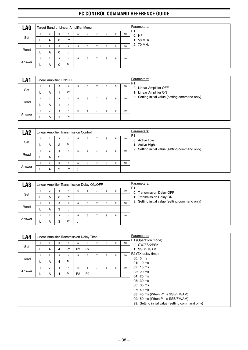| LA <sub>0</sub> |   |                |   | Target Band of Linear Amplifier Menu |   |   |   |   |    | Parameters:<br>P <sub>1</sub> |
|-----------------|---|----------------|---|--------------------------------------|---|---|---|---|----|-------------------------------|
|                 |   | $\overline{2}$ | 3 | 4                                    | 5 | 6 | 8 | 9 | 10 | 0: HF                         |
| Set             |   | A              | 0 | P <sub>1</sub>                       |   |   |   |   |    | 1: 50 MHz                     |
|                 |   | $\overline{2}$ | 3 | 4                                    | 5 | 6 | 8 | 9 | 10 | 2: 70 MHz                     |
| Read            | – | A              | 0 |                                      |   |   |   |   |    |                               |
|                 |   | $\overline{2}$ | 3 | 4                                    | 5 | 6 | 8 | 9 | 10 |                               |
| Answer          | – | A              | 0 | P <sub>1</sub>                       |   |   |   |   |    |                               |

| LA1    |   |                |   | Linear Amplifier ON/OFF |   |   |   |   |    | Parameters:<br>P <sub>1</sub>                   |
|--------|---|----------------|---|-------------------------|---|---|---|---|----|-------------------------------------------------|
| Set    |   | $\overline{2}$ | 3 | 4                       | 6 | - | 8 | 9 | 10 | 0: Linear Amplifier OFF                         |
|        |   | A              |   | P <sub>1</sub>          |   |   |   |   |    | 1: Linear Amplifier ON                          |
|        |   | $\overline{2}$ | 3 | 4                       | 6 | - | 8 | 9 | 10 | 9: Setting initial value (setting command only) |
| Read   | - | A              |   |                         |   |   |   |   |    |                                                 |
|        |   | $\overline{2}$ | 3 | 4                       | 6 | ⇁ | 8 | 9 | 10 |                                                 |
| Answer | - | A              |   | P <sub>1</sub>          |   |   |   |   |    |                                                 |

| LA2    |                |                | Linear Amplifier Transmission Control |   |   |   |   |    | Parameters:<br>P <sub>1</sub>                   |
|--------|----------------|----------------|---------------------------------------|---|---|---|---|----|-------------------------------------------------|
|        |                | 3              | 4                                     | 5 | 6 | 8 | 9 | 10 | 0: Active Low                                   |
| Set    | A              | 2              | P <sub>1</sub>                        |   |   |   |   |    | 1: Active High                                  |
|        | $\overline{2}$ | 3              |                                       | 5 | 6 | 8 | 9 | 10 | 9: Setting initial value (setting command only) |
| Read   | A              | $\overline{2}$ |                                       |   |   |   |   |    |                                                 |
|        | $\overline{2}$ | 3              | 4                                     | 5 | 6 | 8 | 9 | 10 |                                                 |
| Answer | A              | $\overline{2}$ | P <sub>1</sub>                        |   |   |   |   |    |                                                 |

| LA3    |   |   |                | Linear Amplifier Transmission Delay ON/OFF |   |   |   |    | Parameters:<br>P <sub>1</sub>                   |
|--------|---|---|----------------|--------------------------------------------|---|---|---|----|-------------------------------------------------|
|        | 2 | 3 | 4              | 5                                          | 6 | 8 | 9 | 10 | 0: Transmission Delay OFF                       |
| Set    | A | 3 | P <sub>1</sub> |                                            |   |   |   |    | 1: Transmission Delay ON                        |
|        | ົ | 3 | 4              | 5                                          | 6 | 8 | 9 | 10 | 9: Setting initial value (setting command only) |
| Read   | A | 3 |                |                                            |   |   |   |    |                                                 |
|        | 2 | 3 | 4              | 5                                          | 6 | R | 9 | 10 |                                                 |
| Answer | A | 3 | P <sub>1</sub> |                                            |   |   |   |    |                                                 |

| LA4    |   |                |   |                | Linear Amplifier Transmission Delay Time |                |                |   |   |    | Parameters:                                      |
|--------|---|----------------|---|----------------|------------------------------------------|----------------|----------------|---|---|----|--------------------------------------------------|
|        |   | 2              | 3 | 4              | 5                                        | 6              | $\overline{ }$ | 8 | 9 | 10 | P1 (Operation mode)<br>0: CW/FSK/PSK             |
| Set    |   | A              | 4 | P <sub>1</sub> | P <sub>2</sub>                           | P <sub>2</sub> |                |   |   |    | 1: SSB/FM/AM                                     |
|        |   | $\overline{2}$ | 3 | $\overline{a}$ | 5                                        | 6              |                | 8 | 9 | 10 | P2 (TX delay time)                               |
| Read   |   |                |   |                | ٠                                        |                |                |   |   |    | 00:5 ms                                          |
|        | ┕ | A              | 4 | P <sub>1</sub> | $\cdot$                                  |                |                |   |   |    | $01:10 \text{ ms}$                               |
|        |   | $\overline{2}$ | 3 | $\overline{4}$ | 5                                        | 6              |                | 8 | 9 | 10 | 02: 15 ms                                        |
| Answer |   | A              | 4 | P <sub>1</sub> | P <sub>2</sub>                           | P <sub>2</sub> | ٠<br>$\cdot$   |   |   |    | 03: 20 ms                                        |
|        |   |                |   |                |                                          |                |                |   |   |    | 04: 25 ms                                        |
|        |   |                |   |                |                                          |                |                |   |   |    | 05: 30 ms                                        |
|        |   |                |   |                |                                          |                |                |   |   |    | 06: 35 ms                                        |
|        |   |                |   |                |                                          |                |                |   |   |    | 07: 40 ms                                        |
|        |   |                |   |                |                                          |                |                |   |   |    | 08: 45 ms (When P1 is SSB/FM/AM)                 |
|        |   |                |   |                |                                          |                |                |   |   |    | 09: 50 ms (When P1 is SSB/FM/AM)                 |
|        |   |                |   |                |                                          |                |                |   |   |    | 99: Setting initial value (setting command only) |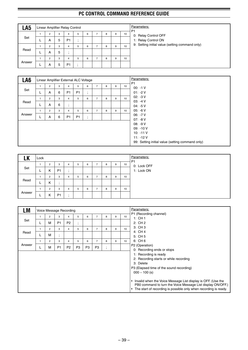| LA5    |   | Linear Amplifier Relay Control |   |                |    |   |   |   |   |    | Parameters:<br>P <sub>1</sub>                   |
|--------|---|--------------------------------|---|----------------|----|---|---|---|---|----|-------------------------------------------------|
|        |   | 2                              | 3 | 4              | 5  | 6 | - | 8 | 9 | 10 | 0: Relay Control OFF                            |
| Set    |   | A                              | 5 | P <sub>1</sub> | ٠  |   |   |   |   |    | 1: Relay Control ON                             |
|        |   | 2                              | 3 | 4              | b. | 6 | - | 8 | 9 | 10 | 9: Setting initial value (setting command only) |
| Read   | ┕ | A                              | 5 | $\cdot$        |    |   |   |   |   |    |                                                 |
|        |   | 2                              | 3 | 4              | 5  | 6 | - | 8 | 9 | 10 |                                                 |
| Answer | – | A                              | 5 | P <sub>1</sub> |    |   |   |   |   |    |                                                 |

| LA6    |   |                |   |                             | Linear Amplifier External ALC Voltage |                             |                |   |   |    |
|--------|---|----------------|---|-----------------------------|---------------------------------------|-----------------------------|----------------|---|---|----|
|        | 1 | $\overline{2}$ | 3 | $\overline{4}$              | 5                                     | 6                           | $\overline{7}$ | 8 | 9 | 10 |
| Set    |   | A              | 6 | P <sub>1</sub>              | P <sub>1</sub>                        | $\bullet$<br>$\overline{ }$ |                |   |   |    |
|        |   | 2              | 3 | $\overline{4}$              | 5                                     | 6                           | $\overline{7}$ | 8 | 9 | 10 |
| Read   |   | A              | 6 | $\bullet$<br>$\overline{ }$ |                                       |                             |                |   |   |    |
|        | 1 | $\overline{2}$ | 3 | $\overline{4}$              | 5                                     | 6                           | $\overline{7}$ | 8 | 9 | 10 |
| Answer |   | A              | 6 | P <sub>1</sub>              | P <sub>1</sub>                        | $\bullet$<br>$\overline{ }$ |                |   |   |    |
|        |   |                |   |                             |                                       |                             |                |   |   |    |
|        |   |                |   |                             |                                       |                             |                |   |   |    |
|        |   |                |   |                             |                                       |                             |                |   |   |    |

| -17<br>LN | Lock     |                |                |         |   |   |                |   |   |    | Parameters:<br>P <sub>1</sub> |
|-----------|----------|----------------|----------------|---------|---|---|----------------|---|---|----|-------------------------------|
|           |          | 2              | 3              | 4       | 5 | 6 | ۰.             | 8 | 9 | 10 | 0: Lock OFF                   |
| Set       | <b>.</b> | Κ              | P <sub>1</sub> | $\cdot$ |   |   |                |   |   |    | 1: Lock ON                    |
|           |          | $\overline{2}$ | 3              | 4       | 5 | 6 | $\overline{ }$ | 8 | 9 | 10 |                               |
| Read      | ►        | K              | ٠.             |         |   |   |                |   |   |    |                               |
|           |          | $\Omega$       | 3              | 4       | 5 | 6 | -              | 8 | 9 | 10 |                               |
| Answer    | −        | κ              | P <sub>1</sub> | $\cdot$ |   |   |                |   |   |    |                               |

| LM     |              |                |                | Voice Message Recording |                |                |                |           |   |                 | Parameters:                                                                                                                                                                                                                                                                                                                                                                     |
|--------|--------------|----------------|----------------|-------------------------|----------------|----------------|----------------|-----------|---|-----------------|---------------------------------------------------------------------------------------------------------------------------------------------------------------------------------------------------------------------------------------------------------------------------------------------------------------------------------------------------------------------------------|
|        | $\mathbf{1}$ | $\overline{2}$ | 3              | $\overline{4}$          | 5              | 6              | $\overline{7}$ | 8         | 9 | 10 <sup>1</sup> | P1 (Recording channel)<br>1: CH $1$                                                                                                                                                                                                                                                                                                                                             |
| Set    | L            | M              | P <sub>1</sub> | P <sub>2</sub>          | ٠<br>٠         |                |                |           |   |                 | 2:CH2                                                                                                                                                                                                                                                                                                                                                                           |
|        |              | 2              | 3              | $\overline{4}$          | 5              | 6              | $\overline{7}$ | 8         | 9 | 10              | 3: CH 3                                                                                                                                                                                                                                                                                                                                                                         |
| Read   | ┗            | M              | $\cdot$        |                         |                |                |                |           |   |                 | 4: CH 4<br>5: CH 5                                                                                                                                                                                                                                                                                                                                                              |
|        | 1            | $\overline{2}$ | 3              | $\overline{4}$          | 5              | 6              | $\overline{7}$ | 8         | 9 | 10 <sup>1</sup> | 6: CH 6                                                                                                                                                                                                                                                                                                                                                                         |
| Answer | ┗            | М              | P <sub>1</sub> | P <sub>2</sub>          | P <sub>3</sub> | P <sub>3</sub> | P <sub>3</sub> | $\bullet$ |   |                 | P2 (Operation)                                                                                                                                                                                                                                                                                                                                                                  |
|        |              |                |                |                         |                |                |                |           |   |                 | 0: Recording ends or stops<br>1: Recording is ready<br>2: Recording starts or while recording<br>3: Delete<br>P3 (Elapsed time of the sound recording)<br>$000 \sim 100$ (s)<br>Invalid when the Voice Message List display is OFF. (Use the<br>PB0 command to turn the Voice Message List display ON/OFF.)<br>The start of recording is possible only when recording is ready. |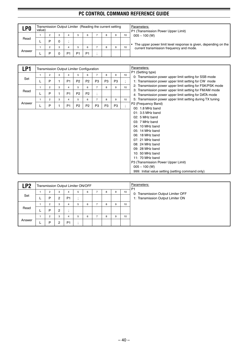| <b>LPO</b> | value) |   |   |    |    | Transmission Output Limiter (Reading the current setting |   |   |    | Parameters:<br>P1 (Transmission Power Upper Limit)              |
|------------|--------|---|---|----|----|----------------------------------------------------------|---|---|----|-----------------------------------------------------------------|
|            |        | c | 3 |    |    | 6                                                        | 8 | 9 | 10 | $005 \sim 100$ (W)                                              |
| Read       |        | D | 0 |    |    |                                                          |   |   |    | The upper power limit level response is given, depending on the |
|            |        | c | 3 |    |    | 6                                                        | 8 | 9 | 10 | current transmission frequency and mode.                        |
| Answer     |        |   |   | D٠ | D٠ | P <sub>1</sub>                                           |   |   |    |                                                                 |

| LP1    |              |                |   |                | Transmission Output Limiter Configuration |                |                |                |                |                             | Parameters:                                                                                                                                                                                                                                                                                                                                           |
|--------|--------------|----------------|---|----------------|-------------------------------------------|----------------|----------------|----------------|----------------|-----------------------------|-------------------------------------------------------------------------------------------------------------------------------------------------------------------------------------------------------------------------------------------------------------------------------------------------------------------------------------------------------|
|        | 1            | $\overline{2}$ | 3 | 4              | 5                                         | 6              | $\overline{7}$ | 8              | 9              | 10                          | P1 (Setting type)<br>0: Transmission power upper limit setting for SSB mode                                                                                                                                                                                                                                                                           |
| Set    | L            | P              |   | P <sub>1</sub> | P <sub>2</sub>                            | P <sub>2</sub> | P <sub>3</sub> | P <sub>3</sub> | P <sub>3</sub> | $\ddot{\phantom{a}}$        | 1: Transmission power upper limit setting for CW mode                                                                                                                                                                                                                                                                                                 |
|        | 1            | $\overline{2}$ | 3 | $\overline{4}$ | 5                                         | 6              | $\overline{7}$ | 8              | 9              | 10                          | 2: Transmission power upper limit setting for FSK/PSK mode                                                                                                                                                                                                                                                                                            |
| Read   | L            | P              |   | P <sub>1</sub> | P <sub>2</sub>                            | P <sub>2</sub> | $\vdots$       |                |                |                             | 3: Transmission power upper limit setting for FM/AM mode<br>4: Transmission power upper limit setting for DATA mode                                                                                                                                                                                                                                   |
|        | $\mathbf{1}$ | $\overline{2}$ | 3 | $\overline{4}$ | 5                                         | 6              | $\overline{7}$ | 8              | 9              | 10                          | 5: Transmission power upper limit setting during TX tuning                                                                                                                                                                                                                                                                                            |
| Answer | L            | P              |   | P <sub>1</sub> | P <sub>2</sub>                            | P <sub>2</sub> | P <sub>3</sub> | P <sub>3</sub> | P <sub>3</sub> | $\bullet$<br>$\overline{ }$ | P2 (Frequency Band)                                                                                                                                                                                                                                                                                                                                   |
|        |              |                |   |                |                                           |                |                |                |                |                             | 00: 1.8 MHz band<br>$01:3.5$ MHz band<br>$02: 5 MHz$ band<br>03: 7 MHz band<br>04: 10 MHz band<br>05: 14 MHz band<br>06: 18 MHz band<br>07: 21 MHz band<br>08: 24 MHz band<br>09: 28 MHz band<br>10: 50 MHz band<br>11: 70 MHz band<br>P3 (Transmission Power Upper Limit)<br>$005 \sim 100$ (W)<br>999: Initial value setting (setting command only) |

| LP <sub>2</sub> | Transmission Output Limiter ON/OFF |                     |                     |   |   |   |   |    | Parameters:<br>P <sub>1</sub>                                           |
|-----------------|------------------------------------|---------------------|---------------------|---|---|---|---|----|-------------------------------------------------------------------------|
| Set             | 2<br>P                             | 3<br>$\overline{2}$ | 4<br>P <sub>1</sub> | 5 | 6 | 8 | 9 | 10 | 0: Transmission Output Limiter OFF<br>1: Transmission Output Limiter ON |
|                 | $\overline{2}$                     | 3                   | 4                   | 5 | 6 | 8 | 9 | 10 |                                                                         |
| Read            | Þ                                  | $\overline{2}$      |                     |   |   |   |   |    |                                                                         |
| Answer          | 2                                  | 3                   | 4                   | 5 | 6 | 8 | 9 | 10 |                                                                         |
|                 | Þ                                  | $\overline{2}$      | P <sub>1</sub>      |   |   |   |   |    |                                                                         |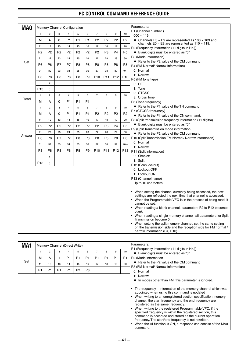| <b>MAO</b> |                 |                |                |                         | <b>Memory Channel Configuration</b> |                |                           |                 |                 |                 | Parameters:                                                                                                                                                     |
|------------|-----------------|----------------|----------------|-------------------------|-------------------------------------|----------------|---------------------------|-----------------|-----------------|-----------------|-----------------------------------------------------------------------------------------------------------------------------------------------------------------|
|            | $\mathbf{1}$    | $\overline{2}$ | 3              | $\overline{\mathbf{4}}$ | 5                                   | 6              | $\overline{7}$            | 8               | 9               | 10              | P1 (Channel number)<br>$000 - 119$                                                                                                                              |
|            | М               | А              | 0              | P <sub>1</sub>          | P <sub>1</sub>                      | P <sub>1</sub> | P <sub>2</sub>            | P <sub>2</sub>  | P <sub>2</sub>  | P <sub>2</sub>  | $\blacklozenge$ Channels P0 ~ P9 are represented as 100 ~ 109 and<br>channels E0 $\sim$ E9 are represented as 110 $\sim$ 119.                                   |
|            | 11              | 12             | 13             | 14                      | 15                                  | 16             | 17                        | 18              | 19              | 20              | P2 (Frequency information (11 digits in Hz.))                                                                                                                   |
|            | P <sub>2</sub>  | P <sub>2</sub> | P <sub>2</sub> | P <sub>2</sub>          | P <sub>2</sub>                      | P <sub>2</sub> | P <sub>2</sub>            | P <sub>3</sub>  | P <sub>4</sub>  | P <sub>5</sub>  | ◆ Blank digits must be entered as "0".                                                                                                                          |
|            | 21              | 22             | 23             | 24                      | 25                                  | 26             | 27                        | 28              | 29              | 30              | P3 (Mode Information)                                                                                                                                           |
| Set        |                 |                |                |                         |                                     |                |                           |                 |                 |                 | ♦ Refer to the P2 value of the OM command.                                                                                                                      |
|            | P6              | P <sub>6</sub> | P7             | P7                      | P8                                  | P8             | P <sub>8</sub>            | P <sub>8</sub>  | P8              | P8              | P4 (FM Normal/ Narrow information)                                                                                                                              |
|            | 31              | 32             | 33             | 34                      | 35                                  | 36             | 37                        | 38              | 39              | $40 -$          | 0: Normal                                                                                                                                                       |
|            | P8              | P8             | P <sub>8</sub> | P <sub>8</sub>          | P <sub>8</sub>                      | P <sub>9</sub> | P <sub>10</sub>           | P <sub>11</sub> | P <sub>12</sub> | P <sub>13</sub> | 1: Narrow                                                                                                                                                       |
|            |                 | X              |                |                         |                                     |                |                           |                 |                 |                 | P5 (FM tone type)<br>$0:$ OFF                                                                                                                                   |
|            | P <sub>13</sub> |                |                |                         |                                     |                |                           |                 |                 |                 | 1: Tone                                                                                                                                                         |
|            |                 |                |                |                         |                                     |                |                           |                 |                 |                 | 2: CTCSS                                                                                                                                                        |
| Read       | $\mathbf{1}$    | $\overline{2}$ | 3              | $\overline{\mathbf{4}}$ | 5                                   | 6              | $\overline{7}$            | 8               | 9               | 10              | 3: Cross Tone                                                                                                                                                   |
|            | м               | A              | 0              | P <sub>1</sub>          | P <sub>1</sub>                      | P <sub>1</sub> | $\ddot{ }$                |                 |                 |                 | P6 (Tone frequency)                                                                                                                                             |
|            | $\mathbf{1}$    | $\overline{c}$ | 3              | $\overline{4}$          | 5                                   | 6              | $\overline{\mathfrak{c}}$ | 8               | 9               | 10              | ♦ Refer to the P1 value of the TN command.                                                                                                                      |
|            | М               | А              | 0              | P <sub>1</sub>          | P <sub>1</sub>                      | P <sub>1</sub> | P <sub>2</sub>            | P <sub>2</sub>  | P <sub>2</sub>  | P <sub>2</sub>  | P7 (CTCSS frequency)                                                                                                                                            |
|            |                 |                |                |                         |                                     |                |                           |                 |                 |                 | ♦ Refer to the P1 value of the CN command.                                                                                                                      |
|            | 11              | 12             | 13             | 14                      | 15                                  | 16             | 17                        | 18              | 19              | 20              | P8 (Split transmission frequency information (11 digits))                                                                                                       |
|            | P <sub>2</sub>  | P <sub>2</sub> | P <sub>2</sub> | P <sub>2</sub>          | P <sub>2</sub>                      | P <sub>2</sub> | P <sub>2</sub>            | P <sub>3</sub>  | P <sub>4</sub>  | P <sub>5</sub>  | ◆ Blank digits must be entered as "0".<br>P9 (Split Transmission mode information)                                                                              |
|            | 21              | 22             | 23             | 24                      | 25                                  | 26             | 27                        | 28              | 29              | 30              | ♦ Refer to the P2 value of the OM command.                                                                                                                      |
| Answer     | P6              | P <sub>6</sub> | P7             | P7                      | P8                                  | P8             | P <sub>8</sub>            | P <sub>8</sub>  | P8              | P8              | P10 (Split Transmission FM Normal/ Narrow information)                                                                                                          |
|            | 31              | 32             | 33             | 34                      | 35                                  | 36             | 37                        | 38              | 39              | $40 -$          | 0: Normal                                                                                                                                                       |
|            |                 |                |                |                         |                                     |                |                           |                 |                 |                 | 1: Narrow                                                                                                                                                       |
|            | P8              | P8             | P <sub>8</sub> | P <sub>8</sub>          | P8                                  | P <sub>9</sub> | P <sub>10</sub>           | P <sub>11</sub> | P <sub>12</sub> | P <sub>13</sub> | P11 (Split information)                                                                                                                                         |
|            |                 | x              |                |                         |                                     |                |                           |                 |                 |                 | 0: Simplex                                                                                                                                                      |
|            | P <sub>13</sub> |                |                |                         |                                     |                |                           |                 |                 |                 | 1: Split                                                                                                                                                        |
|            |                 |                |                |                         |                                     |                |                           |                 |                 |                 | P12 (Scan lockout)<br>0: Lockout OFF                                                                                                                            |
|            |                 |                |                |                         |                                     |                |                           |                 |                 |                 | 1: Lockout ON                                                                                                                                                   |
|            |                 |                |                |                         |                                     |                |                           |                 |                 |                 | P13 (Channel name)                                                                                                                                              |
|            |                 |                |                |                         |                                     |                |                           |                 |                 |                 | Up to 10 characters                                                                                                                                             |
|            |                 |                |                |                         |                                     |                |                           |                 |                 |                 |                                                                                                                                                                 |
|            |                 |                |                |                         |                                     |                |                           |                 |                 |                 | • When setting the channel currently being accessed, the new<br>settings are reflected the next time that channel is accessed.                                  |
|            |                 |                |                |                         |                                     |                |                           |                 |                 |                 | When the Programmable VFO is in the process of being read, it<br>cannot be set.                                                                                 |
|            |                 |                |                |                         |                                     |                |                           |                 |                 |                 | When reading a blank channel, parameters P2 to P12 becomes<br>blank.                                                                                            |
|            |                 |                |                |                         |                                     |                |                           |                 |                 |                 | When reading a single memory channel, all parameters for Split<br>Transmission become 0.                                                                        |
|            |                 |                |                |                         |                                     |                |                           |                 |                 |                 | When setting the split memory channel, set the same setting<br>on the transmission side and the reception side for FM normal /<br>narrow information (P4, P10). |

| 2<br>3<br>M<br>А<br>Set<br>13<br>11<br>12<br>P <sub>1</sub><br>P <sub>1</sub><br>P <sub>1</sub> | 5<br>P <sub>1</sub><br>P <sub>1</sub><br>15<br>14<br>P <sub>1</sub><br>P <sub>2</sub> | 6<br>P <sub>1</sub><br>16<br>P <sub>3</sub> | P <sub>1</sub><br>17 | 8<br>P <sub>1</sub><br>18 | 9<br>P <sub>1</sub><br>19 | 10<br><b>P1</b><br>20 | P1 (Frequency information (11 digits in Hz.))<br>♦ Blank digits must be entered as "0".<br>P2 (Mode information<br>♦ Refer to the P2 value of the OM command.                                                                                                                                                                                                                                                                                                                                                                                                                                                                                                 |
|-------------------------------------------------------------------------------------------------|---------------------------------------------------------------------------------------|---------------------------------------------|----------------------|---------------------------|---------------------------|-----------------------|---------------------------------------------------------------------------------------------------------------------------------------------------------------------------------------------------------------------------------------------------------------------------------------------------------------------------------------------------------------------------------------------------------------------------------------------------------------------------------------------------------------------------------------------------------------------------------------------------------------------------------------------------------------|
|                                                                                                 |                                                                                       |                                             |                      |                           |                           |                       |                                                                                                                                                                                                                                                                                                                                                                                                                                                                                                                                                                                                                                                               |
|                                                                                                 |                                                                                       |                                             |                      |                           |                           |                       |                                                                                                                                                                                                                                                                                                                                                                                                                                                                                                                                                                                                                                                               |
|                                                                                                 |                                                                                       |                                             |                      |                           |                           |                       |                                                                                                                                                                                                                                                                                                                                                                                                                                                                                                                                                                                                                                                               |
|                                                                                                 |                                                                                       |                                             | $\cdot$              |                           |                           |                       | P3 (FM Normal/ Narrow information)<br>0: Normal                                                                                                                                                                                                                                                                                                                                                                                                                                                                                                                                                                                                               |
|                                                                                                 |                                                                                       |                                             |                      |                           |                           |                       | 1: Narrow                                                                                                                                                                                                                                                                                                                                                                                                                                                                                                                                                                                                                                                     |
|                                                                                                 |                                                                                       |                                             |                      |                           |                           |                       | $\bullet$ In modes other than FM, this parameter is ignored.<br>The frequency 1 information of the memory channel which was<br>appointed when using this command is updated<br>• When writing to an unregistered section specification memory<br>channel, the start frequency and the end frequency are<br>registered as the same frequency.<br>• When writing to the registered Programmable VFO, if the<br>specified frequency is within the registered section, this<br>command is accepted and stored as the current operation<br>frequency. The start/end frequency is not rewritten.<br>• When the AI function is ON, a response can consist of the MA0 |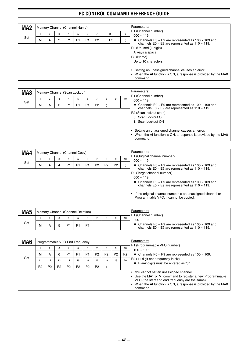| MA <sub>2</sub> |   |   |   |                | Memory Channel (Channel Name) |                |                |          |   | Parameters:                                                                                                                                                                                                |
|-----------------|---|---|---|----------------|-------------------------------|----------------|----------------|----------|---|------------------------------------------------------------------------------------------------------------------------------------------------------------------------------------------------------------|
|                 |   | 2 | 3 | 4              | 5                             | 6              |                | $8 \sim$ | x | P1 (Channel number)<br>$000 \sim 119$                                                                                                                                                                      |
| Set             | м | A | 2 | P <sub>1</sub> | P <sub>1</sub>                | P <sub>1</sub> | P <sub>2</sub> | P3       |   | $\bullet$ Channels P0 ~ P9 are represented as 100 ~ 109 and<br>channels E0 $\sim$ E9 are represented as 110 $\sim$ 119.                                                                                    |
|                 |   |   |   |                |                               |                |                |          |   | P2 (Unused (1 digit))<br>Always a space<br>P3 (Name)<br>Up to 10 characters<br>Setting an unassigned channel causes an error.<br>When the AI function is ON, a response is provided by the MAO<br>command. |

| MA <sub>3</sub> |   |   |   |    | Memory Channel (Scan Lockout) |                |                |   |   |    | Parameters:<br>P1 (Channel number)                                                                                          |
|-----------------|---|---|---|----|-------------------------------|----------------|----------------|---|---|----|-----------------------------------------------------------------------------------------------------------------------------|
|                 |   |   | 3 |    | b.                            | 6              |                | 8 | 9 | 10 | $000 \sim 119$                                                                                                              |
| Set             | М | A | 3 | P1 | P1                            | P <sub>1</sub> | P <sub>2</sub> |   |   |    | ◆ Channels P0 ~ P9 are represented as $100 \sim 109$ and channels E0 ~ E9 are represented as $110 \sim 119$ .               |
|                 |   |   |   |    |                               |                |                |   |   |    | P2 (Scan lockout state)<br>0: Scan Lockout OFF<br>1: Scan Lockout ON                                                        |
|                 |   |   |   |    |                               |                |                |   |   |    | Setting an unassigned channel causes an error.<br>When the AI function is ON, a response is provided by the MA0<br>command. |

| MA4 |   | Memory Channel (Channel Copy) |   |                |                |                |                |                |                |    | Parameters:                                                                                                                                                                                                                                                                       |
|-----|---|-------------------------------|---|----------------|----------------|----------------|----------------|----------------|----------------|----|-----------------------------------------------------------------------------------------------------------------------------------------------------------------------------------------------------------------------------------------------------------------------------------|
|     |   | 2                             | 3 |                | 5              | 6              |                |                | 9              | 10 | P1 (Original channel number)<br>$000 \sim 119$                                                                                                                                                                                                                                    |
| Set | м | A                             |   | P <sub>1</sub> | P <sub>1</sub> | P <sub>1</sub> | P <sub>2</sub> | P <sub>2</sub> | P <sub>2</sub> |    | $\bullet$ Channels P0 ~ P9 are represented as 100 ~ 109 and<br>channels E0 $\sim$ E9 are represented as 110 $\sim$ 119.                                                                                                                                                           |
|     |   |                               |   |                |                |                |                |                |                |    | P2 (Target channel number)<br>$000 \sim 119$<br>$\triangle$ Channels P0 ~ P9 are represented as 100 ~ 109 and<br>channels E0 $\sim$ E9 are represented as 110 $\sim$ 119.<br>If the original channel number is an unassigned channel or<br>Programmable VFO, it cannot be copied. |

| MA <sub>5</sub> |   | Memory Channel (Channel Deletion) |  |                |  |                 | Parameters:<br>P1 (Channel number)                                                                                      |
|-----------------|---|-----------------------------------|--|----------------|--|-----------------|-------------------------------------------------------------------------------------------------------------------------|
|                 |   |                                   |  |                |  | 10 <sup>1</sup> | $000 \sim 119$                                                                                                          |
| Set             | м |                                   |  | P <sub>1</sub> |  |                 | $\bullet$ Channels P0 ~ P9 are represented as 100 ~ 109 and<br>channels $E0 \sim E9$ are represented as 110 $\sim$ 119. |

| MA <sub>6</sub> |                |                |                |                | Programmable VFO End Frequency |                |                |                |                |                | Parameters:<br>P1 (Programmable VFO number)                                                                 |
|-----------------|----------------|----------------|----------------|----------------|--------------------------------|----------------|----------------|----------------|----------------|----------------|-------------------------------------------------------------------------------------------------------------|
|                 |                | 2              | 3              | 4              | b.                             | 6              |                | 8              | 9              | 10             | $100 - 109$                                                                                                 |
| Set             | м              | A              | 6              | P1             | P <sub>1</sub>                 | P <sub>1</sub> | P <sub>2</sub> | P <sub>2</sub> | P <sub>2</sub> | P <sub>2</sub> | $\bullet$ Channels P0 ~ P9 are represented as 100 ~ 109.<br>P <sub>2</sub> (11 digit end frequency in Hz)   |
|                 | 11             | 12             | 13             | 14             | 15                             | 16             | 17             | 18             | 19             | 20             | Blank digits must be entered as "0".                                                                        |
|                 | P <sub>2</sub> | P <sub>2</sub> | P <sub>2</sub> | P <sub>2</sub> | P <sub>2</sub>                 | P <sub>2</sub> | P <sub>2</sub> |                |                |                |                                                                                                             |
|                 |                |                |                |                |                                |                |                |                |                |                | • You cannot set an unassigned channel.                                                                     |
|                 |                |                |                |                |                                |                |                |                |                |                | Use the MA1 or MI command to register a new Programmable<br>VFO (the start and end frequency are the same). |
|                 |                |                |                |                |                                |                |                |                |                |                | • When the AI function is ON, a response is provided by the MA0<br>command.                                 |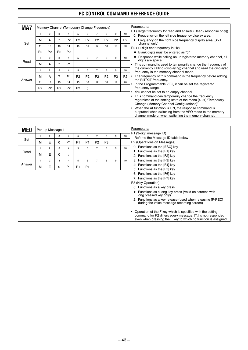| MA7        |                |                         |                |                         |                |                | Memory Channel (Temporary Change Frequency) |                |                  |                | Parameters:<br>P1 (Target frequency for read and answer (Read / response only))                                                                                                                                                                                                                                                           |
|------------|----------------|-------------------------|----------------|-------------------------|----------------|----------------|---------------------------------------------|----------------|------------------|----------------|-------------------------------------------------------------------------------------------------------------------------------------------------------------------------------------------------------------------------------------------------------------------------------------------------------------------------------------------|
|            | $\mathbf{1}$   | $\overline{2}$          | 3              | $\overline{4}$          | 5              | 6              | $\overline{7}$                              | 8              | 9                | 10             | 0: Frequency on the left side frequency display area                                                                                                                                                                                                                                                                                      |
| Set        | М              | A                       | $\overline{7}$ | P <sub>2</sub>          | P <sub>2</sub> | P <sub>2</sub> | P <sub>2</sub>                              | P <sub>2</sub> | P <sub>2</sub>   | P <sub>2</sub> | 1: Frequency on the right side frequency display area (Split)<br>channel only)                                                                                                                                                                                                                                                            |
|            | 11             | 12                      | 13             | 14                      | 15             | 16             | 17                                          | 18             | 19               | 20             | P2 (11 digit end frequency in Hz)                                                                                                                                                                                                                                                                                                         |
|            | P <sub>2</sub> | P <sub>2</sub>          | P <sub>2</sub> | P <sub>2</sub>          | $\ddot{ }$     |                |                                             |                |                  |                | ◆ Blank digits must be entered as "0".                                                                                                                                                                                                                                                                                                    |
|            | $\mathbf{1}$   | $\overline{2}$          | 3              | $\overline{4}$          | 5              | 6              | $\overline{7}$                              | 8              | 9                | 10             | ◆ Response while calling an unregistered memory channel, all<br>digits are space.                                                                                                                                                                                                                                                         |
| Read       | м              | A                       | $\overline{7}$ | P <sub>1</sub>          | $\vdots$       |                |                                             |                |                  |                | • This command is used to temporarily change the frequency of                                                                                                                                                                                                                                                                             |
|            | $\mathbf{1}$   | $\overline{c}$          | 3              | $\overline{4}$          | 5              | 6              | $\overline{7}$                              | 8              | $\boldsymbol{9}$ | 10             | the currently calling (displaying) channel and read the displayed<br>frequency in the memory channel mode.                                                                                                                                                                                                                                |
| Answer     | М              | A                       | 7              | P <sub>1</sub>          | P2             | P <sub>2</sub> | P <sub>2</sub>                              | P <sub>2</sub> | P <sub>2</sub>   | P <sub>2</sub> | • The frequency of this command is the frequency before adding<br>the RIT/XIT frequency.                                                                                                                                                                                                                                                  |
|            | 11             | 12                      | 13             | 14                      | 15             | 16             | 17                                          | 18             | 19               | 20             | In the Programmable VFO, it can be set the registered                                                                                                                                                                                                                                                                                     |
|            | P <sub>2</sub> | P <sub>2</sub>          | P <sub>2</sub> | P <sub>2</sub>          | P <sub>2</sub> |                |                                             |                |                  |                | frequency range.<br>• You cannot be set to an empty channel.                                                                                                                                                                                                                                                                              |
|            |                |                         |                |                         |                |                |                                             |                |                  |                | This command can temporarily change the frequency<br>regardless of the setting state of the menu [4-01] "Temporary<br>Change (Memory Channel Configurations)".<br>• When the AI function is ON, the response command is<br>outputted when switching from the VFO mode to the memory<br>channel mode or when switching the memory channel. |
|            |                |                         |                |                         |                |                |                                             |                |                  |                |                                                                                                                                                                                                                                                                                                                                           |
| <b>MEO</b> |                | Pop-up Message 1        |                |                         |                |                |                                             |                |                  |                | Parameters:                                                                                                                                                                                                                                                                                                                               |
|            | $\mathbf{1}$   | $\overline{2}$          | 3              | $\overline{\mathbf{4}}$ | 5              | 6              | $\overline{7}$                              | 8              | 9                | 10             | P1 (3-digit message ID)                                                                                                                                                                                                                                                                                                                   |
| Set        | М              | E                       | 0              | P <sub>1</sub>          | P1             | P <sub>1</sub> | P <sub>2</sub>                              | P <sub>3</sub> |                  |                | Refer to the Message ID table below<br>P2 (Operations on Messages)                                                                                                                                                                                                                                                                        |
|            | 1              | $\overline{c}$          | 3              | $\overline{4}$          | 5              | 6              | $\overline{7}$                              | 8              | 9                | 10             | 0: Functions as the [ESC] key                                                                                                                                                                                                                                                                                                             |
| Read       |                |                         |                |                         |                |                |                                             |                |                  |                | 1: Functions as the [F1] key                                                                                                                                                                                                                                                                                                              |
|            | М              | E                       | 0              |                         |                |                |                                             |                |                  |                | 2: Functions as the [F2] key                                                                                                                                                                                                                                                                                                              |
|            | $\mathbf{1}$   | $\overline{\mathbf{c}}$ | 3              | $\overline{4}$          | $\sqrt{5}$     | 6              | $\overline{7}$                              | 8              | 9                | 10             | 3: Functions as the [F3] key                                                                                                                                                                                                                                                                                                              |
| Answer     | М              | E                       | 0              | P <sub>1</sub>          | P <sub>1</sub> | P <sub>1</sub> |                                             |                |                  |                | 4: Functions as the [F4] key<br>5: Functions as the [F5] key                                                                                                                                                                                                                                                                              |
|            |                |                         |                |                         |                |                |                                             |                |                  |                | 6: Functions as the [F6] key                                                                                                                                                                                                                                                                                                              |
|            |                |                         |                |                         |                |                |                                             |                |                  |                | 7: Functions as the [F7] key                                                                                                                                                                                                                                                                                                              |
|            |                |                         |                |                         |                |                |                                             |                |                  |                | P3 (Key Operation)                                                                                                                                                                                                                                                                                                                        |
|            |                |                         |                |                         |                |                |                                             |                |                  |                | 0: Functions as a key press                                                                                                                                                                                                                                                                                                               |
|            |                |                         |                |                         |                |                |                                             |                |                  |                | 1: Functions as a long key press (Valid on screens with<br>long pressed key only)                                                                                                                                                                                                                                                         |
|            |                |                         |                |                         |                |                |                                             |                |                  |                | 2: Functions as a key release (used when releasing [F-REC]<br>during the voice message recording screen)                                                                                                                                                                                                                                  |
|            |                |                         |                |                         |                |                |                                             |                |                  |                | • Operation of the F key which is specified with the setting<br>command for P2 differs every message. [?;] is not responded                                                                                                                                                                                                               |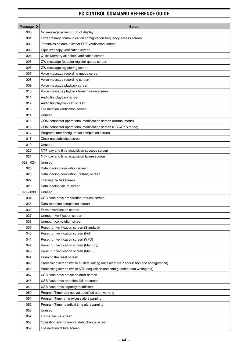| <b>Message ID</b> | <b>Screen</b>                                                                           |
|-------------------|-----------------------------------------------------------------------------------------|
| 000               | No message screen (End of display)                                                      |
| 001               | Extraordinary communication configuration frequency access screen                       |
| 002               | Transmission output limiter OFF verification screen                                     |
| 003               | Equalizer copy verification screen                                                      |
| 004               | Quick Memory all delete verification screen                                             |
| 005               | CW message (paddle) register queue screen                                               |
| 006               | CW message registering screen                                                           |
| 007               | Voice message recording queue screen                                                    |
| 008               | Voice message recording screen                                                          |
| 009               | Voice message playback screen                                                           |
| 010               | Voice message playback transmission screen                                              |
| 011               | Audio file playback screen                                                              |
| 012               | Audio file playback NG screen                                                           |
| 013               | File deletion verification screen                                                       |
| 014               | Unused                                                                                  |
| 015               | COM connector operational modification screen (normal mode)                             |
| 016               | COM connector operational modification screen (PSQ/PKS mode)                            |
| 017               | Program timer configuration completion screen                                           |
| 018               | Clock unestablished screen                                                              |
| 019               | Unused                                                                                  |
| 020               | NTP day and time acquisition success screen                                             |
| 021               | NTP day and time acquisition failure screen                                             |
| $022 - 024$       | Unused                                                                                  |
| 025               | Data loading completion screen                                                          |
| 026               | Data loading completion (restart) screen                                                |
| 027               | Loading file NG screen                                                                  |
| 028               | Data loading failure screen                                                             |
| $029 - 033$       | Unused                                                                                  |
| 034               | USB flash drive preparation request screen                                              |
| 035               | Data retention completion screen                                                        |
| 036               | Format verification screen                                                              |
| 037               | Unmount verification screen 1                                                           |
| 038               | Unmount completion screen                                                               |
| 039               | Reset run verification screen (Standard)                                                |
| 040               | Reset run verification screen (Full)                                                    |
| 041               | Reset run verification screen (VFO)                                                     |
| 042               | Reset run verification screen (Memory)                                                  |
| 043               | Reset run verification screen (Menu)                                                    |
| 044               | Running the reset screen                                                                |
| 045               | Processing screen (while all data writing out except NTP acquisition and configuration) |
| 046               | Processing screen (while NTP acquisition and configuration data writing out)            |
| 047               | USB flash drive detection error screen                                                  |
| 048               | USB flash drive retention failure screen                                                |
| 049               | USB flash drive capacity insufficient                                                   |
| 050               | Program Timer day not yet specified alert warning                                       |
| 051               | Program Timer time excess alert warning                                                 |
| 052               | Program Timer identical time alert warning                                              |
| 053               | Unused                                                                                  |
| 057               | Format failure screen                                                                   |
| 058               | Operation environmental data change screen                                              |
| 059               | File deletion failure screen                                                            |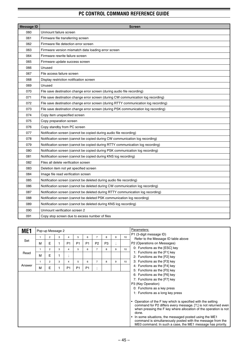| <b>Message ID</b> | <b>Screen</b>                                                                       |
|-------------------|-------------------------------------------------------------------------------------|
| 060               | Unmount failure screen                                                              |
| 061               | Firmware file transferring screen                                                   |
| 062               | Firmware file detection error screen                                                |
| 063               | Firmware version mismatch data loading error screen                                 |
| 064               | Firmware rewrite failure screen                                                     |
| 065               | Firmware update success screen                                                      |
| 066               | Unused                                                                              |
| 067               | File access failure screen                                                          |
| 068               | Display restriction notification screen                                             |
| 069               | Unused                                                                              |
| 070               | File save destination change error screen (during audio file recording)             |
| 071               | File save destination change error screen (during CW communication log recording)   |
| 072               | File save destination change error screen (during RTTY communication log recording) |
| 073               | File save destination change error screen (during PSK communication log recording)  |
| 074               | Copy item unspecified screen                                                        |
| 075               | Copy preparation screen                                                             |
| 076               | Copy standby from PC screen                                                         |
| 077               | Notification screen (cannot be copied during audio file recording)                  |
| 078               | Notification screen (cannot be copied during CW communication log recording)        |
| 079               | Notification screen (cannot be copied during RTTY communication log recording)      |
| 080               | Notification screen (cannot be copied during PSK communication log recording)       |
| 081               | Notification screen (cannot be copied during KNS log recording)                     |
| 082               | Files all delete verification screen                                                |
| 083               | Deletion item not yet specified screen                                              |
| 084               | Image file read verification screen                                                 |
| 085               | Notification screen (cannot be deleted during audio file recording)                 |
| 086               | Notification screen (cannot be deleted during CW communication log recording)       |
| 087               | Notification screen (cannot be deleted during RTTY communication log recording)     |
| 088               | Notification screen (cannot be deleted PSK communication log recording)             |
| 089               | Notification screen (cannot be deleted during KNS log recording)                    |
| 090               | Unmount verification screen 2                                                       |
| 091               | Copy stop screen due to excess number of files                                      |

| ME <sub>1</sub> |   | Pop-up Message 2 |   |                          |                |                |                |                |              |    | Parameters:                                                                                                                                                                                                                                                                                                                                                                                                                                                                                                                                              |
|-----------------|---|------------------|---|--------------------------|----------------|----------------|----------------|----------------|--------------|----|----------------------------------------------------------------------------------------------------------------------------------------------------------------------------------------------------------------------------------------------------------------------------------------------------------------------------------------------------------------------------------------------------------------------------------------------------------------------------------------------------------------------------------------------------------|
|                 |   | 2                | 3 | 4                        | 5              | 6              | 7              | 8              | 9            | 10 | P1 (3-digit message ID)<br>Refer to the Message ID table above                                                                                                                                                                                                                                                                                                                                                                                                                                                                                           |
| Set             | M | E                |   | P <sub>1</sub>           | P <sub>1</sub> | P <sub>1</sub> | P <sub>2</sub> | P <sub>3</sub> | ٠<br>$\cdot$ |    | P2 (Operations on Messages)                                                                                                                                                                                                                                                                                                                                                                                                                                                                                                                              |
|                 |   | 2                | 3 | 4                        | 5              | 6              | $\overline{7}$ | 8              | 9            | 10 | 0: Functions as the [ESC] key<br>1: Functions as the [F1] key                                                                                                                                                                                                                                                                                                                                                                                                                                                                                            |
| Read            | M | E                | 1 | $\overline{\phantom{a}}$ |                |                |                |                |              |    | 2: Functions as the [F2] key                                                                                                                                                                                                                                                                                                                                                                                                                                                                                                                             |
|                 | 1 | 2                | 3 | 4                        | 5              | 6              | $\overline{7}$ | 8              | 9            | 10 | 3: Functions as the [F3] key                                                                                                                                                                                                                                                                                                                                                                                                                                                                                                                             |
| Answer          | M | E                | 1 | P <sub>1</sub>           | P <sub>1</sub> | P <sub>1</sub> | ٠<br>$\cdot$   |                |              |    | 4: Functions as the [F4] key<br>5: Functions as the [F5] key                                                                                                                                                                                                                                                                                                                                                                                                                                                                                             |
|                 |   |                  |   |                          |                |                |                |                |              |    | 6: Functions as the [F6] key<br>7: Functions as the [F7] key<br>P3 (Key Operation)<br>0: Functions as a key press<br>1: Functions as a long key press<br>Operation of the F key which is specified with the setting<br>command for P2 differs every message. [?;] is not returned even<br>when pressing the F key where allocation of the operation is not<br>done.<br>In some situations, the messaged posted using the ME1<br>command is simultaneously posted with the message from the<br>MEO command. In such a case, the ME1 message has priority. |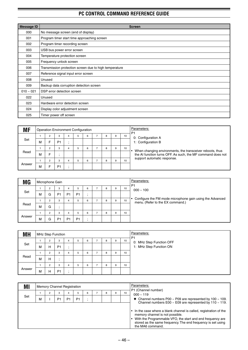| Message ID  | <b>Screen</b>                                          |
|-------------|--------------------------------------------------------|
| 000         | No message screen (end of display)                     |
| 001         | Program timer start time approaching screen            |
| 002         | Program timer recording screen                         |
| 003         | USB bus power error screen                             |
| 004         | Temperature protection screen                          |
| 005         | Frequency unlock screen                                |
| 006         | Transmission protection screen due to high temperature |
| 007         | Reference signal input error screen                    |
| 008         | Unused                                                 |
| 009         | Backup data corruption detection screen                |
| $010 - 021$ | DSP error detection screen                             |
| 022         | Unused                                                 |
| 023         | Hardware error detection screen                        |
| 024         | Display color adjustment screen                        |
| 025         | Timer power off screen                                 |

| <b>MF</b> |   |                |                |   | <b>Operation Environment Configuration</b> |   |   |   |    | Parameters:<br>P <sub>1</sub>                                                                                            |  |  |
|-----------|---|----------------|----------------|---|--------------------------------------------|---|---|---|----|--------------------------------------------------------------------------------------------------------------------------|--|--|
|           |   |                | 3              | 4 | 5                                          | 6 | 8 | 9 | 10 | 0: Configuration A                                                                                                       |  |  |
| Set       | м |                | P <sub>1</sub> |   |                                            |   |   |   |    | 1: Configuration B                                                                                                       |  |  |
|           |   |                | 3              |   |                                            | 6 | 8 | 9 | 10 |                                                                                                                          |  |  |
| Read      | М |                |                |   |                                            |   |   |   |    | When changing environments, the transceiver reboots, thus<br>the AI function turns OFF. As such, the MF command does not |  |  |
|           |   | $\overline{c}$ | 3              | 4 | h                                          | 6 | 8 | 9 | 10 | support automatic response.                                                                                              |  |  |
| Answer    | М |                | P <sub>1</sub> |   |                                            |   |   |   |    |                                                                                                                          |  |  |

| <b>MG</b> |   | Microphone Gain |                |                |                |   |   |   |   |    | Parameters:<br>P <sub>1</sub>                                                                |
|-----------|---|-----------------|----------------|----------------|----------------|---|---|---|---|----|----------------------------------------------------------------------------------------------|
|           |   | 2               | 3              | 4              | 5              | 6 |   | 8 | 9 | 10 | $000 - 100$                                                                                  |
| Set       | м | G               | P <sub>1</sub> | P <sub>1</sub> | P <sub>1</sub> |   |   |   |   |    |                                                                                              |
|           |   | $\overline{2}$  | 3              | 4              | 5              | 6 | - | 8 | 9 | 10 | Configure the FM mode microphone gain using the Advanced<br>menu. (Refer to the EX command.) |
| Read      | М | G               |                |                |                |   |   |   |   |    |                                                                                              |
|           |   | ◠               | 3              | 4              | 5              | 6 |   | 8 | 9 | 10 |                                                                                              |
| Answer    | м | G               | P <sub>1</sub> | P <sub>1</sub> | P <sub>1</sub> |   |   |   |   |    |                                                                                              |

| <b>MH</b> |   |                | MHz Step Function |   |   |   |   |   |    | Parameters:<br>P <sub>1</sub> |
|-----------|---|----------------|-------------------|---|---|---|---|---|----|-------------------------------|
|           |   | 2              | 3                 | 4 | 5 | 6 | 8 | 9 | 10 | 0: MHz Step Function OFF      |
| Set       | м | н              | P <sub>1</sub>    |   |   |   |   |   |    | 1: MHz Step Function ON       |
|           |   | 2              | 3                 | 4 | 5 | 6 | 8 | 9 | 10 |                               |
| Read      | м | н              | $\sim$<br>-9      |   |   |   |   |   |    |                               |
|           |   | $\overline{2}$ | 3                 | 4 | 5 | 6 | 8 | 9 | 10 |                               |
| Answer    | М | н              | P <sub>1</sub>    |   |   |   |   |   |    |                               |

| ΜI  |   |   |                | <b>Memory Channel Registration</b> |                |           |   | Parameters:<br>P1 (Channel number) |    |                                                                                                                                                                                                                                                         |
|-----|---|---|----------------|------------------------------------|----------------|-----------|---|------------------------------------|----|---------------------------------------------------------------------------------------------------------------------------------------------------------------------------------------------------------------------------------------------------------|
|     |   | 2 | 3              | 4                                  | 5              | 6         | 8 | 9                                  | 10 | $000 - 119$                                                                                                                                                                                                                                             |
| Set | м |   | P <sub>1</sub> | P <sub>1</sub>                     | P <sub>1</sub> | $\bullet$ |   |                                    |    | $\bullet$ Channel numbers P00 ~ P09 are represented by 100 ~ 109.<br>Channel numbers $E00 \sim E09$ are represented by 110 $\sim$ 119.                                                                                                                  |
|     |   |   |                |                                    |                |           |   |                                    |    | • In the case where a blank channel is called, registration of the<br>memory channel is not possible.<br>With the Programmable VFO, the start and end frequency are<br>stored as the same frequency. The end frequency is set using<br>the MA6 command. |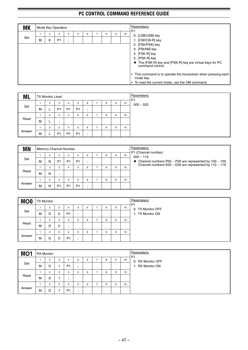| <b>MK</b> |   |                | Mode Key Operation |                             |   |   |   |   |    | Parameters:                                                                                                                                                                                                                             |  |  |  |  |
|-----------|---|----------------|--------------------|-----------------------------|---|---|---|---|----|-----------------------------------------------------------------------------------------------------------------------------------------------------------------------------------------------------------------------------------------|--|--|--|--|
|           |   | $\overline{2}$ | 3                  |                             | 5 | 6 | 8 | 9 | 10 | P <sub>1</sub><br>0: [LSB/USB] key                                                                                                                                                                                                      |  |  |  |  |
| Set       | м | Κ              | P <sub>1</sub>     | $\bullet$<br>$\overline{ }$ |   |   |   |   |    | 1: [CW/CW-R] key                                                                                                                                                                                                                        |  |  |  |  |
|           |   |                |                    |                             |   |   |   |   |    | 2: [FSK/PSK] key<br>3: [FM/AM] key<br>4: [FSK-R] key<br>5: [PSK-R] key<br>◆ The [FSK-R] key and [PSK-R] key are virtual keys for PC<br>command control.<br>• This command is to operate the transceiver when pressing each<br>mode key. |  |  |  |  |
|           |   |                |                    |                             |   |   |   |   |    | • To read the current mode, use the OM command.                                                                                                                                                                                         |  |  |  |  |

| <b>ML</b> |   | <b>TX Monitor Level</b> |                |                |                |           |                          |              |   |    |                               |  |  |  |  |
|-----------|---|-------------------------|----------------|----------------|----------------|-----------|--------------------------|--------------|---|----|-------------------------------|--|--|--|--|
|           |   | $\overline{2}$          | 3              | 4              | 5              | 6         | -                        | 8            | 9 | 10 | P <sub>1</sub><br>$000 - 020$ |  |  |  |  |
| Set       | м | ┕                       | P <sub>1</sub> | P <sub>1</sub> | P <sub>1</sub> | $\bullet$ |                          |              |   |    |                               |  |  |  |  |
|           |   | $\overline{2}$          | 3              | 4              | 5              | 6         | $\overline{\phantom{a}}$ | 8            | 9 | 10 |                               |  |  |  |  |
| Read      | м | ┕                       |                |                |                |           |                          |              |   |    |                               |  |  |  |  |
|           |   | $\overline{2}$          | 3              | 4              | 5              | 6         | $\overline{ }$           | $\circ$<br>c | 9 | 10 |                               |  |  |  |  |
| Answer    | м | ┕                       | P <sub>1</sub> | P <sub>1</sub> | P <sub>1</sub> |           |                          |              |   |    |                               |  |  |  |  |

| <b>MN</b> |   |                | Memory Channel Number |                |                |   |   |   | Parameters:<br>P1 (Channel number) |                                                                                                                                        |
|-----------|---|----------------|-----------------------|----------------|----------------|---|---|---|------------------------------------|----------------------------------------------------------------------------------------------------------------------------------------|
|           |   | 2              | 3                     | 4              | 5              | 6 | 8 | 9 | 10                                 | $000 - 119$                                                                                                                            |
| Set       | м | N              | P <sub>1</sub>        | P <sub>1</sub> | P <sub>1</sub> |   |   |   |                                    | $\bullet$ Channel numbers P00 ~ P09 are represented by 100 ~ 109.<br>Channel numbers E00 $\sim$ E09 are represented by 110 $\sim$ 119. |
|           |   | $\overline{2}$ | 3                     | 4              | 5              | 6 | 8 | 9 | 10                                 |                                                                                                                                        |
| Read      | м | N              |                       |                |                |   |   |   |                                    |                                                                                                                                        |
|           |   | $\overline{2}$ | 3                     |                | 5              | 6 | 8 | 9 | 10                                 |                                                                                                                                        |
| Answer    | м | N              | P <sub>1</sub>        | P <sub>1</sub> | P <sub>1</sub> |   |   |   |                                    |                                                                                                                                        |

| <b>MO0</b> |   | <b>TX Monitor</b> |   |                |    |   |   |   |    | Parameters:<br>P <sub>1</sub> |  |
|------------|---|-------------------|---|----------------|----|---|---|---|----|-------------------------------|--|
|            |   | $\overline{2}$    | 3 | 4              | b. | 6 | 8 | 9 | 10 | 0: TX Monitor OFF             |  |
| Set        | м |                   | 0 | P <sub>1</sub> |    |   |   |   |    | 1: TX Monitor ON              |  |
|            |   | 2                 | 3 | 4              | 5  | 6 | 8 | 9 | 10 |                               |  |
| Read       | м | O                 | 0 | $\cdot$        |    |   |   |   |    |                               |  |
|            |   | $\overline{2}$    | 3 | 4              | 5  | 6 | 8 | 9 | 10 |                               |  |
| Answer     | м | O                 | 0 | P <sub>1</sub> |    |   |   |   |    |                               |  |

| MO <sub>1</sub> |   | <b>RX Monitor</b> |   |                |   |   |   |   |   |    | Parameters:<br>P <sub>1</sub> |
|-----------------|---|-------------------|---|----------------|---|---|---|---|---|----|-------------------------------|
|                 |   | 2                 | 3 | 4              | h | 6 | ⇁ | 8 | 9 | 10 | 0: RX Monitor OFF             |
| Set             | м | $\circ$           |   | P <sub>1</sub> | ٠ |   |   |   |   |    | 1: RX Monitor ON              |
|                 |   | 2                 | 3 | 4              | 5 | 6 | ⇁ | 8 | 9 | 10 |                               |
| Read            | м | $\circ$           |   |                |   |   |   |   |   |    |                               |
|                 |   | 2                 | 3 | 4              | 5 | 6 | ⇁ | 8 | 9 | 10 |                               |
| Answer          | м | $\circ$           |   | P <sub>1</sub> |   |   |   |   |   |    |                               |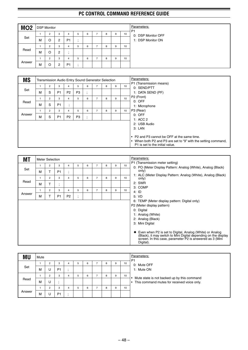| MO <sub>2</sub> |   | <b>DSP Monitor</b>  |                     |                     |   |   |    |   |   |    |
|-----------------|---|---------------------|---------------------|---------------------|---|---|----|---|---|----|
| Set             | M | 2                   | 3<br>2              | 4<br>P <sub>1</sub> | 5 | 6 |    | 8 | 9 | 10 |
| Read            | м | $\overline{2}$<br>O | 3<br>$\overline{c}$ | 4                   | 5 | 6 | -  | 8 | 9 | 10 |
| Answer          | м | $\overline{2}$<br>O | 3<br>2              | 4<br>P <sub>1</sub> | 5 | 6 | ۰. | 8 | 9 | 10 |

| <b>MS</b> |   |                |                |                             | Transmission Audio Entry Sound Generator Selection |         |                |   |   |    | Parameters:                                                                                                              |
|-----------|---|----------------|----------------|-----------------------------|----------------------------------------------------|---------|----------------|---|---|----|--------------------------------------------------------------------------------------------------------------------------|
|           |   | $\overline{2}$ | 3              | 4                           | 5                                                  | 6       | $\overline{7}$ | 8 | 9 | 10 | P1 (Transmission means)<br>0: SEND/PTT                                                                                   |
| Set       | M | S              | P <sub>1</sub> | P <sub>2</sub>              | P <sub>3</sub>                                     | $\cdot$ |                |   |   |    | 1: DATA SEND (PF)                                                                                                        |
|           |   | $\overline{2}$ | 3              | 4                           | 5                                                  | 6       | $\overline{7}$ | 8 | 9 | 10 | P <sub>2</sub> (Front)                                                                                                   |
| Read      | M | S              | P <sub>1</sub> | $\bullet$<br>$\overline{ }$ |                                                    |         |                |   |   |    | $0:$ OFF<br>1: Microphone                                                                                                |
|           |   | $\overline{2}$ | 3              | 4                           | 5                                                  | 6       | $\overline{7}$ | 8 | 9 | 10 | P3 (Rear)                                                                                                                |
| Answer    | M | S              | P <sub>1</sub> | P <sub>2</sub>              | P <sub>3</sub>                                     | . .     |                |   |   |    | $0:$ OFF<br>1: ACC 2                                                                                                     |
|           |   |                |                |                             |                                                    |         |                |   |   |    | 2: USB Audio                                                                                                             |
|           |   |                |                |                             |                                                    |         |                |   |   |    | $3:$ LAN                                                                                                                 |
|           |   |                |                |                             |                                                    |         |                |   |   |    | • P2 and P3 cannot be OFF at the same time.<br>When both P2 and P3 are set to "9" with the setting command,<br>$\bullet$ |
|           |   |                |                |                             |                                                    |         |                |   |   |    | P1 is set to the initial value.                                                                                          |

| 1<br>Set<br>м<br>$\mathbf{1}$ | 2<br>T         | 3              | $\overline{4}$                        |              |   |                |   |   |    |                                                                                                                                                                                                                                                                                                                                                     |
|-------------------------------|----------------|----------------|---------------------------------------|--------------|---|----------------|---|---|----|-----------------------------------------------------------------------------------------------------------------------------------------------------------------------------------------------------------------------------------------------------------------------------------------------------------------------------------------------------|
|                               |                |                |                                       | 5            | 6 | $\overline{7}$ | 8 | 9 | 10 | P1 (Transmission meter setting)<br>0: PO (Meter Display Pattern: Analog (White), Analog (Black)                                                                                                                                                                                                                                                     |
|                               |                | P <sub>1</sub> | $\bullet$<br>$\overline{\phantom{a}}$ |              |   |                |   |   |    | only)                                                                                                                                                                                                                                                                                                                                               |
|                               | $\overline{2}$ | 3              | 4                                     | 5            | 6 | $\overline{7}$ | 8 | 9 | 10 | 1: ALC (Meter Display Pattern: Analog (White), Analog (Black)<br>only)                                                                                                                                                                                                                                                                              |
| Read<br>M                     | Т              | п.             |                                       |              |   |                |   |   |    | 2: SWR                                                                                                                                                                                                                                                                                                                                              |
|                               | 2              | 3              | $\overline{4}$                        | 5            | 6 | $\overline{7}$ | 8 | 9 | 10 | 3: COMP<br>4: ID                                                                                                                                                                                                                                                                                                                                    |
| Answer<br>M                   |                | P <sub>1</sub> | P <sub>2</sub>                        | ٠<br>$\cdot$ |   |                |   |   |    | 5: VD                                                                                                                                                                                                                                                                                                                                               |
|                               |                |                |                                       |              |   |                |   |   |    | 6: TEMP (Meter display pattern: Digital only)<br>P2 (Meter display pattern)<br>0: Digital<br>1: Analog (White)<br>2: Analog (Black)<br>3: Mini Digital<br>Even when P2 is set to Digital, Analog (White) or Analog<br>(Black), it may switch to Mini Digital depending on the display<br>screen. In this case, parameter P2 is answered as 3 (Mini) |

| ΜU     | Mute |                |                |   |   |   |   |    | Parameters:<br>P <sub>1</sub>                 |
|--------|------|----------------|----------------|---|---|---|---|----|-----------------------------------------------|
|        |      | $\overline{2}$ | 3              | 5 | 6 | 8 | 9 | 10 | 0: Mute OFF                                   |
| Set    | M    | U              | P <sub>1</sub> |   |   |   |   |    | 1: Mute ON                                    |
|        |      | $\overline{2}$ | 3              | 5 | 6 | 8 | 9 | 10 | Mute state is not backed up by this command   |
| Read   | M    | U              |                |   |   |   |   |    | • This command mutes for received voice only. |
|        |      | ο              | 3              | 5 | 6 | 8 | 9 | 10 |                                               |
| Answer | м    | U              | P <sub>1</sub> |   |   |   |   |    |                                               |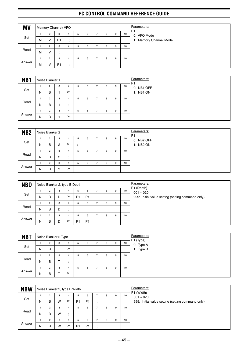| <b>MV</b> |   |                | Memory Channel/ VFO |           |   |   |   |   |    | Parameters:<br>P <sub>1</sub> |
|-----------|---|----------------|---------------------|-----------|---|---|---|---|----|-------------------------------|
|           |   | 2              | 3                   | 4         | 5 | 6 | 8 | 9 | 10 | 0: VFO Mode                   |
| Set       | м | v              | P <sub>1</sub>      | $\cdot$   |   |   |   |   |    | 1: Memory Channel Mode        |
|           |   | $\overline{2}$ | 3                   | 4         | 5 | 6 | 8 | 9 | 10 |                               |
| Read      | м | v              | $\cdot$             |           |   |   |   |   |    |                               |
|           |   | $\overline{2}$ | 3                   | 4         | 5 | 6 | 8 | 9 | 10 |                               |
| Answer    | м | v              | P <sub>1</sub>      | $\bullet$ |   |   |   |   |    |                               |

| NB <sub>1</sub> |   | Noise Blanker 1 |   |                |   |   |                |   |   |    | Parameters:<br>P <sub>1</sub> |
|-----------------|---|-----------------|---|----------------|---|---|----------------|---|---|----|-------------------------------|
|                 |   | 2               | 3 | 4              | 5 | 6 | ⇁              | 8 | 9 | 10 | 0: NB1 OFF                    |
| Set             | N | B               |   | P <sub>1</sub> | ٠ |   |                |   |   |    | 1: NB1 ON                     |
|                 |   | $\overline{2}$  | 3 | 4              | 5 | 6 | $\rightarrow$  | 8 | 9 | 10 |                               |
| Read            | N | B               |   | ٠.             |   |   |                |   |   |    |                               |
|                 |   | $\overline{2}$  | 3 | 4              | 5 | 6 | $\overline{ }$ | 8 | 9 | 10 |                               |
| Answer          | N | B               |   | P <sub>1</sub> |   |   |                |   |   |    |                               |

| NB <sub>2</sub> |   | Noise Blanker 2 |                |                |           |   |   |   |   |    | Parameters:<br>P <sub>1</sub> |
|-----------------|---|-----------------|----------------|----------------|-----------|---|---|---|---|----|-------------------------------|
|                 |   | 2               | 3              | 4              | 5         | 6 |   | 8 | 9 | 10 | 0: NB2 OFF                    |
| Set             | N | B               | $\overline{2}$ | P <sub>1</sub> | $\bullet$ |   |   |   |   |    | 1: NB2 ON                     |
|                 |   | $\overline{2}$  | 3              | 4              | 5         | 6 | - | 8 | 9 | 10 |                               |
| Read            | N | B               | $\overline{2}$ |                |           |   |   |   |   |    |                               |
|                 |   | $\overline{2}$  | 3              | 4              | 5         | 6 | - | 8 | 9 | 10 |                               |
| Answer          | N | B               | っ<br>∼         | P <sub>1</sub> | ٠         |   |   |   |   |    |                               |

| <b>NBD</b> |   |                |   |                | Noise Blanker 2, type B Depth |                |   |   |    | Parameters:<br>P1 (Depth)                         |
|------------|---|----------------|---|----------------|-------------------------------|----------------|---|---|----|---------------------------------------------------|
|            |   | $\overline{2}$ | 3 | 4              | 5                             | 6              | 8 | 9 | 10 | $001 - 020$                                       |
| Set        | N | B              | D | P <sub>1</sub> | P <sub>1</sub>                | P <sub>1</sub> |   |   |    | 999: Initial value setting (setting command only) |
|            |   |                | 3 | 4              | b.                            | 6              | 8 | 9 | 10 |                                                   |
| Read       | N | B              | D |                |                               |                |   |   |    |                                                   |
|            |   | $\sim$         | 3 | 4              | b                             | 6              | 8 | 9 | 10 |                                                   |
| Answer     | N | в              | D | P1             | P <sub>1</sub>                | P <sub>1</sub> |   |   |    |                                                   |

| <b>NBT</b> |   | Noise Blanker 2 Type |           |                |   |   |   |   |   |    | Parameters:            |
|------------|---|----------------------|-----------|----------------|---|---|---|---|---|----|------------------------|
|            |   | 2                    | 3         | 4              | 5 | 6 | - | 8 | 9 | 10 | P1 (Type)<br>0: Type A |
| Set        | N | B                    | ᠇         | P <sub>1</sub> |   |   |   |   |   |    | 1: Type B              |
|            |   | 2                    | 3         | 4              | 5 | 6 | - | 8 | 9 | 10 |                        |
| Read       | N | B                    | $\mathbf$ | $\cdot$        |   |   |   |   |   |    |                        |
|            |   | 2                    | 3         | 4              | 5 | 6 |   | 8 | 9 | 10 |                        |
| Answer     | N | B                    |           | P <sub>1</sub> |   |   |   |   |   |    |                        |

| <b>NBW</b> |   | Noise Blanker 2, type B Width |   |                |                |                |         |   |   |    | Parameters:<br>P1 (Width)                         |
|------------|---|-------------------------------|---|----------------|----------------|----------------|---------|---|---|----|---------------------------------------------------|
|            |   | $\overline{2}$                | 3 | 4              | 5              | 6              |         | 8 | 9 | 10 | $001 - 020$                                       |
| Set        | Ν | B                             | W | P <sub>1</sub> | P <sub>1</sub> | P <sub>1</sub> | $\cdot$ |   |   |    | 999: Initial value setting (setting command only) |
|            |   | 2                             | 3 | 4              | b.             | 6              |         | 8 | 9 | 10 |                                                   |
| Read       | N | B                             | W |                |                |                |         |   |   |    |                                                   |
|            |   | $\overline{2}$                | 3 | 4              | 5              | 6              | -       | 8 | 9 | 10 |                                                   |
| Answer     | N | B                             | W | P <sub>1</sub> | P1             | P <sub>1</sub> | $\cdot$ |   |   |    |                                                   |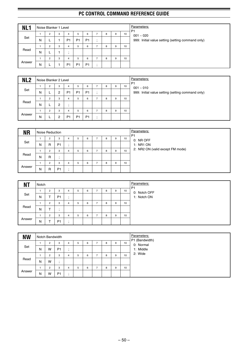| NL <sub>1</sub> |   | Noise Blanker 1 Level |   |                |                |                |                |   |   |    | Parameters:<br>P <sub>1</sub>                     |
|-----------------|---|-----------------------|---|----------------|----------------|----------------|----------------|---|---|----|---------------------------------------------------|
|                 |   | $\overline{2}$        | 3 | 4              | 5              | 6              | ⇁              | 8 | 9 | 10 | $001 - 020$                                       |
| Set             | Ν |                       |   | P <sub>1</sub> | P <sub>1</sub> | P <sub>1</sub> | $\cdot$        |   |   |    | 999: Initial value setting (setting command only) |
|                 |   | $\overline{2}$        | 3 | 4              | 5              | 6              | $\overline{ }$ | 8 | 9 | 10 |                                                   |
| Read            | N |                       |   |                |                |                |                |   |   |    |                                                   |
|                 |   | $\overline{2}$        | 3 | 4              | 5              | 6              | $\overline{ }$ | 8 | 9 | 10 |                                                   |
| Answer          | N |                       |   | P <sub>1</sub> | P <sub>1</sub> | P <sub>1</sub> | . .            |   |   |    |                                                   |

| NL <sub>2</sub> |   | Noise Blanker 2 Level |   |                |                |                |         |   |   |    | Parameters:<br>P <sub>1</sub>                     |
|-----------------|---|-----------------------|---|----------------|----------------|----------------|---------|---|---|----|---------------------------------------------------|
| Set             |   | $\overline{2}$        | 3 | 4              | 5              | 6              |         | 8 | 9 | 10 | $001 - 010$                                       |
|                 | Ν | ட                     | 2 | P <sub>1</sub> | P <sub>1</sub> | P <sub>1</sub> | $\cdot$ |   |   |    | 999: Initial value setting (setting command only) |
|                 |   | $\overline{2}$        | 3 | 4              | 5              | 6              | -       | 8 | 9 | 10 |                                                   |
| Read            | Ν | ட                     | 2 |                |                |                |         |   |   |    |                                                   |
|                 |   | $\overline{2}$        | 3 | 4              | 5              | 6              | -       | 8 | 9 | 10 |                                                   |
| Answer          | Ν |                       | 2 | P <sub>1</sub> | P <sub>1</sub> | P <sub>1</sub> | $\cdot$ |   |   |    |                                                   |

| <b>NR</b> |   | Noise Reduction |                |         |   |   |   |   |   |    | Parameters:<br>P <sub>1</sub>    |
|-----------|---|-----------------|----------------|---------|---|---|---|---|---|----|----------------------------------|
|           |   | $\overline{2}$  | 3              | 4       | h | 6 |   | 8 | 9 | 10 | 0: NR OFF                        |
| Set       | N | R               | P <sub>1</sub> | $\cdot$ |   |   |   |   |   |    | 1: NR1 ON                        |
|           |   | $\overline{2}$  | 3              | 4       | h | 6 |   | 8 | 9 | 10 | 2: NR2 ON (valid except FM mode) |
| Read      | N | R               | ٠.             |         |   |   |   |   |   |    |                                  |
|           |   | $\overline{2}$  | 3              | 4       |   | 6 | - | 8 | 9 | 10 |                                  |
| Answer    | N | R               | P <sub>1</sub> |         |   |   |   |   |   |    |                                  |

| <b>NT</b> | Notch |                |                |                    |   |   |   |   |   |    | Parameters:<br>P <sub>1</sub> |
|-----------|-------|----------------|----------------|--------------------|---|---|---|---|---|----|-------------------------------|
|           |       | 2              | 3              | 4                  | h | 6 | ⇁ | 8 | 9 | 10 | 0: Notch OFF                  |
| Set       | N     |                | P <sub>1</sub> | $\cdot$<br>$\cdot$ |   |   |   |   |   |    | 1: Notch ON                   |
|           |       | $\overline{2}$ | 3              | 4                  | b | 6 | - | 8 | 9 | 10 |                               |
| Read      | N     |                |                |                    |   |   |   |   |   |    |                               |
|           |       | $\overline{2}$ | 3              | 4                  |   | 6 | - | 8 | 9 | 10 |                               |
| Answer    | N     |                | P <sub>1</sub> | $\cdot$            |   |   |   |   |   |    |                               |

| <b>NW</b> |   | Notch Bandwidth |                |         |   |   |   |   |   |    | Parameters:<br>P1 (Bandwidth) |
|-----------|---|-----------------|----------------|---------|---|---|---|---|---|----|-------------------------------|
|           |   | $\overline{2}$  | 3              | 4       | 5 | 6 | - | 8 | 9 | 10 | 0: Normal                     |
| Set       | N | W               | P <sub>1</sub> | $\cdot$ |   |   |   |   |   |    | 1: Middle                     |
|           |   | $\overline{2}$  | 3              | 4       | 5 | 6 |   | 8 | 9 | 10 | 2: Wide                       |
| Read      | Ν | W               |                |         |   |   |   |   |   |    |                               |
|           |   | $\overline{c}$  | 3              | 4       | 5 | 6 |   | 8 | 9 | 10 |                               |
| Answer    | N | W               | P <sub>1</sub> | $\cdot$ |   |   |   |   |   |    |                               |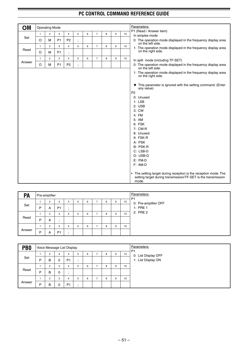| OM     |              | <b>Operating Mode</b> |                |                |                          |   |                |   |   |    | Parameters:                                                                                                                                                                                                                                                                                                                                                  |
|--------|--------------|-----------------------|----------------|----------------|--------------------------|---|----------------|---|---|----|--------------------------------------------------------------------------------------------------------------------------------------------------------------------------------------------------------------------------------------------------------------------------------------------------------------------------------------------------------------|
|        | $\mathbf{1}$ | $\overline{c}$        | 3              | $\overline{4}$ | 5                        | 6 | $\overline{7}$ | 8 | 9 | 10 | P1 (Read / Answer item)<br>In simplex mode                                                                                                                                                                                                                                                                                                                   |
| Set    | O            | М                     | P <sub>1</sub> | P <sub>2</sub> |                          |   |                |   |   |    | 0: The operation mode displayed in the frequency display area                                                                                                                                                                                                                                                                                                |
|        | $\mathbf{1}$ | $\overline{c}$        | 3              | $\overline{4}$ | 5                        | 6 | $\overline{7}$ | 8 | 9 | 10 | on the left side.<br>1: The operation mode displayed in the frequency display area                                                                                                                                                                                                                                                                           |
| Read   | O            | M                     | P <sub>1</sub> | $\frac{1}{2}$  |                          |   |                |   |   |    | on the right side.                                                                                                                                                                                                                                                                                                                                           |
|        | $\mathbf{1}$ | $\overline{2}$        | 3              | $\overline{4}$ | 5                        | 6 | $\overline{7}$ | 8 | 9 | 10 | In split mode (including TF-SET)                                                                                                                                                                                                                                                                                                                             |
| Answer | O            | M                     | P <sub>1</sub> | P <sub>2</sub> | $\overline{\phantom{a}}$ |   |                |   |   |    | 0: The operation mode displayed in the frequency display area<br>on the left side.                                                                                                                                                                                                                                                                           |
|        |              |                       |                |                |                          |   |                |   |   |    | 1: The operation mode displayed in the frequency display area<br>on the right side.                                                                                                                                                                                                                                                                          |
|        |              |                       |                |                |                          |   |                |   |   |    | This parameter is ignored with the setting command. (Enter<br>٠<br>any value)<br>P <sub>2</sub><br>0: Unused<br>$1:$ LSB<br>2: <b>USE</b><br>3: CW<br>4: FM<br>5: AM<br>6: FSK<br>7: CW-R<br>8: Unused<br>9: FSK-R<br>A: PSK<br>B: PSK-R<br>C: LSB-D<br>D: USB-D<br>$E: FM-D$<br>F: AM-D<br>• The setting target during reception is the reception mode. The |
|        |              |                       |                |                |                          |   |                |   |   |    | setting target during transmission/TF-SET is the transmission<br>mode.                                                                                                                                                                                                                                                                                       |

| PA     |   | Pre-amplifier  |                |   |   |   |   |   |   |    | Parameters:<br>P <sub>1</sub> |
|--------|---|----------------|----------------|---|---|---|---|---|---|----|-------------------------------|
|        |   | 2              | 3              | 4 | 5 | 6 | - | 8 | 9 | 10 | 0: Pre-amplifier OFF          |
| Set    | P | A              | P <sub>1</sub> |   |   |   |   |   |   |    | 1: PRE 1                      |
|        |   | $\overline{2}$ | 3              | 4 | 5 | 6 | - | 8 | 9 | 10 | 2: PRE 2                      |
| Read   | P | A              |                |   |   |   |   |   |   |    |                               |
|        |   | 2              | 3              | 4 | b | 6 |   | 8 | 9 | 10 |                               |
| Answer | P | A              | P <sub>1</sub> |   |   |   |   |   |   |    |                               |

| PB <sub>0</sub> |   | Voice Message List Display |   |                |    |   |   |   |    | Parameters:<br>P <sub>1</sub> |
|-----------------|---|----------------------------|---|----------------|----|---|---|---|----|-------------------------------|
| Set             |   | 2                          | 3 | 4              | 5  | 6 | 8 | 9 | 10 | 0: List Display OFF           |
|                 | D | B                          | 0 | P <sub>1</sub> | ٠. |   |   |   |    | 1: List Display ON            |
|                 |   | 2                          | 3 | 4              | 5  | 6 | 8 | 9 | 10 |                               |
| Read            | D | B                          | 0 | $\cdot$        |    |   |   |   |    |                               |
|                 |   | 2                          | 3 | 4              | 5  | 6 | 8 | 9 | 10 |                               |
| Answer          | D | B                          | 0 | P <sub>1</sub> |    |   |   |   |    |                               |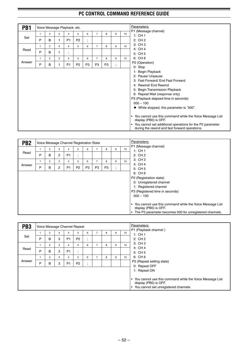| PB <sub>1</sub> |   |                |   | Voice Message Playback, etc.  |                |                               |                |                |                          |    | Parameters:                                                                                                              |
|-----------------|---|----------------|---|-------------------------------|----------------|-------------------------------|----------------|----------------|--------------------------|----|--------------------------------------------------------------------------------------------------------------------------|
|                 | 1 | $\overline{2}$ | 3 | 4                             | 5              | 6                             | $\overline{7}$ | 8              | 9                        | 10 | P1 (Message channel)<br>1:CH1                                                                                            |
| Set             | P | B              |   | P <sub>1</sub>                | P <sub>2</sub> |                               |                |                |                          |    | 2: CH 2                                                                                                                  |
|                 | 1 | 2              | 3 | $\overline{\mathbf{4}}$       | 5              | $\overline{\phantom{a}}$<br>6 | $\overline{7}$ | 8              | 9                        | 10 | 3: CH 3                                                                                                                  |
| Read            |   |                |   |                               |                |                               |                |                |                          |    | 4: CH 4                                                                                                                  |
|                 | P | B              | 1 | ٠<br>$\overline{\phantom{a}}$ |                |                               |                |                |                          |    | 5: CH 5                                                                                                                  |
|                 | 1 | $\overline{2}$ | 3 | $\overline{\mathbf{4}}$       | 5              | 6                             | $\overline{7}$ | 8              | 9                        | 10 | 6: CH 6                                                                                                                  |
| Answer          | P | B              |   | P <sub>1</sub>                | P <sub>2</sub> | P <sub>3</sub>                | P <sub>3</sub> | P <sub>3</sub> | $\overline{\phantom{a}}$ |    | P2 (Operation)                                                                                                           |
|                 |   |                |   |                               |                |                               |                |                |                          |    | 0: Stop                                                                                                                  |
|                 |   |                |   |                               |                |                               |                |                |                          |    | 1: Begin Playback                                                                                                        |
|                 |   |                |   |                               |                |                               |                |                |                          |    | 2: Pause/ Unpause                                                                                                        |
|                 |   |                |   |                               |                |                               |                |                |                          |    | 3: Fast Forward/ End Fast Forward                                                                                        |
|                 |   |                |   |                               |                |                               |                |                |                          |    | 4: Rewind/ End Rewind                                                                                                    |
|                 |   |                |   |                               |                |                               |                |                |                          |    | 5: Begin Transmission Playback                                                                                           |
|                 |   |                |   |                               |                |                               |                |                |                          |    | 6: Repeat Wait (response only)                                                                                           |
|                 |   |                |   |                               |                |                               |                |                |                          |    | P3 (Playback elapsed time in seconds)                                                                                    |
|                 |   |                |   |                               |                |                               |                |                |                          |    | $000 \sim 100$                                                                                                           |
|                 |   |                |   |                               |                |                               |                |                |                          |    | $\blacklozenge$ While stopped, this parameter is "000".                                                                  |
|                 |   |                |   |                               |                |                               |                |                |                          |    |                                                                                                                          |
|                 |   |                |   |                               |                |                               |                |                |                          |    | You cannot use this command while the Voice Message List<br>$\bullet$<br>display (PB0) is OFF.                           |
|                 |   |                |   |                               |                |                               |                |                |                          |    | You cannot set additional operations for the P2 parameter<br>$\bullet$<br>during the rewind and fast forward operations. |

| PB <sub>2</sub> |   |                |                |                |                | Voice Message Channel Registration State |                |                |              |    | Parameters:                                                                                                                                                                                                                                                                                        |
|-----------------|---|----------------|----------------|----------------|----------------|------------------------------------------|----------------|----------------|--------------|----|----------------------------------------------------------------------------------------------------------------------------------------------------------------------------------------------------------------------------------------------------------------------------------------------------|
|                 |   | 2              | 3              | 4              | 5              | 6                                        | $\overline{7}$ | 8              | 9            | 10 | P1 (Message channel)<br>1:CH1                                                                                                                                                                                                                                                                      |
| Read            | P | B              | $\overline{2}$ | P <sub>1</sub> | л.             |                                          |                |                |              |    | 2:CH2                                                                                                                                                                                                                                                                                              |
|                 |   | $\overline{2}$ | 3              | 4              | 5              | 6                                        | $\overline{7}$ | 8              | 9            | 10 | 3: CH 3                                                                                                                                                                                                                                                                                            |
| Answer          | P | в              | $\overline{2}$ | P <sub>1</sub> | P <sub>2</sub> | P <sub>3</sub>                           | P <sub>3</sub> | P <sub>3</sub> | ٠<br>$\cdot$ |    | 4: CH 4<br>5: CH 5                                                                                                                                                                                                                                                                                 |
|                 |   |                |                |                |                |                                          |                |                |              |    | 6: CH 6<br>P2 (Registration state)<br>0: Unregistered channel<br>1: Registered channel<br>P3 (Registered time in seconds)<br>$000 - 100$<br>You cannot use this command while the Voice Message List<br>٠<br>display (PB0) is OFF.<br>The P3 parameter becomes 000 for unregistered channels.<br>٠ |

| PB <sub>3</sub> |   |                |   |                | Voice Message Channel Repeat |                                     |   |   |    | Parameters:                                                                                                                  |
|-----------------|---|----------------|---|----------------|------------------------------|-------------------------------------|---|---|----|------------------------------------------------------------------------------------------------------------------------------|
|                 |   | $\overline{2}$ | 3 | 4              | 5                            | 6                                   | 8 | 9 | 10 | P1 (Playback channel)<br>1:CH1                                                                                               |
| Set             | P | B              | 3 | P <sub>1</sub> | P <sub>2</sub>               | $\cdot$<br>$\overline{\phantom{a}}$ |   |   |    | 2:CH2                                                                                                                        |
|                 |   | 2              | 3 | 4              | 5                            | 6                                   | 8 | 9 | 10 | 3: CH 3                                                                                                                      |
| Read            | P | B              | 3 | P <sub>1</sub> | $\bullet$<br>$\cdot$         |                                     |   |   |    | 4: CH 4<br>5: CH 5                                                                                                           |
|                 |   | $\overline{2}$ | 3 | 4              | 5                            | 6                                   | 8 | 9 | 10 | 6: CH 6                                                                                                                      |
| Answer          | P | B              | 3 | P <sub>1</sub> | P <sub>2</sub>               | $\cdot$<br>$\cdot$                  |   |   |    | P2 (Repeat setting state)<br>0: Repeat OFF                                                                                   |
|                 |   |                |   |                |                              |                                     |   |   |    | 1: Repeat ON                                                                                                                 |
|                 |   |                |   |                |                              |                                     |   |   |    | • You cannot use this command while the Voice Message List<br>display (PB0) is OFF.<br>You cannot set unregistered channels. |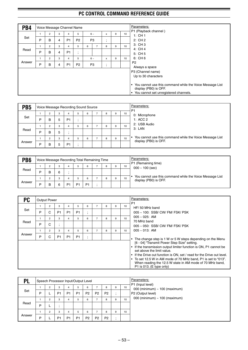| PB4    |              |                |   |                | Voice Message Channel Name |   |                |                                       |   |                 | Parameters:                                                                                                                                                                              |
|--------|--------------|----------------|---|----------------|----------------------------|---|----------------|---------------------------------------|---|-----------------|------------------------------------------------------------------------------------------------------------------------------------------------------------------------------------------|
|        |              | $\overline{2}$ | 3 | 4              | 5                          |   | $6 -$          | x                                     | 9 | 10              | P1 (Playback channel)<br>1:CH1                                                                                                                                                           |
| Set    | P            | B              | 4 | <b>P1</b>      | P <sub>2</sub>             |   | P <sub>3</sub> | $\bullet$<br>$\overline{\phantom{a}}$ |   |                 | 2:CH2                                                                                                                                                                                    |
|        | $\mathbf{1}$ | $\overline{2}$ | 3 | 4              | 5                          | 6 | $\overline{7}$ | 8                                     | 9 | 10              | 3: CH 3                                                                                                                                                                                  |
| Read   | P            | B              | 4 | P <sub>1</sub> | ٠<br>$\bullet$             |   |                |                                       |   |                 | 4: CH 4<br>5: CH 5                                                                                                                                                                       |
|        |              | $\overline{2}$ | 3 | 4              | 5                          |   | $6 -$          | X                                     | 9 | 10 <sup>1</sup> | 6: CH 6                                                                                                                                                                                  |
| Answer | P            | B              | 4 | <b>P1</b>      | P <sub>2</sub>             |   | P <sub>3</sub> | $\bullet$<br>$\overline{1}$           |   |                 | P <sub>2</sub>                                                                                                                                                                           |
|        |              |                |   |                |                            |   |                |                                       |   |                 | Always a space<br>P3 (Channel name)<br>Up to 30 characters<br>You cannot use this command while the Voice Message List<br>display (PB0) is OFF.<br>You cannot set unregistered channels. |

| PB <sub>5</sub> |   |                |   | Voice Message Recording Sound Source |   |   |   |   |    | Parameters:<br>P <sub>1</sub>                            |
|-----------------|---|----------------|---|--------------------------------------|---|---|---|---|----|----------------------------------------------------------|
|                 |   | $\overline{2}$ | 3 | 4                                    | 5 | 6 | 8 | 9 | 10 | 0: Microphone                                            |
| Set             | P | в              | 5 | P <sub>1</sub>                       |   |   |   |   |    | 1: ACC 2                                                 |
|                 |   | 2              | 3 | 4                                    | 5 | 6 | 8 | 9 | 10 | 2: USB Audio<br>3: LAN                                   |
| Read            | P | в              | 5 |                                      |   |   |   |   |    |                                                          |
|                 |   | 2              | 3 | 4                                    | 5 | 6 | 8 | 9 | 10 | You cannot use this command while the Voice Message List |
| Answer          | P | в              | 5 | P <sub>1</sub>                       |   |   |   |   |    | display (PB0) is OFF.                                    |

| PB <sub>6</sub> |   |   |   |    | Voice Message Recording Total Remaining Time |                |   |   |    | Parameters:                                                                       |
|-----------------|---|---|---|----|----------------------------------------------|----------------|---|---|----|-----------------------------------------------------------------------------------|
|                 |   |   | 3 |    |                                              | 6              | 8 | 9 | 10 | P1 (Remaining time)<br>$000 \sim 100$ (sec)                                       |
| Read            | D |   | 6 |    |                                              |                |   |   |    |                                                                                   |
|                 |   |   | 3 |    |                                              | 6              | 8 | 9 | 10 | You cannot use this command while the Voice Message List<br>display (PB0) is OFF. |
| Answer          | D | В | 6 | P1 | D1                                           | P <sub>1</sub> |   |   |    |                                                                                   |

| РC     |   | <b>Output Power</b> |                |                |                |                      |                |   |   |                 |
|--------|---|---------------------|----------------|----------------|----------------|----------------------|----------------|---|---|-----------------|
| Set    |   | $\overline{2}$      | 3              | 4              | 5              | 6                    | 7              | 8 | 9 | 10 <sup>1</sup> |
|        | P | C                   | P <sub>1</sub> | P <sub>1</sub> | P <sub>1</sub> | $\bullet$<br>$\cdot$ |                |   |   |                 |
|        |   | $\overline{2}$      | 3              | 4              | 5              | 6                    | $\overline{7}$ | 8 | 9 | 10 <sup>1</sup> |
| Read   | P | C                   | ٠<br>$\cdot$   |                |                |                      |                |   |   |                 |
|        |   | $\overline{2}$      | 3              | 4              | 5              | 6                    | $\overline{7}$ | 8 | 9 | 10 <sup>1</sup> |
| Answer | P | С                   | P <sub>1</sub> | P <sub>1</sub> | P <sub>1</sub> | $\bullet$<br>$\cdot$ |                |   |   |                 |
|        |   |                     |                |                |                |                      |                |   |   |                 |
|        |   |                     |                |                |                |                      |                |   |   |                 |
|        |   |                     |                |                |                |                      |                |   |   |                 |
|        |   |                     |                |                |                |                      |                |   |   |                 |

| <b>PL</b> |   |                |                | Speech Processor Input/Output Level |                |                |                |                |     |    | Parameters:<br>P1 (Input level) |
|-----------|---|----------------|----------------|-------------------------------------|----------------|----------------|----------------|----------------|-----|----|---------------------------------|
|           |   | $\overline{2}$ | 3              |                                     | 5              | 6              |                | 8              | 9   | 10 | 000 (minimum) ~ 100 (maximum)   |
| Set       | P |                | P <sub>1</sub> | P <sub>1</sub>                      | P <sub>1</sub> | P <sub>2</sub> | P <sub>2</sub> | P <sub>2</sub> |     |    | P2 (Output level)               |
|           |   | $\overline{2}$ | 3              |                                     | 5              | 6              |                | 8              | 9   | 10 | 000 (minimum) ~ 100 (maximum)   |
| Read      | Þ | ட              |                |                                     |                |                |                |                |     |    |                                 |
|           |   | 2              | 3              |                                     | 5              | 6              |                | 8              | 9   | 10 |                                 |
| Answer    | Þ |                | P <sub>1</sub> | P <sub>1</sub>                      | P <sub>1</sub> | P <sub>2</sub> | P <sub>2</sub> | P <sub>2</sub> | . . |    |                                 |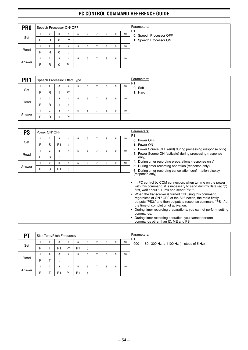| PR <sub>0</sub> |   | Speech Processor ON/ OFF |   |                |   |   |   |   |   |    |
|-----------------|---|--------------------------|---|----------------|---|---|---|---|---|----|
| Set             |   | 2                        | 3 | 4              | 5 | 6 | - | 8 | 9 | 10 |
|                 | P | R                        | 0 | P <sub>1</sub> |   |   |   |   |   |    |
|                 |   | $\overline{c}$           | 3 | 4              | 5 | 6 | - | 8 | 9 | 10 |
| Read            | P | R                        | 0 |                |   |   |   |   |   |    |
|                 |   | $\overline{2}$           | 3 | 4              | 5 | 6 | - | 8 | 9 | 10 |
| Answer          | P | R                        | 0 | P <sub>1</sub> |   |   |   |   |   |    |

| PR <sub>1</sub> |   | Speech Processor Effect Type |   |                |         |   |                |   |   |    | Parameters:<br>P <sub>1</sub> |
|-----------------|---|------------------------------|---|----------------|---------|---|----------------|---|---|----|-------------------------------|
|                 |   | $\overline{2}$               | 3 | 4              | 5       | 6 | -              | 8 | 9 | 10 | 0: Soft                       |
| Set             | P | R                            |   | P <sub>1</sub> | $\cdot$ |   |                |   |   |    | 1: Hard                       |
|                 |   | 2                            | 3 | 4              | 5       | 6 | $\overline{ }$ | 8 | 9 | 10 |                               |
| Read            | P | R                            |   | $\cdot$        |         |   |                |   |   |    |                               |
|                 |   | $\overline{2}$               | 3 | 4              | 5       | 6 | $\overline{ }$ | 8 | 9 | 10 |                               |
| Answer          | P | R                            |   | P <sub>1</sub> | ٠       |   |                |   |   |    |                               |

| <b>PS</b> |              | Power ON/ OFF  |                |                                       |   |   |                |   |   |    | Parameters:                                                                                                                                                                                                                                                                                                                                                                                                                                                                                                                                                                                                                         |
|-----------|--------------|----------------|----------------|---------------------------------------|---|---|----------------|---|---|----|-------------------------------------------------------------------------------------------------------------------------------------------------------------------------------------------------------------------------------------------------------------------------------------------------------------------------------------------------------------------------------------------------------------------------------------------------------------------------------------------------------------------------------------------------------------------------------------------------------------------------------------|
|           | $\mathbf{1}$ | $\overline{2}$ | 3              | 4                                     | 5 | 6 | $\overline{7}$ | 8 | 9 | 10 | P <sub>1</sub><br>0: Power OFF                                                                                                                                                                                                                                                                                                                                                                                                                                                                                                                                                                                                      |
| Set       | P            | S              | P <sub>1</sub> | $\bullet$<br>$\overline{\phantom{a}}$ |   |   |                |   |   |    | 1: Power ON                                                                                                                                                                                                                                                                                                                                                                                                                                                                                                                                                                                                                         |
|           |              | $\overline{2}$ | 3              | 4                                     | 5 | 6 | $\overline{7}$ | 8 | 9 | 10 | 2: Power Source OFF (end) during processing (response only)                                                                                                                                                                                                                                                                                                                                                                                                                                                                                                                                                                         |
| Read      | P            | S              | $\cdot$        |                                       |   |   |                |   |   |    | 3: Power Source ON (activate) during processing (response<br>only)                                                                                                                                                                                                                                                                                                                                                                                                                                                                                                                                                                  |
|           |              | 2              | 3              | 4                                     | 5 | 6 | $\overline{7}$ | 8 | 9 | 10 | 4: During timer recording preparations (response only)                                                                                                                                                                                                                                                                                                                                                                                                                                                                                                                                                                              |
| Answer    | P            | S              | P <sub>1</sub> | $\bullet$<br>$\overline{\phantom{a}}$ |   |   |                |   |   |    | 5: During timer recording operation (response only)<br>6: During timer recording cancellation confirmation display                                                                                                                                                                                                                                                                                                                                                                                                                                                                                                                  |
|           |              |                |                |                                       |   |   |                |   |   |    | (response only)<br>In PC control by COM connection, when turning on the power<br>$\bullet$<br>with this command, it is necessary to send dummy data (eg ";")<br>first, wait about 100 ms and send "PS1;".<br>When the transceiver is turned ON using this command.<br>٠<br>regardless of ON / OFF of the AI function, the radio firstly<br>outputs "PS3;" and then outputs a response command "PS1;" at<br>the time of completion of activation.<br>During timer recording preparations, you cannot perform setting<br>commands.<br>During timer recording operation, you cannot perform<br>٠<br>commands other than ID, ME and PS. |

| P1     |   |                | Side Tone/Pitch Frequency |                |                |                    |   |   |    | Parameters:<br>P <sub>1</sub>                   |
|--------|---|----------------|---------------------------|----------------|----------------|--------------------|---|---|----|-------------------------------------------------|
|        |   | 2              | 3                         | 4              | 5              | 6                  | 8 | 9 | 10 | 000 ~ 160: 300 Hz to 1100 Hz (in steps of 5 Hz) |
| Set    | P |                | P <sub>1</sub>            | P <sub>1</sub> | P <sub>1</sub> | $\cdot$<br>$\cdot$ |   |   |    |                                                 |
|        |   | $\overline{2}$ | 3                         | 4              | 5              | 6                  | 8 | 9 | 10 |                                                 |
| Read   | P |                |                           |                |                |                    |   |   |    |                                                 |
|        |   | 2              | 3                         | 4              | 5              | 6                  | 8 | 9 | 10 |                                                 |
| Answer | P |                | P <sub>1</sub>            | P <sub>1</sub> | P <sub>1</sub> | $\cdot$            |   |   |    |                                                 |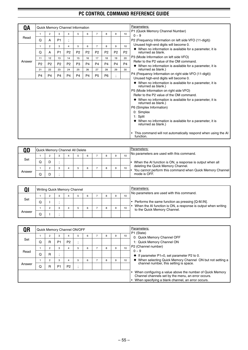| QA     |                |                |                |                          | Quick Memory Channel Information |                |                |                |                |                | Parameters:                                                                                    |
|--------|----------------|----------------|----------------|--------------------------|----------------------------------|----------------|----------------|----------------|----------------|----------------|------------------------------------------------------------------------------------------------|
|        | $\mathbf{1}$   | $\overline{2}$ | 3              | 4                        | 5                                | 6              | $\overline{7}$ | 8              | 9              | 10             | P1 (Quick Memory Channel Number)                                                               |
| Read   | Q              | A              | P <sub>1</sub> | $\overline{\phantom{a}}$ |                                  |                |                |                |                |                | $0 - 9$<br>P2 (Frequency Information on left side VFO (11-digit))                              |
|        | 1              | $\overline{2}$ | 3              | 4                        | 5                                | 6              | $\overline{7}$ | 8              | 9              | 10             | Unused high-end digits will become 0.                                                          |
|        | Q              | A              | P <sub>1</sub> | P <sub>2</sub>           | P <sub>2</sub>                   | P <sub>2</sub> | P <sub>2</sub> | P <sub>2</sub> | P <sub>2</sub> | P <sub>2</sub> | • When no information is available for a parameter, it is<br>returned as blank.                |
|        | 11             | 12             | 13             | 14                       | 15                               | 16             | 17             | 18             | 19             | 20             | P3 (Mode Information on left side VFO)                                                         |
| Answer | P <sub>2</sub> | P <sub>2</sub> | P <sub>2</sub> | P <sub>2</sub>           | P <sub>3</sub>                   | P <sub>4</sub> | P <sub>4</sub> | P <sub>4</sub> | P <sub>4</sub> | P <sub>4</sub> | Refer to the P2 value of the OM command.                                                       |
|        | 21             | 22             | 23             | 24                       | 25                               | 26             | 27             | 28             | 29             | 30             | • When no information is available for a parameter, it is<br>returned as blank.)               |
|        |                |                |                |                          |                                  |                |                |                |                |                | P4 (Frequency Information on right side VFO (11-digit))                                        |
|        | <b>P4</b>      | P <sub>4</sub> | P <sub>4</sub> | P <sub>4</sub>           | P <sub>4</sub>                   | P <sub>4</sub> | P <sub>5</sub> | P <sub>6</sub> | ٠              |                | Unused high-end digits will become 0.                                                          |
|        |                |                |                |                          |                                  |                |                |                |                |                | ♦ When no information is available for a parameter, it is<br>returned as blank.)               |
|        |                |                |                |                          |                                  |                |                |                |                |                | P5 (Mode Information on right side VFO)                                                        |
|        |                |                |                |                          |                                  |                |                |                |                |                | Refer to the P2 value of the OM command.                                                       |
|        |                |                |                |                          |                                  |                |                |                |                |                | $\blacklozenge$ When no information is available for a parameter, it is<br>returned as blank.) |
|        |                |                |                |                          |                                  |                |                |                |                |                | P6 (Simplex Information)                                                                       |
|        |                |                |                |                          |                                  |                |                |                |                |                | 0: Simplex                                                                                     |
|        |                |                |                |                          |                                  |                |                |                |                |                | 1: Split                                                                                       |
|        |                |                |                |                          |                                  |                |                |                |                |                | • When no information is available for a parameter, it is<br>returned as blank.)               |
|        |                |                |                |                          |                                  |                |                |                |                |                | This command will not automatically respond when using the AI<br>function.                     |

|        | Quick Memory Channel All Delete |   |  |   |  |   |    | Parameters:                                                                                     |
|--------|---------------------------------|---|--|---|--|---|----|-------------------------------------------------------------------------------------------------|
|        |                                 | з |  | 6 |  | 9 | 10 | No parameters are used with this command.                                                       |
| Set    | w                               |   |  |   |  |   |    | When the AI function is ON, a response is output when all                                       |
|        |                                 |   |  | 6 |  | 9 | 10 | deleting the Quick Memory Channel.<br>You cannot perform this command when Quick Memory Channel |
| Answer | w                               |   |  |   |  |   |    | mode is OFF.                                                                                    |

|        |  |   | <b>Writing Quick Memory Channel</b> |   |  |    | Parameters:<br>No parameters are used with this command.                                      |
|--------|--|---|-------------------------------------|---|--|----|-----------------------------------------------------------------------------------------------|
|        |  | 3 |                                     | 6 |  | 10 |                                                                                               |
| Set    |  |   |                                     |   |  |    | Performs the same function as pressing [Q-M.IN].                                              |
|        |  | 3 |                                     | 6 |  | 10 | When the AI function is ON, a response is output when writing<br>to the Quick Memory Channel. |
| Answer |  |   |                                     |   |  |    |                                                                                               |

| QR     |   |                |                | Quick Memory Channel ON/OFF |   |   |   |   |    | Parameters:                                                                                                                                                              |
|--------|---|----------------|----------------|-----------------------------|---|---|---|---|----|--------------------------------------------------------------------------------------------------------------------------------------------------------------------------|
|        |   | 2              | 3              |                             | 5 | 6 | 8 | 9 | 10 | P1 (State)<br>0: Quick Memory Channel OFF                                                                                                                                |
| Set    | O | R              | P <sub>1</sub> | P <sub>2</sub>              |   |   |   |   |    | 1: Quick Memory Channel ON                                                                                                                                               |
|        |   | $\overline{2}$ | 3              |                             | 5 | 6 | 8 | 9 | 10 | P2 (Channel number)                                                                                                                                                      |
| Read   | O | R              | ٠              |                             |   |   |   |   |    | $0 - 9$<br>$\bullet$ If parameter P1=0, set parameter P2 to 0.                                                                                                           |
|        |   | 2              | 3              |                             | 5 | 6 | 8 | 9 | 10 | ♦ When selecting Quick Memory Channel ON but not setting a                                                                                                               |
| Answer | Q | R              | P <sub>1</sub> | P <sub>2</sub>              |   |   |   |   |    | channel number, this setting is space.                                                                                                                                   |
|        |   |                |                |                             |   |   |   |   |    | • When configuring a value above the number of Quick Memory<br>Channel channels set by the menu, an error occurs.<br>• When specifying a blank channel, an error occurs. |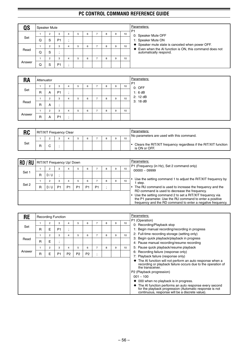| QS     |   | Speaker Mute |                     |   |   |   |   |   |    | Parameters:<br>P <sub>1</sub>                                                                                                          |
|--------|---|--------------|---------------------|---|---|---|---|---|----|----------------------------------------------------------------------------------------------------------------------------------------|
| Set    | Q | 2<br>S       | 3<br>P <sub>1</sub> | 4 | b | 6 | 8 | 9 | 10 | 0: Speaker Mute OFF<br>1: Speaker Mute ON                                                                                              |
| Read   | Q | 2<br>S       | 3<br>٠.<br>- 1      | 4 | 5 | 6 | 8 | 9 | 10 | ♦ Speaker mute state is canceled when power OFF.<br>♦ Even when the AI function is ON, this command does not<br>automatically respond. |
| Answer | Q | 2<br>S       | 3<br>P <sub>1</sub> | 4 | 5 | 6 | 8 | 9 | 10 |                                                                                                                                        |

| <b>RA</b> | Attenuator |                |                |         |   |   |                          |   |   |    |
|-----------|------------|----------------|----------------|---------|---|---|--------------------------|---|---|----|
|           |            | 2              | 3              | 4       | 5 | 6 |                          | 8 | 9 | 10 |
| Set       | R          | A              | P <sub>1</sub> | $\cdot$ |   |   |                          |   |   |    |
|           |            | 2              | 3              | 4       | 5 | 6 | -                        | 8 | 9 | 10 |
| Read      | R          | A              | . .            |         |   |   |                          |   |   |    |
|           |            | $\overline{2}$ | 3              | 4       | 5 | 6 | $\overline{\phantom{a}}$ | 8 | 9 | 10 |
| Answer    | R          | A              | P <sub>1</sub> | $\cdot$ |   |   |                          |   |   |    |

| <b>RC</b> | RIT/XIT Frequency Clear |  |  |  |  |    | Parameters:<br>No parameters are used with this command.                         |
|-----------|-------------------------|--|--|--|--|----|----------------------------------------------------------------------------------|
|           |                         |  |  |  |  | 10 |                                                                                  |
| Set       | R                       |  |  |  |  |    | Clears the RIT/XIT frequency regardless if the RIT/XIT function<br>is ON or OFF. |

| RD/RU |   | RIT/XIT Frequency Up/ Down |                |                |                |                |                |   |   |    | Parameters:<br>P1 (Frequency (in Hz), Set 2 command only)                                                                                                                                                                            |
|-------|---|----------------------------|----------------|----------------|----------------|----------------|----------------|---|---|----|--------------------------------------------------------------------------------------------------------------------------------------------------------------------------------------------------------------------------------------|
|       |   | 2                          | 3              |                | 5              | 6              |                | 8 | 9 | 10 | $00000 - 09999$                                                                                                                                                                                                                      |
| Set 1 | R | D/U                        |                |                |                |                |                |   |   |    |                                                                                                                                                                                                                                      |
|       |   | 2                          | 3              | 4              |                | 6              |                | 8 | 9 | 10 | Use the setting command 1 to adjust the RIT/XIT frequency by<br>step.                                                                                                                                                                |
| Set 2 | R | D/U                        | P <sub>1</sub> | P <sub>1</sub> | P <sub>1</sub> | P <sub>1</sub> | P <sub>1</sub> |   |   |    | The RU command is used to increase the frequency and the                                                                                                                                                                             |
|       |   |                            |                |                |                |                |                |   |   |    | RD command is used to decrease the frequency.<br>Use the setting command 2 to set a RIT/XIT frequency via<br>the P1 parameter. Use the RU command to enter a positive<br>frequency and the RD command to enter a negative frequency. |

| <b>RE</b> |   |   | <b>Recording Function</b> |                          |                |                |         |   |   |    | Parameters:                                                                                                                                                                          |
|-----------|---|---|---------------------------|--------------------------|----------------|----------------|---------|---|---|----|--------------------------------------------------------------------------------------------------------------------------------------------------------------------------------------|
|           |   | 2 | 3                         | 4                        | 5              | 6              | 7       | 8 | 9 | 10 | P1 (Operation)<br>0: Recording/Playback stop                                                                                                                                         |
| Set       | R | E | P <sub>1</sub>            | $\overline{\phantom{a}}$ |                |                |         |   |   |    | 1: Begin manual recording/recording in progress                                                                                                                                      |
|           |   | 2 | 3                         | 4                        | 5              | 6              | 7       | 8 | 9 | 10 | 2: Full-time recording storage (setting only)                                                                                                                                        |
| Read      |   |   |                           |                          |                |                |         |   |   |    | 3: Begin quick playback/playback in progress                                                                                                                                         |
|           | R | E |                           |                          |                |                |         |   |   |    | 4: Pause manual recording/resume recording                                                                                                                                           |
|           |   | 2 | 3                         | 4                        | 5              | 6              | 7       | 8 | 9 | 10 | 5: Pause quick playback/resume playback                                                                                                                                              |
| Answer    | R | E | P <sub>1</sub>            | P <sub>2</sub>           | P <sub>2</sub> | P <sub>2</sub> | ٠       |   |   |    | 6: Recording failure (response only)                                                                                                                                                 |
|           |   |   |                           |                          |                |                | $\cdot$ |   |   |    | 7: Playback failure (response only)                                                                                                                                                  |
|           |   |   |                           |                          |                |                |         |   |   |    | • The AI function will not perform an auto response when a<br>recording or playback failure occurs due to the operation of<br>the transceiver.                                       |
|           |   |   |                           |                          |                |                |         |   |   |    | P2 (Playback progression)                                                                                                                                                            |
|           |   |   |                           |                          |                |                |         |   |   |    | $001 - 100$                                                                                                                                                                          |
|           |   |   |                           |                          |                |                |         |   |   |    | $\blacklozenge$ 000 when no playback is in progress.                                                                                                                                 |
|           |   |   |                           |                          |                |                |         |   |   |    | $\blacklozenge$ The AI function performs an auto response every second<br>for the playback progression (Automatic response is not<br>continuous, response will be a discrete value). |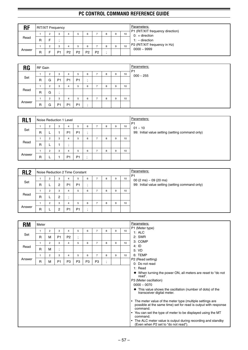| <b>RF</b> |   |   | <b>RIT/XIT Frequency</b> |                |    |                |                |   |   |    | Parameters:<br>P1 (RIT/XIT frequency direction) |
|-----------|---|---|--------------------------|----------------|----|----------------|----------------|---|---|----|-------------------------------------------------|
|           |   | c | 3                        |                |    | 6              |                | 8 | 9 | 10 | $0: +$ direction                                |
| Read      | R |   |                          |                |    |                |                |   |   |    | $1: -$ direction                                |
|           |   | c | 3                        |                | h  | 6              |                | 8 | 9 | 10 | P2 (RIT/XIT frequency in Hz)                    |
| Answer    | R |   | P <sub>1</sub>           | P <sub>2</sub> | P2 | P <sub>2</sub> | P <sub>2</sub> |   |   |    | $0000 - 9999$                                   |

| <b>RG</b> | RF Gain |                |                |                |                |         |   |   |    | Parameters:<br>P <sub>1</sub> |
|-----------|---------|----------------|----------------|----------------|----------------|---------|---|---|----|-------------------------------|
|           |         | $\overline{2}$ | -3             | 4              | 5              | 6       | 8 | 9 | 10 | $000 - 255$                   |
| Set       | R       | G              | P <sub>1</sub> | P <sub>1</sub> | P <sub>1</sub> |         |   |   |    |                               |
|           |         | $\overline{2}$ | 3              | 4              | 5              | 6       | 8 | 9 | 10 |                               |
| Read      | R       | G              |                |                |                |         |   |   |    |                               |
|           |         | $\overline{2}$ | 3              | 4              | 5              | 6       | 8 | 9 | 10 |                               |
| Answer    | R       | G              | P <sub>1</sub> | P <sub>1</sub> | P <sub>1</sub> | $\cdot$ |   |   |    |                               |

| RL <sub>1</sub> |   |                |   | Noise Reduction 1 Level |                |                      |   |   |    | Parameters:<br>P <sub>1</sub>                    |
|-----------------|---|----------------|---|-------------------------|----------------|----------------------|---|---|----|--------------------------------------------------|
|                 |   | 2              | 3 | 4                       | 5              | 6                    | 8 | 9 | 10 | $01 - 10$                                        |
| Set             | R |                |   | P <sub>1</sub>          | P <sub>1</sub> | ٠,                   |   |   |    | 99: Initial value setting (setting command only) |
|                 |   | $\overline{2}$ | 3 | 4                       | 5              | 6                    | 8 | 9 | 10 |                                                  |
| Read            | R |                |   | $\cdot$                 |                |                      |   |   |    |                                                  |
|                 |   | $\overline{2}$ | 3 | 4                       | 5              | 6                    | 8 | 9 | 10 |                                                  |
| Answer          | R |                |   | P <sub>1</sub>          | P <sub>1</sub> | $\bullet$<br>$\cdot$ |   |   |    |                                                  |

| RL <sub>2</sub> |   |                |                |                | Noise Reduction 2 Time Constant |         |   |   |    | Parameters:<br>P <sub>1</sub>                    |
|-----------------|---|----------------|----------------|----------------|---------------------------------|---------|---|---|----|--------------------------------------------------|
|                 |   |                | 3              | 4              | b.                              | 6       | 8 | 9 | 10 | 00 (2 ms) $\sim$ 09 (20 ms)                      |
| Set             | R |                | 2              | P <sub>1</sub> | P <sub>1</sub>                  | $\cdot$ |   |   |    | 99: Initial value setting (setting command only) |
|                 |   | 2              | 3              | 4              | b.                              | 6       | 8 | 9 | 10 |                                                  |
| Read            | R |                | $\overline{c}$ |                |                                 |         |   |   |    |                                                  |
|                 |   | $\overline{2}$ | 3              | 4              | 5                               | 6       | 8 | 9 | 10 |                                                  |
| Answer          | R |                | 2              | <b>P1</b>      | P <sub>1</sub>                  | $\cdot$ |   |   |    |                                                  |

| <b>RM</b> | Meter |                |                      |                |                                       |                |                |                               |   |    | Parameters:                                                                                                                                                                                                  |
|-----------|-------|----------------|----------------------|----------------|---------------------------------------|----------------|----------------|-------------------------------|---|----|--------------------------------------------------------------------------------------------------------------------------------------------------------------------------------------------------------------|
|           | 1     | $\overline{2}$ | 3                    | 4              | 5                                     | 6              | $\overline{7}$ | 8                             | 9 | 10 | P1 (Meter type)<br>1: ALC                                                                                                                                                                                    |
| Set       | R     | М              | P <sub>1</sub>       | P <sub>2</sub> | $\bullet$<br>$\overline{\phantom{a}}$ |                |                |                               |   |    | 2: SWR                                                                                                                                                                                                       |
|           | 1     | $\overline{2}$ | 3                    | $\overline{4}$ | 5                                     | 6              | $\overline{7}$ | 8                             | 9 | 10 | 3: COMP<br>$4:$ ID                                                                                                                                                                                           |
| Read      | R     | M              | $\bullet$<br>$\cdot$ |                |                                       |                |                |                               |   |    | 5: VD                                                                                                                                                                                                        |
|           | 1     | $\overline{2}$ | 3                    | $\overline{4}$ | 5                                     | 6              | $\overline{7}$ | 8                             | 9 | 10 | 6: TEMP                                                                                                                                                                                                      |
| Answer    | R     | M              | <b>P1</b>            | P <sub>3</sub> | P3                                    | P <sub>3</sub> | P <sub>3</sub> | ٠<br>$\overline{\phantom{a}}$ |   |    | P2 (Read setting)                                                                                                                                                                                            |
|           |       |                |                      |                |                                       |                |                |                               |   |    | 0: Do not read<br>1: Read                                                                                                                                                                                    |
|           |       |                |                      |                |                                       |                |                |                               |   |    | ◆ When turning the power ON, all meters are reset to "do not<br>read".                                                                                                                                       |
|           |       |                |                      |                |                                       |                |                |                               |   |    | P3 (Meter oscillation)                                                                                                                                                                                       |
|           |       |                |                      |                |                                       |                |                |                               |   |    | $0000 - 0070$                                                                                                                                                                                                |
|           |       |                |                      |                |                                       |                |                |                               |   |    | • This value shows the oscillation (number of dots) of the<br>transceiver digital meter.                                                                                                                     |
|           |       |                |                      |                |                                       |                |                |                               |   |    | The meter value of the meter type (multiple settings are<br>٠<br>possible at the same time) set for read is output with response<br>command.<br>• You can set the type of meter to be displayed using the MT |
|           |       |                |                      |                |                                       |                |                |                               |   |    | command.<br>The ALC meter value is output during recording and standby<br>$\bullet$<br>(Even when P2 set to "do not read").                                                                                  |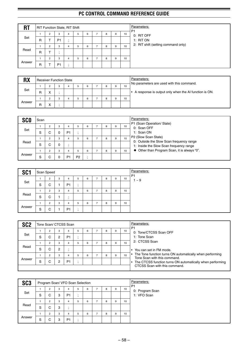| <b>RT</b> |   |                | <b>RIT Function State, RIT Shift</b> |         |   |   |                |   |   |                 | Parameters:<br>P <sub>1</sub>       |
|-----------|---|----------------|--------------------------------------|---------|---|---|----------------|---|---|-----------------|-------------------------------------|
|           |   | $\overline{2}$ | 3                                    | 4       | 5 | 6 | $\overline{ }$ | 8 | 9 | 10 <sub>1</sub> | 0: RIT OFF                          |
| Set       | R |                | P <sub>1</sub>                       | $\cdot$ |   |   |                |   |   |                 | 1: RIT ON                           |
|           |   | 2              | 3                                    | 4       | 5 | 6 | ⇁              | 8 | 9 | 10              | 2: RIT shift (setting command only) |
| Read      | R |                | - 1                                  |         |   |   |                |   |   |                 |                                     |
|           |   | $\overline{2}$ | 3                                    | 4       | 5 | 6 | $\overline{ }$ | 8 | 9 | 10              |                                     |
| Answer    | R |                | P <sub>1</sub>                       | $\cdot$ |   |   |                |   |   |                 |                                     |

| <b>RX</b> |   | <b>Receiver Function State</b> |  |   |   |   |   |    | Parameters:<br>No parameters are used with this command.           |
|-----------|---|--------------------------------|--|---|---|---|---|----|--------------------------------------------------------------------|
|           |   | っ                              |  | 5 | 6 | 8 | 9 | 10 |                                                                    |
| Set       | R | v                              |  |   |   |   |   |    | A response is output only when the AI function is ON.<br>$\bullet$ |
|           |   | ◠                              |  |   | 6 | 8 |   | 10 |                                                                    |
| Answer    | R | v                              |  |   |   |   |   |    |                                                                    |

| <b>SCO</b> | Scan |                     |   |                |                |   |   |   |   |    | Parameters:                                                                         |
|------------|------|---------------------|---|----------------|----------------|---|---|---|---|----|-------------------------------------------------------------------------------------|
|            |      |                     | 3 | 4              | h              | 6 |   | 8 | 9 | 10 | P1 (Scan Operation/ State)<br>0: Scan OFF                                           |
| Set        | S    | ⌒                   | 0 | P <sub>1</sub> |                |   |   |   |   |    | 1: Scan ON                                                                          |
|            |      | $\sqrt{2}$          | 3 | 4              |                | 6 |   | 8 | 9 | 10 | P2 (Slow Scan State)                                                                |
| Read       | S    | ⌒<br>$\overline{ }$ | 0 |                |                |   |   |   |   |    | 0: Outside the Slow Scan frequency range<br>1: Inside the Slow Scan frequency range |
|            |      | $\overline{2}$      | 3 | 4              |                | 6 | - | R | 9 | 10 | ♦ Other than Program Scan, it is always "0".                                        |
| Answer     | S    |                     |   | P1             | P <sub>2</sub> |   |   |   |   |    |                                                                                     |

| SC <sub>1</sub> |   | Scan Speed |   |                |   |   |   |   |   |    | <b>Parameters:</b><br>P <sub>1</sub> |
|-----------------|---|------------|---|----------------|---|---|---|---|---|----|--------------------------------------|
|                 |   | 2          | 3 | 4              | 5 | 6 |   | 8 | 9 | 10 | $\sim 9$                             |
| Set             | S | C          |   | P <sub>1</sub> |   |   |   |   |   |    |                                      |
|                 |   | 2          | 3 | 4              | 5 | 6 | - | 8 | 9 | 10 |                                      |
| Read            | S | C          |   |                |   |   |   |   |   |    |                                      |
|                 |   | 2          | 3 | 4              | 5 | 6 | - | 8 | 9 | 10 |                                      |
| Answer          | S | C          |   | P <sub>1</sub> |   |   |   |   |   |    |                                      |

| SC <sub>2</sub> |   | Tone Scan/ CTCSS Scan |                |                     |   |   |   |   |   |    | Parameters:                                                                                |
|-----------------|---|-----------------------|----------------|---------------------|---|---|---|---|---|----|--------------------------------------------------------------------------------------------|
| Set             | S | C                     | 3<br>2         | 4<br>P <sub>1</sub> | b | 6 |   | 8 | 9 | 10 | P <sub>1</sub><br>0: Tone/CTCSS Scan OFF<br>1: Tone Scan                                   |
| Read            |   | $\overline{2}$        | 3              |                     | 5 | 6 | - | 8 | 9 | 10 | 2: CTCSS Scan                                                                              |
|                 | S | C                     | $\overline{2}$ |                     |   |   |   |   |   |    | You can set in FM mode.                                                                    |
|                 |   | $\overline{2}$        | 3              |                     | 5 | 6 |   | 8 | 9 | 10 | The Tone function turns ON automatically when performing<br>Tone Scan with this command.   |
| Answer          | S | С                     | 2              | P <sub>1</sub>      |   |   |   |   |   |    | The CTCSS function turns ON automatically when performing<br>CTCSS Scan with this command. |
|                 |   |                       |                |                     |   |   |   |   |   |    |                                                                                            |

| SC <sub>3</sub> |   | Program Scan/ VFO Scan Selection |   |                |   |   |   |   |    | Parameters:<br>P <sub>1</sub> |
|-----------------|---|----------------------------------|---|----------------|---|---|---|---|----|-------------------------------|
|                 |   | 2                                | 3 | 4              | 5 | 6 | 8 | 9 | 10 | 0: Program Scan               |
| Set             | S | C                                | 3 | P <sub>1</sub> |   |   |   |   |    | 1: VFO Scan                   |
|                 |   | 2                                | 3 | 4              | 5 | 6 | 8 | 9 | 10 |                               |
| Read            | S | C                                | 3 | $\cdot$        |   |   |   |   |    |                               |
|                 |   | $\overline{2}$                   | 3 | 4              | 5 | 6 | 8 | 9 | 10 |                               |
| Answer          | S | C                                | 3 | P <sub>1</sub> |   |   |   |   |    |                               |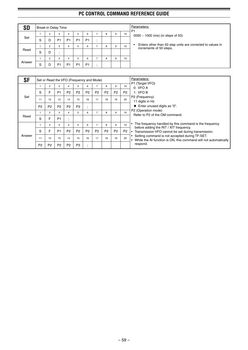| SD     | Break-in Delay Time |   |                |                |                |                |   |   |    | Parameters:<br>P <sub>1</sub>                                                         |
|--------|---------------------|---|----------------|----------------|----------------|----------------|---|---|----|---------------------------------------------------------------------------------------|
|        |                     |   | 3              | 4              | b              | 6              | 8 | 9 | 10 | 0000 $\sim$ 1000 (ms) (in steps of 50)                                                |
| Set    | S                   | D | P <sub>1</sub> | P <sub>1</sub> | P <sub>1</sub> | P <sub>1</sub> |   |   |    |                                                                                       |
|        |                     |   | 3              | 4              |                | 6              |   | 9 | 10 | Enters other than 50 step units are corrected to values in<br>increments of 50 steps. |
| Read   | S                   | D | ٠.             |                |                |                |   |   |    |                                                                                       |
|        |                     |   | 3              | 4              |                | 6              |   | 9 | 10 |                                                                                       |
| Answer | S                   | D | P <sub>1</sub> | P <sub>1</sub> | P <sub>1</sub> | P <sub>1</sub> |   |   |    |                                                                                       |

| <b>SF</b> |                |                |                | Set or Read the VFO (Frequency and Mode) |                |                             |                |                |                |                | Parameters:                                                                                                        |
|-----------|----------------|----------------|----------------|------------------------------------------|----------------|-----------------------------|----------------|----------------|----------------|----------------|--------------------------------------------------------------------------------------------------------------------|
|           |                | 2              | 3              | 4                                        | 5              | 6                           | 7              | 8              | 9              | 10             | P1 (Target VFO)<br>0: VFOA                                                                                         |
|           | S              | F              | P <sub>1</sub> | P <sub>2</sub>                           | P <sub>2</sub> | P <sub>2</sub>              | P <sub>2</sub> | P <sub>2</sub> | P <sub>2</sub> | P <sub>2</sub> | 1: VFO B                                                                                                           |
| Set       | 11             | 12             | 13             | 14                                       | 15             | 16                          | 17             | 18             | 19             | 20             | P2 (Frequency)                                                                                                     |
|           |                |                |                |                                          |                |                             |                |                |                |                | 11 digits in Hz                                                                                                    |
|           | P <sub>2</sub> | P <sub>2</sub> | P <sub>2</sub> | P <sub>2</sub>                           | P <sub>3</sub> | $\bullet$<br>$\overline{1}$ |                |                |                |                | ← Enter unused digits as "0".                                                                                      |
|           |                | 2              | 3              | 4                                        | 5              | 6                           | 7              | 8              | 9              | 10             | P2 (Operation mode)<br>Refer to P2 of the OM command.                                                              |
| Read      | S              | F              | P <sub>1</sub> | $\bullet$<br>$\overline{ }$              |                |                             |                |                |                |                |                                                                                                                    |
|           |                | $\overline{2}$ | 3              | 4                                        | 5              | 6                           | $\overline{7}$ | 8              | 9              | 10             | The frequency handled by this command is the frequency                                                             |
|           | S              | F              | P <sub>1</sub> | P <sub>2</sub>                           | P <sub>2</sub> | P <sub>2</sub>              | P <sub>2</sub> | P <sub>2</sub> | P <sub>2</sub> | P <sub>2</sub> | before adding the RIT / XIT frequency.<br>Transmission VFO cannot be set during transmission.                      |
| Answer    | 11             | 12             | 13             | 14                                       | 15             | 16                          | 17             | 18             | 19             | 20             | Setting command is not accepted during TF-SET.<br>While the AI function is ON, this command will not automatically |
|           | P <sub>2</sub> | P <sub>2</sub> | P <sub>2</sub> | P <sub>2</sub>                           | P <sub>3</sub> | $\overline{ }$              |                |                |                |                | respond.                                                                                                           |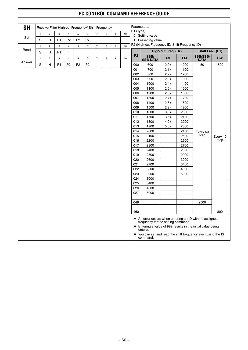| <b>SH</b> |              | Receive Filter High-cut Frequency/ Shift Frequency |                |                         |                |                |                |   |   |    | Parameters:    |                                                                                                                                                                                                                                                    |                     |           |                                |          |
|-----------|--------------|----------------------------------------------------|----------------|-------------------------|----------------|----------------|----------------|---|---|----|----------------|----------------------------------------------------------------------------------------------------------------------------------------------------------------------------------------------------------------------------------------------------|---------------------|-----------|--------------------------------|----------|
|           | $\mathbf{1}$ | $\overline{c}$                                     | 3              | $\overline{4}$          | $\mathbf 5$    | 6              | $\overline{7}$ | 8 | 9 | 10 | P1 (Type)      |                                                                                                                                                                                                                                                    |                     |           |                                |          |
| Set       | S            |                                                    | P <sub>1</sub> | P <sub>2</sub>          | P <sub>2</sub> | P <sub>2</sub> |                |   |   |    |                | 0: Setting value<br>1: Presetting value                                                                                                                                                                                                            |                     |           |                                |          |
|           |              | н                                                  |                |                         |                |                | $\cdot$        |   |   |    |                | P2 (High-cut Frequency ID/ Shift Frequency ID)                                                                                                                                                                                                     |                     |           |                                |          |
| Read      | $\mathbf{1}$ | $\overline{c}$                                     | 3              | $\overline{\mathbf{4}}$ | 5              | 6              | $\overline{7}$ | 8 | 9 | 10 |                |                                                                                                                                                                                                                                                    |                     |           |                                |          |
|           | S            | н                                                  | P <sub>1</sub> | ;                       |                |                |                |   |   |    |                |                                                                                                                                                                                                                                                    | High-cut Freq. (Hz) |           | Shift Freq. (Hz)               |          |
| Answer    | $\mathbf{1}$ | $\overline{c}$                                     | 3              | $\overline{4}$          | $\,$ 5 $\,$    | 6              | $\overline{7}$ | 8 | 9 | 10 | P <sub>2</sub> | SSB/<br><b>SSB-DATA</b>                                                                                                                                                                                                                            | AM                  | <b>FM</b> | <b>SSB/SSB-</b><br><b>DATA</b> | cw       |
|           | S            | Н                                                  | P <sub>1</sub> | P <sub>2</sub>          | P <sub>2</sub> | P <sub>2</sub> | ;              |   |   |    | 000            | 600                                                                                                                                                                                                                                                | 2.0k                | 1000      | 50                             | $-800$   |
|           |              |                                                    |                |                         |                |                |                |   |   |    | 001            | 700                                                                                                                                                                                                                                                | 2.1k                | 1100      |                                |          |
|           |              |                                                    |                |                         |                |                |                |   |   |    | 002            | 800                                                                                                                                                                                                                                                | 2.2k                | 1200      |                                |          |
|           |              |                                                    |                |                         |                |                |                |   |   |    | 003            | 900                                                                                                                                                                                                                                                | 2.3k                | 1300      |                                |          |
|           |              |                                                    |                |                         |                |                |                |   |   |    | 004            | 1000                                                                                                                                                                                                                                               | 2.4k                | 1400      |                                |          |
|           |              |                                                    |                |                         |                |                |                |   |   |    | 005            | 1100                                                                                                                                                                                                                                               | 2.5k                | 1500      |                                |          |
|           |              |                                                    |                |                         |                |                |                |   |   |    | 006            | 1200                                                                                                                                                                                                                                               | 2.6k                | 1600      |                                |          |
|           |              |                                                    |                |                         |                |                |                |   |   |    | 007            | 1300                                                                                                                                                                                                                                               | 2.7k                | 1700      |                                |          |
|           |              |                                                    |                |                         |                |                |                |   |   |    | 008            | 1400                                                                                                                                                                                                                                               | 2.8k                | 1800      |                                |          |
|           |              |                                                    |                |                         |                |                |                |   |   |    | 009            | 1500                                                                                                                                                                                                                                               | 2.9k                | 1900      |                                |          |
|           |              |                                                    |                |                         |                |                |                |   |   |    | 010            | 1600                                                                                                                                                                                                                                               | 3.0k                | 2000      |                                |          |
|           |              |                                                    |                |                         |                |                |                |   |   |    | 011            | 1700                                                                                                                                                                                                                                               | 3.5k                | 2100      |                                |          |
|           |              |                                                    |                |                         |                |                |                |   |   |    | 012            | 1800                                                                                                                                                                                                                                               | 4.0k                | 2200      |                                |          |
|           |              |                                                    |                |                         |                |                |                |   |   |    | 013            | 1900                                                                                                                                                                                                                                               | 5.0k                | 2300      |                                |          |
|           |              |                                                    |                |                         |                |                |                |   |   |    | 014            | 2000                                                                                                                                                                                                                                               |                     | 2400      | Every 50                       |          |
|           |              |                                                    |                |                         |                |                |                |   |   |    | 015            | 2100                                                                                                                                                                                                                                               |                     | 2500      | step                           | Every 10 |
|           |              |                                                    |                |                         |                |                |                |   |   |    | 016            | 2200                                                                                                                                                                                                                                               |                     | 2600      |                                | step     |
|           |              |                                                    |                |                         |                |                |                |   |   |    | 017            | 2300                                                                                                                                                                                                                                               |                     | 2700      |                                |          |
|           |              |                                                    |                |                         |                |                |                |   |   |    | 018            | 2400                                                                                                                                                                                                                                               |                     | 2800      |                                |          |
|           |              |                                                    |                |                         |                |                |                |   |   |    | 019            | 2500                                                                                                                                                                                                                                               |                     | 2900      |                                |          |
|           |              |                                                    |                |                         |                |                |                |   |   |    | 020            | 2600                                                                                                                                                                                                                                               |                     | 3000      |                                |          |
|           |              |                                                    |                |                         |                |                |                |   |   |    | 021            | 2700                                                                                                                                                                                                                                               |                     | 3400      |                                |          |
|           |              |                                                    |                |                         |                |                |                |   |   |    | 022            | 2800                                                                                                                                                                                                                                               |                     | 4000      |                                |          |
|           |              |                                                    |                |                         |                |                |                |   |   |    | 023            | 2900                                                                                                                                                                                                                                               |                     | 5000      |                                |          |
|           |              |                                                    |                |                         |                |                |                |   |   |    | 024            | 3000                                                                                                                                                                                                                                               |                     |           |                                |          |
|           |              |                                                    |                |                         |                |                |                |   |   |    | 025            | 3400                                                                                                                                                                                                                                               |                     |           |                                |          |
|           |              |                                                    |                |                         |                |                |                |   |   |    | 026            | 4000                                                                                                                                                                                                                                               |                     |           |                                |          |
|           |              |                                                    |                |                         |                |                |                |   |   |    | 027            | 5000                                                                                                                                                                                                                                               |                     |           |                                |          |
|           |              |                                                    |                |                         |                |                |                |   |   |    | 049            |                                                                                                                                                                                                                                                    |                     |           | 2500                           |          |
|           |              |                                                    |                |                         |                |                |                |   |   |    |                |                                                                                                                                                                                                                                                    |                     |           |                                |          |
|           |              |                                                    |                |                         |                |                |                |   |   |    | 160            |                                                                                                                                                                                                                                                    |                     |           |                                | 800      |
|           |              |                                                    |                |                         |                |                |                |   |   |    |                | ♦ An error occurs when entering an ID with no assigned<br>frequency for the setting command.<br>♦ Entering a value of 999 results in the initial value being<br>entered.<br>You can set and read the shift frequency even using the IS<br>command. |                     |           |                                |          |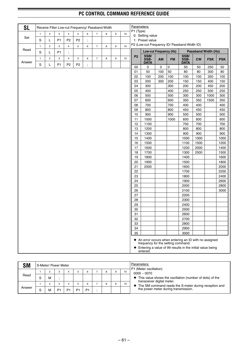| <b>SL</b> |              |                         |                |                      | Receive Filter Low-cut Frequency/ Passband Width |         |                |        |                  |    | Parameters:    |                                                |     |           |                                                                                                                     |            |                            |            |
|-----------|--------------|-------------------------|----------------|----------------------|--------------------------------------------------|---------|----------------|--------|------------------|----|----------------|------------------------------------------------|-----|-----------|---------------------------------------------------------------------------------------------------------------------|------------|----------------------------|------------|
|           | $\mathbf{1}$ | $\mathbf{2}$            | 3              | $\overline{4}$       | 5                                                | 6       | $\overline{7}$ | $\bf8$ | 9                | 10 | P1 (Type)      | 0: Setting value                               |     |           |                                                                                                                     |            |                            |            |
| Set       | $\mathbf S$  | Г                       | P <sub>1</sub> | P <sub>2</sub>       | P <sub>2</sub>                                   | $\cdot$ |                |        |                  |    |                | 1: Preset value                                |     |           |                                                                                                                     |            |                            |            |
|           | $\mathbf{1}$ | $\overline{\mathbf{c}}$ | 3              | $\overline{4}$       | 5                                                | 6       | $\overline{7}$ | 8      | $\boldsymbol{9}$ | 10 |                |                                                |     |           | P2 (Low-cut Frequency ID/ Passband Width ID)                                                                        |            |                            |            |
| Read      | $\mathbf S$  | L                       | P <sub>1</sub> | $\ddot{\phantom{0}}$ |                                                  |         |                |        |                  |    |                | Low-cut Frequency (Hz)                         |     |           |                                                                                                                     |            | <b>Passband Width (Hz)</b> |            |
| Answer    | $\mathbf{1}$ | $\overline{c}$          | 3              | $\overline{4}$       | 5                                                | 6       | $\overline{7}$ | 8      | $\boldsymbol{9}$ | 10 | P <sub>2</sub> | SSB/<br>SSB-<br><b>DATA</b>                    | AM  | <b>FM</b> | SSB/<br>SSB-<br><b>DATA</b>                                                                                         | <b>CW</b>  | <b>FSK</b>                 | <b>PSK</b> |
|           | $\mathbf S$  | Г                       | P <sub>1</sub> | P <sub>2</sub>       | P <sub>2</sub>                                   | $\cdot$ |                |        |                  |    | 00             | 0                                              | 0   | 0         | 50                                                                                                                  | 50         | 250                        | 50         |
|           |              |                         |                |                      |                                                  |         |                |        |                  |    | 01             | 50                                             | 100 | 50        | 80                                                                                                                  | 80         | 300                        | 80         |
|           |              |                         |                |                      |                                                  |         |                |        |                  |    | 02             | 100                                            | 200 | 100       | 100                                                                                                                 | 100        | 350                        | 100        |
|           |              |                         |                |                      |                                                  |         |                |        |                  |    | 03             | 200                                            | 300 | 200       | 150                                                                                                                 | 150        | 400                        | 150        |
|           |              |                         |                |                      |                                                  |         |                |        |                  |    | 04             | 300                                            |     | 300       | 200                                                                                                                 | 200        | 450                        | 200        |
|           |              |                         |                |                      |                                                  |         |                |        |                  |    | 05             | 400                                            |     | 400       | 250                                                                                                                 | 250        | 500                        | 250        |
|           |              |                         |                |                      |                                                  |         |                |        |                  |    | 06             | 500                                            |     | 500       | 300                                                                                                                 | 300        | 1000                       | 300        |
|           |              |                         |                |                      |                                                  |         |                |        |                  |    | 07             | 600                                            |     | 600       | 350                                                                                                                 | 350        | 1500                       | 350        |
|           |              |                         |                |                      |                                                  |         |                |        |                  |    | 08             | 700                                            |     | 700       | 400                                                                                                                 | 400        |                            | 400        |
|           |              |                         |                |                      |                                                  |         |                |        |                  |    | 09             | 800                                            |     | 800       | 450                                                                                                                 | 450        |                            | 450        |
|           |              |                         |                |                      |                                                  |         |                |        |                  |    | 10             | 900                                            |     | 900       | 500                                                                                                                 | 500        |                            | 500        |
|           |              |                         |                |                      |                                                  |         |                |        |                  |    | 11<br>12       | 1000<br>1100                                   |     | 1000      | 600<br>700                                                                                                          | 600<br>700 |                            | 600<br>700 |
|           |              |                         |                |                      |                                                  |         |                |        |                  |    | 13             | 1200                                           |     |           | 800                                                                                                                 | 800        |                            | 800        |
|           |              |                         |                |                      |                                                  |         |                |        |                  |    | 14             | 1300                                           |     |           | 900                                                                                                                 | 900        |                            | 900        |
|           |              |                         |                |                      |                                                  |         |                |        |                  |    | 15             | 1400                                           |     |           | 1000                                                                                                                | 1000       |                            | 1000       |
|           |              |                         |                |                      |                                                  |         |                |        |                  |    | 16             | 1500                                           |     |           | 1100                                                                                                                | 1500       |                            | 1200       |
|           |              |                         |                |                      |                                                  |         |                |        |                  |    | 17             | 1600                                           |     |           | 1200                                                                                                                | 2000       |                            | 1400       |
|           |              |                         |                |                      |                                                  |         |                |        |                  |    | 18             | 1700                                           |     |           | 1300                                                                                                                | 2500       |                            | 1500       |
|           |              |                         |                |                      |                                                  |         |                |        |                  |    | 19             | 1800                                           |     |           | 1400                                                                                                                |            |                            | 1600       |
|           |              |                         |                |                      |                                                  |         |                |        |                  |    | 20             | 1900                                           |     |           | 1500                                                                                                                |            |                            | 1800       |
|           |              |                         |                |                      |                                                  |         |                |        |                  |    | 21             | 2000                                           |     |           | 1600                                                                                                                |            |                            | 2000       |
|           |              |                         |                |                      |                                                  |         |                |        |                  |    | 22             |                                                |     |           | 1700                                                                                                                |            |                            | 2200       |
|           |              |                         |                |                      |                                                  |         |                |        |                  |    | 23             |                                                |     |           | 1800                                                                                                                |            |                            | 2400       |
|           |              |                         |                |                      |                                                  |         |                |        |                  |    | 24             |                                                |     |           | 1900                                                                                                                |            |                            | 2600       |
|           |              |                         |                |                      |                                                  |         |                |        |                  |    | 25             |                                                |     |           | 2000                                                                                                                |            |                            | 2800       |
|           |              |                         |                |                      |                                                  |         |                |        |                  |    | 26             |                                                |     |           | 2100                                                                                                                |            |                            | 3000       |
|           |              |                         |                |                      |                                                  |         |                |        |                  |    | 27<br>28       |                                                |     |           | 2200<br>2300                                                                                                        |            |                            |            |
|           |              |                         |                |                      |                                                  |         |                |        |                  |    | 29             |                                                |     |           | 2400                                                                                                                |            |                            |            |
|           |              |                         |                |                      |                                                  |         |                |        |                  |    | 30             |                                                |     |           | 2500                                                                                                                |            |                            |            |
|           |              |                         |                |                      |                                                  |         |                |        |                  |    | 31             |                                                |     |           | 2600                                                                                                                |            |                            |            |
|           |              |                         |                |                      |                                                  |         |                |        |                  |    | 32             |                                                |     |           | 2700                                                                                                                |            |                            |            |
|           |              |                         |                |                      |                                                  |         |                |        |                  |    | 33             |                                                |     |           | 2800                                                                                                                |            |                            |            |
|           |              |                         |                |                      |                                                  |         |                |        |                  |    | 34             |                                                |     |           | 2900                                                                                                                |            |                            |            |
|           |              |                         |                |                      |                                                  |         |                |        |                  |    | 35             |                                                |     |           | 3000                                                                                                                |            |                            |            |
|           |              |                         |                |                      |                                                  |         |                |        |                  |    | ٠              | frequency for the setting command.<br>entered. |     |           | ♦ An error occurs when entering an ID with no assigned<br>Entering a value of 99 results in the initial value being |            |                            |            |

| <b>SM</b> |   | S-Meter/ Power Meter |                |                |                |   |   |    | Parameters:<br>P1 (Meter oscillation)                                               |
|-----------|---|----------------------|----------------|----------------|----------------|---|---|----|-------------------------------------------------------------------------------------|
|           |   |                      | 3              |                | 6              | 8 | 9 | 10 | $0000 - 0070$                                                                       |
| Read      | c | м                    |                |                |                |   |   |    | This value shows the oscillation (number of dots) of the                            |
|           |   |                      | -3             |                | 6              | 8 | 9 | 10 | transceiver digital meter.<br>The SM command reads the S-meter during reception and |
| Answer    | c | М                    | P <sub>1</sub> | P <sub>1</sub> | P <sub>1</sub> |   |   |    | the power meter during transmission.                                                |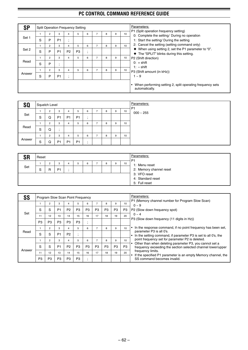| <b>SP</b> |   |                |                |                                     | <b>Split Operation Frequency Setting</b> |   |                |   |   |    | Parameters:                                                                                                     |
|-----------|---|----------------|----------------|-------------------------------------|------------------------------------------|---|----------------|---|---|----|-----------------------------------------------------------------------------------------------------------------|
|           |   | $\overline{2}$ | 3              | 4                                   | 5                                        | 6 | $\overline{7}$ | 8 | 9 | 10 | P1 (Split operation frequency setting)<br>0: Complete the setting/ During no operation                          |
| Set 1     | S | P              | P <sub>1</sub> | $\cdot$<br>$\overline{\phantom{a}}$ |                                          |   |                |   |   |    | 1: Start the setting/ During the setting                                                                        |
|           |   | $\overline{2}$ | 3              | 4                                   | 5                                        | 6 | $\overline{7}$ | 8 | 9 | 10 | 2: Cancel the setting (setting command only)                                                                    |
| Set 2     | S | P              | P <sub>1</sub> | P <sub>2</sub>                      | P <sub>3</sub>                           |   |                |   |   |    | $\blacklozenge$ When using setting 2, set the P1 parameter to "0".<br>◆ The "SPLIT" blinks during this setting. |
|           |   | $\overline{2}$ | 3              | 4                                   | 5                                        | 6 | $\overline{7}$ | 8 | 9 | 10 | P2 (Shift direction)                                                                                            |
| Read      | S | P              | $\cdot$        |                                     |                                          |   |                |   |   |    | $0: +$ shift<br>$1: -$ shift                                                                                    |
|           |   | $\overline{2}$ | 3              | 4                                   | 5                                        | 6 | $\overline{7}$ | 8 | 9 | 10 | P3 (Shift amount (in kHz))                                                                                      |
| Answer    | S | P              | P <sub>1</sub> | $\bullet$<br>$\cdot$                |                                          |   |                |   |   |    | $1 - 9$                                                                                                         |
|           |   |                |                |                                     |                                          |   |                |   |   |    | When performing setting 2, split operating frequency sets<br>automatically.                                     |

| <b>SQ</b> |   | Squelch Level  |                |                |                |   |                          |   |   |    |
|-----------|---|----------------|----------------|----------------|----------------|---|--------------------------|---|---|----|
|           |   | 2              | 3              | 4              | 5              | 6 |                          | 8 | 9 | 10 |
| Set       | S | Q              | P <sub>1</sub> | P <sub>1</sub> | P <sub>1</sub> |   |                          |   |   |    |
|           |   | $\overline{2}$ | 3              | 4              | 5              | 6 | $\overline{\phantom{0}}$ | 8 | 9 | 10 |
| Read      | S | Q              |                |                |                |   |                          |   |   |    |
|           |   | $\overline{2}$ | 3              | 4              | 5              | 6 | $\overline{ }$           | 8 | 9 | 10 |
| Answer    | S | Q              | P <sub>1</sub> | P <sub>1</sub> | P <sub>1</sub> |   |                          |   |   |    |

| rп  | Reset |        |                |   |   |  |   |    | Parameters:<br>P <sub>1</sub>                      |
|-----|-------|--------|----------------|---|---|--|---|----|----------------------------------------------------|
| Set | S     | ◠<br>R | P <sub>1</sub> | 5 | 6 |  | 9 | 10 | 1: Menu reset<br>2: Memory channel reset           |
|     |       |        |                |   |   |  |   |    | 3: VFO reset<br>4: Standard reset<br>5: Full reset |

| SS     |                |                |                | Program Slow Scan Point Frequency |                |                          |                |                |                |                  | Parameters:                                                                                                             |
|--------|----------------|----------------|----------------|-----------------------------------|----------------|--------------------------|----------------|----------------|----------------|------------------|-------------------------------------------------------------------------------------------------------------------------|
|        |                | $\overline{c}$ | 3              | 4                                 | 5              | 6                        |                | 8              | 9              | 10 <sup>10</sup> | P1 (Memory channel number for Program Slow Scan)<br>$0 - 9$                                                             |
|        | S              | S              | P <sub>1</sub> | P <sub>2</sub>                    | P <sub>3</sub> | P <sub>3</sub>           | P <sub>3</sub> | P <sub>3</sub> | P <sub>3</sub> | P <sub>3</sub>   | P <sub>2</sub> (Slow down frequency spot)                                                                               |
| Set    | 11             | 12             | 13             | 14                                | 15             | 16                       | 17             | 18             | 19             | 20               | $0 - 4$                                                                                                                 |
|        | P <sub>3</sub> | P <sub>3</sub> | P <sub>3</sub> | P <sub>3</sub>                    | P <sub>3</sub> | $\overline{\phantom{a}}$ |                |                |                |                  | P3 (Slow down frequency (11 digits in Hz))                                                                              |
|        |                | $\overline{2}$ | 3              | 4                                 | 5              | 6                        | 7              | 8              | 9              | 10               | In the response command, if no point frequency has been set,                                                            |
| Read   | S              | S              | P <sub>1</sub> | P <sub>2</sub>                    |                |                          |                |                |                |                  | parameter P3 is all 0's.<br>In the setting command, if parameter P3 is set to all 0's, the                              |
|        |                | $\overline{2}$ | 3              | 4                                 | 5              | 6                        | 7              | 8              | 9              | 10               | point frequency set for parameter P2 is deleted.                                                                        |
|        | S              | S              | P <sub>1</sub> | P <sub>2</sub>                    | P <sub>3</sub> | P <sub>3</sub>           | P <sub>3</sub> | P <sub>3</sub> | P <sub>3</sub> | P3               | Other than when deleting parameter P3, you cannot set a<br>frequency exceeding the section selected channel lower/upper |
| Answer | 11             | 12             | 13             | 14                                | 15             | 16                       | 17             | 18             | 19             | 20               | frequency limits.                                                                                                       |
|        | P <sub>3</sub> | P3             | P <sub>3</sub> | P <sub>3</sub>                    | P <sub>3</sub> | $\cdot$                  |                |                |                |                  | If the specified P1 parameter is an empty Memory channel, the<br>SS command becomes invalid.                            |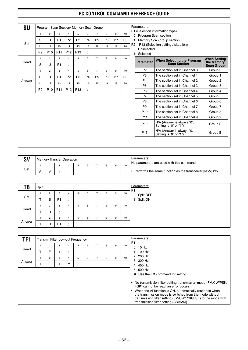| <b>SU</b> |                |                 |                 |                 | Program Scan Section/ Memory Scan Group |                |                |                |    |                 | Parameters:             |                                                      |                                 |
|-----------|----------------|-----------------|-----------------|-----------------|-----------------------------------------|----------------|----------------|----------------|----|-----------------|-------------------------|------------------------------------------------------|---------------------------------|
|           | $\mathbf{1}$   | $\overline{2}$  | 3               | 4               | 5                                       | 6              | $\overline{7}$ | 8              | 9  | 10 <sup>1</sup> |                         | P1 (Selection information type)                      |                                 |
|           |                |                 | P <sub>1</sub>  |                 | P <sub>3</sub>                          | P <sub>4</sub> |                | P <sub>6</sub> | P7 | P <sub>8</sub>  | 0: Program Scan section | 1: Memory Scan group section                         |                                 |
| Set       | S              | U               |                 | P <sub>2</sub>  |                                         |                | P <sub>5</sub> |                |    |                 |                         | P2 ~ P13 (Selection setting / situation)             |                                 |
|           | 11             | 12              | 13              | 14              | 15                                      | 16             | 17             | 18             | 19 | 20              | 0: Unselected           |                                                      |                                 |
|           | P <sub>9</sub> | P <sub>10</sub> | P <sub>11</sub> | P <sub>12</sub> | P <sub>13</sub>                         | ÷              |                |                |    |                 | 1: Selected             |                                                      |                                 |
|           | $\mathbf{1}$   | $\overline{2}$  | 3               | $\overline{4}$  | 5                                       | 6              | $\overline{7}$ | 8              | 9  | 10              |                         | When Selecting the Program                           | <b>When Setting</b>             |
| Read      | S              | U               | P <sub>1</sub>  | ÷               |                                         |                |                |                |    |                 | <b>Parameter</b>        | <b>Scan Section</b>                                  | the Memory<br><b>Scan Group</b> |
|           | $\mathbf{1}$   | $\overline{2}$  | 3               | $\overline{4}$  | 5                                       | 6              | $\overline{7}$ | 8              | 9  | 10              | P <sub>2</sub>          | The section set in Channel 0                         | Group 0                         |
|           | S              | U               | P <sub>1</sub>  | P <sub>2</sub>  | P <sub>3</sub>                          | P <sub>4</sub> | <b>P5</b>      | P <sub>6</sub> | P7 | P <sub>8</sub>  | P <sub>3</sub>          | The section set in Channel 1                         | Group 1                         |
| Answer    |                |                 |                 |                 |                                         |                |                |                |    |                 | P <sub>4</sub>          | The section set in Channel 2                         | Group 2                         |
|           | 11             | 12              | 13              | 14              | 15                                      | 16             | 17             | 18             | 19 | 20              | <b>P5</b>               | The section set in Channel 3                         | Group 3                         |
|           | P <sub>9</sub> | P <sub>10</sub> | P <sub>11</sub> | P <sub>12</sub> | P <sub>13</sub>                         |                |                |                |    |                 | P <sub>6</sub>          | The section set in Channel 4                         | Group 4                         |
|           |                |                 |                 |                 |                                         |                |                |                |    |                 | P7                      | The section set in Channel 5                         | Group 5                         |
|           |                |                 |                 |                 |                                         |                |                |                |    |                 | P <sub>8</sub>          | The section set in Channel 6                         | Group 6                         |
|           |                |                 |                 |                 |                                         |                |                |                |    |                 | P <sub>9</sub>          | The section set in Channel 7                         | Group 7                         |
|           |                |                 |                 |                 |                                         |                |                |                |    |                 | P <sub>10</sub>         | The section set in Channel 8                         | Group 8                         |
|           |                |                 |                 |                 |                                         |                |                |                |    |                 | P <sub>11</sub>         | The section set in Channel 9                         | Group 9                         |
|           |                |                 |                 |                 |                                         |                |                |                |    |                 | P <sub>12</sub>         | N/A (Answer is always "0",<br>Setting is "0" or "1") | Group P                         |
|           |                |                 |                 |                 |                                         |                |                |                |    |                 | P <sub>13</sub>         | N/A (Answer is always "0,<br>Setting is "0" or "1")  | Group E                         |

| SV  | <b>Memory Transfer Operation</b> |  |  |  |    | Parameters:<br>No parameters are used with this command. |
|-----|----------------------------------|--|--|--|----|----------------------------------------------------------|
|     |                                  |  |  |  | 10 |                                                          |
| Set |                                  |  |  |  |    | Performs the same function as the transceiver [M>V] key. |

| <b>TB</b> | Split |                |                                     |   |   |   |   |   |    | <b>Parameters:</b><br><b>P1</b> |
|-----------|-------|----------------|-------------------------------------|---|---|---|---|---|----|---------------------------------|
|           |       | 2              | 3                                   | 4 | 5 | 6 | 8 | 9 | 10 |                                 |
| Set       |       | в              | P <sub>1</sub>                      |   |   |   |   |   |    | 0: Split OFF<br>1: Split ON     |
|           |       | 2              | 3                                   | 4 | 5 | 6 | 8 | 9 | 10 |                                 |
| Read      |       | B              | $\cdot$<br>$\overline{\phantom{a}}$ |   |   |   |   |   |    |                                 |
|           |       | $\overline{2}$ | 3                                   | 4 | 5 | 6 | 8 | 9 | 10 |                                 |
| Answer    |       | B              | P <sub>1</sub>                      |   |   |   |   |   |    |                                 |

| TF1    |                     |   |                | <b>Transmit Filter Low-cut Frequency</b> |   |   |   |    | Parameters:                                                                                                                                                                                                                 |
|--------|---------------------|---|----------------|------------------------------------------|---|---|---|----|-----------------------------------------------------------------------------------------------------------------------------------------------------------------------------------------------------------------------------|
| Read   | $\overline{2}$<br>F | 3 | $\cdot$        | 5                                        | 6 | 8 | 9 | 10 | P <sub>1</sub><br>0:10 Hz<br>1: $100$ Hz                                                                                                                                                                                    |
| Answer | $\overline{2}$<br>F | 3 | P <sub>1</sub> | 5                                        | 6 | 8 | 9 | 10 | 2: 200 Hz<br>$3:300$ Hz<br>4: $400$ Hz<br>5: 500 Hz<br>♦ Use the EX command for setting.<br>No transmission filter setting transmission mode (FM/CW/PSK/<br>FSK) cannot be read. an error occurs.)                          |
|        |                     |   |                |                                          |   |   |   |    | When the AI function is ON, automatically responds when<br>the transmission mode is switched from the mode without<br>transmission filter setting (FM/CW/PSK/FSK) to the mode with<br>transmission filter setting (SSB/AM). |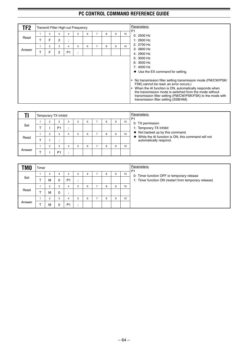| TF2    |                |   | Transmit Filter High-cut Frequency |              |   |   |   |    | Parameters:<br>P <sub>1</sub>                                                                                                                                                                                                                                                                                                                                                                                                      |
|--------|----------------|---|------------------------------------|--------------|---|---|---|----|------------------------------------------------------------------------------------------------------------------------------------------------------------------------------------------------------------------------------------------------------------------------------------------------------------------------------------------------------------------------------------------------------------------------------------|
|        | $\overline{2}$ | 3 |                                    | 5            | 6 | 8 | 9 | 10 | 0: 2500 Hz                                                                                                                                                                                                                                                                                                                                                                                                                         |
| Read   | F              | 2 | $\overline{ }$                     |              |   |   |   |    | 1: $2600$ Hz                                                                                                                                                                                                                                                                                                                                                                                                                       |
|        | $\overline{2}$ | 3 | 4                                  | 5            | 6 | 8 | 9 | 10 | 2: 2700 Hz                                                                                                                                                                                                                                                                                                                                                                                                                         |
| Answer | F              | 2 | P <sub>1</sub>                     | ٠<br>$\cdot$ |   |   |   |    | 3: 2800 Hz<br>4: 2900 Hz                                                                                                                                                                                                                                                                                                                                                                                                           |
|        |                |   |                                    |              |   |   |   |    | 5: 3000 Hz<br>6:3500 Hz<br>$7:4000$ Hz<br>$\blacklozenge$ Use the EX command for setting.<br>No transmission filter setting transmission mode (FM/CW/PSK/<br>FSK) cannot be read. an error occurs.)<br>When the AI function is ON, automatically responds when<br>the transmission mode is switched from the mode without<br>transmission filter setting (FM/CW/PSK/FSK) to the mode with<br>transmission filter setting (SSB/AM). |

|        |                | Temporary TX Inhibit |   |   |   |   |   |    | Parameters:<br>P <sub>1</sub>                                                                        |
|--------|----------------|----------------------|---|---|---|---|---|----|------------------------------------------------------------------------------------------------------|
| Set    | 2              | 3<br>P <sub>1</sub>  |   | b | 6 | 8 | 9 | 10 | 0: TX permission<br>1: Temporary TX Inhibit                                                          |
|        | $\overline{2}$ | 3                    | 4 | 5 | 6 | 8 | 9 | 10 | $\blacklozenge$ Not backed up by this command.<br>While the AI function is ON, this command will not |
| Read   |                |                      |   |   |   |   |   |    | automatically respond.                                                                               |
| Answer | $\overline{2}$ | 3<br>P <sub>1</sub>  |   | 5 | 6 | 8 | 9 | 10 |                                                                                                      |

| <b>TMO</b> | Timer |                |   |                |    |   |   |   |    | Parameters:<br>P <sub>1</sub>                         |
|------------|-------|----------------|---|----------------|----|---|---|---|----|-------------------------------------------------------|
|            |       | $\overline{c}$ | 3 |                | b. | 6 | 8 | 9 | 10 | 0: Timer function OFF or temporary release            |
| Set        |       | М              | 0 | P <sub>1</sub> |    |   |   |   |    | 1: Timer function ON (restart from temporary release) |
|            |       | ◠              | 3 |                | b. | 6 | 8 | 9 | 10 |                                                       |
| Read       |       | М              | 0 |                |    |   |   |   |    |                                                       |
|            |       | $\overline{2}$ | 3 |                | b. | 6 | 8 | 9 | 10 |                                                       |
| Answer     |       | м              | 0 | P <sub>1</sub> |    |   |   |   |    |                                                       |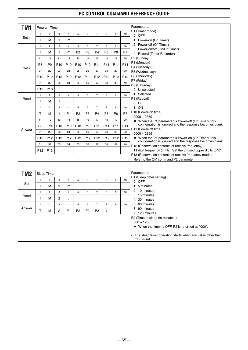| TM1    |                 | <b>Program Timer</b> |                 |                 |                 |                 |                 |                 |                 |                 | Parameters:                                                                                                        |
|--------|-----------------|----------------------|-----------------|-----------------|-----------------|-----------------|-----------------|-----------------|-----------------|-----------------|--------------------------------------------------------------------------------------------------------------------|
|        | $\mathbf{1}$    | $\overline{2}$       | 3               | $\overline{4}$  | 5               | 6               | $\overline{7}$  | 8               | 9               | 10              | P1 (Timer mode)<br>0: OFF                                                                                          |
| Set 1  | т               | М                    | 1               | P <sub>1</sub>  | ,               |                 |                 |                 |                 |                 | 1: Power-on (On Timer)                                                                                             |
|        | $\mathbf{1}$    | $\overline{2}$       | 3               | $\overline{4}$  | 5               | 6               | $\overline{7}$  | 8               | 9               | 10              | 2: Power-off (Off Timer)                                                                                           |
|        | т               | м                    | 1               | P <sub>1</sub>  | P <sub>2</sub>  | P <sub>3</sub>  | P <sub>4</sub>  | P <sub>5</sub>  | P <sub>6</sub>  | <b>P7</b>       | 3: Power-on/off (On/Off Timer)<br>4: Record (Timer Recorder)                                                       |
|        | 11              | 12                   | 13              | 14              | 15              | 16              | 17              | 18              | 19              | 20              | P2 (Sunday)                                                                                                        |
|        | P <sub>8</sub>  | P9                   | P <sub>10</sub> | P <sub>10</sub> | P <sub>10</sub> | P <sub>10</sub> | P <sub>11</sub> | P <sub>11</sub> | P <sub>11</sub> | P <sub>11</sub> | P3 (Monday)                                                                                                        |
| Set 2  | 21              | 22                   | 23              | 24              | 25              | 26              | 27              | 28              | 29              | 30              | P4 (Tuesday)<br>P5 (Wednesday)                                                                                     |
|        | P <sub>12</sub> | P <sub>12</sub>      | P <sub>12</sub> | P <sub>12</sub> | P <sub>12</sub> | P <sub>12</sub> | P <sub>12</sub> | P <sub>12</sub> | P <sub>12</sub> | P <sub>12</sub> | P6 (Thursday)                                                                                                      |
|        |                 |                      |                 |                 |                 |                 |                 |                 |                 |                 | P7 (Friday)                                                                                                        |
|        | 31              | 32                   | 33              | 34              | 35              | 36              | 37              | 38              | 39              | 40              | P8 (Saturday)                                                                                                      |
|        | P <sub>12</sub> | P <sub>13</sub>      |                 |                 |                 |                 |                 |                 |                 |                 | 0: Unselected                                                                                                      |
|        | $\mathbf{1}$    | $\overline{2}$       | 3               | $\overline{4}$  | 5               | 6               | $\overline{7}$  | 8               | 9               | 10              | 1: Selected                                                                                                        |
| Read   | T               | м                    | 1               | ÷               |                 |                 |                 |                 |                 |                 | P9 (Repeat)<br>$0:$ OFF                                                                                            |
|        | $\mathbf{1}$    | $\overline{2}$       | 3               | $\overline{4}$  | 5               | 6               | $\overline{7}$  | 8               | 9               | 10              | 1:ON                                                                                                               |
|        | т               | м                    | 1               | P <sub>1</sub>  | P <sub>2</sub>  | P <sub>3</sub>  | P <sub>4</sub>  | P <sub>5</sub>  | P <sub>6</sub>  | P7              | P10 (Power-on time)                                                                                                |
|        | 11              | 12                   | 13              | 14              | 15              | 16              | 17              | 18              | 19              | 20              | $0000 - 2359$                                                                                                      |
|        | P <sub>8</sub>  | P <sub>9</sub>       | P <sub>10</sub> | P <sub>10</sub> | P <sub>10</sub> | P <sub>10</sub> | P <sub>11</sub> | P <sub>11</sub> | P <sub>11</sub> | P <sub>11</sub> | ♦ When the P1 parameter is Power-off (Off Timer), this<br>configuration is ignored and the response becomes blank. |
| Answer |                 |                      |                 |                 |                 |                 |                 |                 |                 |                 | P11 (Power-off time)                                                                                               |
|        | 21              | 22                   | 23              | 24              | 25              | 26              | 27              | 28              | 29              | 30              | $0000 - 2359$                                                                                                      |
|        | P <sub>12</sub> | P <sub>12</sub>      | P <sub>12</sub> | P <sub>12</sub> | P <sub>12</sub> | P <sub>12</sub> | P <sub>12</sub> | P <sub>12</sub> | P <sub>12</sub> | P <sub>12</sub> | ♦ When the P1 parameter is Power-on (On Timer), this<br>configuration is ignored and the response becomes blank.   |
|        | 31              | 32                   | 33              | 34              | 35              | 36              | 37              | 38              | 39              | 40              | P12 (Reservation contents of receive frequency)                                                                    |
|        | P <sub>12</sub> | P <sub>13</sub>      |                 |                 |                 |                 |                 |                 |                 |                 | 11 digit frequency (in Hz). Set the unused upper digits to "0".                                                    |
|        |                 |                      |                 |                 |                 |                 |                 |                 |                 |                 | P13 (Reservation contents of receive frequency mode)                                                               |
|        |                 |                      |                 |                 |                 |                 |                 |                 |                 |                 | Refer to the OM command P2 parameter.                                                                              |
|        |                 |                      |                 |                 |                 |                 |                 |                 |                 |                 |                                                                                                                    |
| TM2    |                 | Sleep Timer          |                 |                 |                 |                 |                 |                 |                 |                 | Parameters:                                                                                                        |

| TM2    |    | Sleep Timer    |                |                             |                |                |                |                                       |   |    | Parameters:                                                               |
|--------|----|----------------|----------------|-----------------------------|----------------|----------------|----------------|---------------------------------------|---|----|---------------------------------------------------------------------------|
|        |    | $\overline{2}$ | 3              | 4                           | 5              | 6              |                | 8                                     | 9 | 10 | P1 (Sleep timer setting)<br>$0:$ OFF                                      |
| Set    |    | M              | $\overline{2}$ | P <sub>1</sub>              | ٠<br>$\bullet$ |                |                |                                       |   |    | 1: 5 minutes                                                              |
|        |    | 2              | 3              | 4                           | 5              | 6              | 7              | 8                                     | 9 | 10 | 2: 10 minutes                                                             |
| Read   | ᠇  | M              | $\overline{2}$ | $\bullet$<br>$\overline{ }$ |                |                |                |                                       |   |    | 3: 15 minutes<br>4: 30 minutes                                            |
|        |    | $\overline{2}$ | 3              | 4                           | 5              | 6              | 7              | 8                                     | 9 | 10 | 5: 60 minutes                                                             |
| Answer | л. | М              | $\overline{2}$ | P <sub>1</sub>              | P <sub>2</sub> | P <sub>2</sub> | P <sub>2</sub> | $\bullet$<br>$\overline{\phantom{a}}$ |   |    | 6: 90 minutes<br>7: 120 minutes                                           |
|        |    |                |                |                             |                |                |                |                                       |   |    | P2 (Time to sleep (in minutes))                                           |
|        |    |                |                |                             |                |                |                |                                       |   |    | $000 - 120$                                                               |
|        |    |                |                |                             |                |                |                |                                       |   |    | ♦ When the timer is OFF, P2 is returned as "000".                         |
|        |    |                |                |                             |                |                |                |                                       |   |    | The sleep timer operation starts when any value other than<br>OFF is set. |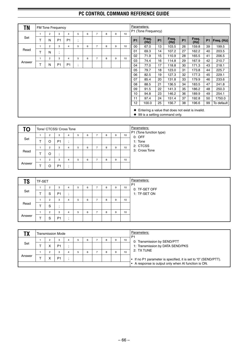| ΤN     |    |                | <b>FM Tone Frequency</b>      |                |              |   |                |   |   |    |           | Parameters:<br>P1 (Tone Frequency) |           |                               |                |                                                  |           |            |
|--------|----|----------------|-------------------------------|----------------|--------------|---|----------------|---|---|----|-----------|------------------------------------|-----------|-------------------------------|----------------|--------------------------------------------------|-----------|------------|
|        | 1  | 2              | 3                             | 4              | 5            | 6 | $\overline{7}$ | 8 | 9 | 10 |           |                                    |           |                               |                |                                                  |           |            |
| Set    | T  | N              | P <sub>1</sub>                | P <sub>1</sub> | ٠<br>$\cdot$ |   |                |   |   |    | <b>P1</b> | Freq.<br>(Hz)                      | <b>P1</b> | Freq.<br>(Hz)                 | P <sub>1</sub> | Freq.<br>(Hz)                                    | <b>P1</b> | Freq. (Hz) |
|        | 1  | $\overline{2}$ | 3                             | 4              | 5            | 6 | $\overline{7}$ | 8 | 9 | 10 | $00\,$    | 67.0                               | 13        | 103.5                         | 26             | 159.8                                            | 39        | 199.5      |
| Read   | T  | N              | ٠<br>$\overline{\phantom{a}}$ |                |              |   |                |   |   |    | 01        | 69.3                               | 14        | 107.2                         | 27             | 162.2                                            | 40        | 203.5      |
|        | 1  | $\overline{2}$ | 3                             | 4              | 5            | 6 | $\overline{7}$ | 8 | 9 | 10 | 02        | 71.9                               | 15        | 110.9                         | 28             | 165.5                                            | 41        | 206.5      |
| Answer |    |                |                               |                |              |   |                |   |   |    | 03        | 74.4                               | 16        | 114.8                         | 29             | 167.9                                            | 42        | 210.7      |
|        | T. | N              | P <sub>1</sub>                | P <sub>1</sub> | ٠<br>$\cdot$ |   |                |   |   |    | 04        | 77.0                               | 17        | 118.8                         | 30             | 171.3                                            | 43        | 218.1      |
|        |    |                |                               |                |              |   |                |   |   |    | 05        | 79.7                               | 18        | 123.0                         | 31             | 173.8                                            | 44        | 225.7      |
|        |    |                |                               |                |              |   |                |   |   |    | 06        | 82.5                               | 19        | 127.3                         | 32             | 177.3                                            | 45        | 229.1      |
|        |    |                |                               |                |              |   |                |   |   |    | 07        | 85.4                               | 20        | 131.8                         | 33             | 179.9                                            | 46        | 233.6      |
|        |    |                |                               |                |              |   |                |   |   |    | 08        | 88.5                               | 21        | 136.5                         | 34             | 183.5                                            | 47        | 241.8      |
|        |    |                |                               |                |              |   |                |   |   |    | 09        | 91.5                               | 22        | 141.3                         | 35             | 186.2                                            | 48        | 250.3      |
|        |    |                |                               |                |              |   |                |   |   |    | 10        | 94.8                               | 23        | 146.2                         | 36             | 189.9                                            | 49        | 254.1      |
|        |    |                |                               |                |              |   |                |   |   |    | 11        | 97.4                               | 24        | 151.4                         | 37             | 192.8                                            | 50        | 1750.0     |
|        |    |                |                               |                |              |   |                |   |   |    | 12        | 100.0                              | 25        | 156.7                         | 38             | 196.6                                            | 99        | To default |
|        |    |                |                               |                |              |   |                |   |   |    |           |                                    |           | 99 is a setting command only. |                | Entering a value that does not exist is invalid. |           |            |

|        |                | Tone/ CTCSS/ Cross Tone |   |   |   |   |   |   |    | Parameters:<br>P1 (Tone function type) |
|--------|----------------|-------------------------|---|---|---|---|---|---|----|----------------------------------------|
|        | $\overline{c}$ | 3                       | 4 | 5 | 6 |   | 8 | 9 | 10 | $0:$ OFF                               |
| Set    |                | P <sub>1</sub>          |   |   |   |   |   |   |    | 1: Tone                                |
|        | $\overline{2}$ | 3                       | 4 | 5 | 6 |   | 8 | 9 | 10 | 2: CTCSS                               |
| Read   | O              | . .                     |   |   |   |   |   |   |    | 3: Cross Tone                          |
|        | 2              | 3                       |   | 5 | 6 | - | 8 | 9 | 10 |                                        |
| Answer |                | P <sub>1</sub>          |   |   |   |   |   |   |    |                                        |

| TC .<br>ΙJ | TF-SET |                |                |           |        |   |                          |   |   |    | Parameters:<br>P <sub>1</sub> |
|------------|--------|----------------|----------------|-----------|--------|---|--------------------------|---|---|----|-------------------------------|
|            |        | 2              | 3              | 4         | 5      | 6 | -                        | 8 | 9 | 10 | 0: TF-SET OFF                 |
| Set        | ÷      | S              | P <sub>1</sub> | $\cdot$   |        |   |                          |   |   |    | 1: TF-SET ON                  |
|            |        | $\overline{2}$ | 3              | 4         | 5      | 6 | $\overline{\phantom{a}}$ | 8 | 9 | 10 |                               |
| Read       | -      | S              | ٠.             |           |        |   |                          |   |   |    |                               |
|            |        | 2              | 3              | 4         | -<br>5 | 6 | $\rightarrow$            | 8 | 9 | 10 |                               |
| Answer     |        | S              | P <sub>1</sub> | $\bullet$ |        |   |                          |   |   |    |                               |

| TV.    |   | <b>Transmission Mode</b> |   |   |   |   |                                                   | Parameters:<br>P <sub>1</sub>                                   |
|--------|---|--------------------------|---|---|---|---|---------------------------------------------------|-----------------------------------------------------------------|
|        | 2 |                          | 5 | 6 | 8 | 9 | 10                                                | 0: Transmission by SEND/PTT                                     |
| Set    |   | P <sub>1</sub>           |   |   |   |   |                                                   | 1: Transmission by DATA SEND/PKS                                |
|        | 2 |                          | 5 | 6 | 8 |   | 10                                                | 2: TX TUNE                                                      |
| Answer |   | P <sub>1</sub>           |   |   |   |   |                                                   | • If no P1 parameter is specified, it is set to "0" (SEND/PTT). |
|        |   |                          |   |   |   |   | A response is output only when AI function is ON. |                                                                 |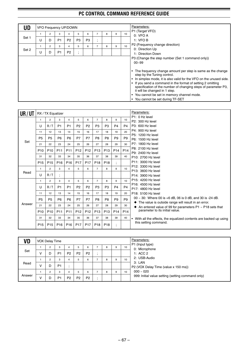| UD    |   |        |                     | VFO Frequency UP/DOWN |                   |                     |         |   |   |    | Parameters:                                                                                                                                                                                                                                                                                                                                            |
|-------|---|--------|---------------------|-----------------------|-------------------|---------------------|---------|---|---|----|--------------------------------------------------------------------------------------------------------------------------------------------------------------------------------------------------------------------------------------------------------------------------------------------------------------------------------------------------------|
| Set 1 | U | 2<br>D | 3<br>P <sub>1</sub> | P <sub>2</sub>        | 5<br>P3           | 6<br>P <sub>3</sub> | $\cdot$ | 8 | 9 | 10 | P1 (Target VFO)<br>0: VFOA<br>1: VFOB                                                                                                                                                                                                                                                                                                                  |
| Set 2 | U | 2<br>D | 3<br>P <sub>1</sub> | 4<br>P <sub>2</sub>   | 5<br>٠<br>$\cdot$ | 6                   |         | 8 | 9 | 10 | P2 (Frequency change direction)<br>0: Direction Up<br>1: Direction Down<br>P3 (Change the step number (Set 1 command only))<br>$00 - 99$<br>The frequency change amount per step is same as the change                                                                                                                                                 |
|       |   |        |                     |                       |                   |                     |         |   |   |    | step by the Tuning control.<br>• In simplex mode, it is also valid for the VFO on the unused side.<br>• If you send a command in the format of setting 2 omitting<br>specification of the number of changing steps of parameter P3,<br>it will be changed in 1 step.<br>• You cannot be set in memory channel mode.<br>You cannot be set during TF-SET |

| UR/UT  |                 | RX / TX Equalizer |                 |                 |                 |                 |                 |                 |                          |                 | Parameters:<br>P1: 0 Hz level                                                                                          |
|--------|-----------------|-------------------|-----------------|-----------------|-----------------|-----------------|-----------------|-----------------|--------------------------|-----------------|------------------------------------------------------------------------------------------------------------------------|
|        | 1               | 2                 | 3               | 4               | 5               | 6               | $\overline{7}$  | 8               | 9                        | 10              | P2: 300 Hz level                                                                                                       |
|        | U               | R/T               | P <sub>1</sub>  | P <sub>1</sub>  | P <sub>2</sub>  | P <sub>2</sub>  | P <sub>3</sub>  | P <sub>3</sub>  | P <sub>4</sub>           | P <sub>4</sub>  | P3: 600 Hz level                                                                                                       |
|        | 11              | 12                | 13              | 14              | 15              | 16              | 17              | 18              | 19                       | 20              | P4: 900 Hz level                                                                                                       |
| Set    | <b>P5</b>       | P <sub>5</sub>    | P <sub>6</sub>  | P <sub>6</sub>  | P7              | <b>P7</b>       | P <sub>8</sub>  | P <sub>8</sub>  | P <sub>9</sub>           | P <sub>9</sub>  | P5: 1200 Hz level<br>P6: 1500 Hz level                                                                                 |
|        | 21              | 22                | 23              | 24              | 25              | 26              | 27              | 28              | 29                       | 30              | P7: 1800 Hz level                                                                                                      |
|        | P <sub>10</sub> | P <sub>10</sub>   | P <sub>11</sub> | P <sub>11</sub> | P <sub>12</sub> | P <sub>12</sub> | P <sub>13</sub> | P <sub>13</sub> | P <sub>14</sub>          | P <sub>14</sub> | P8: 2100 Hz level<br>P9: 2400 Hz level                                                                                 |
|        | 31              | 32                | 33              | 34              | 35              | 36              | 37              | 38              | 39                       | 40              | P10: 2700 Hz level                                                                                                     |
|        | P <sub>15</sub> | P <sub>15</sub>   | P <sub>16</sub> | P <sub>16</sub> | P <sub>17</sub> | P <sub>17</sub> | P <sub>18</sub> | P <sub>18</sub> | $\overline{\phantom{a}}$ |                 | P11: 3000 Hz level                                                                                                     |
|        | $\mathbf{1}$    | $\overline{2}$    | 3               | 4               | 5               | 6               | $\overline{7}$  | 8               | 9                        | 10              | P12: 3300 Hz level                                                                                                     |
| Read   | U               | R/T               | $\ddot{.}$      |                 |                 |                 |                 |                 |                          |                 | P13: 3600 Hz level<br>P14: 3900 Hz level                                                                               |
|        | $\mathbf{1}$    | $\overline{2}$    | 3               | 4               | 5               | 6               | $\overline{7}$  | 8               | 9                        | 10              | P15: 4200 Hz level                                                                                                     |
|        | U               | R/T               | P <sub>1</sub>  | P <sub>1</sub>  | P <sub>2</sub>  | P <sub>2</sub>  | P <sub>3</sub>  | P <sub>3</sub>  | P <sub>4</sub>           | P <sub>4</sub>  | P16: 4500 Hz level<br>P17: 4800 Hz level                                                                               |
|        | 11              | 12                | 13              | 14              | 15              | 16              | 17              | 18              | 19                       | 20              | P18: 5100 Hz level                                                                                                     |
|        | <b>P5</b>       | P <sub>5</sub>    | P <sub>6</sub>  | P <sub>6</sub>  | P7              | <b>P7</b>       | P <sub>8</sub>  | P <sub>8</sub>  | P <sub>9</sub>           | P <sub>9</sub>  | 00 $\sim$ 30: Where 00 is +6 dB, 06 is 0 dB, and 30 is -24 dB.                                                         |
| Answer | 21              | 22                | 23              | 24              | 25              | 26              | 27              | 28              | 29                       | 30              | • The value is outside range will result in an error.<br>An entered value of 99 for parameters $P1 \sim P18$ sets that |
|        | P <sub>10</sub> | P <sub>10</sub>   | P <sub>11</sub> | P <sub>11</sub> | P <sub>12</sub> | P <sub>12</sub> | P <sub>13</sub> | P <sub>13</sub> | P <sub>14</sub>          | P <sub>14</sub> | parameter to its initial value.                                                                                        |
|        | 31              | 32                | 33              | 34              | 35              | 36              | 37              | 38              | 39                       | 40              | With all the effects, the equalized contents are backed up using                                                       |
|        | P <sub>15</sub> | P <sub>15</sub>   | P <sub>16</sub> | P <sub>16</sub> | P <sub>17</sub> | P <sub>17</sub> | P <sub>18</sub> | P <sub>18</sub> | $\overline{\phantom{a}}$ |                 | this setting command.                                                                                                  |

| VD     |   | VOX Delay Time |                |                |                |                |   |   |    | Parameters:<br>P1 (Input type)                    |
|--------|---|----------------|----------------|----------------|----------------|----------------|---|---|----|---------------------------------------------------|
|        |   | $\overline{2}$ | 3              | 4              | 5              | 6              | 8 | 9 | 10 | 0: Microphone                                     |
| Set    | V |                | P <sub>1</sub> | P <sub>2</sub> | P <sub>2</sub> | P <sub>2</sub> |   |   |    | 1: ACC 2                                          |
|        |   |                | 3              | 4              | 5              | 6              | 8 | 9 | 10 | 2: USB-Audio                                      |
| Read   | v |                | P <sub>1</sub> |                |                |                |   |   |    | 3: LAN<br>P2 (VOX Delay Time (value x 150 ms))    |
|        |   | $\overline{2}$ | 3              | 4              | 5              | 6              | 8 | 9 | 10 | $000 - 020$                                       |
| Answer | v |                | P <sub>1</sub> | P <sub>2</sub> | P <sub>2</sub> | P <sub>2</sub> |   |   |    | 999: Initial value setting (setting command only) |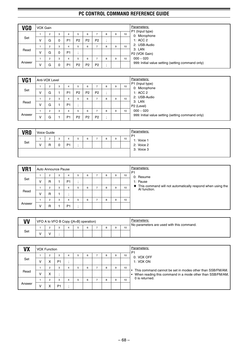| VG0    | VOX Gain |                |   |                |                |                |                |   |   |    |
|--------|----------|----------------|---|----------------|----------------|----------------|----------------|---|---|----|
|        |          | 2              | 3 | 4              | 5              | 6              |                | 8 | 9 |    |
| Set    | ν        | G              |   | P <sub>1</sub> | P <sub>2</sub> | P <sub>2</sub> | P <sub>2</sub> |   |   |    |
|        |          | 2              | 3 | 4              | 5              | 6              | ⇁              | 8 | 9 | 10 |
| Read   | v        | G              |   | P <sub>1</sub> |                |                |                |   |   |    |
|        |          | $\overline{2}$ | 3 | 4              | 5              | 6              | ⇁              | 8 | 9 | 10 |
| Answer | V        | G              |   | P <sub>1</sub> | P <sub>2</sub> | P <sub>2</sub> | P <sub>2</sub> |   |   |    |

| VG <sub>1</sub> |   | Anti-VOX Level |    |                |                |                |                |   |   |    | Parameters:                                       |
|-----------------|---|----------------|----|----------------|----------------|----------------|----------------|---|---|----|---------------------------------------------------|
|                 |   | $\overline{2}$ |    | 4              | 5              | 6              |                | 8 |   | 10 | P1 (Input type)<br>0: Microphone                  |
| Set             | ν | G              |    | P <sub>1</sub> | P <sub>2</sub> | P <sub>2</sub> | P <sub>2</sub> |   |   |    | 1: ACC 2                                          |
|                 |   | 2              | 35 | 4              | 5              | 6              |                | 8 | 9 | 10 | 2: USB-Audio                                      |
| Read            | ν | G              |    | P <sub>1</sub> |                |                |                |   |   |    | 3: LAN<br>P2 (Level)                              |
|                 |   | 2              |    | 4              | 5              | 6              |                | 8 | 9 | 10 | $000 - 020$                                       |
| Answer          | ν | G              |    | P <sub>1</sub> | P <sub>2</sub> | P <sub>2</sub> | P <sub>2</sub> |   |   |    | 999: Initial value setting (setting command only) |

| <b>VRO</b> | Voice Guide    |   |   |   |   |   |   |    | Parameters:<br>P1 |
|------------|----------------|---|---|---|---|---|---|----|-------------------|
|            | $\overline{2}$ | 3 | 4 | 5 | 6 | 8 | 9 | 10 | 1: Voice 1        |
| Set        | R              |   |   |   |   |   |   |    | 2: Voice 2        |
|            |                |   |   |   |   |   |   |    | 3: Voice 3        |
|            |                |   |   |   |   |   |   |    |                   |

| VR1    |   | Auto Announce Pause |   |                |    |   |   |   |    | Parameters:<br>P <sub>1</sub>                                                |
|--------|---|---------------------|---|----------------|----|---|---|---|----|------------------------------------------------------------------------------|
|        |   | $\overline{2}$      | 3 | 4              | b. | 6 | 8 | 9 | 10 | 0: Resume                                                                    |
| Set    | V | R                   |   | P <sub>1</sub> | ٠. |   |   |   |    | 1: Pause                                                                     |
|        |   | $\overline{2}$      | 3 | 4              | 5  | 6 | 8 | 9 | 10 | • This command will not automatically respond when using the<br>AI function. |
| Read   | V | R                   |   |                |    |   |   |   |    |                                                                              |
|        |   | $\overline{2}$      | 3 |                | 5  | 6 | 8 | 9 | 10 |                                                                              |
| Answer | v | R                   |   | P <sub>1</sub> |    |   |   |   |    |                                                                              |

| VV  |  |  | VFO A to VFO B Copy ([A=B] operation) |  |          |    | Parameters:<br>No parameters are used with this command. |
|-----|--|--|---------------------------------------|--|----------|----|----------------------------------------------------------|
|     |  |  |                                       |  | $\Omega$ | 10 |                                                          |
| Set |  |  |                                       |  |          |    |                                                          |

| VX     |   | <b>VOX Function</b> |                |   |   |   |   |   |    | Parameters:<br>P <sub>1</sub>                             |
|--------|---|---------------------|----------------|---|---|---|---|---|----|-----------------------------------------------------------|
|        |   |                     | 3              | 4 | 6 |   | 8 | 9 | 10 | 0: VOX OFF                                                |
| Set    | v |                     | P <sub>1</sub> |   |   |   |   |   |    | 1: VOX ON                                                 |
|        |   | $\overline{2}$      | 3              | 4 | 6 | - | 8 | 9 | 10 | This command cannot be set in modes other than SSB/FM/AM. |
| Read   | v | ⋏                   |                |   |   |   |   |   |    | When reading this command in a mode other than SSB/FM/AM, |
|        |   | $\Omega$            | 3              | 4 | 6 |   | 8 | 9 | 10 | 0 is returned.                                            |
| Answer | v |                     | P <sub>1</sub> |   |   |   |   |   |    |                                                           |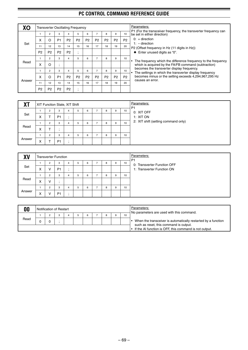|        |                |                |                | <b>Transverter Oscillating Frequency</b> |                |                |                |                |                |                | Parameters:                                                                                                           |
|--------|----------------|----------------|----------------|------------------------------------------|----------------|----------------|----------------|----------------|----------------|----------------|-----------------------------------------------------------------------------------------------------------------------|
|        |                | $\overline{2}$ | 3              | 4                                        | 5              | 6              | 7              | 8              | 9              | 10             | P1 (For the transceiver frequency, the transverter frequency can<br>be set in either direction)                       |
|        | X              | Ω              | P <sub>1</sub> | P <sub>2</sub>                           | P <sub>2</sub> | P <sub>2</sub> | P <sub>2</sub> | P <sub>2</sub> | P <sub>2</sub> | P <sub>2</sub> | $0: +$ direction                                                                                                      |
| Set    | 11             | 12             | 13             | 14                                       | 15             | 16             | 17             | 18             | 19             | 20             | $1: -$ direction<br>P2 (Offset frequency in Hz (11 digits in Hz))                                                     |
|        | P <sub>2</sub> | P <sub>2</sub> | P <sub>2</sub> | P <sub>2</sub>                           | ٠<br>$\bullet$ |                |                |                |                |                | $\blacklozenge$ Enter unused digits as "0".                                                                           |
|        |                | $\overline{2}$ | 3              | 4                                        | 5              | 6              | 7              | 8              | 9              | 10             |                                                                                                                       |
| Read   | x              | $\Omega$       | ٠<br>$\cdot$   |                                          |                |                |                |                |                |                | The frequency which the difference frequency to the frequency<br>which is acquired by the FA/FB command (subtraction) |
|        |                | $\overline{2}$ | 3              | 4                                        | 5              | 6              | 7              | 8              | 9              | 10             | becomes the transverter display frequency.<br>The settings in which the transverter display frequency                 |
|        | X              | $\Omega$       | P <sub>1</sub> | P <sub>2</sub>                           | P <sub>2</sub> | P <sub>2</sub> | P <sub>2</sub> | P <sub>2</sub> | P <sub>2</sub> | P <sub>2</sub> | becomes minus or the setting exceeds 4,294,967,295 Hz<br>causes an error.                                             |
| Answer | 11             | 12             | 13             | 14                                       | 15             | 16             | 17             | 18             | 19             | 20             |                                                                                                                       |
|        | P <sub>2</sub> | P <sub>2</sub> | P <sub>2</sub> | P <sub>2</sub>                           | ٠              |                |                |                |                |                |                                                                                                                       |

| YТ<br>$\mathbf{A}$ i |        |                | XIT Function State, XIT Shift |         |   |   |   |   |   | Parameters:<br>P <sub>1</sub> |                                     |
|----------------------|--------|----------------|-------------------------------|---------|---|---|---|---|---|-------------------------------|-------------------------------------|
|                      |        | $\overline{2}$ | 3                             | 4       | 5 | 6 |   | 8 | 9 | 10                            | 0: XIT OFF                          |
| Set                  | v<br>ᄉ |                | P <sub>1</sub>                | $\cdot$ |   |   |   |   |   |                               | 1: XIT ON                           |
|                      |        | $\overline{2}$ | 3                             | 4       | 5 | 6 | - | 8 | 9 | 10                            | 2: XIT shift (setting command only) |
| Read                 | X      |                |                               |         |   |   |   |   |   |                               |                                     |
|                      |        | $\overline{2}$ | 3                             | 4       | 5 | 6 | - | 8 | 9 | 10                            |                                     |
| Answer               | X      |                | P <sub>1</sub>                | $\cdot$ |   |   |   |   |   |                               |                                     |

| XV     |                   |                | <b>Transverter Function</b> |              |   |   |   |   |   |    | Parameters:<br>P <sub>1</sub> |
|--------|-------------------|----------------|-----------------------------|--------------|---|---|---|---|---|----|-------------------------------|
|        |                   | $\overline{2}$ | 3                           | 4            | 5 | 6 | ⇁ | 8 | 9 | 10 | 0: Transverter Function OFF   |
| Set    | $\checkmark$<br>v | v              | P <sub>1</sub>              | $\mathbf{r}$ |   |   |   |   |   |    | 1: Transverter Function ON    |
|        |                   | $\overline{2}$ | 3                           | 4            | 5 | 6 |   | 8 | 9 | 10 |                               |
| Read   | $\checkmark$<br>⋏ | v              | ٠.                          |              |   |   |   |   |   |    |                               |
|        |                   | $\overline{2}$ | 3                           | 4            | 5 | 6 | - | 8 | 9 | 10 |                               |
| Answer | X                 | v              | P <sub>1</sub>              | $\cdot$      |   |   |   |   |   |    |                               |

| 00   | Notification of Restart |  |  |  |  | Parameters:<br>No parameters are used with this command. |                                                                                                         |
|------|-------------------------|--|--|--|--|----------------------------------------------------------|---------------------------------------------------------------------------------------------------------|
|      |                         |  |  |  |  | 10                                                       |                                                                                                         |
| Read |                         |  |  |  |  |                                                          | When the transceiver is automatically restarted by a function<br>such as reset, this command is output. |
|      |                         |  |  |  |  |                                                          | $\cdot$ If the AI function is OFF, this command is not output.                                          |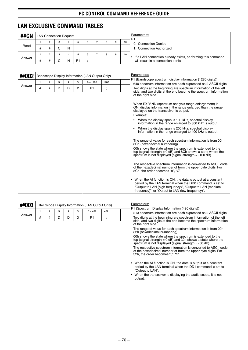# **LAN EXCLUSIVE COMMAND TABLES**

| <b>##CN</b> |   | <b>LAN Connection Request</b> |        |   |    |   |   |   |    | Parameters:<br>P <sub>1</sub>                                                                      |
|-------------|---|-------------------------------|--------|---|----|---|---|---|----|----------------------------------------------------------------------------------------------------|
|             |   |                               | 3      |   |    | 6 | 8 | 9 | 10 | 0: Connection Denied                                                                               |
| Read        | # |                               | ⌒      | И |    |   |   |   |    | 1: Connection Authorized                                                                           |
|             |   |                               | 3      |   |    | 6 | 8 | 9 | 10 |                                                                                                    |
| Answer      | # |                               | ⌒<br>ີ | N | P1 |   |   |   |    | If a LAN connection already exists, performing this command<br>will result in a connection denial. |

| ##DD2  |              |                |   |   |   | Bandscope Display Information (LAN Output Only) |                          |  | Parameters:                                                                                                                                                                                                                                            |
|--------|--------------|----------------|---|---|---|-------------------------------------------------|--------------------------|--|--------------------------------------------------------------------------------------------------------------------------------------------------------------------------------------------------------------------------------------------------------|
|        | $\mathbf{1}$ | $\overline{c}$ | 3 | 4 | 5 | $6 - 1285$                                      | 1286                     |  | P1 (Bandscope spectrum display information (1280 digits))                                                                                                                                                                                              |
| Answer |              |                |   |   |   |                                                 |                          |  | 640 spectrum information are each expressed as 2 ASCII digits.                                                                                                                                                                                         |
|        | #            | #              | D | D | 2 | P <sub>1</sub>                                  | $\overline{\phantom{a}}$ |  | Two digits at the beginning are spectrum information of the left<br>side, and two digits at the end become the spectrum information<br>of the right side.                                                                                              |
|        |              |                |   |   |   |                                                 |                          |  | When EXPAND (spectrum analysis range enlargement) is<br>ON, display information in the range enlarged than the range<br>displayed on the transceiver is output.                                                                                        |
|        |              |                |   |   |   |                                                 |                          |  | Example:                                                                                                                                                                                                                                               |
|        |              |                |   |   |   |                                                 |                          |  | When the display span is 100 kHz, spectral display<br>information in the range enlarged to 300 kHz is output.                                                                                                                                          |
|        |              |                |   |   |   |                                                 |                          |  | When the display span is 200 kHz, spectral display<br>information in the range enlarged to 400 kHz is output.                                                                                                                                          |
|        |              |                |   |   |   |                                                 |                          |  | The range of value for each spectrum information is from 00h $\sim$<br>8Ch (hexadecimal numbering).                                                                                                                                                    |
|        |              |                |   |   |   |                                                 |                          |  | 00h shows the state where the spectrum is extended to the<br>top (signal strength = $0$ dB) and 8Ch shows a state where the<br>spectrum is not displayed (signal strength $= -100$ dB).                                                                |
|        |              |                |   |   |   |                                                 |                          |  | The respective spectrum information is converted to ASCII code<br>of the hexadecimal number of from the upper byte digits. For<br>8Ch. the order becomes "8". "C".                                                                                     |
|        |              |                |   |   |   |                                                 |                          |  | When the AI function is ON, the data is output at a constant<br>$\bullet$<br>period by the LAN terminal when the DD0 command is set to<br>"Output to LAN (high frequency)", "Output to LAN (medium<br>frequency)", or "Output to LAN (low frequency)". |

| ##DD3  |   |   |   |   |   | Filter Scope Display Information (LAN Output Only) |                          | Parameters:                                                                                                                                                                            |  |
|--------|---|---|---|---|---|----------------------------------------------------|--------------------------|----------------------------------------------------------------------------------------------------------------------------------------------------------------------------------------|--|
|        |   | 2 | 3 | 4 | 5 | $6 - 431$                                          | 432                      | P1 (Spectrum Display Information (426 digits))<br>213 spectrum information are each expressed as 2 ASCII digits.                                                                       |  |
| Answer | # | # | D | D | 3 | P <sub>1</sub>                                     | $\overline{\phantom{a}}$ | Two digits at the beginning are spectrum information of the left<br>side, and two digits at the end become the spectrum information<br>of the right side.                              |  |
|        |   |   |   |   |   |                                                    |                          | The range of value for each spectrum information is from 00h $\sim$<br>32h (hexadecimal numbering).                                                                                    |  |
|        |   |   |   |   |   |                                                    |                          | 00h shows the state where the spectrum is extended to the<br>top (signal strength $= 0$ dB) and 32h shows a state where the<br>spectrum is not displayed (signal strength $= -50$ dB). |  |
|        |   |   |   |   |   |                                                    |                          | The respective spectrum information is converted to ASCII code<br>of the hexadecimal number of from the upper byte digits. For<br>32h, the order becomes "3", "2".                     |  |
|        |   |   |   |   |   |                                                    |                          | When the AI function is ON, the data is output at a constant<br>period by the LAN terminal when the DD1 command is set to<br>"Output to LAN".                                          |  |
|        |   |   |   |   |   |                                                    |                          | When the transceiver is displaying the audio scope, it is not<br>output.                                                                                                               |  |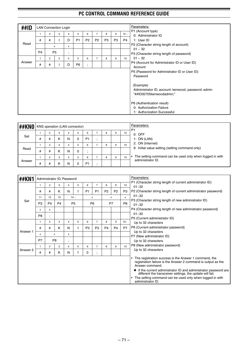| ##ID   |                | <b>LAN Connection Login</b> |                |                               |                |                          |                |                |                |        | Parameters:                                         |
|--------|----------------|-----------------------------|----------------|-------------------------------|----------------|--------------------------|----------------|----------------|----------------|--------|-----------------------------------------------------|
|        | 1              | $\overline{2}$              | 3              | 4                             | 5              | 6                        | $\overline{7}$ | 8              | 9              | $10 -$ | P1 (Account type)                                   |
|        |                |                             |                |                               |                |                          |                |                |                |        | 0: Administrator ID                                 |
|        | #              | #                           |                | D                             | P <sub>1</sub> | P <sub>2</sub>           | P <sub>2</sub> | P <sub>3</sub> | P <sub>3</sub> | P4     | 1: User ID                                          |
| Read   |                |                             | x              | x                             |                |                          |                |                |                |        | P2 (Character string length of account)             |
|        |                |                             |                |                               |                |                          |                |                |                |        | $01 - 32$                                           |
|        | P <sub>4</sub> |                             | P <sub>5</sub> | ٠<br>$\overline{\phantom{a}}$ |                |                          |                |                |                |        | P3 (Character string length of password)            |
|        | 1              | $\overline{2}$              | 3              | 4                             | 5              | 6                        | $\overline{7}$ | 8              | 9              | 10     | $01 - 32$                                           |
| Answer | #              | #                           |                | D                             | P <sub>6</sub> | $\bullet$                |                |                |                |        | P4 (Account for Administrator ID or User ID)        |
|        |                |                             |                |                               |                | $\overline{\phantom{a}}$ |                |                |                |        | Account                                             |
|        |                |                             |                |                               |                |                          |                |                |                |        | P5 (Password for Administrator ID or User ID)       |
|        |                |                             |                |                               |                |                          |                |                |                |        | Password                                            |
|        |                |                             |                |                               |                |                          |                |                |                |        |                                                     |
|        |                |                             |                |                               |                |                          |                |                |                |        | (Example)                                           |
|        |                |                             |                |                               |                |                          |                |                |                |        | Administrator ID, account: kenwood, password: admin |
|        |                |                             |                |                               |                |                          |                |                |                |        | "##ID00705kenwoodadmin;"                            |
|        |                |                             |                |                               |                |                          |                |                |                |        |                                                     |
|        |                |                             |                |                               |                |                          |                |                |                |        | P6 (Authentication result)                          |
|        |                |                             |                |                               |                |                          |                |                |                |        | 0: Authorization Failure                            |
|        |                |                             |                |                               |                |                          |                |                |                |        | 1: Authorization Successful                         |

| <b>##KNO</b> |   | KNS operation (LAN connector) |   |   |   |                |   |   |    | Parameters:<br>P <sub>1</sub>                            |
|--------------|---|-------------------------------|---|---|---|----------------|---|---|----|----------------------------------------------------------|
|              |   | 2                             | 3 |   | 5 | 6              | 8 | 9 | 10 | $0:$ OFF                                                 |
| Set          | # | #                             | κ | N | 0 | P <sub>1</sub> |   |   |    | 1: ON (LAN)                                              |
|              |   | $\overline{2}$                | 3 |   | 5 | 6              | 8 | 9 | 10 | 2: ON (Internet)                                         |
| Read         | # | #                             | κ | N | 0 | $\bullet$      |   |   |    | 9: Initial value setting (setting command only)          |
|              |   | o                             | 3 |   | 5 | 6              | 8 | 9 | 10 | The setting command can be used only when logged in with |
| Answer       | # | #                             | κ | N |   | P <sub>1</sub> |   |   |    | administrator ID.                                        |

| ##KN1    |                |                           |                | Administrator ID, Password |                |                |                |                |                |                | Parameters:                                                                                                                                                                                                                                                                                                                                                              |
|----------|----------------|---------------------------|----------------|----------------------------|----------------|----------------|----------------|----------------|----------------|----------------|--------------------------------------------------------------------------------------------------------------------------------------------------------------------------------------------------------------------------------------------------------------------------------------------------------------------------------------------------------------------------|
|          | 1              | $\overline{2}$            | 3              | 4                          | 5              | 6              | $\overline{7}$ | 8              | 9              | 10             | P1 (Character string length of current administrator ID)<br>$01 - 32$                                                                                                                                                                                                                                                                                                    |
|          | #              | #                         | K              | N                          |                | P <sub>1</sub> | P <sub>1</sub> | P <sub>2</sub> | P <sub>2</sub> | P <sub>3</sub> | P2 (Character string length of current administrator password)                                                                                                                                                                                                                                                                                                           |
|          | 11             | 12                        | 13             |                            | $14 -$         | x              |                | x              |                | x              | $01 - 32$                                                                                                                                                                                                                                                                                                                                                                |
| Set      | P <sub>3</sub> | P4                        | P <sub>4</sub> |                            | P <sub>5</sub> | P <sub>6</sub> |                |                | P7             | P <sub>8</sub> | P3 (Character string length of new administrator ID)<br>$01 - 32$                                                                                                                                                                                                                                                                                                        |
|          | x              | x                         |                |                            |                |                |                |                |                |                | P4 (Character string length of new administrator password)<br>$01 - 32$                                                                                                                                                                                                                                                                                                  |
|          | P <sub>8</sub> | $\overline{\phantom{a}}$  |                |                            |                |                |                |                |                |                |                                                                                                                                                                                                                                                                                                                                                                          |
|          | 1              | 2                         | 3              | 4                          | 5              | 6              | $\overline{7}$ | 8              | 9              | $10-$          | P5 (Current administrator ID)                                                                                                                                                                                                                                                                                                                                            |
|          |                |                           |                |                            |                |                |                |                |                |                | Up to 32 characters                                                                                                                                                                                                                                                                                                                                                      |
|          | #              | #                         | κ              | N                          |                | P <sub>3</sub> | P <sub>3</sub> | P <sub>4</sub> | P <sub>4</sub> | P7             | P6 (Current administrator password)                                                                                                                                                                                                                                                                                                                                      |
| Answer 1 | x              | $\boldsymbol{\mathsf{x}}$ |                | x                          |                |                |                |                |                |                | Up to 32 characters                                                                                                                                                                                                                                                                                                                                                      |
|          |                |                           |                |                            |                |                |                |                |                |                | P7 (New administrator ID)                                                                                                                                                                                                                                                                                                                                                |
|          | P7             |                           | P <sub>8</sub> | $\overline{\phantom{a}}$   | ٠              |                |                |                |                |                | Up to 32 characters                                                                                                                                                                                                                                                                                                                                                      |
|          | $\mathbf{1}$   | 2                         | 3              | 4                          | 5              | 6              | $\overline{7}$ | 8              | 9              | 10             | P8 (New administrator password)                                                                                                                                                                                                                                                                                                                                          |
| Answer 2 | #              | #                         | ĸ              | N                          |                | 0              | ٠<br>$\cdot$   |                |                |                | Up to 32 characters                                                                                                                                                                                                                                                                                                                                                      |
|          |                |                           |                |                            |                |                |                |                |                |                | The registration success is the Answer 1 command, the<br>registration failure is the Answer 2 command is output as the<br>Answer command.<br>• If the current administrator ID and administrator password are<br>different the transceiver settings, the update will fail.<br>The setting command can be used only when logged in with<br>$\bullet$<br>administrator ID. |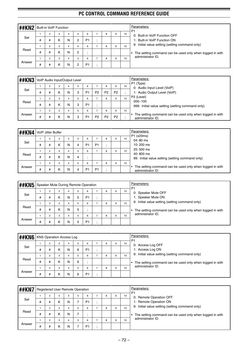| ##KN2  |   | <b>Built-in VoIP Function</b> |   |   |   |                |   |   |   |    | Parameters:<br>P <sub>1</sub>                                 |
|--------|---|-------------------------------|---|---|---|----------------|---|---|---|----|---------------------------------------------------------------|
|        |   | 2                             | 3 | 4 | 5 | 6              |   | 8 | 9 | 10 | 0: Built-in VoIP Function OFF                                 |
| Set    | # | #                             | ĸ | N | 2 | P <sub>1</sub> |   |   |   |    | 1: Built-in VoIP Function ON                                  |
|        |   | $\overline{2}$                | 3 | 4 | 5 | 6              | - | 8 | 9 | 10 | 9: Initial value setting (setting command only)               |
| Read   | # | #                             | κ | N | 2 |                |   |   |   |    | The setting command can be used only when logged in with<br>٠ |
|        |   | 2                             | 3 | 4 | 5 | 6              | - | 8 | 9 | 10 | administrator ID.                                             |
| Answer | # | #                             | κ | N |   | P <sub>1</sub> |   |   |   |    |                                                               |

| ##KN3  |   |                |   | VoIP Audio Input/Output Level |   |                |                |                |                |    | Parameters:                                                                   |
|--------|---|----------------|---|-------------------------------|---|----------------|----------------|----------------|----------------|----|-------------------------------------------------------------------------------|
|        |   | $\overline{2}$ | 3 | 4                             | 5 | 6              |                | 8              | 9              | 10 | P1 (Type)<br>0: Audio Input Level (VoIP)                                      |
| Set    | # | #              | κ | N                             | 3 | P <sub>1</sub> | P <sub>2</sub> | P <sub>2</sub> | P <sub>2</sub> |    | 1: Audio Output Level (VoIP)                                                  |
|        |   | $\overline{2}$ | 3 | 4                             | 5 | 6              | ⇁              | 8              | 9              | 10 | P <sub>2</sub> (Level)                                                        |
| Read   | # | #              | κ | Ν                             | 3 | P <sub>1</sub> | . .            |                |                |    | $000 - 100$<br>999: Initial value setting (setting command only)              |
|        |   | $\overline{2}$ | 3 | 4                             | 5 | 6              | -              | 8              | 9              | 10 |                                                                               |
| Answer | # | #              | κ | N                             | 3 | P <sub>1</sub> | P <sub>2</sub> | P <sub>2</sub> | P <sub>2</sub> |    | The setting command can be used only when logged in with<br>administrator ID. |

| ##KN4  |   | VolP Jitter Buffer |   |   |   |                |                |   |   |    | Parameters:                                                                   |
|--------|---|--------------------|---|---|---|----------------|----------------|---|---|----|-------------------------------------------------------------------------------|
|        |   | $\Omega$           | 3 | 4 | 5 | 6              |                | 8 | 9 | 10 | P1 (x20ms)<br>04:80 ms                                                        |
| Set    | # | #                  | K | N | 4 | P <sub>1</sub> | P <sub>1</sub> |   |   |    | 10:200 ms                                                                     |
|        |   | $\sim$             | 3 | 4 | 5 | 6              |                | 8 | 9 | 10 | 25:500 ms                                                                     |
| Read   | # | #                  | ĸ | N | 4 |                |                |   |   |    | 40:800 ms<br>99: Initial value setting (setting command only)                 |
|        |   |                    | 3 | 4 | 5 | 6              |                | 8 | 9 | 10 |                                                                               |
| Answer | # | #                  | ĸ | N | 4 | P <sub>1</sub> | P <sub>1</sub> |   |   |    | The setting command can be used only when logged in with<br>administrator ID. |

| <b>##KN5</b> |   | Speaker Mute During Remote Operation |   |   |    |                |   |   |    | Parameters:<br>P <sub>1</sub>                            |
|--------------|---|--------------------------------------|---|---|----|----------------|---|---|----|----------------------------------------------------------|
|              |   | 2                                    | 3 |   | -5 | 6              | 8 | 9 | 10 | 0: Speaker Mute OFF                                      |
| Set          | # | #                                    | κ | N | 5  | P <sub>1</sub> |   |   |    | 1: Speaker Mute ON                                       |
|              |   | $\overline{2}$                       | 3 |   | 5  | 6              | 8 | 9 | 10 | 9: Initial value setting (setting command only)          |
| Read         | # | #                                    | Κ | N | 5  |                |   |   |    | The setting command can be used only when logged in with |
|              |   | $\overline{2}$                       | 3 |   | 5  | 6              | 8 | 9 | 10 | administrator ID.                                        |
| Answer       | # | #                                    | κ | N | 5  | P <sub>1</sub> |   |   |    |                                                          |

| l##KN6 |   | <b>KNS Operation Access Log</b> |   |   |   |                |   |   |    | Parameters:                                              |
|--------|---|---------------------------------|---|---|---|----------------|---|---|----|----------------------------------------------------------|
|        |   | 2                               | 3 | 4 | 5 | 6              | 8 | 9 | 10 | P <sub>1</sub><br>0: Access Log OFF                      |
| Set    | # | #                               | κ | N | 6 | P <sub>1</sub> |   |   |    | 1: Access Log ON                                         |
|        |   | $\overline{2}$                  | 3 | 4 | 5 | 6              | 8 | 9 | 10 | 9: Initial value setting (setting command only)          |
| Read   | # | #                               | ĸ | N | 6 |                |   |   |    | The setting command can be used only when logged in with |
|        |   | $\overline{2}$                  | 3 | 4 | 5 | 6              | 8 | 9 | 10 | administrator ID.                                        |
| Answer | # |                                 | Κ | N | 6 | P <sub>1</sub> |   |   |    |                                                          |

| ##KN7  |   | <b>Registered User Remote Operation</b> |   |   |   |                |   |   |   |    | Parameters:<br>P <sub>1</sub>                            |
|--------|---|-----------------------------------------|---|---|---|----------------|---|---|---|----|----------------------------------------------------------|
| Set    |   | $\overline{2}$                          | 3 |   | 5 | 6              |   | 8 | 9 | 10 | 0: Remote Operation OFF                                  |
|        | # | #                                       | κ | N |   | P <sub>1</sub> |   |   |   |    | 1: Remote Operation ON                                   |
|        |   | $\overline{2}$                          | 3 |   | 5 | 6              |   | 8 | 9 | 10 | 9: Initial value setting (setting command only)          |
| Read   | # | #                                       | κ | N |   |                |   |   |   |    | The setting command can be used only when logged in with |
|        |   | $\overline{2}$                          | 3 |   | 5 | 6              |   | 8 | 9 | 10 | administrator ID.                                        |
| Answer | # | #                                       | Κ | N |   | P <sub>1</sub> | ٠ |   |   |    |                                                          |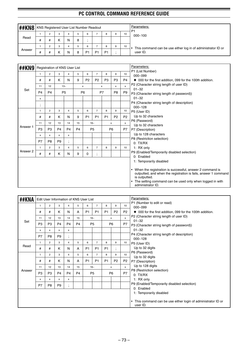| <b>H#KN8</b> |   | KNS Registered User List Number Readout |   |   |   |                |                |    |   |    | Parameters:<br>P <sub>1</sub>                                |
|--------------|---|-----------------------------------------|---|---|---|----------------|----------------|----|---|----|--------------------------------------------------------------|
|              |   | っ                                       | 3 |   |   | 6              |                | 8  | 9 | 10 | $000 - 100$                                                  |
| Read         | # |                                         | n | N | 8 |                |                |    |   |    |                                                              |
|              |   |                                         | 3 |   |   | 6              |                | 8  | 9 | 10 | This command can be use either log in of administrator ID or |
| Answer       | # |                                         | Κ | N | 8 | P <sub>1</sub> | P <sub>1</sub> | P1 |   |    | user ID.                                                     |

| ##KN9    |                | Registration of KNS User List |                |                |                |                |                |                |                  |                | Parameters:                                                                                                                                                                                                                                             |
|----------|----------------|-------------------------------|----------------|----------------|----------------|----------------|----------------|----------------|------------------|----------------|---------------------------------------------------------------------------------------------------------------------------------------------------------------------------------------------------------------------------------------------------------|
|          | $\mathbf{1}$   | $\overline{2}$                | 3              | $\overline{4}$ | 5              | 6              | $\overline{7}$ | 8              | $\boldsymbol{9}$ | 10             | P1 (List Number)<br>$000 - 099$                                                                                                                                                                                                                         |
|          | #              | #                             | K              | N              | 9              | P <sub>2</sub> | P <sub>2</sub> | P <sub>3</sub> | P <sub>3</sub>   | <b>P4</b>      | ♦ 000 for the first addition, 099 for the 100th addition.                                                                                                                                                                                               |
|          | 11             | 12                            |                | $13-$          |                | x              |                | X              | x                | $\mathsf{x}$   | P2 (Character string length of user ID)                                                                                                                                                                                                                 |
| Set      | P <sub>4</sub> | P <sub>4</sub>                |                | P <sub>5</sub> |                | P <sub>6</sub> |                | P7             | P <sub>8</sub>   | P <sub>9</sub> | $01 - 32$<br>P3 (Character string length of password))                                                                                                                                                                                                  |
|          | x              |                               |                |                |                |                |                |                |                  |                | $01 - 32$                                                                                                                                                                                                                                               |
|          | $\bullet$      |                               |                |                |                |                |                |                |                  |                | P4 (Character string length of description)                                                                                                                                                                                                             |
|          | $\,$           |                               |                |                |                |                |                |                |                  |                | $000 - 128$                                                                                                                                                                                                                                             |
|          | $\mathbf{1}$   | $\overline{2}$                | 3              | 4              | 5              | 6              | $\overline{7}$ | 8              | 9                | 10             | P5 (User ID)                                                                                                                                                                                                                                            |
|          | #              | #                             | K              | N              | 9              | P <sub>1</sub> | P <sub>1</sub> | P <sub>1</sub> | P <sub>2</sub>   | P <sub>2</sub> | Up to 32 characters                                                                                                                                                                                                                                     |
|          | 11             | 12                            | 13             | 14             | 15             |                | $16-$          |                | x                | x              | P6 (Password)                                                                                                                                                                                                                                           |
| Answer 1 | P <sub>3</sub> | P <sub>3</sub>                | P <sub>4</sub> | P <sub>4</sub> | P <sub>4</sub> |                | P <sub>5</sub> |                | P <sub>6</sub>   | P7             | Up to 32 characters<br>P7 (Description)                                                                                                                                                                                                                 |
|          |                |                               |                |                |                |                |                |                |                  |                | Up to 128 characters                                                                                                                                                                                                                                    |
|          | x              | x                             | x              | x              |                |                |                |                |                  |                | P8 (Restriction selection)                                                                                                                                                                                                                              |
|          | P7             | P <sub>8</sub>                | P <sub>9</sub> | $\ddot{i}$     |                |                |                |                |                  |                | 0: TX/RX                                                                                                                                                                                                                                                |
|          | $\mathbf{1}$   | 2                             | 3              | $\overline{4}$ | 5              | 6              | $\overline{7}$ | 8              | 9                | 10             | 1: RX only                                                                                                                                                                                                                                              |
| Answer 2 | #              | #                             | Κ              | N              | 9              | 0              | ٠              |                |                  |                | P9 (Enabled/Temporarily disabled selection)                                                                                                                                                                                                             |
|          |                |                               |                |                |                |                | $\cdot$        |                |                  |                | 0: Enabled                                                                                                                                                                                                                                              |
|          |                |                               |                |                |                |                |                |                |                  |                | 1: Temporarily disabled                                                                                                                                                                                                                                 |
|          |                |                               |                |                |                |                |                |                |                  |                | When the registration is successful, answer 2 command is<br>$\bullet$<br>outputted, and when the registration is fails, answer 1 command<br>is outputted.<br>The setting command can be used only when logged in with<br>$\bullet$<br>administrator ID. |

| ##KNA  |                |                |                |                          | Edit User Information of KNS User List |                |                |                |                      |                | Parameters:                                                               |
|--------|----------------|----------------|----------------|--------------------------|----------------------------------------|----------------|----------------|----------------|----------------------|----------------|---------------------------------------------------------------------------|
|        | $\mathbf{1}$   | $\overline{2}$ | 3              | 4                        | 5                                      | 6              | $\overline{7}$ | 8              | 9                    | 10             | P1 (Number to edit or read)<br>$000 - 099$                                |
|        | #              | #              | K              | N                        | A                                      | P <sub>1</sub> | P <sub>1</sub> | P <sub>1</sub> | P <sub>2</sub>       | P <sub>2</sub> | ◆ 000 for the first addition, 099 for the 100th addition.                 |
|        | 11             | 12             | 13             | 14                       | 15                                     |                | $16-$          |                | x                    | $\mathsf{x}$   | P2 (Character string length of user ID)                                   |
| Set    | P <sub>3</sub> | P <sub>3</sub> | P <sub>4</sub> | <b>P4</b>                | P <sub>4</sub>                         |                | P <sub>5</sub> |                | P <sub>6</sub>       | P7             | $01 - 32$<br>P3 (Character string length of password))                    |
|        | x              | x              | x              | x                        |                                        |                |                |                |                      |                | $01 - 32$                                                                 |
|        | P7             | P <sub>8</sub> | P <sub>9</sub> | $\overline{\phantom{a}}$ |                                        |                |                |                |                      |                | P4 (Character string length of description)                               |
|        | $\mathbf{1}$   | $\overline{2}$ | 3              | 4                        | 5                                      | 6              | $\overline{7}$ | 8              | 9                    | 10             | $000 - 128$<br>P5 (User ID)                                               |
| Read   | #              | #              | K              | N                        | A                                      | P <sub>1</sub> | P <sub>1</sub> | P <sub>1</sub> | $\ddot{\phantom{0}}$ |                | Up to 32 digits                                                           |
|        | 1              | $\overline{2}$ | 3              | 4                        | 5                                      | 6              | $\overline{7}$ | 8              | 9                    | 10             | P6 (Password)                                                             |
|        | #              | #              | K              | N                        | A                                      | P <sub>1</sub> | P <sub>1</sub> | P <sub>1</sub> | P <sub>2</sub>       | P <sub>2</sub> | Up to 32 digits<br>P7 (Description)                                       |
|        | 11             | 12             | 13             | 14                       | 15                                     |                | $16-$          |                | $\mathsf{x}$         | $\mathsf{x}$   | Up to 128 digits                                                          |
| Answer | P <sub>3</sub> | P <sub>3</sub> | P <sub>4</sub> | P <sub>4</sub>           | P <sub>4</sub>                         |                | P <sub>5</sub> |                | P <sub>6</sub>       | P7             | P8 (Restriction selection)                                                |
|        | x              | x              | X              | x                        |                                        |                |                |                |                      |                | 0: TX/RX<br>1: RX only                                                    |
|        | P7             | P <sub>8</sub> | P <sub>9</sub> |                          |                                        |                |                |                |                      |                | P9 (Enabled/Temporarily disabled selection)                               |
|        |                |                |                | $\cdot$                  |                                        |                |                |                |                      |                | 0: Enabled                                                                |
|        |                |                |                |                          |                                        |                |                |                |                      |                | 1: Temporarily disabled                                                   |
|        |                |                |                |                          |                                        |                |                |                |                      |                | • This command can be use either login of administrator ID or<br>user ID. |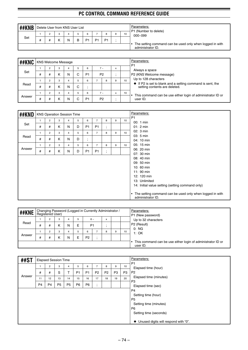| ##KNB |   |  | Delete User from KNS User List |                |                |                |   |    | Parameters:<br>P1 (Number to delete)                                          |
|-------|---|--|--------------------------------|----------------|----------------|----------------|---|----|-------------------------------------------------------------------------------|
|       |   |  |                                | 6              |                |                | 9 | 10 | $000 - 099$                                                                   |
| Set   | # |  | N                              | P <sub>1</sub> | P <sub>1</sub> | P <sub>1</sub> |   |    |                                                                               |
|       |   |  |                                |                |                |                |   |    | The setting command can be used only when logged in with<br>administrator ID. |

| ##KNC  |   |                |   | <b>KNS Welcome Message</b> |    |                |                |                |   |    | Parameters:<br>P <sub>1</sub>                                                                       |
|--------|---|----------------|---|----------------------------|----|----------------|----------------|----------------|---|----|-----------------------------------------------------------------------------------------------------|
|        |   | 2              | 3 | 4                          | b. | 6              |                | $7 -$          | x |    | Always a space                                                                                      |
| Set    | # | #              | K | N                          | ⌒  | P <sub>1</sub> |                | P <sub>2</sub> |   |    | P2 (KNS Welcome message)                                                                            |
|        |   | $\overline{2}$ | 3 |                            | b. | 6              |                | 8              |   | 10 | Up to 128 characters                                                                                |
| Read   | # | #              | K | N                          | С  |                |                |                |   |    | $\bullet$ If P2 is set to blank and a setting command is sent, the<br>setting contents are deleted. |
|        |   | 2              | 3 | 4                          | 5  | 6              | $7 -$          |                | x | 10 | This command can be use either login of administrator ID or                                         |
| Answer | # | #              | κ | N                          |    | P <sub>1</sub> | P <sub>2</sub> |                |   |    | user ID.                                                                                            |

| ##KND  |              | <b>KNS Operation Session Time</b> |   |   |   |                      |                |                             |   |    | Parameters:                                                                                                                                                                                                                                                    |
|--------|--------------|-----------------------------------|---|---|---|----------------------|----------------|-----------------------------|---|----|----------------------------------------------------------------------------------------------------------------------------------------------------------------------------------------------------------------------------------------------------------------|
|        | $\mathbf{1}$ | $\overline{2}$                    | 3 | 4 | 5 | 6                    | $\overline{7}$ | 8                           | 9 | 10 | P <sub>1</sub><br>00: 1 min                                                                                                                                                                                                                                    |
| Set    | #            | #                                 | K | N | D | P <sub>1</sub>       | <b>P1</b>      | ٠<br>$\overline{1}$         |   |    | $01:2$ min                                                                                                                                                                                                                                                     |
|        | $\mathbf{1}$ | $\overline{2}$                    | 3 | 4 | 5 | 6                    | $\overline{7}$ | 8                           | 9 | 10 | 02: 3 min                                                                                                                                                                                                                                                      |
| Read   | #            | #                                 | K | N | D | $\bullet$<br>$\cdot$ |                |                             |   |    | 03: 5 min<br>04: 10 min                                                                                                                                                                                                                                        |
|        | $\mathbf{1}$ | $\overline{2}$                    | 3 | 4 | 5 | 6                    | $\overline{7}$ | 8                           | 9 | 10 | 05: 15 min                                                                                                                                                                                                                                                     |
| Answer | #            | #                                 | K | N | D | P <sub>1</sub>       | P <sub>1</sub> | $\bullet$<br>$\overline{1}$ |   |    | 06: 20 min                                                                                                                                                                                                                                                     |
|        |              |                                   |   |   |   |                      |                |                             |   |    | 07: 30 min<br>08: 40 min<br>09: 50 min<br>10: 60 min<br>11: $90 \text{ min}$<br>12: 120 min<br>13: Unlimited<br>14: Initial value setting (setting command only)<br>The setting command can be used only when logged in with<br>$\bullet$<br>administrator ID. |

| ##KNE  |                             |   |               |   |   | Changing Password (Logged in Currently Administrator /<br>Registered User) |  |                                                                         |  | Parameters:<br>P1 (New password) |                                                |
|--------|-----------------------------|---|---------------|---|---|----------------------------------------------------------------------------|--|-------------------------------------------------------------------------|--|----------------------------------|------------------------------------------------|
|        |                             |   | -3            | 4 |   | $6 -$                                                                      |  | x                                                                       |  |                                  | Up to 32 characters<br>P <sub>2</sub> (Result) |
| Read   | #                           |   | κ             | N | E | P <sub>1</sub>                                                             |  |                                                                         |  |                                  |                                                |
|        | 10<br>3<br>9<br>6<br>8<br>4 |   | 0:NG<br>1: OK |   |   |                                                                            |  |                                                                         |  |                                  |                                                |
| Answer | #                           | # | К             | N | E | P <sub>2</sub>                                                             |  |                                                                         |  |                                  |                                                |
|        |                             |   |               |   |   |                                                                            |  | This command can be use either login of administrator ID or<br>user ID. |  |                                  |                                                |

| ##ST   |    | <b>Elapsed Session Time</b> |                |                |                |                |                |                |                | Parameters:    |                                        |  |
|--------|----|-----------------------------|----------------|----------------|----------------|----------------|----------------|----------------|----------------|----------------|----------------------------------------|--|
|        |    | 2                           | 3              | 4              | 5              | 6              | ⇁              | 8              | 9              | 10             | P <sub>1</sub><br>Elapsed time (hour)  |  |
|        | #  | #                           | S              |                | P <sub>1</sub> | P <sub>1</sub> | P <sub>2</sub> | P <sub>2</sub> | P <sub>3</sub> | P <sub>3</sub> | P <sub>2</sub>                         |  |
| Answer | 11 | 12                          | 13             | 14             | 15             | 16             | 17             | 18             | 19             | 20             | Elapsed time (minutes)                 |  |
|        | P4 | P <sub>4</sub>              | P <sub>5</sub> | P <sub>5</sub> | P <sub>6</sub> | P <sub>6</sub> | ٠<br>$\cdot$   |                |                |                | P <sub>3</sub><br>Elapsed time (sec)   |  |
|        |    |                             |                |                |                |                |                |                |                |                | P <sub>4</sub>                         |  |
|        |    |                             |                |                |                |                |                |                |                |                | Setting time (hour)                    |  |
|        |    |                             |                |                |                |                |                |                |                |                | P <sub>5</sub>                         |  |
|        |    |                             |                |                |                |                |                |                |                |                | Setting time (minutes)                 |  |
|        |    |                             |                |                |                |                |                |                |                |                | P <sub>6</sub>                         |  |
|        |    |                             |                |                |                |                |                |                |                |                | Setting time (seconds)                 |  |
|        |    |                             |                |                |                |                |                |                |                |                | ◆ Unused digits will respond with "0". |  |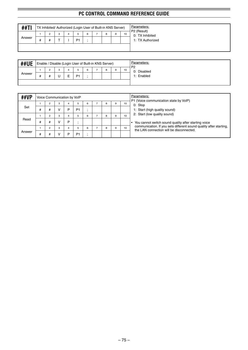| ##TI   |   | TX Inhibited/ Authorized (Login User of Built-in KNS Server) |   |    |   |  |   | Parameters:<br>P2 (Result) |                                     |  |  |  |
|--------|---|--------------------------------------------------------------|---|----|---|--|---|----------------------------|-------------------------------------|--|--|--|
| Answer | # | ◠                                                            | 3 | D. | 6 |  | 9 | 10                         | 0: TX Inhibited<br>1: TX Authorized |  |  |  |
|        |   |                                                              |   |    |   |  |   |                            |                                     |  |  |  |

| <b>##UE</b> |  |        |   | Enable / Disable (Login User of Built-in KNS Server) |  |   |   |    | Parameters:<br>P <sub>2</sub> |
|-------------|--|--------|---|------------------------------------------------------|--|---|---|----|-------------------------------|
| Answer      |  | 3<br>U | - | D.                                                   |  | 8 | 9 | 10 | 0: Disabled<br>1: Enabled     |
|             |  |        |   |                                                      |  |   |   |    |                               |

| ##VP   |   |                |   | Voice Communication by VoIP |                |   |   |   |    | Parameters:                                                                                                    |  |  |  |  |
|--------|---|----------------|---|-----------------------------|----------------|---|---|---|----|----------------------------------------------------------------------------------------------------------------|--|--|--|--|
|        |   | $\overline{2}$ | 3 | 4                           |                | 6 | 8 | 9 | 10 | P1 (Voice communication state by VoIP)<br>0: Stop                                                              |  |  |  |  |
| Set    | # | #              |   | D                           | P <sub>1</sub> |   |   |   |    | 1: Start (high quality sound)                                                                                  |  |  |  |  |
|        |   | $\overline{c}$ | 3 |                             |                | 6 | 8 | 9 | 10 | 2: Start (low quality sound)                                                                                   |  |  |  |  |
| Read   | # | #              |   | Þ                           |                |   |   |   |    | You cannot switch sound quality after starting voice                                                           |  |  |  |  |
|        |   | $\overline{2}$ | 3 |                             |                | 6 | 8 | 9 | 10 | communication. If you sets different sound quality after starting,<br>the LAN connection will be disconnected. |  |  |  |  |
| Answer | # | #              |   | D                           | P <sub>1</sub> |   |   |   |    |                                                                                                                |  |  |  |  |